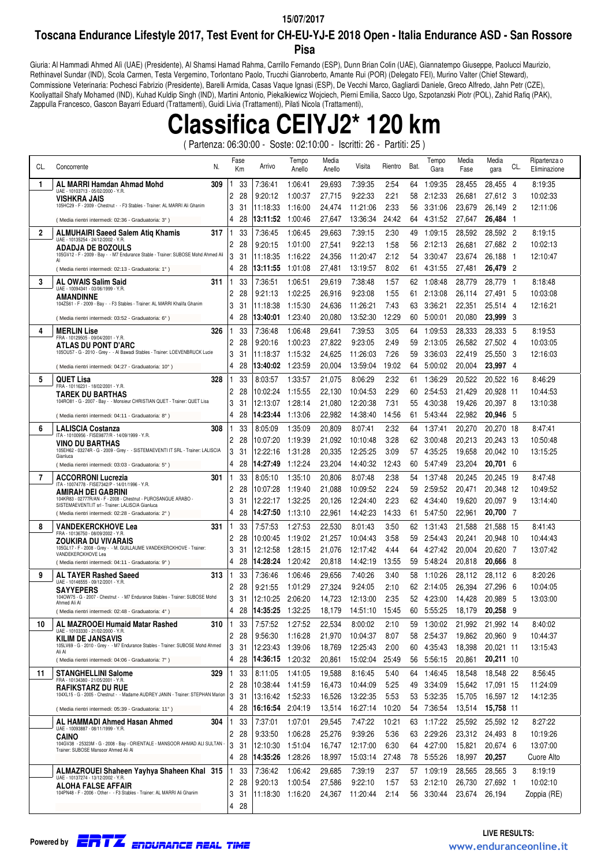#### **15/07/2017**

### **Toscana Endurance Lifestyle 2017, Test Event for CH-EU-YJ-E 2018 Open - Italia Endurance ASD - San Rossore Pisa**

Giuria: Al Hammadi Ahmed Alì (UAE) (Presidente), Al Shamsi Hamad Rahma, Carrillo Fernando (ESP), Dunn Brian Colin (UAE), Giannatempo Giuseppe, Paolucci Maurizio, Rethinavel Sundar (IND), Scola Carmen, Testa Vergemino, Torlontano Paolo, Trucchi Gianroberto, Amante Rui (POR) (Delegato FEI), Murino Valter (Chief Steward), Commissione Veterinaria: Pochesci Fabrizio (Presidente), Barelli Armida, Casas Vaque Ignasi (ESP), De Vecchi Marco, Gagliardi Daniele, Greco Alfredo, Jahn Petr (CZE), Kooliyattail Shafy Mohamed (IND), Kuhad Kuldip Singh (IND), Martini Antonio, Piekalkiewicz Wojciech, Pierni Emilia, Sacco Ugo, Szpotanzski Piotr (POL), Zahid Rafiq (PAK), Zappulla Francesco, Gascon Bayarri Eduard (Trattamenti), Guidi Livia (Trattamenti), Pilati Nicola (Trattamenti),

**Classifica CEIYJ2\* 120 km**

( Partenza: 06:30:00 - Soste: 02:10:00 - Iscritti: 26 - Partiti: 25 )

| CL. | N.<br>Concorrente                                                                                           | Fase<br>Km         | Arrivo               | Tempo<br>Anello    | Media<br>Anello  | Visita               | Rientro       | Bat.     | Tempo<br>Gara      | Media<br>Fase    | Media<br>gara          | CL.      | Ripartenza o<br>Eliminazione |
|-----|-------------------------------------------------------------------------------------------------------------|--------------------|----------------------|--------------------|------------------|----------------------|---------------|----------|--------------------|------------------|------------------------|----------|------------------------------|
| 1   | AL MARRI Hamdan Ahmad Mohd<br>309                                                                           | 33                 | 7:36:41              | 1:06:41            | 29.693           | 7:39:35              | 2:54          | 64       | 1:09:35            | 28,455           | 28.455                 | - 4      | 8:19:35                      |
|     | UAE - 10103713 - 05/02/2000 - Y.R.<br>VISHKRA JAIS                                                          | 2<br>28            | 9:20:12              | 1:00:37            | 27,715           | 9:22:33              | 2:21          | 58       | 2:12:33            | 26,681           | 27,612 3               |          | 10:02:33                     |
|     | 105HC29 - F - 2009 - Chestnut - - F3 Stables - Trainer: AL MARRI Ali Ghanim                                 | 3<br>31            | 11:18:33             | 1:16:00            | 24,474           | 11:21:06             | 2:33          | 56       | 3:31:06            | 23,679           | 26,149 2               |          | 12:11:06                     |
|     | (Media rientri intermedi: 02:36 - Graduatoria: 3°)                                                          | 4<br>28            | 13:11:52             | 1:00:46            | 27,647           | 13:36:34             | 24:42         | 64       | 4:31:52            | 27,647           | 26,484                 | -1       |                              |
| 2   | <b>ALMUHAIRI Saeed Salem Atiq Khamis</b><br>317                                                             | 33                 | 7:36:45              | 1:06:45            | 29,663           | 7:39:15              | 2:30          | 49       | 1:09:15            | 28,592           | 28,592 2               |          | 8:19:15                      |
|     | UAE - 10135254 - 24/12/2002 - Y.R.<br><b>ADADJA DE BOZOULS</b>                                              | 2<br>28            | 9:20:15              | 1:01:00            | 27,541           | 9:22:13              | 1.58          | 56       | 2:12:13            | 26,681           | 27,682 2               |          | 10:02:13                     |
|     | 105GV12 - F - 2009 - Bay - - M7 Endurance Stable - Trainer: SUBOSE Mohd Ahmed Ali<br>AI                     | 3<br>31            | 11:18:35             | 1:16:22            | 24,356           | 11:20:47             | 2:12          | 54       | 3:30:47            | 23,674           | 26,188                 | - 1      | 12:10:47                     |
|     | (Media rientri intermedi: 02:13 - Graduatoria: 1°)                                                          | 4<br>28            | 13:11:55             | 1:01:08            | 27,481           | 13:19:57             | 8:02          | 61       | 4:31:55            | 27,481           | 26,479 2               |          |                              |
| 3   | <b>AL OWAIS Salim Said</b><br>311                                                                           | 33                 | 7:36:51              | 1:06:51            | 29,619           | 7:38:48              | 1:57          | 62       | 1:08:48            | 28,779           | 28,779                 | - 1      | 8:18:48                      |
|     | UAE - 10094341 - 03/06/1999 - Y.R.<br>AMANDINNE                                                             | 2<br>28            | 9:21:13              | 1:02:25            | 26,916           | 9:23:08              | 1:55          | 61       | 2:13:08            | 26,114           | 27,491                 | -5       | 10:03:08                     |
|     | 104ZS61 - F - 2009 - Bay - - F3 Stables - Trainer: AL MARRI Khalifa Ghanim                                  | 3<br>31            | 11:18:38             | 1:15:30            | 24,636           | 11:26:21             | 7:43          | 63       | 3:36:21            | 22,351           | 25,514                 | - 4      | 12:16:21                     |
|     | (Media rientri intermedi: 03:52 - Graduatoria: 6°)                                                          | 4<br>28            | 13:40:01             | 1:23:40            | 20,080           | 13:52:30             | 12:29         | 60       | 5:00:01            | 20,080           | 23,999 3               |          |                              |
| 4   | <b>MERLIN Lise</b><br>326                                                                                   | 33                 | 7:36:48              | 1:06:48            | 29,641           | 7:39:53              | 3:05          | 64       | 1:09:53            | 28,333           | 28,333 5               |          | 8:19:53                      |
|     | FRA - 10129505 - 09/04/2001 - Y.R.<br>ATLAS DU PONT D'ARC                                                   | 2<br>28            | 9:20:16              | 1:00:23            | 27,822           | 9:23:05              | 2.49          | 59       | 2:13:05            | 26,582           | 27,502 4               |          | 10:03:05                     |
|     | 105OU57 - G - 2010 - Grey - - Al Bawadi Stables - Trainer: LOEVENBRUCK Lucie                                | 3<br>31            | 11:18:37             | 1:15:32            | 24,625           | 11:26:03             | 7:26          | 59       | 3:36:03            | 22,419           | 25,550 3               |          | 12:16:03                     |
|     | (Media rientri intermedi: 04:27 - Graduatoria: 10°)                                                         | 4<br>28            | 13:40:02             | 1:23:59            | 20,004           | 13:59:04             | 19:02         | 64       | 5:00:02            | 20,004           | 23,997 4               |          |                              |
| 5   | <b>QUET Lisa</b><br>328                                                                                     | 33                 | 8:03:57              | 1:33:57            | 21,075           | 8:06:29              | 2:32          | 61       | 1:36:29            | 20,522           | 20,522 16              |          | 8:46:29                      |
|     | FRA - 10116231 - 18/02/2001 - Y.R.                                                                          | 2<br>28            | 10:02:24             | 1:15:55            | 22,130           | 10:04:53             | 2:29          | 60       | 2:54:53            | 21,429           | 20,928 11              |          | 10:44:53                     |
|     | TAREK DU BARTHAS<br>104RO81 - G - 2007 - Bay - - Monsieur CHRISTIAN QUET - Trainer: QUET Lisa               | 3<br>31            | 12:13:07             | 1:28:14            | 21,080           | 12:20:38             | 7:31          | 55       | 4:30:38            | 19,426           | 20,397 8               |          | 13:10:38                     |
|     | (Media rientri intermedi: 04:11 - Graduatoria: 8°)                                                          | 4<br>28            | 14:23:44             | 1:13:06            | 22,982           | 14:38:40             | 14:56         | 61       | 5:43:44            | 22,982           | 20,946                 | - 5      |                              |
| 6   | <b>LALISCIA Costanza</b><br>308                                                                             | 33                 | 8:05:09              | 1:35:09            | 20,809           | 8:07:41              | 2:32          | 64       | 1:37:41            | 20,270           | 20,270 18              |          | 8:47:41                      |
|     | ITA - 10100956 - FISE9877/R - 14/09/1999 - Y.R.                                                             | 2<br>28            | 10:07:20             | 1:19:39            | 21,092           | 10:10:48             | 3:28          | 62       | 3:00:48            | 20,213           | 20,243 13              |          | 10:50:48                     |
|     | VINO DU BARTHAS<br>105EH62 - 03274R - G - 2009 - Grey - - SISTEMAEVENTI IT SRL - Trainer: LALISCIA          | 3<br>31            | 12:22:16             | 1:31:28            | 20,335           | 12:25:25             | 3:09          | 57       | 4:35:25            | 19,658           | 20,042 10              |          | 13:15:25                     |
|     | Gianluca<br>(Media rientri intermedi: 03:03 - Graduatoria: 5°)                                              | 4<br>28            | 14:27:49             | 1:12:24            | 23,204           | 14:40:32             | 12:43         | 60       | 5:47:49            | 23,204           | 20,701 6               |          |                              |
| 7   | 301                                                                                                         | 33                 | 8:05:10              | 1:35:10            | 20,806           |                      | 2:38          | 54       | 1:37:48            | 20,245           | 20,245 19              |          | 8:47:48                      |
|     | <b>ACCORRONI Lucrezia</b><br>ITA - 10074778 - FISE7342/P - 14/01/1996 - Y.R.                                | 2<br>28            | 10:07:28             | 1:19:40            | 21,088           | 8:07:48<br>10:09:52  | 2:24          | 59       | 2:59:52            | 20,471           | 20,348 12              |          | 10:49:52                     |
|     | AMIRAH DEI GABRINI<br>104KR83 - 02777R/AN - F - 2008 - Chestnut - PUROSANGUE ARABO -                        | 3<br>31            | 12:22:17             | 1:32:25            | 20,126           | 12:24:40             | 2:23          | 62       | 4:34:40            | 19,620           | 20,097 9               |          | 13:14:40                     |
|     | SISTEMAEVENTI.IT srl - Trainer: LALISCIA Gianluca<br>(Media rientri intermedi: 02:28 - Graduatoria: 2°)     | 4<br>28            | 14:27:50             | 1:13:10            | 22,961           | 14:42:23             | 14:33         | 61       | 5:47:50            | 22,961           | 20,700 7               |          |                              |
|     |                                                                                                             |                    |                      |                    |                  |                      |               |          |                    |                  |                        |          |                              |
| 8   | <b>VANDEKERCKHOVE Lea</b><br>331<br>FRA - 10136750 - 08/09/2002 - Y.R.                                      | 33<br>2<br>28      | 7:57:53              | 1:27:53            | 22,530           | 8:01:43              | 3:50          | 62<br>59 | 1:31:43<br>2:54:43 | 21,588           | 21,588 15<br>20,948 10 |          | 8:41:43                      |
|     | ZOUKIRA DU VIVARAIS<br>105GL17 - F - 2008 - Grey - - M. GUILLAUME VANDEKERCKHOVE - Trainer:                 | 3<br>31            | 10:00:45<br>12:12:58 | 1:19:02<br>1:28:15 | 21,257           | 10:04:43             | 3:58          | 64       | 4:27:42            | 20,241<br>20,004 | 20,620 7               |          | 10:44:43<br>13:07:42         |
|     | VANDEKERCKHOVE Lea                                                                                          | 4<br>28            | 14:28:24             | 1:20:42            | 21,076<br>20,818 | 12:17:42<br>14:42:19 | 4:44<br>13:55 | 59       | 5:48:24            | 20,818           | 20,666                 | - 8      |                              |
|     | (Media rientri intermedi: 04:11 - Graduatoria: 9°)                                                          |                    |                      |                    |                  |                      |               |          |                    |                  |                        |          |                              |
| 9   | <b>AL TAYER Rashed Saeed</b><br>313<br>UAE - 10146555 - 09/12/2001 - Y.R.                                   | 33<br>1            | 7:36:46              | 1.06.46            | 29,656           | 7:40:26              | 3:40          | 58       | 1:10:26            | 28,112           | 28,112 6               |          | 8:20:26                      |
|     | <b>SAYYEPERS</b><br>104OW75 - G - 2007 - Chestnut - - M7 Endurance Stables - Trainer: SUBOSE Mohd           | 2<br>28<br>3<br>31 | 9:21:55              | 1:01:29<br>2:06:20 | 27,324           | 9:24:05              | 2:10<br>2:35  | 62       | 2:14:05            | 26,394<br>14,428 | 27,296<br>20.989       | -6<br>-5 | 10:04:05<br>13:03:00         |
|     | Ahmed Ali Al                                                                                                | 4                  | 12:10:25             |                    | 14,723           | 12:13:00             |               | 52       | 4:23:00            |                  |                        | -9       |                              |
|     | (Media rientri intermedi: 02:48 - Graduatoria: 4°)                                                          | 28                 | 14:35:25             | 1:32:25            | 18,179           | 14:51:10             | 15:45         | 60       | 5:55:25            | 18,179           | 20,258                 |          |                              |
| 10  | AL MAZROOEI Humaid Matar Rashed<br>310<br>UAE - 10103330 - 21/02/2000 - Y.R.                                | 33<br>$\mathbf{1}$ | 7:57:52              | 1:27:52            | 22,534           | 8:00:02              | 2:10          | 59       | 1:30:02            | 21,992           | 21,992 14              |          | 8:40:02                      |
|     | <b>KILIM DE JANSAVIS</b><br>105LV69 - G - 2010 - Grey - - M7 Endurance Stables - Trainer: SUBOSE Mohd Ahmed | 28<br>2<br>3<br>31 | 9:56:30<br>12:23:43  | 1:16:28<br>1:39:06 | 21,970           | 10:04:37             | 8:07<br>2:00  | 58<br>60 | 2:54:37            | 19,862           | 20,960 9               |          | 10:44:37                     |
|     | Ali Al                                                                                                      |                    |                      |                    | 18,769           | 12:25:43             |               |          | 4:35:43            | 18,398           | 20,021 11              |          | 13:15:43                     |
|     | (Media rientri intermedi: 04:06 - Graduatoria: 7°)                                                          | 4<br>28            | 14:36:15             | 1:20:32            | 20,861           | 15:02:04             | 25:49         | 56       | 5:56:15            | 20,861           | 20,211 10              |          |                              |
| 11  | 329<br><b>STANGHELLINI Salome</b><br>FRA - 10134380 - 21/05/2001 - Y.R.                                     | 33<br>1.           | 8:11:05              | 1:41:05            | 19,588           | 8:16:45              | 5:40          |          | 64 1:46:45         | 18,548           | 18,548 22              |          | 8:56:45                      |
|     | <b>RAFIKSTARZ DU RUE</b><br>104XL15 - G - 2005 - Chestnut - - Madame AUDREY JANIN - Trainer: STEPHAN Marion | 2<br>28            | 10:38:44             | 1:41:59            | 16,473           | 10:44:09             | 5:25          | 49       | 3:34:09            | 15,642           | 17,091 15              |          | 11:24:09                     |
|     |                                                                                                             | 3<br>31            | 13:16:42             | 1:52:33            | 16,526           | 13:22:35             | 5:53          | 53       | 5:32:35            | 15,705           | 16,597 12              |          | 14:12:35                     |
|     | (Media rientri intermedi: 05:39 - Graduatoria: 11°)                                                         | 4<br>28            | 16:16:54             | 2:04:19            | 13,514           | 16:27:14             | 10:20         | 54       | 7:36:54            | 13,514           | 15,758 11              |          |                              |
|     | 304<br>AL HAMMADI Ahmed Hasan Ahmed<br>UAE - 10093887 - 08/11/1999 - Y.R.                                   | 33<br>$\mathbf{1}$ | 7:37:01              | 1:07:01            | 29,545           | 7:47:22              | 10:21         | 63       | 1:17:22            | 25,592           | 25,592 12              |          | 8:27:22                      |
|     | <b>CAINO</b><br>104GV38 - 25323M - G - 2008 - Bay - ORIENTALE - MANSOOR AHMAD ALI SULTAN                    | 2<br>28            | 9:33:50              | 1:06:28            | 25,276           | 9:39:26              | 5:36          | 63       | 2:29:26            | 23,312           | 24,493 8               |          | 10:19:26                     |
|     | Trainer: SUBOSE Mansoor Ahmed Ali Al                                                                        | 3<br>31            | 12:10:30             | 1:51:04            | 16,747           | 12:17:00             | 6:30          | 64       | 4:27:00            | 15,821           | 20,674 6               |          | 13:07:00                     |
|     |                                                                                                             | 4<br>28            | 14:35:26             | 1:28:26            | 18,997           | 15:03:14             | 27:48         |          | 78 5:55:26         | 18,997           | 20,257                 |          | Cuore Alto                   |
|     | ALMAZROUEI Shaheen Yayhya Shaheen Khal 315<br>UAE - 10137274 - 13/12/2002 - Y.R.                            | 33<br>1            | 7:36:42              | 1:06:42            | 29,685           | 7:39:19              | 2:37          | 57       | 1:09:19            | 28,565           | 28,565 3               |          | 8:19:19                      |
|     | <b>ALOHA FALSE AFFAIR</b><br>104PN48 - F - 2006 - Other - - F3 Stables - Trainer: AL MARRI Ali Ghanim       | 2<br>28            | 9:20:13              | 1:00:54            | 27,586           | 9:22:10              | 1.57          | 53       | 2:12:10            | 26,730           | 27,692 1               |          | 10:02:10                     |
|     |                                                                                                             | 3<br>31            | 11:18:30             | 1:16:20            | 24,367           | 11:20:44             | 2:14          | 56       | 3:30:44            | 23,674           | 26,194                 |          | Zoppia (RE)                  |
|     |                                                                                                             | 4<br>28            |                      |                    |                  |                      |               |          |                    |                  |                        |          |                              |

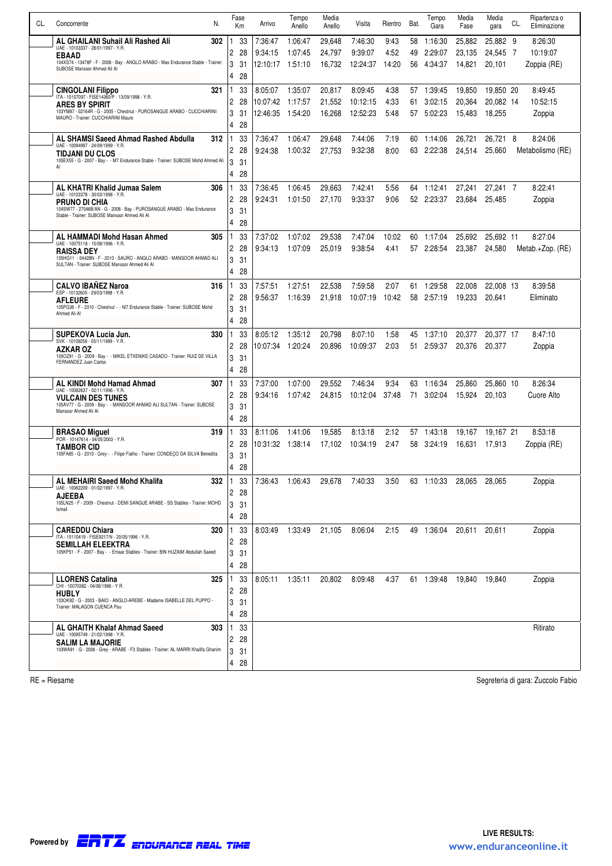| 33<br>7:36:47<br>9:43<br>58<br>25,882<br>25,882 9<br>AL GHAILANI Suhail Ali Rashed Ali<br>302<br>1:06:47<br>29,648<br>7:46:30<br>1:16:30<br>8:26:30<br>1<br>UAE - 10103337 - 28/01/1997 - Y.R.<br>2<br>28<br>9:39:07<br>4:52<br>49<br>2:29:07<br>23,135<br>24,545 7<br>10:19:07<br>9:34:15<br>1:07:45<br>24,797<br><b>EBAAD</b><br>104XS74 - 13478F - F - 2008 - Bay - ANGLO ARABO - Mas Endurance Stable - Trainer:<br>3<br>31<br>14:20<br>12:10:17<br>1:51:10<br>16,732<br>12:24:37<br>56<br>4:34:37<br>14,821<br>20,101<br>Zoppia (RE)<br>SUBOSE Mansoor Ahmed Ali Al<br>4<br>28<br>321<br>33<br>8:05:07<br>1:35:07<br>20,817<br>8:09:45<br>4:38<br>1:39:45<br>19,850<br>19,850 20<br>8:49:45<br><b>CINGOLANI Filippo</b><br>1<br>57<br>ITA - 10107097 - FISE14360/P - 13/09/1998 - Y.R.<br>2<br>28<br>10:52:15<br>10:07:42<br>1:17:57<br>21,552<br>10:12:15<br>4:33<br>3:02:15<br>20.364<br>20,082 14<br>61<br><b>ARES BY SPIRIT</b><br>103YM87 - 02164R - G - 2005 - Chestnut - PUROSANGUE ARABO - CUCCHIARINI<br>3<br>31<br>12:46:35<br>1:54:20<br>5:48<br>18,255<br>16,268<br>12:52:23<br>57<br>5:02:23<br>15,483<br>Zoppia<br>MAURO - Trainer: CUCCHIARINI Mauro<br>4<br>28<br>7:19<br>AL SHAMSI Saeed Ahmad Rashed Abdulla<br>312<br>33<br>7:36:47<br>1:06:47<br>29,648<br>7:44:06<br>60<br>1:14:06<br>26,721<br>26,721<br>- 8<br>8:24:06<br>1<br>UAE - 10094997 - 24/09/1999 - Y.R.<br>2<br>28<br>9:32:38<br>9:24:38<br>1:00:32<br>8:00<br>63<br>2:22:38<br>25,660<br>Metabolismo (RE)<br>27,753<br>24,514<br><b>TIDJANI DU CLOS</b><br>105EX55 - G - 2007 - Bay - - M7 Endurance Stable - Trainer: SUBOSE Mohd Ahmed Ali<br>3<br>31<br>Al<br>$\overline{4}$<br>28<br>AL KHATRI Khalid Jumaa Salem<br>306<br>33<br>7:36:45<br>1:06:45<br>29,663<br>7:42:41<br>5.56<br>27,241<br>27,241 7<br>8:22:41<br>1<br>64<br>1:12:41<br>UAE - 10103378 - 30/03/1998 - Y.R.<br>$\overline{c}$<br>28<br>9:24:31<br>1:01:50<br>9:33:37<br>9:06<br>52<br>2:23:37<br>23,684<br>25,485<br>27,170<br>Zoppia<br>PRUNO DI CHIA<br>104SW77 - 27046B/AN - G - 2008 - Bay - PUROSANGUE ARABO - Mas Endurance<br>3<br>31<br>Stable - Trainer: SUBOSE Mansoor Ahmed Ali Al<br>4<br>28<br>33<br>8:27:04<br>AL HAMMADI Mohd Hasan Ahmed<br>305<br>7:37:02<br>1:07:02<br>29,538<br>7:47:04<br>10:02<br>60<br>25,692<br>25,692 11<br>1:17:04<br>UAE - 10075118 - 15/08/1996 - Y.R.<br>$\overline{c}$<br>28<br>9:34:13<br>1:07:09<br>25.019<br>9:38:54<br>2:28:54<br>23,387<br>24,580<br>4.41<br>57<br>Metab.+Zop. (RE)<br><b>RAISSA DEY</b><br>105HG11 - 04428N - F - 2010 - SAURO - ANGLO ARABO - MANSOOR AHMAD ALI<br>3<br>31<br>SULTAN - Trainer: SUBOSE Mansoor Ahmed Ali Al<br>$\overline{4}$<br>28<br><b>CALVO IBANEZ Naroa</b><br>33<br>1:27:51<br>22,538<br>7:59:58<br>2:07<br>1:29:58<br>8:39:58<br>316<br>7:57:51<br>61<br>22,008<br>22.008 13<br>ESP - 10132605 - 29/03/1998 - Y.R.<br>2<br>28<br>9:56:37<br>21,918<br>Eliminato<br>1:16:39<br>10:07:19<br>10:42<br>58<br>2:57:19<br>19,233<br>20,641<br><b>AFLEURE</b><br>105PG36 - F - 2010 - Chestnut - - M7 Endurance Stable - Trainer: SUBOSE Mohd<br>3<br>31<br>Ahmed Ali Al<br>$\overline{4}$<br>28<br>8:47:10<br>SUPEKOVA Lucia Jun.<br>330<br>33<br>8:05:12<br>1:35:12<br>20,798<br>8:07:10<br>1.58<br>45<br>1:37:10<br>20,377<br>20,377 17<br>SVK - 10109256 - 05/11/1999 - Y.R.<br>2<br>28<br>10:09:37<br>2:03<br>20,376<br>20,377<br>10:07:34<br>1:20:24<br>20.896<br>51<br>2:59:37<br>Zoppia<br>AZKAR OZ<br>105OZ91 - G - 2009 - Bay - - MIKEL ETXENIKE CASADO - Trainer: RUIZ DE VILLA<br>3<br>31<br>FERNANDEZ Juan Carlos<br>$\overline{4}$<br>28<br>9:34<br><b>AL KINDI Mohd Hamad Ahmad</b><br>307<br>33<br>7:37:00<br>1:07:00<br>29,552<br>7:46:34<br>63<br>1:16:34<br>25,860<br>25,860 10<br>8:26:34<br>UAE - 10082637 - 02/11/1996 - Y.R.<br>2<br>28<br>10:12:04<br>Cuore Alto<br>9:34:16<br>1:07:42<br>24,815<br>37:48<br>71<br>3:02:04<br>20,103<br>15.924<br><b>VULCAIN DES TUNES</b><br>105AV77 - G - 2009 - Bay - - MANSOOR AHMAD ALI SULTAN - Trainer: SUBOSE<br>3<br>31<br>Mansoor Ahmed Ali Al<br>4<br>28<br>2:12<br>8:53:18<br>319<br>33<br>8:11:06<br>1:41:06<br>19,585<br>8:13:18<br>1:43:18<br>19,167 21<br><b>BRASAO Miquel</b><br>57<br>19,167<br>POR - 10147614 - 04/05/2003 - Y.R.<br>2<br>28<br>2:47<br>10:31:32<br>1:38:14<br>17,102<br>10:34:19<br>58<br>3:24:19<br>17,913<br>Zoppia (RE)<br>16,631<br><b>TAMBOR CID</b><br>105FA85 - G - 2010 - Grey - - Filipe Fialho - Trainer: CONDEÇO DA SILVA Benedita<br>3<br>31<br>4<br>28<br>AL MEHAIRI Saeed Mohd Khalifa<br>332<br>33<br>1:06:43<br>29,678<br>7:40:33<br>3:50<br>63 1:10:33<br>$\mathbf{1}$<br>7:36:43<br>28.065<br>28,065<br>Zoppia<br>UAE - 10082209 - 01/02/1997 - Y.R.<br>$\mathbf{2}$<br>28<br>AJEEBA<br>105LN25 - F - 2009 - Chestnut - DEMI SANGUE ARABE - SS Stables - Trainer: MOHD<br>3<br>31<br>Ismail<br>4<br>28<br><b>CAREDDU Chiara</b><br>33<br>320<br>1.<br>8:03:49<br>1:33:49<br>21,105<br>8:06:04<br>2:15<br>49 1:36:04<br>20,611<br>20,611<br>Zoppia<br>ITA - 10110419 - FISE9217/N - 20/05/1996 - Y.R.<br>$\overline{2}$<br>28<br><b>SEMILLAH ELEEKTRA</b><br>105KP51 - F - 2007 - Bay - - Emaar Stables - Trainer: BIN HUZAIM Abdullah Saeed<br>3<br>31<br>4<br>28<br><b>LLORENS Catalina</b><br>33<br>1:35:11<br>20,802<br>4:37<br>325<br>1.<br>8:05:11<br>8:09:48<br>61 1:39:48 19,840 19,840<br>Zoppia<br>CHI - 10070382 - 04/06/1996 - Y.R.<br>$\overline{c}$<br>28<br><b>HUBLY</b><br>103OK92 - G - 2003 - BAIO - ANGLO-AREBE - Madame ISABELLE DEL PUPPO -<br>3<br>31<br>Trainer: MALAGON CUENCA Pau<br>28<br>4<br>33<br>AL GHAITH Khalaf Ahmad Saeed<br>303<br>Ritirato<br>1.<br>UAE - 10095749 - 21/02/1998 - Y.R.<br>2 28<br><b>SALIM LA MAJORIE</b><br>103WA91 - G - 2006 - Grey - ARABE - F3 Stables - Trainer: AL MARRI Khalifa Ghanim<br>3<br>31<br>4<br>28 | CL. | N.<br>Concorrente | Fase<br>Km | Arrivo | Tempo<br>Anello | Media<br>Anello | Visita | Rientro | Bat. | Tempo<br>Gara | Media<br>Fase | Media<br>gara | CL. | Ripartenza o<br>Eliminazione |
|-----------------------------------------------------------------------------------------------------------------------------------------------------------------------------------------------------------------------------------------------------------------------------------------------------------------------------------------------------------------------------------------------------------------------------------------------------------------------------------------------------------------------------------------------------------------------------------------------------------------------------------------------------------------------------------------------------------------------------------------------------------------------------------------------------------------------------------------------------------------------------------------------------------------------------------------------------------------------------------------------------------------------------------------------------------------------------------------------------------------------------------------------------------------------------------------------------------------------------------------------------------------------------------------------------------------------------------------------------------------------------------------------------------------------------------------------------------------------------------------------------------------------------------------------------------------------------------------------------------------------------------------------------------------------------------------------------------------------------------------------------------------------------------------------------------------------------------------------------------------------------------------------------------------------------------------------------------------------------------------------------------------------------------------------------------------------------------------------------------------------------------------------------------------------------------------------------------------------------------------------------------------------------------------------------------------------------------------------------------------------------------------------------------------------------------------------------------------------------------------------------------------------------------------------------------------------------------------------------------------------------------------------------------------------------------------------------------------------------------------------------------------------------------------------------------------------------------------------------------------------------------------------------------------------------------------------------------------------------------------------------------------------------------------------------------------------------------------------------------------------------------------------------------------------------------------------------------------------------------------------------------------------------------------------------------------------------------------------------------------------------------------------------------------------------------------------------------------------------------------------------------------------------------------------------------------------------------------------------------------------------------------------------------------------------------------------------------------------------------------------------------------------------------------------------------------------------------------------------------------------------------------------------------------------------------------------------------------------------------------------------------------------------------------------------------------------------------------------------------------------------------------------------------------------------------------------------------------------------------------------------------------------------------------------------------------------------------------------------------------------------------------------------------------------------------------------------------------------------------------------------------------------------------------------------------------------------------------------------------------------------------------------------------------------------------------------------------------------------------------------------------------------------------------------------------------------------------------------------------------------------------------------------------------------------------------------------------------------------------------------------------------------------------------------------------------------------------------------------------------------------------------------------------------------------------------------------------------------------------------------------------------------------------------------------------------------------------------------------------------------------------------------------------------------------------------------------------------------------------------------------------------------------------------------------------------------------------------------------------------------------------------------------------------------------------------------------------------------------------------------------------------------------------------------------------------------------------------|-----|-------------------|------------|--------|-----------------|-----------------|--------|---------|------|---------------|---------------|---------------|-----|------------------------------|
|                                                                                                                                                                                                                                                                                                                                                                                                                                                                                                                                                                                                                                                                                                                                                                                                                                                                                                                                                                                                                                                                                                                                                                                                                                                                                                                                                                                                                                                                                                                                                                                                                                                                                                                                                                                                                                                                                                                                                                                                                                                                                                                                                                                                                                                                                                                                                                                                                                                                                                                                                                                                                                                                                                                                                                                                                                                                                                                                                                                                                                                                                                                                                                                                                                                                                                                                                                                                                                                                                                                                                                                                                                                                                                                                                                                                                                                                                                                                                                                                                                                                                                                                                                                                                                                                                                                                                                                                                                                                                                                                                                                                                                                                                                                                                                                                                                                                                                                                                                                                                                                                                                                                                                                                                                                                                                                                                                                                                                                                                                                                                                                                                                                                                                                                                                                                                                         |     |                   |            |        |                 |                 |        |         |      |               |               |               |     |                              |
|                                                                                                                                                                                                                                                                                                                                                                                                                                                                                                                                                                                                                                                                                                                                                                                                                                                                                                                                                                                                                                                                                                                                                                                                                                                                                                                                                                                                                                                                                                                                                                                                                                                                                                                                                                                                                                                                                                                                                                                                                                                                                                                                                                                                                                                                                                                                                                                                                                                                                                                                                                                                                                                                                                                                                                                                                                                                                                                                                                                                                                                                                                                                                                                                                                                                                                                                                                                                                                                                                                                                                                                                                                                                                                                                                                                                                                                                                                                                                                                                                                                                                                                                                                                                                                                                                                                                                                                                                                                                                                                                                                                                                                                                                                                                                                                                                                                                                                                                                                                                                                                                                                                                                                                                                                                                                                                                                                                                                                                                                                                                                                                                                                                                                                                                                                                                                                         |     |                   |            |        |                 |                 |        |         |      |               |               |               |     |                              |
|                                                                                                                                                                                                                                                                                                                                                                                                                                                                                                                                                                                                                                                                                                                                                                                                                                                                                                                                                                                                                                                                                                                                                                                                                                                                                                                                                                                                                                                                                                                                                                                                                                                                                                                                                                                                                                                                                                                                                                                                                                                                                                                                                                                                                                                                                                                                                                                                                                                                                                                                                                                                                                                                                                                                                                                                                                                                                                                                                                                                                                                                                                                                                                                                                                                                                                                                                                                                                                                                                                                                                                                                                                                                                                                                                                                                                                                                                                                                                                                                                                                                                                                                                                                                                                                                                                                                                                                                                                                                                                                                                                                                                                                                                                                                                                                                                                                                                                                                                                                                                                                                                                                                                                                                                                                                                                                                                                                                                                                                                                                                                                                                                                                                                                                                                                                                                                         |     |                   |            |        |                 |                 |        |         |      |               |               |               |     |                              |
|                                                                                                                                                                                                                                                                                                                                                                                                                                                                                                                                                                                                                                                                                                                                                                                                                                                                                                                                                                                                                                                                                                                                                                                                                                                                                                                                                                                                                                                                                                                                                                                                                                                                                                                                                                                                                                                                                                                                                                                                                                                                                                                                                                                                                                                                                                                                                                                                                                                                                                                                                                                                                                                                                                                                                                                                                                                                                                                                                                                                                                                                                                                                                                                                                                                                                                                                                                                                                                                                                                                                                                                                                                                                                                                                                                                                                                                                                                                                                                                                                                                                                                                                                                                                                                                                                                                                                                                                                                                                                                                                                                                                                                                                                                                                                                                                                                                                                                                                                                                                                                                                                                                                                                                                                                                                                                                                                                                                                                                                                                                                                                                                                                                                                                                                                                                                                                         |     |                   |            |        |                 |                 |        |         |      |               |               |               |     |                              |
|                                                                                                                                                                                                                                                                                                                                                                                                                                                                                                                                                                                                                                                                                                                                                                                                                                                                                                                                                                                                                                                                                                                                                                                                                                                                                                                                                                                                                                                                                                                                                                                                                                                                                                                                                                                                                                                                                                                                                                                                                                                                                                                                                                                                                                                                                                                                                                                                                                                                                                                                                                                                                                                                                                                                                                                                                                                                                                                                                                                                                                                                                                                                                                                                                                                                                                                                                                                                                                                                                                                                                                                                                                                                                                                                                                                                                                                                                                                                                                                                                                                                                                                                                                                                                                                                                                                                                                                                                                                                                                                                                                                                                                                                                                                                                                                                                                                                                                                                                                                                                                                                                                                                                                                                                                                                                                                                                                                                                                                                                                                                                                                                                                                                                                                                                                                                                                         |     |                   |            |        |                 |                 |        |         |      |               |               |               |     |                              |
|                                                                                                                                                                                                                                                                                                                                                                                                                                                                                                                                                                                                                                                                                                                                                                                                                                                                                                                                                                                                                                                                                                                                                                                                                                                                                                                                                                                                                                                                                                                                                                                                                                                                                                                                                                                                                                                                                                                                                                                                                                                                                                                                                                                                                                                                                                                                                                                                                                                                                                                                                                                                                                                                                                                                                                                                                                                                                                                                                                                                                                                                                                                                                                                                                                                                                                                                                                                                                                                                                                                                                                                                                                                                                                                                                                                                                                                                                                                                                                                                                                                                                                                                                                                                                                                                                                                                                                                                                                                                                                                                                                                                                                                                                                                                                                                                                                                                                                                                                                                                                                                                                                                                                                                                                                                                                                                                                                                                                                                                                                                                                                                                                                                                                                                                                                                                                                         |     |                   |            |        |                 |                 |        |         |      |               |               |               |     |                              |
|                                                                                                                                                                                                                                                                                                                                                                                                                                                                                                                                                                                                                                                                                                                                                                                                                                                                                                                                                                                                                                                                                                                                                                                                                                                                                                                                                                                                                                                                                                                                                                                                                                                                                                                                                                                                                                                                                                                                                                                                                                                                                                                                                                                                                                                                                                                                                                                                                                                                                                                                                                                                                                                                                                                                                                                                                                                                                                                                                                                                                                                                                                                                                                                                                                                                                                                                                                                                                                                                                                                                                                                                                                                                                                                                                                                                                                                                                                                                                                                                                                                                                                                                                                                                                                                                                                                                                                                                                                                                                                                                                                                                                                                                                                                                                                                                                                                                                                                                                                                                                                                                                                                                                                                                                                                                                                                                                                                                                                                                                                                                                                                                                                                                                                                                                                                                                                         |     |                   |            |        |                 |                 |        |         |      |               |               |               |     |                              |
|                                                                                                                                                                                                                                                                                                                                                                                                                                                                                                                                                                                                                                                                                                                                                                                                                                                                                                                                                                                                                                                                                                                                                                                                                                                                                                                                                                                                                                                                                                                                                                                                                                                                                                                                                                                                                                                                                                                                                                                                                                                                                                                                                                                                                                                                                                                                                                                                                                                                                                                                                                                                                                                                                                                                                                                                                                                                                                                                                                                                                                                                                                                                                                                                                                                                                                                                                                                                                                                                                                                                                                                                                                                                                                                                                                                                                                                                                                                                                                                                                                                                                                                                                                                                                                                                                                                                                                                                                                                                                                                                                                                                                                                                                                                                                                                                                                                                                                                                                                                                                                                                                                                                                                                                                                                                                                                                                                                                                                                                                                                                                                                                                                                                                                                                                                                                                                         |     |                   |            |        |                 |                 |        |         |      |               |               |               |     |                              |
|                                                                                                                                                                                                                                                                                                                                                                                                                                                                                                                                                                                                                                                                                                                                                                                                                                                                                                                                                                                                                                                                                                                                                                                                                                                                                                                                                                                                                                                                                                                                                                                                                                                                                                                                                                                                                                                                                                                                                                                                                                                                                                                                                                                                                                                                                                                                                                                                                                                                                                                                                                                                                                                                                                                                                                                                                                                                                                                                                                                                                                                                                                                                                                                                                                                                                                                                                                                                                                                                                                                                                                                                                                                                                                                                                                                                                                                                                                                                                                                                                                                                                                                                                                                                                                                                                                                                                                                                                                                                                                                                                                                                                                                                                                                                                                                                                                                                                                                                                                                                                                                                                                                                                                                                                                                                                                                                                                                                                                                                                                                                                                                                                                                                                                                                                                                                                                         |     |                   |            |        |                 |                 |        |         |      |               |               |               |     |                              |
|                                                                                                                                                                                                                                                                                                                                                                                                                                                                                                                                                                                                                                                                                                                                                                                                                                                                                                                                                                                                                                                                                                                                                                                                                                                                                                                                                                                                                                                                                                                                                                                                                                                                                                                                                                                                                                                                                                                                                                                                                                                                                                                                                                                                                                                                                                                                                                                                                                                                                                                                                                                                                                                                                                                                                                                                                                                                                                                                                                                                                                                                                                                                                                                                                                                                                                                                                                                                                                                                                                                                                                                                                                                                                                                                                                                                                                                                                                                                                                                                                                                                                                                                                                                                                                                                                                                                                                                                                                                                                                                                                                                                                                                                                                                                                                                                                                                                                                                                                                                                                                                                                                                                                                                                                                                                                                                                                                                                                                                                                                                                                                                                                                                                                                                                                                                                                                         |     |                   |            |        |                 |                 |        |         |      |               |               |               |     |                              |
|                                                                                                                                                                                                                                                                                                                                                                                                                                                                                                                                                                                                                                                                                                                                                                                                                                                                                                                                                                                                                                                                                                                                                                                                                                                                                                                                                                                                                                                                                                                                                                                                                                                                                                                                                                                                                                                                                                                                                                                                                                                                                                                                                                                                                                                                                                                                                                                                                                                                                                                                                                                                                                                                                                                                                                                                                                                                                                                                                                                                                                                                                                                                                                                                                                                                                                                                                                                                                                                                                                                                                                                                                                                                                                                                                                                                                                                                                                                                                                                                                                                                                                                                                                                                                                                                                                                                                                                                                                                                                                                                                                                                                                                                                                                                                                                                                                                                                                                                                                                                                                                                                                                                                                                                                                                                                                                                                                                                                                                                                                                                                                                                                                                                                                                                                                                                                                         |     |                   |            |        |                 |                 |        |         |      |               |               |               |     |                              |
|                                                                                                                                                                                                                                                                                                                                                                                                                                                                                                                                                                                                                                                                                                                                                                                                                                                                                                                                                                                                                                                                                                                                                                                                                                                                                                                                                                                                                                                                                                                                                                                                                                                                                                                                                                                                                                                                                                                                                                                                                                                                                                                                                                                                                                                                                                                                                                                                                                                                                                                                                                                                                                                                                                                                                                                                                                                                                                                                                                                                                                                                                                                                                                                                                                                                                                                                                                                                                                                                                                                                                                                                                                                                                                                                                                                                                                                                                                                                                                                                                                                                                                                                                                                                                                                                                                                                                                                                                                                                                                                                                                                                                                                                                                                                                                                                                                                                                                                                                                                                                                                                                                                                                                                                                                                                                                                                                                                                                                                                                                                                                                                                                                                                                                                                                                                                                                         |     |                   |            |        |                 |                 |        |         |      |               |               |               |     |                              |
|                                                                                                                                                                                                                                                                                                                                                                                                                                                                                                                                                                                                                                                                                                                                                                                                                                                                                                                                                                                                                                                                                                                                                                                                                                                                                                                                                                                                                                                                                                                                                                                                                                                                                                                                                                                                                                                                                                                                                                                                                                                                                                                                                                                                                                                                                                                                                                                                                                                                                                                                                                                                                                                                                                                                                                                                                                                                                                                                                                                                                                                                                                                                                                                                                                                                                                                                                                                                                                                                                                                                                                                                                                                                                                                                                                                                                                                                                                                                                                                                                                                                                                                                                                                                                                                                                                                                                                                                                                                                                                                                                                                                                                                                                                                                                                                                                                                                                                                                                                                                                                                                                                                                                                                                                                                                                                                                                                                                                                                                                                                                                                                                                                                                                                                                                                                                                                         |     |                   |            |        |                 |                 |        |         |      |               |               |               |     |                              |
|                                                                                                                                                                                                                                                                                                                                                                                                                                                                                                                                                                                                                                                                                                                                                                                                                                                                                                                                                                                                                                                                                                                                                                                                                                                                                                                                                                                                                                                                                                                                                                                                                                                                                                                                                                                                                                                                                                                                                                                                                                                                                                                                                                                                                                                                                                                                                                                                                                                                                                                                                                                                                                                                                                                                                                                                                                                                                                                                                                                                                                                                                                                                                                                                                                                                                                                                                                                                                                                                                                                                                                                                                                                                                                                                                                                                                                                                                                                                                                                                                                                                                                                                                                                                                                                                                                                                                                                                                                                                                                                                                                                                                                                                                                                                                                                                                                                                                                                                                                                                                                                                                                                                                                                                                                                                                                                                                                                                                                                                                                                                                                                                                                                                                                                                                                                                                                         |     |                   |            |        |                 |                 |        |         |      |               |               |               |     |                              |
|                                                                                                                                                                                                                                                                                                                                                                                                                                                                                                                                                                                                                                                                                                                                                                                                                                                                                                                                                                                                                                                                                                                                                                                                                                                                                                                                                                                                                                                                                                                                                                                                                                                                                                                                                                                                                                                                                                                                                                                                                                                                                                                                                                                                                                                                                                                                                                                                                                                                                                                                                                                                                                                                                                                                                                                                                                                                                                                                                                                                                                                                                                                                                                                                                                                                                                                                                                                                                                                                                                                                                                                                                                                                                                                                                                                                                                                                                                                                                                                                                                                                                                                                                                                                                                                                                                                                                                                                                                                                                                                                                                                                                                                                                                                                                                                                                                                                                                                                                                                                                                                                                                                                                                                                                                                                                                                                                                                                                                                                                                                                                                                                                                                                                                                                                                                                                                         |     |                   |            |        |                 |                 |        |         |      |               |               |               |     |                              |
|                                                                                                                                                                                                                                                                                                                                                                                                                                                                                                                                                                                                                                                                                                                                                                                                                                                                                                                                                                                                                                                                                                                                                                                                                                                                                                                                                                                                                                                                                                                                                                                                                                                                                                                                                                                                                                                                                                                                                                                                                                                                                                                                                                                                                                                                                                                                                                                                                                                                                                                                                                                                                                                                                                                                                                                                                                                                                                                                                                                                                                                                                                                                                                                                                                                                                                                                                                                                                                                                                                                                                                                                                                                                                                                                                                                                                                                                                                                                                                                                                                                                                                                                                                                                                                                                                                                                                                                                                                                                                                                                                                                                                                                                                                                                                                                                                                                                                                                                                                                                                                                                                                                                                                                                                                                                                                                                                                                                                                                                                                                                                                                                                                                                                                                                                                                                                                         |     |                   |            |        |                 |                 |        |         |      |               |               |               |     |                              |
|                                                                                                                                                                                                                                                                                                                                                                                                                                                                                                                                                                                                                                                                                                                                                                                                                                                                                                                                                                                                                                                                                                                                                                                                                                                                                                                                                                                                                                                                                                                                                                                                                                                                                                                                                                                                                                                                                                                                                                                                                                                                                                                                                                                                                                                                                                                                                                                                                                                                                                                                                                                                                                                                                                                                                                                                                                                                                                                                                                                                                                                                                                                                                                                                                                                                                                                                                                                                                                                                                                                                                                                                                                                                                                                                                                                                                                                                                                                                                                                                                                                                                                                                                                                                                                                                                                                                                                                                                                                                                                                                                                                                                                                                                                                                                                                                                                                                                                                                                                                                                                                                                                                                                                                                                                                                                                                                                                                                                                                                                                                                                                                                                                                                                                                                                                                                                                         |     |                   |            |        |                 |                 |        |         |      |               |               |               |     |                              |
|                                                                                                                                                                                                                                                                                                                                                                                                                                                                                                                                                                                                                                                                                                                                                                                                                                                                                                                                                                                                                                                                                                                                                                                                                                                                                                                                                                                                                                                                                                                                                                                                                                                                                                                                                                                                                                                                                                                                                                                                                                                                                                                                                                                                                                                                                                                                                                                                                                                                                                                                                                                                                                                                                                                                                                                                                                                                                                                                                                                                                                                                                                                                                                                                                                                                                                                                                                                                                                                                                                                                                                                                                                                                                                                                                                                                                                                                                                                                                                                                                                                                                                                                                                                                                                                                                                                                                                                                                                                                                                                                                                                                                                                                                                                                                                                                                                                                                                                                                                                                                                                                                                                                                                                                                                                                                                                                                                                                                                                                                                                                                                                                                                                                                                                                                                                                                                         |     |                   |            |        |                 |                 |        |         |      |               |               |               |     |                              |
|                                                                                                                                                                                                                                                                                                                                                                                                                                                                                                                                                                                                                                                                                                                                                                                                                                                                                                                                                                                                                                                                                                                                                                                                                                                                                                                                                                                                                                                                                                                                                                                                                                                                                                                                                                                                                                                                                                                                                                                                                                                                                                                                                                                                                                                                                                                                                                                                                                                                                                                                                                                                                                                                                                                                                                                                                                                                                                                                                                                                                                                                                                                                                                                                                                                                                                                                                                                                                                                                                                                                                                                                                                                                                                                                                                                                                                                                                                                                                                                                                                                                                                                                                                                                                                                                                                                                                                                                                                                                                                                                                                                                                                                                                                                                                                                                                                                                                                                                                                                                                                                                                                                                                                                                                                                                                                                                                                                                                                                                                                                                                                                                                                                                                                                                                                                                                                         |     |                   |            |        |                 |                 |        |         |      |               |               |               |     |                              |
|                                                                                                                                                                                                                                                                                                                                                                                                                                                                                                                                                                                                                                                                                                                                                                                                                                                                                                                                                                                                                                                                                                                                                                                                                                                                                                                                                                                                                                                                                                                                                                                                                                                                                                                                                                                                                                                                                                                                                                                                                                                                                                                                                                                                                                                                                                                                                                                                                                                                                                                                                                                                                                                                                                                                                                                                                                                                                                                                                                                                                                                                                                                                                                                                                                                                                                                                                                                                                                                                                                                                                                                                                                                                                                                                                                                                                                                                                                                                                                                                                                                                                                                                                                                                                                                                                                                                                                                                                                                                                                                                                                                                                                                                                                                                                                                                                                                                                                                                                                                                                                                                                                                                                                                                                                                                                                                                                                                                                                                                                                                                                                                                                                                                                                                                                                                                                                         |     |                   |            |        |                 |                 |        |         |      |               |               |               |     |                              |
|                                                                                                                                                                                                                                                                                                                                                                                                                                                                                                                                                                                                                                                                                                                                                                                                                                                                                                                                                                                                                                                                                                                                                                                                                                                                                                                                                                                                                                                                                                                                                                                                                                                                                                                                                                                                                                                                                                                                                                                                                                                                                                                                                                                                                                                                                                                                                                                                                                                                                                                                                                                                                                                                                                                                                                                                                                                                                                                                                                                                                                                                                                                                                                                                                                                                                                                                                                                                                                                                                                                                                                                                                                                                                                                                                                                                                                                                                                                                                                                                                                                                                                                                                                                                                                                                                                                                                                                                                                                                                                                                                                                                                                                                                                                                                                                                                                                                                                                                                                                                                                                                                                                                                                                                                                                                                                                                                                                                                                                                                                                                                                                                                                                                                                                                                                                                                                         |     |                   |            |        |                 |                 |        |         |      |               |               |               |     |                              |
|                                                                                                                                                                                                                                                                                                                                                                                                                                                                                                                                                                                                                                                                                                                                                                                                                                                                                                                                                                                                                                                                                                                                                                                                                                                                                                                                                                                                                                                                                                                                                                                                                                                                                                                                                                                                                                                                                                                                                                                                                                                                                                                                                                                                                                                                                                                                                                                                                                                                                                                                                                                                                                                                                                                                                                                                                                                                                                                                                                                                                                                                                                                                                                                                                                                                                                                                                                                                                                                                                                                                                                                                                                                                                                                                                                                                                                                                                                                                                                                                                                                                                                                                                                                                                                                                                                                                                                                                                                                                                                                                                                                                                                                                                                                                                                                                                                                                                                                                                                                                                                                                                                                                                                                                                                                                                                                                                                                                                                                                                                                                                                                                                                                                                                                                                                                                                                         |     |                   |            |        |                 |                 |        |         |      |               |               |               |     |                              |
|                                                                                                                                                                                                                                                                                                                                                                                                                                                                                                                                                                                                                                                                                                                                                                                                                                                                                                                                                                                                                                                                                                                                                                                                                                                                                                                                                                                                                                                                                                                                                                                                                                                                                                                                                                                                                                                                                                                                                                                                                                                                                                                                                                                                                                                                                                                                                                                                                                                                                                                                                                                                                                                                                                                                                                                                                                                                                                                                                                                                                                                                                                                                                                                                                                                                                                                                                                                                                                                                                                                                                                                                                                                                                                                                                                                                                                                                                                                                                                                                                                                                                                                                                                                                                                                                                                                                                                                                                                                                                                                                                                                                                                                                                                                                                                                                                                                                                                                                                                                                                                                                                                                                                                                                                                                                                                                                                                                                                                                                                                                                                                                                                                                                                                                                                                                                                                         |     |                   |            |        |                 |                 |        |         |      |               |               |               |     |                              |
|                                                                                                                                                                                                                                                                                                                                                                                                                                                                                                                                                                                                                                                                                                                                                                                                                                                                                                                                                                                                                                                                                                                                                                                                                                                                                                                                                                                                                                                                                                                                                                                                                                                                                                                                                                                                                                                                                                                                                                                                                                                                                                                                                                                                                                                                                                                                                                                                                                                                                                                                                                                                                                                                                                                                                                                                                                                                                                                                                                                                                                                                                                                                                                                                                                                                                                                                                                                                                                                                                                                                                                                                                                                                                                                                                                                                                                                                                                                                                                                                                                                                                                                                                                                                                                                                                                                                                                                                                                                                                                                                                                                                                                                                                                                                                                                                                                                                                                                                                                                                                                                                                                                                                                                                                                                                                                                                                                                                                                                                                                                                                                                                                                                                                                                                                                                                                                         |     |                   |            |        |                 |                 |        |         |      |               |               |               |     |                              |
|                                                                                                                                                                                                                                                                                                                                                                                                                                                                                                                                                                                                                                                                                                                                                                                                                                                                                                                                                                                                                                                                                                                                                                                                                                                                                                                                                                                                                                                                                                                                                                                                                                                                                                                                                                                                                                                                                                                                                                                                                                                                                                                                                                                                                                                                                                                                                                                                                                                                                                                                                                                                                                                                                                                                                                                                                                                                                                                                                                                                                                                                                                                                                                                                                                                                                                                                                                                                                                                                                                                                                                                                                                                                                                                                                                                                                                                                                                                                                                                                                                                                                                                                                                                                                                                                                                                                                                                                                                                                                                                                                                                                                                                                                                                                                                                                                                                                                                                                                                                                                                                                                                                                                                                                                                                                                                                                                                                                                                                                                                                                                                                                                                                                                                                                                                                                                                         |     |                   |            |        |                 |                 |        |         |      |               |               |               |     |                              |
|                                                                                                                                                                                                                                                                                                                                                                                                                                                                                                                                                                                                                                                                                                                                                                                                                                                                                                                                                                                                                                                                                                                                                                                                                                                                                                                                                                                                                                                                                                                                                                                                                                                                                                                                                                                                                                                                                                                                                                                                                                                                                                                                                                                                                                                                                                                                                                                                                                                                                                                                                                                                                                                                                                                                                                                                                                                                                                                                                                                                                                                                                                                                                                                                                                                                                                                                                                                                                                                                                                                                                                                                                                                                                                                                                                                                                                                                                                                                                                                                                                                                                                                                                                                                                                                                                                                                                                                                                                                                                                                                                                                                                                                                                                                                                                                                                                                                                                                                                                                                                                                                                                                                                                                                                                                                                                                                                                                                                                                                                                                                                                                                                                                                                                                                                                                                                                         |     |                   |            |        |                 |                 |        |         |      |               |               |               |     |                              |
|                                                                                                                                                                                                                                                                                                                                                                                                                                                                                                                                                                                                                                                                                                                                                                                                                                                                                                                                                                                                                                                                                                                                                                                                                                                                                                                                                                                                                                                                                                                                                                                                                                                                                                                                                                                                                                                                                                                                                                                                                                                                                                                                                                                                                                                                                                                                                                                                                                                                                                                                                                                                                                                                                                                                                                                                                                                                                                                                                                                                                                                                                                                                                                                                                                                                                                                                                                                                                                                                                                                                                                                                                                                                                                                                                                                                                                                                                                                                                                                                                                                                                                                                                                                                                                                                                                                                                                                                                                                                                                                                                                                                                                                                                                                                                                                                                                                                                                                                                                                                                                                                                                                                                                                                                                                                                                                                                                                                                                                                                                                                                                                                                                                                                                                                                                                                                                         |     |                   |            |        |                 |                 |        |         |      |               |               |               |     |                              |
|                                                                                                                                                                                                                                                                                                                                                                                                                                                                                                                                                                                                                                                                                                                                                                                                                                                                                                                                                                                                                                                                                                                                                                                                                                                                                                                                                                                                                                                                                                                                                                                                                                                                                                                                                                                                                                                                                                                                                                                                                                                                                                                                                                                                                                                                                                                                                                                                                                                                                                                                                                                                                                                                                                                                                                                                                                                                                                                                                                                                                                                                                                                                                                                                                                                                                                                                                                                                                                                                                                                                                                                                                                                                                                                                                                                                                                                                                                                                                                                                                                                                                                                                                                                                                                                                                                                                                                                                                                                                                                                                                                                                                                                                                                                                                                                                                                                                                                                                                                                                                                                                                                                                                                                                                                                                                                                                                                                                                                                                                                                                                                                                                                                                                                                                                                                                                                         |     |                   |            |        |                 |                 |        |         |      |               |               |               |     |                              |
|                                                                                                                                                                                                                                                                                                                                                                                                                                                                                                                                                                                                                                                                                                                                                                                                                                                                                                                                                                                                                                                                                                                                                                                                                                                                                                                                                                                                                                                                                                                                                                                                                                                                                                                                                                                                                                                                                                                                                                                                                                                                                                                                                                                                                                                                                                                                                                                                                                                                                                                                                                                                                                                                                                                                                                                                                                                                                                                                                                                                                                                                                                                                                                                                                                                                                                                                                                                                                                                                                                                                                                                                                                                                                                                                                                                                                                                                                                                                                                                                                                                                                                                                                                                                                                                                                                                                                                                                                                                                                                                                                                                                                                                                                                                                                                                                                                                                                                                                                                                                                                                                                                                                                                                                                                                                                                                                                                                                                                                                                                                                                                                                                                                                                                                                                                                                                                         |     |                   |            |        |                 |                 |        |         |      |               |               |               |     |                              |
|                                                                                                                                                                                                                                                                                                                                                                                                                                                                                                                                                                                                                                                                                                                                                                                                                                                                                                                                                                                                                                                                                                                                                                                                                                                                                                                                                                                                                                                                                                                                                                                                                                                                                                                                                                                                                                                                                                                                                                                                                                                                                                                                                                                                                                                                                                                                                                                                                                                                                                                                                                                                                                                                                                                                                                                                                                                                                                                                                                                                                                                                                                                                                                                                                                                                                                                                                                                                                                                                                                                                                                                                                                                                                                                                                                                                                                                                                                                                                                                                                                                                                                                                                                                                                                                                                                                                                                                                                                                                                                                                                                                                                                                                                                                                                                                                                                                                                                                                                                                                                                                                                                                                                                                                                                                                                                                                                                                                                                                                                                                                                                                                                                                                                                                                                                                                                                         |     |                   |            |        |                 |                 |        |         |      |               |               |               |     |                              |
|                                                                                                                                                                                                                                                                                                                                                                                                                                                                                                                                                                                                                                                                                                                                                                                                                                                                                                                                                                                                                                                                                                                                                                                                                                                                                                                                                                                                                                                                                                                                                                                                                                                                                                                                                                                                                                                                                                                                                                                                                                                                                                                                                                                                                                                                                                                                                                                                                                                                                                                                                                                                                                                                                                                                                                                                                                                                                                                                                                                                                                                                                                                                                                                                                                                                                                                                                                                                                                                                                                                                                                                                                                                                                                                                                                                                                                                                                                                                                                                                                                                                                                                                                                                                                                                                                                                                                                                                                                                                                                                                                                                                                                                                                                                                                                                                                                                                                                                                                                                                                                                                                                                                                                                                                                                                                                                                                                                                                                                                                                                                                                                                                                                                                                                                                                                                                                         |     |                   |            |        |                 |                 |        |         |      |               |               |               |     |                              |
|                                                                                                                                                                                                                                                                                                                                                                                                                                                                                                                                                                                                                                                                                                                                                                                                                                                                                                                                                                                                                                                                                                                                                                                                                                                                                                                                                                                                                                                                                                                                                                                                                                                                                                                                                                                                                                                                                                                                                                                                                                                                                                                                                                                                                                                                                                                                                                                                                                                                                                                                                                                                                                                                                                                                                                                                                                                                                                                                                                                                                                                                                                                                                                                                                                                                                                                                                                                                                                                                                                                                                                                                                                                                                                                                                                                                                                                                                                                                                                                                                                                                                                                                                                                                                                                                                                                                                                                                                                                                                                                                                                                                                                                                                                                                                                                                                                                                                                                                                                                                                                                                                                                                                                                                                                                                                                                                                                                                                                                                                                                                                                                                                                                                                                                                                                                                                                         |     |                   |            |        |                 |                 |        |         |      |               |               |               |     |                              |
|                                                                                                                                                                                                                                                                                                                                                                                                                                                                                                                                                                                                                                                                                                                                                                                                                                                                                                                                                                                                                                                                                                                                                                                                                                                                                                                                                                                                                                                                                                                                                                                                                                                                                                                                                                                                                                                                                                                                                                                                                                                                                                                                                                                                                                                                                                                                                                                                                                                                                                                                                                                                                                                                                                                                                                                                                                                                                                                                                                                                                                                                                                                                                                                                                                                                                                                                                                                                                                                                                                                                                                                                                                                                                                                                                                                                                                                                                                                                                                                                                                                                                                                                                                                                                                                                                                                                                                                                                                                                                                                                                                                                                                                                                                                                                                                                                                                                                                                                                                                                                                                                                                                                                                                                                                                                                                                                                                                                                                                                                                                                                                                                                                                                                                                                                                                                                                         |     |                   |            |        |                 |                 |        |         |      |               |               |               |     |                              |
|                                                                                                                                                                                                                                                                                                                                                                                                                                                                                                                                                                                                                                                                                                                                                                                                                                                                                                                                                                                                                                                                                                                                                                                                                                                                                                                                                                                                                                                                                                                                                                                                                                                                                                                                                                                                                                                                                                                                                                                                                                                                                                                                                                                                                                                                                                                                                                                                                                                                                                                                                                                                                                                                                                                                                                                                                                                                                                                                                                                                                                                                                                                                                                                                                                                                                                                                                                                                                                                                                                                                                                                                                                                                                                                                                                                                                                                                                                                                                                                                                                                                                                                                                                                                                                                                                                                                                                                                                                                                                                                                                                                                                                                                                                                                                                                                                                                                                                                                                                                                                                                                                                                                                                                                                                                                                                                                                                                                                                                                                                                                                                                                                                                                                                                                                                                                                                         |     |                   |            |        |                 |                 |        |         |      |               |               |               |     |                              |
|                                                                                                                                                                                                                                                                                                                                                                                                                                                                                                                                                                                                                                                                                                                                                                                                                                                                                                                                                                                                                                                                                                                                                                                                                                                                                                                                                                                                                                                                                                                                                                                                                                                                                                                                                                                                                                                                                                                                                                                                                                                                                                                                                                                                                                                                                                                                                                                                                                                                                                                                                                                                                                                                                                                                                                                                                                                                                                                                                                                                                                                                                                                                                                                                                                                                                                                                                                                                                                                                                                                                                                                                                                                                                                                                                                                                                                                                                                                                                                                                                                                                                                                                                                                                                                                                                                                                                                                                                                                                                                                                                                                                                                                                                                                                                                                                                                                                                                                                                                                                                                                                                                                                                                                                                                                                                                                                                                                                                                                                                                                                                                                                                                                                                                                                                                                                                                         |     |                   |            |        |                 |                 |        |         |      |               |               |               |     |                              |
|                                                                                                                                                                                                                                                                                                                                                                                                                                                                                                                                                                                                                                                                                                                                                                                                                                                                                                                                                                                                                                                                                                                                                                                                                                                                                                                                                                                                                                                                                                                                                                                                                                                                                                                                                                                                                                                                                                                                                                                                                                                                                                                                                                                                                                                                                                                                                                                                                                                                                                                                                                                                                                                                                                                                                                                                                                                                                                                                                                                                                                                                                                                                                                                                                                                                                                                                                                                                                                                                                                                                                                                                                                                                                                                                                                                                                                                                                                                                                                                                                                                                                                                                                                                                                                                                                                                                                                                                                                                                                                                                                                                                                                                                                                                                                                                                                                                                                                                                                                                                                                                                                                                                                                                                                                                                                                                                                                                                                                                                                                                                                                                                                                                                                                                                                                                                                                         |     |                   |            |        |                 |                 |        |         |      |               |               |               |     |                              |
|                                                                                                                                                                                                                                                                                                                                                                                                                                                                                                                                                                                                                                                                                                                                                                                                                                                                                                                                                                                                                                                                                                                                                                                                                                                                                                                                                                                                                                                                                                                                                                                                                                                                                                                                                                                                                                                                                                                                                                                                                                                                                                                                                                                                                                                                                                                                                                                                                                                                                                                                                                                                                                                                                                                                                                                                                                                                                                                                                                                                                                                                                                                                                                                                                                                                                                                                                                                                                                                                                                                                                                                                                                                                                                                                                                                                                                                                                                                                                                                                                                                                                                                                                                                                                                                                                                                                                                                                                                                                                                                                                                                                                                                                                                                                                                                                                                                                                                                                                                                                                                                                                                                                                                                                                                                                                                                                                                                                                                                                                                                                                                                                                                                                                                                                                                                                                                         |     |                   |            |        |                 |                 |        |         |      |               |               |               |     |                              |
|                                                                                                                                                                                                                                                                                                                                                                                                                                                                                                                                                                                                                                                                                                                                                                                                                                                                                                                                                                                                                                                                                                                                                                                                                                                                                                                                                                                                                                                                                                                                                                                                                                                                                                                                                                                                                                                                                                                                                                                                                                                                                                                                                                                                                                                                                                                                                                                                                                                                                                                                                                                                                                                                                                                                                                                                                                                                                                                                                                                                                                                                                                                                                                                                                                                                                                                                                                                                                                                                                                                                                                                                                                                                                                                                                                                                                                                                                                                                                                                                                                                                                                                                                                                                                                                                                                                                                                                                                                                                                                                                                                                                                                                                                                                                                                                                                                                                                                                                                                                                                                                                                                                                                                                                                                                                                                                                                                                                                                                                                                                                                                                                                                                                                                                                                                                                                                         |     |                   |            |        |                 |                 |        |         |      |               |               |               |     |                              |
|                                                                                                                                                                                                                                                                                                                                                                                                                                                                                                                                                                                                                                                                                                                                                                                                                                                                                                                                                                                                                                                                                                                                                                                                                                                                                                                                                                                                                                                                                                                                                                                                                                                                                                                                                                                                                                                                                                                                                                                                                                                                                                                                                                                                                                                                                                                                                                                                                                                                                                                                                                                                                                                                                                                                                                                                                                                                                                                                                                                                                                                                                                                                                                                                                                                                                                                                                                                                                                                                                                                                                                                                                                                                                                                                                                                                                                                                                                                                                                                                                                                                                                                                                                                                                                                                                                                                                                                                                                                                                                                                                                                                                                                                                                                                                                                                                                                                                                                                                                                                                                                                                                                                                                                                                                                                                                                                                                                                                                                                                                                                                                                                                                                                                                                                                                                                                                         |     |                   |            |        |                 |                 |        |         |      |               |               |               |     |                              |
|                                                                                                                                                                                                                                                                                                                                                                                                                                                                                                                                                                                                                                                                                                                                                                                                                                                                                                                                                                                                                                                                                                                                                                                                                                                                                                                                                                                                                                                                                                                                                                                                                                                                                                                                                                                                                                                                                                                                                                                                                                                                                                                                                                                                                                                                                                                                                                                                                                                                                                                                                                                                                                                                                                                                                                                                                                                                                                                                                                                                                                                                                                                                                                                                                                                                                                                                                                                                                                                                                                                                                                                                                                                                                                                                                                                                                                                                                                                                                                                                                                                                                                                                                                                                                                                                                                                                                                                                                                                                                                                                                                                                                                                                                                                                                                                                                                                                                                                                                                                                                                                                                                                                                                                                                                                                                                                                                                                                                                                                                                                                                                                                                                                                                                                                                                                                                                         |     |                   |            |        |                 |                 |        |         |      |               |               |               |     |                              |
|                                                                                                                                                                                                                                                                                                                                                                                                                                                                                                                                                                                                                                                                                                                                                                                                                                                                                                                                                                                                                                                                                                                                                                                                                                                                                                                                                                                                                                                                                                                                                                                                                                                                                                                                                                                                                                                                                                                                                                                                                                                                                                                                                                                                                                                                                                                                                                                                                                                                                                                                                                                                                                                                                                                                                                                                                                                                                                                                                                                                                                                                                                                                                                                                                                                                                                                                                                                                                                                                                                                                                                                                                                                                                                                                                                                                                                                                                                                                                                                                                                                                                                                                                                                                                                                                                                                                                                                                                                                                                                                                                                                                                                                                                                                                                                                                                                                                                                                                                                                                                                                                                                                                                                                                                                                                                                                                                                                                                                                                                                                                                                                                                                                                                                                                                                                                                                         |     |                   |            |        |                 |                 |        |         |      |               |               |               |     |                              |
|                                                                                                                                                                                                                                                                                                                                                                                                                                                                                                                                                                                                                                                                                                                                                                                                                                                                                                                                                                                                                                                                                                                                                                                                                                                                                                                                                                                                                                                                                                                                                                                                                                                                                                                                                                                                                                                                                                                                                                                                                                                                                                                                                                                                                                                                                                                                                                                                                                                                                                                                                                                                                                                                                                                                                                                                                                                                                                                                                                                                                                                                                                                                                                                                                                                                                                                                                                                                                                                                                                                                                                                                                                                                                                                                                                                                                                                                                                                                                                                                                                                                                                                                                                                                                                                                                                                                                                                                                                                                                                                                                                                                                                                                                                                                                                                                                                                                                                                                                                                                                                                                                                                                                                                                                                                                                                                                                                                                                                                                                                                                                                                                                                                                                                                                                                                                                                         |     |                   |            |        |                 |                 |        |         |      |               |               |               |     |                              |
|                                                                                                                                                                                                                                                                                                                                                                                                                                                                                                                                                                                                                                                                                                                                                                                                                                                                                                                                                                                                                                                                                                                                                                                                                                                                                                                                                                                                                                                                                                                                                                                                                                                                                                                                                                                                                                                                                                                                                                                                                                                                                                                                                                                                                                                                                                                                                                                                                                                                                                                                                                                                                                                                                                                                                                                                                                                                                                                                                                                                                                                                                                                                                                                                                                                                                                                                                                                                                                                                                                                                                                                                                                                                                                                                                                                                                                                                                                                                                                                                                                                                                                                                                                                                                                                                                                                                                                                                                                                                                                                                                                                                                                                                                                                                                                                                                                                                                                                                                                                                                                                                                                                                                                                                                                                                                                                                                                                                                                                                                                                                                                                                                                                                                                                                                                                                                                         |     |                   |            |        |                 |                 |        |         |      |               |               |               |     |                              |
|                                                                                                                                                                                                                                                                                                                                                                                                                                                                                                                                                                                                                                                                                                                                                                                                                                                                                                                                                                                                                                                                                                                                                                                                                                                                                                                                                                                                                                                                                                                                                                                                                                                                                                                                                                                                                                                                                                                                                                                                                                                                                                                                                                                                                                                                                                                                                                                                                                                                                                                                                                                                                                                                                                                                                                                                                                                                                                                                                                                                                                                                                                                                                                                                                                                                                                                                                                                                                                                                                                                                                                                                                                                                                                                                                                                                                                                                                                                                                                                                                                                                                                                                                                                                                                                                                                                                                                                                                                                                                                                                                                                                                                                                                                                                                                                                                                                                                                                                                                                                                                                                                                                                                                                                                                                                                                                                                                                                                                                                                                                                                                                                                                                                                                                                                                                                                                         |     |                   |            |        |                 |                 |        |         |      |               |               |               |     |                              |
|                                                                                                                                                                                                                                                                                                                                                                                                                                                                                                                                                                                                                                                                                                                                                                                                                                                                                                                                                                                                                                                                                                                                                                                                                                                                                                                                                                                                                                                                                                                                                                                                                                                                                                                                                                                                                                                                                                                                                                                                                                                                                                                                                                                                                                                                                                                                                                                                                                                                                                                                                                                                                                                                                                                                                                                                                                                                                                                                                                                                                                                                                                                                                                                                                                                                                                                                                                                                                                                                                                                                                                                                                                                                                                                                                                                                                                                                                                                                                                                                                                                                                                                                                                                                                                                                                                                                                                                                                                                                                                                                                                                                                                                                                                                                                                                                                                                                                                                                                                                                                                                                                                                                                                                                                                                                                                                                                                                                                                                                                                                                                                                                                                                                                                                                                                                                                                         |     |                   |            |        |                 |                 |        |         |      |               |               |               |     |                              |
|                                                                                                                                                                                                                                                                                                                                                                                                                                                                                                                                                                                                                                                                                                                                                                                                                                                                                                                                                                                                                                                                                                                                                                                                                                                                                                                                                                                                                                                                                                                                                                                                                                                                                                                                                                                                                                                                                                                                                                                                                                                                                                                                                                                                                                                                                                                                                                                                                                                                                                                                                                                                                                                                                                                                                                                                                                                                                                                                                                                                                                                                                                                                                                                                                                                                                                                                                                                                                                                                                                                                                                                                                                                                                                                                                                                                                                                                                                                                                                                                                                                                                                                                                                                                                                                                                                                                                                                                                                                                                                                                                                                                                                                                                                                                                                                                                                                                                                                                                                                                                                                                                                                                                                                                                                                                                                                                                                                                                                                                                                                                                                                                                                                                                                                                                                                                                                         |     |                   |            |        |                 |                 |        |         |      |               |               |               |     |                              |
|                                                                                                                                                                                                                                                                                                                                                                                                                                                                                                                                                                                                                                                                                                                                                                                                                                                                                                                                                                                                                                                                                                                                                                                                                                                                                                                                                                                                                                                                                                                                                                                                                                                                                                                                                                                                                                                                                                                                                                                                                                                                                                                                                                                                                                                                                                                                                                                                                                                                                                                                                                                                                                                                                                                                                                                                                                                                                                                                                                                                                                                                                                                                                                                                                                                                                                                                                                                                                                                                                                                                                                                                                                                                                                                                                                                                                                                                                                                                                                                                                                                                                                                                                                                                                                                                                                                                                                                                                                                                                                                                                                                                                                                                                                                                                                                                                                                                                                                                                                                                                                                                                                                                                                                                                                                                                                                                                                                                                                                                                                                                                                                                                                                                                                                                                                                                                                         |     |                   |            |        |                 |                 |        |         |      |               |               |               |     |                              |
|                                                                                                                                                                                                                                                                                                                                                                                                                                                                                                                                                                                                                                                                                                                                                                                                                                                                                                                                                                                                                                                                                                                                                                                                                                                                                                                                                                                                                                                                                                                                                                                                                                                                                                                                                                                                                                                                                                                                                                                                                                                                                                                                                                                                                                                                                                                                                                                                                                                                                                                                                                                                                                                                                                                                                                                                                                                                                                                                                                                                                                                                                                                                                                                                                                                                                                                                                                                                                                                                                                                                                                                                                                                                                                                                                                                                                                                                                                                                                                                                                                                                                                                                                                                                                                                                                                                                                                                                                                                                                                                                                                                                                                                                                                                                                                                                                                                                                                                                                                                                                                                                                                                                                                                                                                                                                                                                                                                                                                                                                                                                                                                                                                                                                                                                                                                                                                         |     |                   |            |        |                 |                 |        |         |      |               |               |               |     |                              |
|                                                                                                                                                                                                                                                                                                                                                                                                                                                                                                                                                                                                                                                                                                                                                                                                                                                                                                                                                                                                                                                                                                                                                                                                                                                                                                                                                                                                                                                                                                                                                                                                                                                                                                                                                                                                                                                                                                                                                                                                                                                                                                                                                                                                                                                                                                                                                                                                                                                                                                                                                                                                                                                                                                                                                                                                                                                                                                                                                                                                                                                                                                                                                                                                                                                                                                                                                                                                                                                                                                                                                                                                                                                                                                                                                                                                                                                                                                                                                                                                                                                                                                                                                                                                                                                                                                                                                                                                                                                                                                                                                                                                                                                                                                                                                                                                                                                                                                                                                                                                                                                                                                                                                                                                                                                                                                                                                                                                                                                                                                                                                                                                                                                                                                                                                                                                                                         |     |                   |            |        |                 |                 |        |         |      |               |               |               |     |                              |
|                                                                                                                                                                                                                                                                                                                                                                                                                                                                                                                                                                                                                                                                                                                                                                                                                                                                                                                                                                                                                                                                                                                                                                                                                                                                                                                                                                                                                                                                                                                                                                                                                                                                                                                                                                                                                                                                                                                                                                                                                                                                                                                                                                                                                                                                                                                                                                                                                                                                                                                                                                                                                                                                                                                                                                                                                                                                                                                                                                                                                                                                                                                                                                                                                                                                                                                                                                                                                                                                                                                                                                                                                                                                                                                                                                                                                                                                                                                                                                                                                                                                                                                                                                                                                                                                                                                                                                                                                                                                                                                                                                                                                                                                                                                                                                                                                                                                                                                                                                                                                                                                                                                                                                                                                                                                                                                                                                                                                                                                                                                                                                                                                                                                                                                                                                                                                                         |     |                   |            |        |                 |                 |        |         |      |               |               |               |     |                              |

RE = Riesame Segreteria di gara: Zuccolo Fabio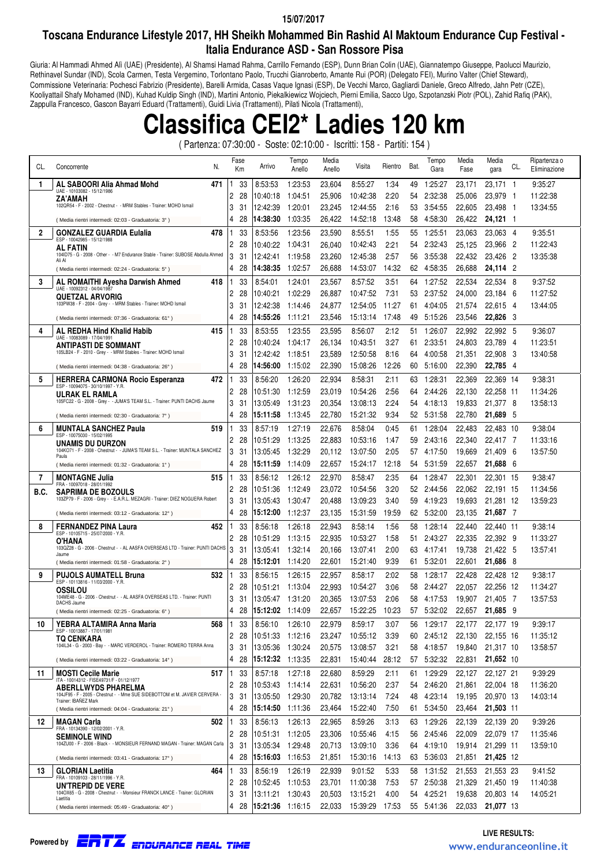### **15/07/2017**

## **Toscana Endurance Lifestyle 2017, HH Sheikh Mohammed Bin Rashid Al Maktoum Endurance Cup Festival - Italia Endurance ASD - San Rossore Pisa**

Giuria: Al Hammadi Ahmed Alì (UAE) (Presidente), Al Shamsi Hamad Rahma, Carrillo Fernando (ESP), Dunn Brian Colin (UAE), Giannatempo Giuseppe, Paolucci Maurizio, Rethinavel Sundar (IND), Scola Carmen, Testa Vergemino, Torlontano Paolo, Trucchi Gianroberto, Amante Rui (POR) (Delegato FEI), Murino Valter (Chief Steward), Commissione Veterinaria: Pochesci Fabrizio (Presidente), Barelli Armida, Casas Vaque Ignasi (ESP), De Vecchi Marco, Gagliardi Daniele, Greco Alfredo, Jahn Petr (CZE), Kooliyattail Shafy Mohamed (IND), Kuhad Kuldip Singh (IND), Martini Antonio, Piekalkiewicz Wojciech, Pierni Emilia, Sacco Ugo, Szpotanzski Piotr (POL), Zahid Rafiq (PAK), Zappulla Francesco, Gascon Bayarri Eduard (Trattamenti), Guidi Livia (Trattamenti), Pilati Nicola (Trattamenti),

## **Classifica CEI2\* Ladies 120 km**

( Partenza: 07:30:00 - Soste: 02:10:00 - Iscritti: 158 - Partiti: 154 )

| CL.            | N.<br>Concorrente                                                                                 |    | Fase<br>Кm | Arrivo           | Tempo<br>Anello | Media<br>Anello | Visita   | Rientro | Bat. | Tempo<br>Gara | Media<br>Fase | Media<br>gara | CL.            | Ripartenza o<br>Eliminazione |
|----------------|---------------------------------------------------------------------------------------------------|----|------------|------------------|-----------------|-----------------|----------|---------|------|---------------|---------------|---------------|----------------|------------------------------|
| 1              | AL SABOORI Alia Ahmad Mohd<br>471                                                                 |    | 33         | 8:53:53          | 1:23:53         | 23,604          | 8:55:27  | 1:34    | 49   | 1:25:27       | 23,171        | 23,171 1      |                | 9:35:27                      |
|                | UAE - 10103082 - 15/12/1986<br><b>ZA'AMAH</b>                                                     | 2  | 28         | 10:40:18         | 1:04:51         | 25,906          | 10:42:38 | 2:20    | 54   | 2:32:38       | 25,006        | 23,979        | - 1            | 11:22:38                     |
|                | 102QR54 - F - 2002 - Chestnut - - MRM Stables - Trainer: MOHD Ismail                              | 3  | 31         | 12:42:39         | 1:20:01         | 23,245          | 12:44:55 | 2:16    | 53.  | 3:54:55       | 22,605        | 23,498        | - 1            | 13:34:55                     |
|                | (Media rientri intermedi: 02:03 - Graduatoria: 3°)                                                | 4  | 28         | 14:38:30         | 1:03:35         | 26,422          | 14:52:18 | 13:48   | 58   | 4:58:30       | 26,422        | 24,121 1      |                |                              |
| $\overline{2}$ | <b>GONZALEZ GUARDIA Eulalia</b><br>478                                                            |    | 33         | 8:53:56          | 1:23:56         | 23,590          | 8:55:51  | 1:55    | 55   | 1:25:51       | 23,063        | 23,063 4      |                | 9:35:51                      |
|                | ESP - 10042985 - 15/12/1988<br>AL FATIN                                                           | 2  | 28         | 10:40:22         | 1:04:31         | 26,040          | 10:42:43 | 2:21    | 54   | 2:32:43       | 25,125        | 23,966        | - 2            | 11:22:43                     |
|                | 104ID75 - G - 2008 - Other - - M7 Endurance Stable - Trainer: SUBOSE Abdulla Ahmed<br>Ali Al      | 3  | 31         | 12:42:41         | 1:19:58         | 23,260          | 12:45:38 | 2:57    | 56   | 3:55:38       | 22,432        | 23,426        | - 2            | 13:35:38                     |
|                | (Media rientri intermedi: 02:24 - Graduatoria: 5°)                                                | 4  | 28         | 14:38:35         | 1:02:57         | 26,688          | 14:53:07 | 14:32   | 62   | 4:58:35       | 26,688        | 24,114        | $\overline{2}$ |                              |
| 3              | AL ROMAITHI Ayesha Darwish Ahmed<br>418                                                           |    | 33         | 8:54:01          | 1:24:01         | 23,567          | 8:57:52  | 3:51    | 64   | 1:27:52       | 22,534        | 22,534        | -8             | 9:37:52                      |
|                | UAE - 10092312 - 04/04/1987<br><b>QUETZAL ARVORIG</b>                                             | 2  | 28         | 10:40:21         | 1:02:29         | 26,887          | 10:47:52 | 7:31    | 53   | 2:37:52       | 24,000        | 23,184        | - 6            | 11:27:52                     |
|                | 103PW38 - F - 2004 - Grey - - MRM Stables - Trainer: MOHD Ismail                                  | 3  | 31         | 12:42:38         | 1:14:46         | 24,877          | 12:54:05 | 11:27   | 61   | 4:04:05       | 21,574        | 22,615 4      |                | 13:44:05                     |
|                | (Media rientri intermedi: 07:36 - Graduatoria: 61°)                                               | 4  | 28         | 14:55:26         | 1:11:21         | 23,546          | 15:13:14 | 17:48   | 49   | 5:15:26       | 23,546        | 22,826        | - 3            |                              |
| 4              | AL REDHA Hind Khalid Habib<br>415                                                                 |    | 33         | 8:53:55          | 1:23:55         | 23,595          | 8:56:07  | 2:12    | 51   | 1:26:07       | 22,992        | 22,992        | -5             | 9:36:07                      |
|                | UAE - 10083089 - 17/04/1991                                                                       | 2  | 28         | 10:40:24         | 1:04:17         | 26,134          | 10:43:51 | 3:27    | 61   | 2:33:51       | 24,803        | 23,789        | - 4            | 11:23:51                     |
|                | <b>ANTIPASTI DE SOMMANT</b><br>105LB24 - F - 2010 - Grey - - MRM Stables - Trainer: MOHD Ismail   | 3  | 31         | 12:42:42         | 1:18:51         | 23,589          | 12:50:58 | 8:16    | 64   | 4:00:58       | 21,351        | 22,908        | -3             | 13:40:58                     |
|                | (Media rientri intermedi: 04:38 - Graduatoria: 26°)                                               | 4  | 28         | 14:56:00         | 1:15:02         | 22,390          | 15:08:26 | 12:26   | 60   | 5:16:00       | 22,390        | 22,785 4      |                |                              |
| 5              | <b>HERRERA CARMONA Rocio Esperanza</b><br>472                                                     |    | 33         | 8:56:20          | 1:26:20         | 22,934          | 8:58:31  | 2:11    | 63   | 1:28:31       | 22,369        | 22,369 14     |                | 9:38:31                      |
|                | ESP - 10094075 - 30/10/1997 - Y.R.                                                                | 2  | 28         | 10:51:30         | 1:12:59         | 23,019          | 10:54:26 | 2:56    | 64   | 2:44:26       | 22,130        | 22,258 11     |                | 11:34:26                     |
|                | ULRAK EL RAMLA<br>105FC22 - G - 2008 - Grey - - JUMA'S TEAM S.L. - Trainer: PUNTI DACHS Jaume     |    |            |                  |                 |                 |          |         |      |               |               |               |                |                              |
|                |                                                                                                   | 3  | 31         | 13:05:49         | 1:31:23         | 20,354          | 13:08:13 | 2:24    | 54   | 4:18:13       | 19,833        | 21,377 8      |                | 13:58:13                     |
|                | (Media rientri intermedi: 02:30 - Graduatoria: 7°)                                                | 4  | 28         | 15:11:58         | 1:13:45         | 22,780          | 15:21:32 | 9:34    | 52   | 5:31:58       | 22,780        | 21,689        | - 5            |                              |
| 6              | <b>MUNTALA SANCHEZ Paula</b><br>519<br>ESP - 10075030 - 15/02/1995                                |    | 33         | 8:57:19          | 1:27:19         | 22,676          | 8:58:04  | 0:45    | 61   | 1:28:04       | 22,483        | 22,483 10     |                | 9:38:04                      |
|                | UNAMIS DU DURZON                                                                                  | 2  | 28         | 10:51:29         | 1:13:25         | 22,883          | 10:53:16 | 1:47    | 59   | 2:43:16       | 22,340        | 22,417 7      |                | 11:33:16                     |
|                | 104KO71 - F - 2008 - Chestnut - - JUMA'S TEAM S.L. - Trainer: MUNTALA SANCHEZ<br>Paula            | 3  | 31         | 13:05:45         | 1:32:29         | 20,112          | 13:07:50 | 2:05    | 57   | 4:17:50       | 19,669        | 21,409        | - 6            | 13:57:50                     |
|                | (Media rientri intermedi: 01:32 - Graduatoria: 1°)                                                | 4  | 28         | 15:11:59         | 1:14:09         | 22,657          | 15:24:17 | 12:18   | 54   | 5:31:59       | 22,657        | 21,688        | -6             |                              |
| 7              | <b>MONTAGNE Julia</b><br>515<br>FRA - 10097018 - 28/01/1992                                       |    | 33         | 8:56:12          | 1:26:12         | 22,970          | 8:58:47  | 2:35    | 64   | 1:28:47       | 22,301        | 22,301 15     |                | 9:38:47                      |
| B.C.           | <b>SAPRIMA DE BOZOULS</b>                                                                         | 2  | 28         | 10:51:36         | 1:12:49         | 23,072          | 10:54:56 | 3:20    | 52   | 2:44:56       | 22,062        | 22,191 15     |                | 11:34:56                     |
|                | 103ZP79 - F - 2006 - Grey - - E.A.R.L. MEZAGRI - Trainer: DIEZ NOGUERA Robert                     | 3  | 31         | 13:05:43         | 1:30:47         | 20,488          | 13:09:23 | 3:40    | 59   | 4:19:23       | 19,693        | 21,281 12     |                | 13:59:23                     |
|                | (Media rientri intermedi: 03:12 - Graduatoria: 12°)                                               | 4  | 28         | 15:12:00         | 1:12:37         | 23,135          | 15:31:59 | 19:59   | 62   | 5:32:00       | 23,135        | 21,687 7      |                |                              |
| 8              | 452<br>FERNANDEZ PINA Laura<br>ESP - 10105715 - 25/07/2000 - Y.R.                                 |    | 33         | 8:56:18          | 1:26:18         | 22,943          | 8:58:14  | 1.56    | 58   | 1:28:14       | 22,440        | 22,440 11     |                | 9:38:14                      |
|                | O'HANA                                                                                            | 2  | 28         | 10:51:29         | 1:13:15         | 22,935          | 10:53:27 | 1.58    | 51   | 2:43:27       | 22,335        | 22,392 9      |                | 11:33:27                     |
|                | 103QZ28 - G - 2006 - Chestnut - - AL AASFA OVERSEAS LTD - Trainer: PUNTI DACHS<br>Jaume           | 3  | 31         | 13:05:41         | 1:32:14         | 20,166          | 13:07:41 | 2:00    | 63   | 4:17:41       | 19,738        | 21,422        | - 5            | 13:57:41                     |
|                | (Media rientri intermedi: 01:58 - Graduatoria: 2°)                                                | 4  | 28         | 15:12:01         | 1:14:20         | 22,601          | 15:21:40 | 9.39    | 61   | 5:32:01       | 22,601        | 21,686 8      |                |                              |
| 9              | 532<br><b>PUJOLS AUMATELL Bruna</b><br>ESP - 10113816 - 11/03/2000 - Y.R.                         |    | 33         | 8:56:15          | 1:26:15         | 22,957          | 8:58:17  | 2:02    | 58   | 1:28:17       | 22,428        | 22,428 12     |                | 9:38:17                      |
|                | <b>OSSILOU</b>                                                                                    | 2  | 28         | 10:51:21         | 1:13:04         | 22,993          | 10:54:27 | 3:06    | 58   | 2:44:27       | 22,057        | 22,256 12     |                | 11:34:27                     |
|                | 104ME48 - G - 2006 - Chestnut - - AL AASFA OVERSEAS LTD. - Trainer: PUNTI<br>DACHS Jaume          | 3  | 31         | 13:05:47         | 1:31:20         | 20.365          | 13:07:53 | 2:06    | 58   | 4:17:53       | 19,907        | 21,405        | - 7            | 13:57:53                     |
|                | (Media rientri intermedi: 02:25 - Graduatoria: 6°)                                                | 4  | 28         | 15:12:02         | 1:14:09         | 22,657          | 15:22:25 | 10:23   | 57   | 5:32:02       | 22,657        | 21,685        | - 9            |                              |
| 10             | YEBRA ALTAMIRA Anna Maria<br>568                                                                  | 1. | 33         | 8:56:10          | 1:26:10         | 22,979          | 8:59:17  | 3:07    |      | 56 1:29:17    | 22,177        | 22,177 19     |                | 9:39:17                      |
|                | ESP - 10013887 - 17/01/1981<br>TQ CENKARA                                                         | 2  | 28         | 10:51:33         | 1:12:16         | 23,247          | 10:55:12 | 3:39    | 60   | 2:45:12       | 22,130        | 22,155 16     |                | 11:35:12                     |
|                | 104IL34 - G - 2003 - Bay - - MARC VERDEROL - Trainer: ROMERO TERRA Anna                           | 3  | 31         | 13:05:36         | 1:30:24         | 20,575          | 13:08:57 | 3:21    | 58   | 4:18:57       | 19,840        | 21,317 10     |                | 13:58:57                     |
|                | (Media rientri intermedi: 03:22 - Graduatoria: 14°)                                               | 4  | 28         | 15:12:32 1:13:35 |                 | 22,831          | 15:40:44 | 28:12   | 57   | 5:32:32       | 22,831        | 21,652 10     |                |                              |
| 11             | <b>MOSTI Cecile Marie</b><br>517                                                                  |    | 33         | 8:57:18          | 1:27:18         | 22,680          | 8:59:29  | 2:11    | 61   | 1:29:29       | 22,127        | 22,127 21     |                | 9:39:29                      |
|                | ITA - 10014312 - FISE49731/F - 01/12/1977<br><b>ABERLLWYDS PHARELMA</b>                           | 2  | 28         | 10:53:43         | 1:14:14         | 22,631          | 10:56:20 | 2:37    | 54   | 2:46:20       | 21,861        | 22,004 18     |                | 11:36:20                     |
|                | 104JF95 - F - 2005 - Chestnut - - Mme SUE SIDEBOTTOM et M. JAVIER CERVERA<br>Trainer: IBAÑEZ Mark | 3  | 31         | 13:05:50         | 1:29:30         | 20,782          | 13:13:14 | 7:24    | 48   | 4:23:14       | 19,195        | 20,970 13     |                | 14:03:14                     |
|                | (Media rientri intermedi: 04:04 - Graduatoria: 21°)                                               | 4  | -28        | 15:14:50 1:11:36 |                 | 23,464          | 15:22:40 | 7:50    | 61 - | 5:34:50       | 23,464        | 21,503 11     |                |                              |
| 12             | <b>MAGAN Carla</b><br>502                                                                         |    | 33         | 8:56:13          | 1:26:13         | 22,965          | 8:59:26  | 3:13    | 63   | 1:29:26       | 22,139        | 22,139 20     |                | 9:39:26                      |
|                | FRA - 10134390 - 12/02/2001 - Y.R.<br><b>SEMINOLE WIND</b>                                        |    | 2 28       | 10:51:31         | 1:12:05         | 23,306          | 10:55:46 | 4:15    | 56   | 2:45:46       | 22,009        | 22,079 17     |                | 11:35:46                     |
|                | 104ZU00 - F - 2006 - Black - - MONSIEUR FERNAND MAGAN - Trainer: MAGAN Carla                      | 3  | 31         | 13:05:34         | 1:29:48         | 20,713          | 13:09:10 | 3:36    |      | 64 4:19:10    | 19,914        | 21,299 11     |                | 13:59:10                     |
|                | (Media rientri intermedi: 03:41 - Graduatoria: 17°)                                               | 4  | 28         | 15:16:03         | 1:16:53         | 21,851          | 15:30:16 | 14:13   |      | 63 5:36:03    | 21,851        | 21,425 12     |                |                              |
| 13             | <b>GLORIAN Laetitia</b><br>464                                                                    |    | 33         | 8:56:19          | 1:26:19         | 22,939          | 9:01:52  | 5:33    | 58   | 1:31:52       | 21,553        | 21,553 23     |                | 9:41:52                      |
|                | FRA - 10109103 - 28/11/1996 - Y.R.<br>UN'TREPID DE VERE                                           | 2  | 28         | 10:52:45         | 1:10:53         | 23,701          | 11:00:38 | 7:53    | 57   | 2:50:38       | 21,329        | 21,450 19     |                | 11:40:38                     |
|                | 104OX65 - G - 2008 - Chestnut - - Monsieur FRANCK LANCE - Trainer: GLORIAN<br>Laetitia            | 3  | 31         | 13:11:21         | 1:30:43         | 20,503          | 13:15:21 | 4:00    | 54   | 4:25:21       | 19,638        | 20,803 14     |                | 14:05:21                     |
|                | (Media rientri intermedi: 05:49 - Graduatoria: 40°)                                               |    | 428        | 15:21:36 1:16:15 |                 | 22,033          | 15:39:29 | 17:53   |      | 55 5:41:36    | 22,033        | 21,077 13     |                |                              |

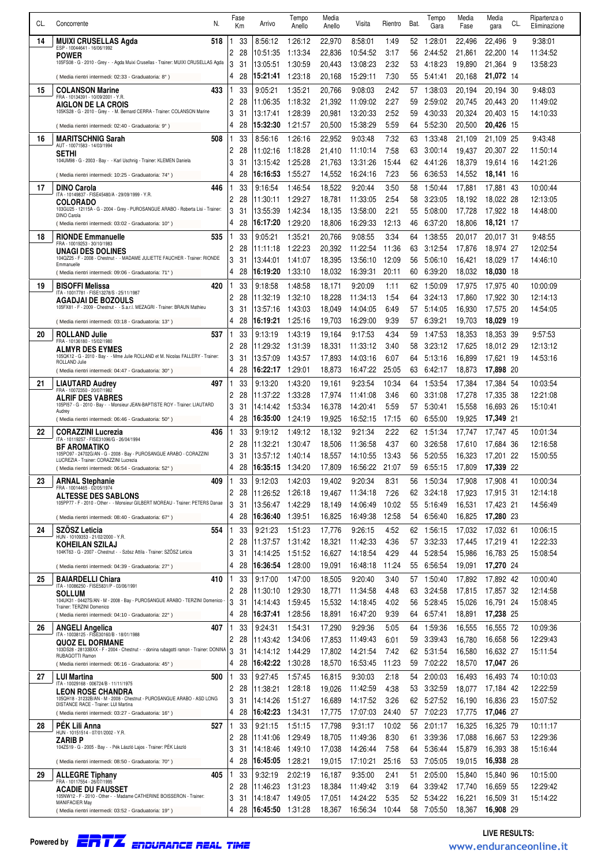| CL. | N.                                                                                                            |        | Fase      | Arrivo               | Tempo              | Media            | Visita               | Rientro        | Bat.      | Tempo              | Media            | Media<br>CL.              | Ripartenza o         |
|-----|---------------------------------------------------------------------------------------------------------------|--------|-----------|----------------------|--------------------|------------------|----------------------|----------------|-----------|--------------------|------------------|---------------------------|----------------------|
|     | Concorrente                                                                                                   |        | Кm        |                      | Anello             | Anello           |                      |                |           | Gara               | Fase             | gara                      | Eliminazione         |
| 14  | <b>MUIXI CRUSELLAS Agda</b><br>518<br>ESP - 10044641 - 16/06/1992                                             | 2      | 33<br>28  | 8:56:12<br>10:51:35  | 1:26:12<br>1:13:34 | 22,970<br>22,836 | 8:58:01<br>10:54:52  | 1:49<br>3:17   | 52<br>56  | 1:28:01<br>2:44:52 | 22,496<br>21,861 | 22,496<br>-9<br>22,200 14 | 9:38:01<br>11:34:52  |
|     | <b>POWER</b><br>105FS08 - G - 2010 - Grey - - Agda Muixi Crusellas - Trainer: MUIXI CRUSELLAS Agda            | 3      | 31        | 13:05:51             | 1:30:59            | 20,443           | 13:08:23             | 2:32           | 53        | 4:18:23            | 19,890           | 21,364 9                  | 13:58:23             |
|     | (Media rientri intermedi: 02:33 - Graduatoria: 8°)                                                            | 4      | 28        | 15:21:41             | 1:23:18            | 20,168           | 15:29:11             | 7:30           | 55        | 5:41:41            | 20,168           | 21,072 14                 |                      |
| 15  | <b>COLANSON Marine</b><br>433                                                                                 |        | 33        | 9:05:21              | 1:35:21            | 20,766           | 9:08:03              | 2:42           | 57        | 1:38:03            | 20,194           | 20.194 30                 | 9:48:03              |
|     | FRA - 10134391 - 10/09/2001 - Y.R.<br><b>AIGLON DE LA CROIS</b>                                               | 2      | 28        | 11:06:35             | 1:18:32            | 21,392           | 11:09:02             | 2:27           | 59        | 2:59:02            | 20.745           | 20,443 20                 | 11:49:02             |
|     | 105KS28 - G - 2010 - Grey - - M. Bernard CERRA - Trainer: COLANSON Marine                                     | 3      | 31        | 13:17:41             | 1:28:39            | 20,981           | 13:20:33             | 2:52           | 59        | 4:30:33            | 20,324           | 20,403 15                 | 14:10:33             |
|     | (Media rientri intermedi: 02:40 - Graduatoria: 9°)                                                            | 4      | 28        | 15:32:30             | 1:21:57            | 20,500           | 15:38:29             | 5:59           | 64        | 5:52:30            | 20,500           | 20,426 15                 |                      |
| 16  | <b>MARITSCHNIG Sarah</b><br>508<br>AUT - 10071583 - 14/03/1994                                                | 2      | 33<br>28  | 8:56:16<br>11:02:16  | 1:26:16<br>1:18:28 | 22.952<br>21,410 | 9:03:48<br>11:10:14  | 7:32<br>7:58   | 63<br>63  | 1:33:48<br>3:00:14 | 21,109<br>19,437 | 21,109 25<br>20,307 22    | 9:43:48<br>11:50:14  |
|     | Sethi<br>104UM98 - G - 2003 - Bay - - Karl Uschnig - Trainer: KLEMEN Daniela                                  | 3      | 31        | 13:15:42             | 1:25:28            | 21,763           | 13:31:26             | 15:44          | 62        | 4:41:26            | 18,379           | 19,614 16                 | 14:21:26             |
|     | (Media rientri intermedi: 10:25 - Graduatoria: 74°)                                                           | 4      | 28        | 16:16:53             | 1:55:27            | 14,552           | 16:24:16             | 7:23           | 56        | 6:36:53            | 14,552           | 18,141 16                 |                      |
| 17  | <b>DINO Carola</b><br>446                                                                                     |        | 33        | 9:16:54              | 1:46:54            | 18,522           | 9:20:44              | 3:50           | 58        | 1:50:44            | 17,881           | 17,881 43                 | 10:00:44             |
|     | ITA - 10149837 - FISE45480/A - 29/09/1999 - Y.R.<br><b>COLORADO</b>                                           | 2      | 28        | 11:30:11             | 1:29:27            | 18,781           | 11:33:05             | 2:54           | 58        | 3:23:05            | 18,192           | 18,022 28                 | 12:13:05             |
|     | 103GU25 - 12115A - G - 2004 - Grey - PUROSANGUE ARABO - Roberta Lisi - Trainer:<br><b>DINO Carola</b>         | 3      | 31        | 13:55:39             | 1:42:34            | 18,135           | 13:58:00             | 2:21           | 55        | 5:08:00            | 17,728           | 17.922 18                 | 14:48:00             |
|     | (Media rientri intermedi: 03:02 - Graduatoria: 10°)                                                           | 4      | 28        | 16:17:20             | 1:29:20            | 18,806           | 16:29:33             | 12:13          | 46        | 6:37:20            | 18,806           | 18,121 17                 |                      |
| 18  | 535<br><b>RIONDE Emmanuelle</b><br>FRA - 10019253 - 30/10/1983                                                | 2      | 33<br>28  | 9:05:21<br>11:11:18  | 1:35:21<br>1:22:23 | 20,766<br>20,392 | 9:08:55<br>11:22:54  | 3:34<br>11:36  | 64<br>63  | 1:38:55<br>3:12:54 | 20,017<br>17,876 | 20,017 31<br>18,974 27    | 9:48:55<br>12:02:54  |
|     | UNAGI DES DOLINES<br>104QZ25 - F - 2008 - Chestnut - - MADAME JULIETTE FAUCHER - Trainer: RIONDE              | 3      | 31        | 13:44:01             | 1:41:07            | 18,395           | 13:56:10             | 12:09          | 56        | 5:06:10            | 16,421           | 18,029 17                 | 14:46:10             |
|     | Emmanuelle<br>(Media rientri intermedi: 09:06 - Graduatoria: 71°)                                             | 4      | 28        | 16:19:20             | 1:33:10            | 18,032           | 16:39:31             | 20:11          | 60        | 6:39:20            | 18,032           | 18,030 18                 |                      |
| 19  | <b>BISOFFI Melissa</b><br>420                                                                                 |        | 33        | 9:18:58              | 1:48:58            | 18,171           | 9:20:09              | 1:11           | 62        | 1:50:09            | 17,975           | 17,975 40                 | 10:00:09             |
|     | ITA - 10017781 - FISE13278/S - 25/11/1987<br><b>AGADJAI DE BOZOULS</b>                                        | 2      | 28        | 11:32:19             | 1:32:10            | 18,228           | 11:34:13             | 1:54           | 64        | 3:24:13            | 17,860           | 17.922 30                 | 12:14:13             |
|     | 105FX81 - F - 2009 - Chestnut - - S.a.r.l. MEZAGRI - Trainer: BRAUN Mathieu                                   | 3      | 31        | 13:57:16             | 1:43:03            | 18,049           | 14:04:05             | 6:49           | 57        | 5:14:05            | 16,930           | 17,575 20                 | 14:54:05             |
|     | (Media rientri intermedi: 03:18 - Graduatoria: 13°)                                                           | 4      | 28        | 16:19:21             | 1:25:16            | 19,703           | 16:29:00             | 9:39           | 57        | 6:39:21            | 19,703           | 18,029 19                 |                      |
| 20  | <b>ROLLAND Julie</b><br>537<br>FRA - 10136180 - 15/02/1980                                                    | 2      | 33<br>28  | 9:13:19<br>11:29:32  | 1:43:19<br>1:31:39 | 19,164<br>18,331 | 9:17:53<br>11:33:12  | 4:34<br>3:40   | 59<br>58  | 1:47:53<br>3:23:12 | 18,353<br>17,625 | 18,353 39<br>18,012 29    | 9:57:53<br>12:13:12  |
|     | <b>ALMYR DES EYMES</b><br>105QK12 - G - 2010 - Bay - - Mme Julie ROLLAND et M. Nicolas FALLERY - Trainer:     | 3      | 31        | 13:57:09             | 1:43:57            | 17,893           | 14:03:16             | 6:07           | 64        | 5:13:16            | 16,899           | 17,621 19                 | 14:53:16             |
|     | ROLLAND Julie<br>(Media rientri intermedi: 04:47 - Graduatoria: 30°)                                          | 4      | 28        | 16:22:17             | 1:29:01            | 18,873           | 16:47:22             | 25:05          | 63        | 6:42:17            | 18,873           | 17,898 20                 |                      |
| 21  | 497<br><b>LIAUTARD Audrey</b>                                                                                 |        | 33        | 9:13:20              | 1:43:20            | 19,161           | 9:23:54              | 10:34          | 64        | 1:53:54            | 17,384           | 17,384 54                 | 10:03:54             |
|     | FRA - 10072350 - 20/07/1982<br><b>ALRIF DES VABRES</b>                                                        | 2      | 28        | 11:37:22             | 1:33:28            | 17,974           | 11:41:08             | 3:46           | 60        | 3:31:08            | 17,278           | 17,335 38                 | 12:21:08             |
|     | 105PI57 - G - 2010 - Bay - - Monsieur JEAN-BAPTISTE ROY - Trainer: LIAUTARD<br>Audrey                         | 3      | 31        | 14:14:42             | 1:53:34            | 16,378           | 14:20:41             | 5.59           | 57        | 5:30:41            | 15,558           | 16,693 26                 | 15:10:41             |
| 22  | (Media rientri intermedi: 06:46 - Graduatoria: 50°)<br><b>CORAZZINI Lucrezia</b><br>436                       | 4      | 28<br>33  | 16:35:00<br>9:19:12  | 1:24:19<br>1:49:12 | 19,925<br>18,132 | 16:52:15<br>9:21:34  | 17:15<br>2:22  | 60<br>62  | 6:55:00<br>1:51:34 | 19,925<br>17,747 | 17,349 21<br>17,747 45    | 10:01:34             |
|     | ITA - 10119257 - FISE31096/G - 26/04/1994<br><b>BF AROMATIKO</b>                                              | 2      | 28        | 11:32:21             | 1:30:47            | 18,506           | 11:36:58             | 4:37           | 60        | 3:26:58            | 17,610           | 17,684 36                 | 12:16:58             |
|     | 105PO97 - 24702G/AN - G - 2008 - Bay - PUROSANGUE ARABO - CORAZZINI<br>LUCREZIA - Trainer: CORAZZINI Lucrezia | 3      | 31        | 13:57:12             | 1:40:14            | 18,557           | 14:10:55             | 13:43          | 56        | 5:20:55            | 16,323           | 17.201 22                 | 15:00:55             |
|     | (Media rientri intermedi: 06:54 - Graduatoria: 52°)                                                           |        | 28        | 16:35:15 1:34:20     |                    | 17,809           | 16:56:22             | 21:07          |           | 59 6:55:15         | 17,809           | 17,339 22                 |                      |
| 23  | <b>ARNAL Stephanie</b><br>409<br>FRA - 10014465 - 02/05/1974                                                  |        | 33        | 9:12:03              | 1:42:03            | 19,402           | 9:20:34              | 8:31           | 56        | 1:50:34            | 17,908           | 17,908 41                 | 10:00:34             |
|     | <b>ALTESSE DES SABLONS</b><br>105PP77 - F - 2010 - Other - - Monsieur GILBERT MOREAU - Trainer: PETERS Danae  | 2      | 28        | 11:26:52             | 1:26:18            | 19,467           | 11:34:18             | 7:26           | 62        | 3:24:18            | 17,923           | 17,915 31                 | 12:14:18             |
|     | (Media rientri intermedi: 08:40 - Graduatoria: 67°)                                                           | 3<br>4 | 31<br>28  | 13:56:47<br>16:36:40 | 1:42:29<br>1:39:51 | 18,149<br>16,825 | 14:06:49<br>16:49:38 | 10:02<br>12:58 | 55<br>54  | 5:16:49<br>6:56:40 | 16,531<br>16,825 | 17,423 21<br>17,280 23    | 14:56:49             |
| 24  | <b>SZOSZ Leticia</b><br>554                                                                                   |        | 33        | 9:21:23              | 1.51.23            | 17.776           | 9:26:15              | 4:52           | 62        | 1:56:15            | 17,032           | 17.032 61                 | 10:06:15             |
|     | HUN - 10109353 - 21/02/2000 - Y.R.<br>KOHEILAN SZILAJ                                                         | 2      | 28        | 11:37:57             | 1:31:42            | 18,321           | 11:42:33             | 4:36           | 57        | 3:32:33            | 17,445           | 17,219 41                 | 12:22:33             |
|     | 104KT63 - G - 2007 - Chestnut - - Szösz Attila - Trainer: SZÖSZ Leticia                                       | 3      | 31        | 14:14:25             | 1:51:52            | 16,627           | 14:18:54             | 4:29           | 44        | 5:28:54            | 15,986           | 16,783 25                 | 15:08:54             |
|     | (Media rientri intermedi: 04:39 - Graduatoria: 27°)                                                           | 4      | 28        | 16:36:54             | 1:28:00            | 19,091           | 16:48:18             | 11:24          | 55        | 6:56:54            | 19,091           | 17,270 24                 |                      |
| 25  | 410<br><b>BAIARDELLI Chiara</b><br>ITA - 10086250 - FISE5831/P - 03/06/1991                                   |        | 33        | 9:17:00              | 1:47:00            | 18,505           | 9:20:40              | 3:40           | 57        | 1:50:40            | 17,892           | 17,892 42                 | 10:00:40             |
|     | <b>SOLLUM</b><br>104UK31 - 04427S/AN - M - 2008 - Bay - PUROSANGUE ARABO - TERZINI Domenico -                 | 2<br>3 | 28<br>31  | 11:30:10<br>14:14:43 | 1:29:30<br>1:59:45 | 18,771           | 11:34:58             | 4:48<br>4:02   | 63        | 3:24:58<br>5:28:45 | 17,815<br>15,026 | 17,857 32<br>16,791 24    | 12:14:58<br>15:08:45 |
|     | Trainer: TERZINI Domenico<br>(Media rientri intermedi: 04:10 - Graduatoria: 22°)                              | 4      | 28        | 16:37:41             | 1:28:56            | 15,532<br>18,891 | 14:18:45<br>16:47:20 | 9:39           | 56<br>64  | 6:57:41            | 18,891           | 17,238 25                 |                      |
| 26  | 407<br><b>ANGELI Angelica</b>                                                                                 | 1      | 33        | 9:24:31              | 1:54:31            | 17,290           | 9:29:36              | 5:05           | 64        | 1:59:36            | 16,555           | 16,555 72                 | 10:09:36             |
|     | ITA - 10038125 - FISE30160/B - 18/01/1988<br><b>QUOZ EL DORMANE</b>                                           | 2      | 28        | 11:43:42             | 1:34:06            | 17,853           | 11:49:43             | 6:01           | 59        | 3:39:43            | 16,780           | 16,658 56                 | 12:29:43             |
|     | 103DS28 - 28133BXX - F - 2004 - Chestnut - - donina rubagotti ramon - Trainer: DONINA<br>RUBAGOTTI Ramon      | 3      | 31        | 14:14:12             | 1:44:29            | 17,802           | 14:21:54             | 7:42           | 62        | 5:31:54            | 16,580           | 16,632 27                 | 15:11:54             |
|     | (Media rientri intermedi: 06:16 - Graduatoria: 45°)                                                           | 4      | 28        | 16:42:22             | 1:30:28            | 18,570           | 16:53:45             | 11:23          | 59        | 7:02:22            | 18,570           | 17,047 26                 |                      |
| 27  | <b>LUI Martina</b><br>500<br>ITA - 10029168 - 006724/B - 11/11/1975                                           | 1      | 33        | 9:27:45              | 1.57:45            | 16,815           | 9:30:03              | 2:18           | 54        | 2:00:03            | 16,493           | 16,493 74                 | 10:10:03             |
|     | <b>LEON ROSE CHANDRA</b><br>105QH18 - 31232B/AN - M - 2008 - Chestnut - PUROSANGUE ARABO - ASD LONG           | 2<br>3 | 28        | 11:38:21             | 1:28:18            | 19,026           | 11:42:59             | 4:38           | 53        | 3:32:59            | 18,077           | 17,184 42                 | 12:22:59             |
|     | DISTANCE RACE - Trainer: LUI Martina<br>(Media rientri intermedi: 03:27 - Graduatoria: 16°)                   | 4      | -31<br>28 | 14:14:26<br>16:42:23 | 1.51:27<br>1:34:31 | 16,689<br>17,775 | 14:17:52<br>17:07:03 | 3:26<br>24:40  | 62.<br>57 | 5:27:52<br>7:02:23 | 16,190<br>17,775 | 16,836 23<br>17,046 27    | 15:07:52             |
| 28  | PEK Lili Anna<br>527                                                                                          |        | 33        | 9:21:15              | 1:51:15            | 17,798           | 9:31:17              | 10:02          | 56        | 2:01:17            | 16,325           | 16,325 79                 | 10:11:17             |
|     | HUN - 10151514 - 07/01/2002 - Y.R.<br><b>ZARIB P</b>                                                          | 2      | 28        | 11:41:06             | 1:29:49            | 18,705           | 11:49:36             | 8:30           | 61        | 3:39:36            | 17,088           | 16,667 53                 | 12:29:36             |
|     | 104ZS19 - G - 2005 - Bay - - Pék László Lajos - Trainer: PÉK László                                           | 3      | 31        | 14:18:46             | 1:49:10            | 17,038           | 14:26:44             | 7:58           | 64        | 5:36:44            | 15,879           | 16,393 38                 | 15:16:44             |
|     | (Media rientri intermedi: 08:50 - Graduatoria: 70°)                                                           | 4      | 28        | 16:45:05             | 1:28:21            | 19,015           | 17:10:21             | 25:16          | 53        | 7:05:05            | 19,015           | 16,938 28                 |                      |
| 29  | <b>ALLEGRE Tiphany</b><br>405<br>FRA - 10117554 - 26/07/1995                                                  |        | 33        | 9:32:19              | 2:02:19            | 16,187           | 9:35:00              | 2.41           | 51        | 2:05:00            | 15,840           | 15.840 96                 | 10:15:00             |
|     | <b>ACADIE DU FAUSSET</b><br>105NW12 - F - 2010 - Other - - Madame CATHERINE BOISSERON - Trainer:              | 2<br>3 | 28<br>31  | 11:46:23<br>14:18:47 | 1:31:23<br>1:49:05 | 18,384<br>17,051 | 11:49:42<br>14:24:22 | 3:19<br>5:35   | 64<br>52. | 3:39:42<br>5:34:22 | 17,740<br>16,221 | 16,659 55<br>16,509 31    | 12:29:42<br>15:14:22 |
|     | <b>MANIFACIER May</b><br>(Media rientri intermedi: 03:52 - Graduatoria: 19°)                                  | 4      | 28        | 16:45:50 1:31:28     |                    | 18,367           | 16:56:34 10:44       |                |           | 58 7:05:50         | 18,367           | 16,908 29                 |                      |
|     |                                                                                                               |        |           |                      |                    |                  |                      |                |           |                    |                  |                           |                      |

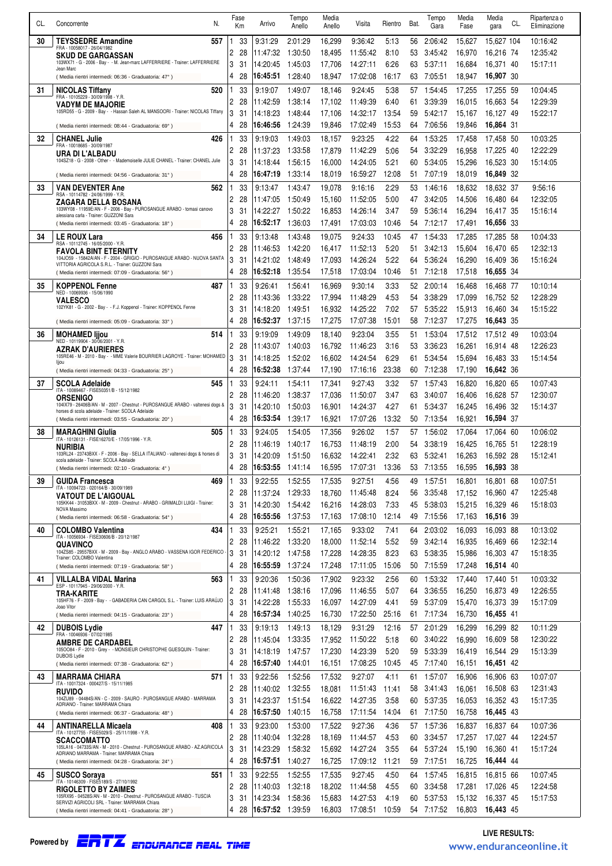| Кm<br>30<br>557<br>33<br>9:31:29<br>9:36:42<br>10:16:42<br><b>TEYSSEDRE Amandine</b><br>2:01:29<br>16,299<br>5:13<br>56<br>2:06:42<br>15,627<br>15.627 104<br>FRA - 10058017 - 26/04/1982<br>2<br>28<br>1:30:50<br>11:55:42<br>8:10<br>53<br>3:45:42<br>16,216 74<br>12:35:42<br>11:47:32<br>18,495<br>16.970<br><b>SKUD DE GARGASSAN</b><br>103WX71 - G - 2006 - Bay - - M. Jean-marc LAFFERRIERE - Trainer: LAFFERRIERE<br>3<br>31<br>14:20:45<br>6:26<br>16,371 40<br>15:17:11<br>1:45:03<br>17,706<br>14:27:11<br>63<br>5:37:11<br>16,684<br>Jean Marc<br>17:02:08<br>16,907 30<br>4<br>28<br>16:45:51<br>1:28:40<br>18,947<br>16:17<br>63<br>7:05:51<br>18,947<br>(Media rientri intermedi: 06:36 - Graduatoria: 47°)<br>33<br>9:19:07<br>1:49:07<br>10:04:45<br>31<br><b>NICOLAS Tiffany</b><br>520<br>9:24:45<br>5:38<br>57<br>1:54:45<br>17,255<br>17,255 59<br>18,146<br>FRA - 10105229 - 30/09/1998 - Y.R.<br>2<br>3:39:39<br>16,663 54<br>12:29:39<br>28<br>11:42:59<br>1:38:14<br>17,102<br>11:49:39<br>6:40<br>61<br>16,015<br><b>VADYM DE MAJORIE</b><br>105RD55 - G - 2009 - Bay - - Hassan Saleh AL MANSOORI - Trainer: NICOLAS Tiffany<br>3<br>31<br>14:18:23<br>14:32:17<br>13:54<br>5:42:17<br>16,127 49<br>15:22:17<br>1:48:44<br>17,106<br>59<br>15,167<br>28<br>1:24:39<br>19,846<br>17:02:49<br>15:53<br>7:06:56<br>19,846<br>16,864 31<br>4<br>16:46:56<br>64<br>(Media rientri intermedi: 08:44 - Graduatoria: 69°)<br>33<br>10:03:25<br>32<br><b>CHANEL Julie</b><br>426<br>9:19:03<br>1:49:03<br>18,157<br>9:23:25<br>4:22<br>1:53:25<br>17,458<br>17,458 50<br>64<br>FRA - 10018685 - 30/09/1987<br>2<br>12:22:29<br>28<br>1:33:58<br>3:32:29<br>17,225 40<br>11:37:23<br>17,879<br>11:42:29<br>5:06<br>54<br>16,958<br>URA DI L'ALBADU<br>104SZ18 - G - 2008 - Other - - Mademoiselle JULIE CHANEL - Trainer: CHANEL Julie<br>3<br>5:21<br>16,523 30<br>31<br>14:18:44<br>1:56:15<br>16,000<br>14:24:05<br>60<br>5:34:05<br>15,296<br>15:14:05<br>4<br>1:33:14<br>12:08<br>7:07:19<br>18,019<br>16,849 32<br>28<br>16:47:19<br>18,019<br>16:59:27<br>51.<br>(Media rientri intermedi: 04:56 - Graduatoria: 31°)<br><b>VAN DEVENTER Ane</b><br>562<br>33<br>9:13:47<br>1:43:47<br>19,078<br>9:16:16<br>2:29<br>1:46:16<br>18,632<br>18,632 37<br>9:56:16<br>33<br>53.<br>RSA - 10114782 - 24/06/1999 - Y.R.<br>2<br>5:00<br>12:32:05<br>28<br>11:47:05<br>1:50:49<br>15,160<br>11:52:05<br>3:42:05<br>14,506<br>16,480 64<br>47<br>ZAGARA DELLA BOSANA<br>103WY08 - 11959E/AN - F - 2006 - Bay - PUROSANGUE ARABO - tomasi canovo<br>3<br>31<br>14:22:27<br>1:50:22<br>16,853<br>3:47<br>5:36:14<br>16,294<br>16,417 35<br>15:16:14<br>14:26:14<br>59<br>alessiana carla - Trainer: GUZZONI Sara<br>16,656 33<br>4<br>28<br>16:52:17<br>1:36:03<br>17,491<br>10:46<br>17,491<br>17:03:03<br>54<br>7:12:17<br>(Media rientri intermedi: 03:45 - Graduatoria: 18°)<br>1:43:48<br>10:04:33<br>34<br><b>LE ROUX Lara</b><br>456<br>33<br>9:13:48<br>19,075<br>9:24:33<br>10:45<br>1:54:33<br>17,285<br>17,285 58<br>47<br>RSA - 10112745 - 16/05/2000 - Y.R.<br>5:20<br>12:32:13<br>2<br>28<br>11:46:53<br>1:42:20<br>16,417<br>11:52:13<br>3:42:13<br>15,604<br>16,470 65<br>51<br><b>FAVOLA BINT ETERNITY</b><br>104JO59 - 15842A/AN - F - 2004 - GRIGIO - PUROSANGUE ARABO - NUOVA SANTA<br>3<br>31<br>5:22<br>14:21:02<br>17,093<br>14:26:24<br>5:36:24<br>16,290<br>16,409 36<br>15:16:24<br>1:48:49<br>64<br>VITTORIA AGRICOLA S.R.L. - Trainer: GUZZONI Sara<br>16,655 34<br>4<br>28<br>16:52:18<br>1:35:54<br>17,518<br>17:03:04<br>10:46<br>7:12:18<br>17,518<br>51<br>(Media rientri intermedi: 07:09 - Graduatoria: 56°)<br>3:33<br>35<br><b>KOPPENOL Fenne</b><br>487<br>33<br>9:26:41<br>1:56:41<br>16,969<br>9:30:14<br>2:00:14<br>16,468 77<br>10:10:14<br>52.<br>16,468<br>NED - 10069936 - 15/06/1990<br>2<br>28<br>1:33:22<br>17,994<br>11:48:29<br>4.53<br>3:38:29<br>17,099<br>16,752 52<br>12:28:29<br>11:43:36<br>54<br><b>VALESCO</b><br>102YK81 - G - 2002 - Bay - - F.J. Koppenol - Trainer: KOPPENOL Fenne<br>3<br>15,913<br>31<br>14:18:20<br>1:49:51<br>16,932<br>14:25:22<br>7:02<br>57<br>5:35:22<br>16,460 34<br>15:15:22<br>4<br>28<br>16:52:37<br>1:37:15<br>17,275<br>17:07:38<br>15:01<br>58<br>7:12:37<br>17,275<br>16,643 35<br>(Media rientri intermedi: 05:09 - Graduatoria: 33°)<br>33<br>9:19:09<br>1:49:09<br>9:23:04<br>3.55<br>1:53:04<br>17,512<br>17,512 49<br>10:03:04<br>36<br><b>MOHAMED lijou</b><br>514<br>18,140<br>51<br>NED - 10119904 - 30/06/2001 - Y.R.<br>2<br>3:16<br>28<br>11:43:07<br>1:40:03<br>16,792<br>11:46:23<br>53<br>3:36:23<br>16,261<br>16,914 48<br>12:26:23<br><b>AZRAK D'AURIERES</b><br>105RE46 - M - 2010 - Bay - - MME Valerie BOURRIER LAGROYE - Trainer: MOHAMED<br>3<br>31<br>14:18:25<br>1:52:02<br>16,602<br>14:24:54<br>6:29<br>5:34:54<br>15,694<br>16,483 33<br>15:14:54<br>61<br>ljjou<br>1:37:44<br>23:38<br>7:12:38<br>16,642 36<br>4<br>28<br>16:52:38<br>17,190<br>17:16:16<br>60<br>17,190<br>(Media rientri intermedi: 04:33 - Graduatoria: 25°)<br>33<br>3:32<br>10:07:43<br>37<br>9:24:11<br>1:54:11<br>17,341<br>9:27:43<br>1:57:43<br>16,820<br><b>SCOLA Adelaide</b><br>545<br>57<br>16,820 65<br>ITA - 10089467 - FISE50351/B - 15/12/1982<br>2<br>28<br>1:38:37<br>11:50:07<br>3:47<br>63<br>3:40:07<br>16,628 57<br>12:30:07<br>11:46:20<br>17,036<br>16,406<br><b>ORSENIGO</b><br>104IX79 - 26406B/AN - M - 2007 - Chestnut - PUROSANGUE ARABO - valtenesi dogs &<br>3<br>31<br>14:20:10<br>1:50:03<br>16,901<br>4:27<br>5:34:37<br>16,245<br>16.496 32<br>14:24:37<br>61<br>15:14:37<br>horses di scola adelaide - Trainer: SCOLA Adelaide<br>13:32<br>28<br>16:53:54<br>1:39:17<br>16,921<br>17:07:26<br>7:13:54<br>16,921<br>16,594 37<br>4<br>50<br>(Media rientri intermedi: 03:55 - Graduatoria: 20°)<br>10:06:02<br>38<br><b>MARAGHINI Giulia</b><br>505<br>33<br>9:24:05<br>1:54:05<br>17,356<br>9:26:02<br>1.57<br>1:56:02<br>17,064<br>57<br>17,064 60<br>ITA - 10126131 - FISE16270/E - 17/05/1996 - Y.R.<br>2<br>16,753<br>2:00<br>3:38:19<br>16,425<br>12:28:19<br>28<br>11:46:19<br>1:40:17<br>11:48:19<br>54<br>16,765 51<br>NURIBIA<br>103RL24 - 23743BXX - F - 2006 - Bay - SELLA ITALIANO - valtenesi dogs & horses di<br>3<br>31<br>16,632<br>2:32<br>16,263<br>14:20:09<br>1:51:50<br>14:22:41<br>63<br>5:32:41<br>16,592 28<br>15:12:41<br>scola adelaide - Trainer: SCOLA Adelaide<br>16,595<br>17:07:31 13:36<br>16:53:55 1:41:14<br>53 7:13:55<br>16,595 16,593 38<br>28<br>(Media rientri intermedi: 02:10 - Graduatoria: 4°)<br>10:07:51<br>39<br><b>GUIDA Francesca</b><br>469<br>33<br>9:22:55<br>1:52:55<br>17,535<br>9:27:51<br>4.56<br>49<br>1:57:51<br>16,801<br>16,801 68<br>ITA - 10094723 - 020164/B - 30/09/1989<br>2<br>8:24<br>28<br>11:37:24<br>1:29:33<br>18,760<br>11:45:48<br>56<br>3:35:48<br>17,152<br>16,960 47<br>12:25:48<br><b>VATOUT DE L'AIGOUAL</b><br>105KK44 - 31053BXX - M - 2009 - Chestnut - ARABO - GRIMALDI LUIGI - Trainer:<br>3<br>5:38:03<br>31<br>14:20:30<br>1.54.42<br>16,216<br>14:28:03<br>7:33<br>15,215<br>16,329 46<br>45<br>15:18:03<br>NOVA Massimo<br>4<br>16:55:56<br>1:37:53<br>12:14<br>16,516 39<br>28<br>17,163<br>17:08:10<br>49<br>7:15:56<br>17,163<br>(Media rientri intermedi: 06:58 - Graduatoria: 54°)<br>434<br>33<br>9:25:21<br>1:55:21<br>17,165<br>9:33:02<br>7:41<br>2:03:02<br>16,093<br>10:13:02<br>40<br><b>COLOMBO Valentina</b><br>64<br>16.093 88<br>ITA - 10056934 - FISE30606/B - 20/12/1987<br>2<br>1:33:20<br>11:52:14<br>3:42:14<br>16,935<br>12:32:14<br>28<br>11:46:22<br>18,000<br>5:52<br>59<br>16,469 66<br>QUAVINCO<br>104ZS85 - 29557BXX - M - 2009 - Bay - ANGLO ARABO - VASSENA IGOR FEDERICO -<br>3<br>31<br>14:20:12<br>1:47:58<br>17.228<br>14:28:35<br>8:23<br>5:38:35<br>15,986<br>16,303 47<br>63<br>15:18:35<br>Trainer: COLOMBO Valentina<br>16,514 40<br>4<br>16:55:59<br>1:37:24<br>17,248<br>15:06<br>7:15:59<br>17,248<br>28<br>17:11:05<br>50<br>(Media rientri intermedi: 07:19 - Graduatoria: 58°)<br>10:03:32<br>563<br>33<br>9:20:36<br>1:50:36<br>17,902<br>9:23:32<br>2.56<br>1:53:32<br>41<br><b>VILLALBA VIDAL Marina</b><br>60<br>17,440<br>17.440 51<br>ESP - 10117945 - 29/06/2000 - Y.R.<br>1:38:16<br>5:07<br>2<br>28<br>11:41:48<br>17,096<br>11:46:55<br>3:36:55<br>16,250<br>16,873 49<br>12:26:55<br>64<br>TRA-KARITE<br>105HF76 - F - 2009 - Bay - - GABADERIA CAN CARGOL S.L. - Trainer: LUIS ARAÚJO<br>3<br>31<br>14:22:28<br>1:55:33<br>16,097<br>14:27:09<br>5:37:09<br>15,470<br>16,373 39<br>15:17:09<br>4:41<br>59<br>Joao Vitor<br>4<br>28<br>16:57:34<br>1:40:25<br>16,730<br>17:22:50<br>25:16<br>7:17:34<br>16,730<br>16,455 41<br>61<br>(Media rientri intermedi: 04:15 - Graduatoria: 23°)<br>33<br>10:11:29<br>42<br><b>DUBOIS Lydie</b><br>447<br>9:19:13<br>1:49:13<br>18,129<br>9:31:29<br>12:16<br>57<br>2:01:29<br>16,299<br>16,299 82<br>1<br>FRA - 10046936 - 07/02/1985<br>2<br>28<br>1:33:35<br>11:50:22<br>3:40:22<br>16,609 58<br>12:30:22<br>11:45:04<br>17,952<br>5:18<br>60<br>16,990<br><b>AMBRE DE CARDABEL</b><br>1050084 - F - 2010 - Grey - - MONSIEUR CHRISTOPHE GUESQUIN - Trainer:<br>3<br>31<br>14:18:19<br>1:47:57<br>17,230<br>14:23:39<br>5:20<br>5:33:39<br>16,544 29<br>15:13:39<br>59<br>16,419<br>DUBOIS Lydie<br>4<br>28<br>16:57:40<br>1:44:01<br>16,151<br>17:08:25<br>10:45<br>45 7:17:40<br>16,151<br>16,451 42<br>(Media rientri intermedi: 07:38 - Graduatoria: 62°)<br>10:07:07<br>571<br>33<br>9:22:56<br>1:52:56<br>17,532<br>9:27:07<br>1:57:07<br>43<br><b>MARRAMA CHIARA</b><br>1<br>4:11<br>61<br>16,906<br>16,906 63<br>ITA - 10017324 - 000427/S - 15/11/1985<br>2<br>28<br>1:32:55<br>3:41:43<br>16,508 63<br>12:31:43<br>11:40:02<br>18,081<br>11:51:43<br>11:41<br>58<br>16,061<br><b>RUVIDO</b><br>104ZU89 - 04484S/AN - C - 2009 - SAURO - PUROSANGUE ARABO - MARRAMA<br>3<br>31<br>14:23:37<br>1.51.54<br>16,622<br>14:27:35<br>3:58<br>5:37:35<br>16,053<br>16,352 43<br>15:17:35<br>60<br>ADRIANO - Trainer: MARRAMA Chiara<br>4<br>16,758<br>14:04<br>28<br>16:57:50<br>1:40:15<br>17:11:54<br>7:17:50<br>16,758<br>16,445 43<br>61<br>(Media rientri intermedi: 06:37 - Graduatoria: 48°)<br>33<br>9:23:00<br>10:07:36<br><b>ANTINARELLA Micaela</b><br>1:53:00<br>17,522<br>9:27:36<br>4:36<br>1:57:36<br>44<br>408<br>1<br>57<br>16,837<br>16,837 64<br>ITA - 10127755 - FISE5029/S - 25/11/1998 - Y.R.<br>2<br>28<br>11:40:04<br>1:32:28<br>3:34:57<br>17,257<br>17,027 44<br>12:24:57<br>18,169<br>11:44:57<br>4:53<br>60<br><b>SCACCOMATTO</b><br>105LA16 - 04733S/AN - M - 2010 - Chestnut - PUROSANGUE ARABO - AZ.AGRICOLA<br>3<br>31<br>14:23:29<br>1:58:32<br>3.55<br>5:37:24<br>15,190<br>16,360 41<br>15:17:24<br>15,692<br>14:27:24<br>64<br>ADRIANO MARRAMA - Trainer: MARRAMA Chiara<br>16:57:51<br>1:40:27<br>16,725<br>11:21<br>4<br>28<br>17:09:12<br>7:17:51<br>16,725<br>16,444 44<br>59<br>(Media rientri intermedi: 04:28 - Graduatoria: 24°)<br><b>SUSCO Sorava</b><br>33<br>9:22:55<br>1:52:55<br>10:07:45<br>551<br>17,535<br>9:27:45<br>4:50<br>1:57:45<br>16,815<br>45<br>64<br>16,815 66<br>ITA - 10146309 - FISE5189/S - 27/10/1992<br>2<br>28<br>11:40:03<br>1:32:18<br>18,202<br>4:55<br>3:34:58<br>17,281<br>12:24:58<br>11:44:58<br>60<br>17,026 45<br><b>RIGOLETTO BY ZAIMES</b><br>105RX95 - 04528S/AN - M - 2010 - Chestnut - PUROSANGUE ARABO - TUSCIA<br>3<br>31<br>14:23:34<br>1.58.36<br>15,683<br>14:27:53<br>5:37:53<br>15,132<br>16,337 45<br>15:17:53<br>4:19<br>60<br>SERVIZI AGRICOLI SRL - Trainer: MARRAMA Chiara<br>16:57:52 1:39:59<br>16,803<br>17:08:51<br>10:59<br>4<br>28<br>54 7:17:52<br>16,803<br>16,443 45<br>(Media rientri intermedi: 04:41 - Graduatoria: 28°) | CL. | N.          | Fase | Arrivo | Tempo  | Media  | Visita | Rientro | Bat. | Tempo | Media | Media       | Ripartenza o |
|---------------------------------------------------------------------------------------------------------------------------------------------------------------------------------------------------------------------------------------------------------------------------------------------------------------------------------------------------------------------------------------------------------------------------------------------------------------------------------------------------------------------------------------------------------------------------------------------------------------------------------------------------------------------------------------------------------------------------------------------------------------------------------------------------------------------------------------------------------------------------------------------------------------------------------------------------------------------------------------------------------------------------------------------------------------------------------------------------------------------------------------------------------------------------------------------------------------------------------------------------------------------------------------------------------------------------------------------------------------------------------------------------------------------------------------------------------------------------------------------------------------------------------------------------------------------------------------------------------------------------------------------------------------------------------------------------------------------------------------------------------------------------------------------------------------------------------------------------------------------------------------------------------------------------------------------------------------------------------------------------------------------------------------------------------------------------------------------------------------------------------------------------------------------------------------------------------------------------------------------------------------------------------------------------------------------------------------------------------------------------------------------------------------------------------------------------------------------------------------------------------------------------------------------------------------------------------------------------------------------------------------------------------------------------------------------------------------------------------------------------------------------------------------------------------------------------------------------------------------------------------------------------------------------------------------------------------------------------------------------------------------------------------------------------------------------------------------------------------------------------------------------------------------------------------------------------------------------------------------------------------------------------------------------------------------------------------------------------------------------------------------------------------------------------------------------------------------------------------------------------------------------------------------------------------------------------------------------------------------------------------------------------------------------------------------------------------------------------------------------------------------------------------------------------------------------------------------------------------------------------------------------------------------------------------------------------------------------------------------------------------------------------------------------------------------------------------------------------------------------------------------------------------------------------------------------------------------------------------------------------------------------------------------------------------------------------------------------------------------------------------------------------------------------------------------------------------------------------------------------------------------------------------------------------------------------------------------------------------------------------------------------------------------------------------------------------------------------------------------------------------------------------------------------------------------------------------------------------------------------------------------------------------------------------------------------------------------------------------------------------------------------------------------------------------------------------------------------------------------------------------------------------------------------------------------------------------------------------------------------------------------------------------------------------------------------------------------------------------------------------------------------------------------------------------------------------------------------------------------------------------------------------------------------------------------------------------------------------------------------------------------------------------------------------------------------------------------------------------------------------------------------------------------------------------------------------------------------------------------------------------------------------------------------------------------------------------------------------------------------------------------------------------------------------------------------------------------------------------------------------------------------------------------------------------------------------------------------------------------------------------------------------------------------------------------------------------------------------------------------------------------------------------------------------------------------------------------------------------------------------------------------------------------------------------------------------------------------------------------------------------------------------------------------------------------------------------------------------------------------------------------------------------------------------------------------------------------------------------------------------------------------------------------------------------------------------------------------------------------------------------------------------------------------------------------------------------------------------------------------------------------------------------------------------------------------------------------------------------------------------------------------------------------------------------------------------------------------------------------------------------------------------------------------------------------------------------------------------------------------------------------------------------------------------------------------------------------------------------------------------------------------------------------------------------------------------------------------------------------------------------------------------------------------------------------------------------------------------------------------------------------------------------------------------------------------------------------------------------------------------------------------------------------------------------------------------------------------------------------------------------------------------------------------------------------------------------------------------------------------------------------------------------------------------------------------------------------------------------------------------------------------------------------------------------------------------------------------------------------------------------------------------------------------------------------------------------------------------------------------------------------------------------------------------------------------------------------------------------------------------------------------------------------------------------------------------------------------------------------------------------------------------------------------------------------------------------------------------------------------------------------------------------------------------------------------------------------------------------------------------------------------------------------------------------------------------------------------------------------------------------------------------------------------------------------------------------------------------------------------------------------------------------------------------------------------------------------------------------------------------------------------------------------------------------------------------------------------------------------------------------------------------------------------------------------------------------------------------------------------------------------------------------------------------------------------------------------------------------------------------------------------------------------------------------------------------------------------------------------------------------------------------------------------------------------------------------------------------------------------------------------------------------------------------------------------------------------------------------------------------------------------------------------------------------------------------------------------------------------------------------------------------------------------------------------------------------------------------------------------------------------------------------------------------------------------------------------------------------------------------------------------------------------------------------------------------------------------------------------------------------------------------------------------------------------------------------------------------------------------------------------------------------------------------------------------------------------------------------------------------------------------------------------------------------------------------------------------------------------------------------------------------------------------------------------------------------------------------------------------------------------------------------------------------------------------------------------------------------------------------------------------------------------------------------------------------------------------------------------------------------------------------------------------------------------------------------------------------------------------------------------------------------------------------------------------------------------------------------------------------------------------------|-----|-------------|------|--------|--------|--------|--------|---------|------|-------|-------|-------------|--------------|
|                                                                                                                                                                                                                                                                                                                                                                                                                                                                                                                                                                                                                                                                                                                                                                                                                                                                                                                                                                                                                                                                                                                                                                                                                                                                                                                                                                                                                                                                                                                                                                                                                                                                                                                                                                                                                                                                                                                                                                                                                                                                                                                                                                                                                                                                                                                                                                                                                                                                                                                                                                                                                                                                                                                                                                                                                                                                                                                                                                                                                                                                                                                                                                                                                                                                                                                                                                                                                                                                                                                                                                                                                                                                                                                                                                                                                                                                                                                                                                                                                                                                                                                                                                                                                                                                                                                                                                                                                                                                                                                                                                                                                                                                                                                                                                                                                                                                                                                                                                                                                                                                                                                                                                                                                                                                                                                                                                                                                                                                                                                                                                                                                                                                                                                                                                                                                                                                                                                                                                                                                                                                                                                                                                                                                                                                                                                                                                                                                                                                                                                                                                                                                                                                                                                                                                                                                                                                                                                                                                                                                                                                                                                                                                                                                                                                                                                                                                                                                                                                                                                                                                                                                                                                                                                                                                                                                                                                                                                                                                                                                                                                                                                                                                                                                                                                                                                                                                                                                                                                                                                                                                                                                                                                                                                                                                                                                                                                                                                                                                                                                                                                                                                                                                                                                                                                                                                                                                                                                                                                                                                                                                                                                                                                                                                                                                                                                                                                                                                                                                                                                                                                                                                                                                                                                                                                                                                                                                                                                                                                                                                                                                                                                                                                                                                                                                                                                                                                                                                                                                                                                                                                                                                                                                                                                                                                                                                                                                                                                                                                                                                                                                                                                                                                                                                                                                           |     | Concorrente |      |        | Anello | Anello |        |         |      | Gara  | Fase  | CL.<br>gara | Eliminazione |
|                                                                                                                                                                                                                                                                                                                                                                                                                                                                                                                                                                                                                                                                                                                                                                                                                                                                                                                                                                                                                                                                                                                                                                                                                                                                                                                                                                                                                                                                                                                                                                                                                                                                                                                                                                                                                                                                                                                                                                                                                                                                                                                                                                                                                                                                                                                                                                                                                                                                                                                                                                                                                                                                                                                                                                                                                                                                                                                                                                                                                                                                                                                                                                                                                                                                                                                                                                                                                                                                                                                                                                                                                                                                                                                                                                                                                                                                                                                                                                                                                                                                                                                                                                                                                                                                                                                                                                                                                                                                                                                                                                                                                                                                                                                                                                                                                                                                                                                                                                                                                                                                                                                                                                                                                                                                                                                                                                                                                                                                                                                                                                                                                                                                                                                                                                                                                                                                                                                                                                                                                                                                                                                                                                                                                                                                                                                                                                                                                                                                                                                                                                                                                                                                                                                                                                                                                                                                                                                                                                                                                                                                                                                                                                                                                                                                                                                                                                                                                                                                                                                                                                                                                                                                                                                                                                                                                                                                                                                                                                                                                                                                                                                                                                                                                                                                                                                                                                                                                                                                                                                                                                                                                                                                                                                                                                                                                                                                                                                                                                                                                                                                                                                                                                                                                                                                                                                                                                                                                                                                                                                                                                                                                                                                                                                                                                                                                                                                                                                                                                                                                                                                                                                                                                                                                                                                                                                                                                                                                                                                                                                                                                                                                                                                                                                                                                                                                                                                                                                                                                                                                                                                                                                                                                                                                                                                                                                                                                                                                                                                                                                                                                                                                                                                                                                                                                           |     |             |      |        |        |        |        |         |      |       |       |             |              |
|                                                                                                                                                                                                                                                                                                                                                                                                                                                                                                                                                                                                                                                                                                                                                                                                                                                                                                                                                                                                                                                                                                                                                                                                                                                                                                                                                                                                                                                                                                                                                                                                                                                                                                                                                                                                                                                                                                                                                                                                                                                                                                                                                                                                                                                                                                                                                                                                                                                                                                                                                                                                                                                                                                                                                                                                                                                                                                                                                                                                                                                                                                                                                                                                                                                                                                                                                                                                                                                                                                                                                                                                                                                                                                                                                                                                                                                                                                                                                                                                                                                                                                                                                                                                                                                                                                                                                                                                                                                                                                                                                                                                                                                                                                                                                                                                                                                                                                                                                                                                                                                                                                                                                                                                                                                                                                                                                                                                                                                                                                                                                                                                                                                                                                                                                                                                                                                                                                                                                                                                                                                                                                                                                                                                                                                                                                                                                                                                                                                                                                                                                                                                                                                                                                                                                                                                                                                                                                                                                                                                                                                                                                                                                                                                                                                                                                                                                                                                                                                                                                                                                                                                                                                                                                                                                                                                                                                                                                                                                                                                                                                                                                                                                                                                                                                                                                                                                                                                                                                                                                                                                                                                                                                                                                                                                                                                                                                                                                                                                                                                                                                                                                                                                                                                                                                                                                                                                                                                                                                                                                                                                                                                                                                                                                                                                                                                                                                                                                                                                                                                                                                                                                                                                                                                                                                                                                                                                                                                                                                                                                                                                                                                                                                                                                                                                                                                                                                                                                                                                                                                                                                                                                                                                                                                                                                                                                                                                                                                                                                                                                                                                                                                                                                                                                                                                                           |     |             |      |        |        |        |        |         |      |       |       |             |              |
|                                                                                                                                                                                                                                                                                                                                                                                                                                                                                                                                                                                                                                                                                                                                                                                                                                                                                                                                                                                                                                                                                                                                                                                                                                                                                                                                                                                                                                                                                                                                                                                                                                                                                                                                                                                                                                                                                                                                                                                                                                                                                                                                                                                                                                                                                                                                                                                                                                                                                                                                                                                                                                                                                                                                                                                                                                                                                                                                                                                                                                                                                                                                                                                                                                                                                                                                                                                                                                                                                                                                                                                                                                                                                                                                                                                                                                                                                                                                                                                                                                                                                                                                                                                                                                                                                                                                                                                                                                                                                                                                                                                                                                                                                                                                                                                                                                                                                                                                                                                                                                                                                                                                                                                                                                                                                                                                                                                                                                                                                                                                                                                                                                                                                                                                                                                                                                                                                                                                                                                                                                                                                                                                                                                                                                                                                                                                                                                                                                                                                                                                                                                                                                                                                                                                                                                                                                                                                                                                                                                                                                                                                                                                                                                                                                                                                                                                                                                                                                                                                                                                                                                                                                                                                                                                                                                                                                                                                                                                                                                                                                                                                                                                                                                                                                                                                                                                                                                                                                                                                                                                                                                                                                                                                                                                                                                                                                                                                                                                                                                                                                                                                                                                                                                                                                                                                                                                                                                                                                                                                                                                                                                                                                                                                                                                                                                                                                                                                                                                                                                                                                                                                                                                                                                                                                                                                                                                                                                                                                                                                                                                                                                                                                                                                                                                                                                                                                                                                                                                                                                                                                                                                                                                                                                                                                                                                                                                                                                                                                                                                                                                                                                                                                                                                                                                                                           |     |             |      |        |        |        |        |         |      |       |       |             |              |
|                                                                                                                                                                                                                                                                                                                                                                                                                                                                                                                                                                                                                                                                                                                                                                                                                                                                                                                                                                                                                                                                                                                                                                                                                                                                                                                                                                                                                                                                                                                                                                                                                                                                                                                                                                                                                                                                                                                                                                                                                                                                                                                                                                                                                                                                                                                                                                                                                                                                                                                                                                                                                                                                                                                                                                                                                                                                                                                                                                                                                                                                                                                                                                                                                                                                                                                                                                                                                                                                                                                                                                                                                                                                                                                                                                                                                                                                                                                                                                                                                                                                                                                                                                                                                                                                                                                                                                                                                                                                                                                                                                                                                                                                                                                                                                                                                                                                                                                                                                                                                                                                                                                                                                                                                                                                                                                                                                                                                                                                                                                                                                                                                                                                                                                                                                                                                                                                                                                                                                                                                                                                                                                                                                                                                                                                                                                                                                                                                                                                                                                                                                                                                                                                                                                                                                                                                                                                                                                                                                                                                                                                                                                                                                                                                                                                                                                                                                                                                                                                                                                                                                                                                                                                                                                                                                                                                                                                                                                                                                                                                                                                                                                                                                                                                                                                                                                                                                                                                                                                                                                                                                                                                                                                                                                                                                                                                                                                                                                                                                                                                                                                                                                                                                                                                                                                                                                                                                                                                                                                                                                                                                                                                                                                                                                                                                                                                                                                                                                                                                                                                                                                                                                                                                                                                                                                                                                                                                                                                                                                                                                                                                                                                                                                                                                                                                                                                                                                                                                                                                                                                                                                                                                                                                                                                                                                                                                                                                                                                                                                                                                                                                                                                                                                                                                                                                           |     |             |      |        |        |        |        |         |      |       |       |             |              |
|                                                                                                                                                                                                                                                                                                                                                                                                                                                                                                                                                                                                                                                                                                                                                                                                                                                                                                                                                                                                                                                                                                                                                                                                                                                                                                                                                                                                                                                                                                                                                                                                                                                                                                                                                                                                                                                                                                                                                                                                                                                                                                                                                                                                                                                                                                                                                                                                                                                                                                                                                                                                                                                                                                                                                                                                                                                                                                                                                                                                                                                                                                                                                                                                                                                                                                                                                                                                                                                                                                                                                                                                                                                                                                                                                                                                                                                                                                                                                                                                                                                                                                                                                                                                                                                                                                                                                                                                                                                                                                                                                                                                                                                                                                                                                                                                                                                                                                                                                                                                                                                                                                                                                                                                                                                                                                                                                                                                                                                                                                                                                                                                                                                                                                                                                                                                                                                                                                                                                                                                                                                                                                                                                                                                                                                                                                                                                                                                                                                                                                                                                                                                                                                                                                                                                                                                                                                                                                                                                                                                                                                                                                                                                                                                                                                                                                                                                                                                                                                                                                                                                                                                                                                                                                                                                                                                                                                                                                                                                                                                                                                                                                                                                                                                                                                                                                                                                                                                                                                                                                                                                                                                                                                                                                                                                                                                                                                                                                                                                                                                                                                                                                                                                                                                                                                                                                                                                                                                                                                                                                                                                                                                                                                                                                                                                                                                                                                                                                                                                                                                                                                                                                                                                                                                                                                                                                                                                                                                                                                                                                                                                                                                                                                                                                                                                                                                                                                                                                                                                                                                                                                                                                                                                                                                                                                                                                                                                                                                                                                                                                                                                                                                                                                                                                                                                                           |     |             |      |        |        |        |        |         |      |       |       |             |              |
|                                                                                                                                                                                                                                                                                                                                                                                                                                                                                                                                                                                                                                                                                                                                                                                                                                                                                                                                                                                                                                                                                                                                                                                                                                                                                                                                                                                                                                                                                                                                                                                                                                                                                                                                                                                                                                                                                                                                                                                                                                                                                                                                                                                                                                                                                                                                                                                                                                                                                                                                                                                                                                                                                                                                                                                                                                                                                                                                                                                                                                                                                                                                                                                                                                                                                                                                                                                                                                                                                                                                                                                                                                                                                                                                                                                                                                                                                                                                                                                                                                                                                                                                                                                                                                                                                                                                                                                                                                                                                                                                                                                                                                                                                                                                                                                                                                                                                                                                                                                                                                                                                                                                                                                                                                                                                                                                                                                                                                                                                                                                                                                                                                                                                                                                                                                                                                                                                                                                                                                                                                                                                                                                                                                                                                                                                                                                                                                                                                                                                                                                                                                                                                                                                                                                                                                                                                                                                                                                                                                                                                                                                                                                                                                                                                                                                                                                                                                                                                                                                                                                                                                                                                                                                                                                                                                                                                                                                                                                                                                                                                                                                                                                                                                                                                                                                                                                                                                                                                                                                                                                                                                                                                                                                                                                                                                                                                                                                                                                                                                                                                                                                                                                                                                                                                                                                                                                                                                                                                                                                                                                                                                                                                                                                                                                                                                                                                                                                                                                                                                                                                                                                                                                                                                                                                                                                                                                                                                                                                                                                                                                                                                                                                                                                                                                                                                                                                                                                                                                                                                                                                                                                                                                                                                                                                                                                                                                                                                                                                                                                                                                                                                                                                                                                                                                                                           |     |             |      |        |        |        |        |         |      |       |       |             |              |
|                                                                                                                                                                                                                                                                                                                                                                                                                                                                                                                                                                                                                                                                                                                                                                                                                                                                                                                                                                                                                                                                                                                                                                                                                                                                                                                                                                                                                                                                                                                                                                                                                                                                                                                                                                                                                                                                                                                                                                                                                                                                                                                                                                                                                                                                                                                                                                                                                                                                                                                                                                                                                                                                                                                                                                                                                                                                                                                                                                                                                                                                                                                                                                                                                                                                                                                                                                                                                                                                                                                                                                                                                                                                                                                                                                                                                                                                                                                                                                                                                                                                                                                                                                                                                                                                                                                                                                                                                                                                                                                                                                                                                                                                                                                                                                                                                                                                                                                                                                                                                                                                                                                                                                                                                                                                                                                                                                                                                                                                                                                                                                                                                                                                                                                                                                                                                                                                                                                                                                                                                                                                                                                                                                                                                                                                                                                                                                                                                                                                                                                                                                                                                                                                                                                                                                                                                                                                                                                                                                                                                                                                                                                                                                                                                                                                                                                                                                                                                                                                                                                                                                                                                                                                                                                                                                                                                                                                                                                                                                                                                                                                                                                                                                                                                                                                                                                                                                                                                                                                                                                                                                                                                                                                                                                                                                                                                                                                                                                                                                                                                                                                                                                                                                                                                                                                                                                                                                                                                                                                                                                                                                                                                                                                                                                                                                                                                                                                                                                                                                                                                                                                                                                                                                                                                                                                                                                                                                                                                                                                                                                                                                                                                                                                                                                                                                                                                                                                                                                                                                                                                                                                                                                                                                                                                                                                                                                                                                                                                                                                                                                                                                                                                                                                                                                                                                           |     |             |      |        |        |        |        |         |      |       |       |             |              |
|                                                                                                                                                                                                                                                                                                                                                                                                                                                                                                                                                                                                                                                                                                                                                                                                                                                                                                                                                                                                                                                                                                                                                                                                                                                                                                                                                                                                                                                                                                                                                                                                                                                                                                                                                                                                                                                                                                                                                                                                                                                                                                                                                                                                                                                                                                                                                                                                                                                                                                                                                                                                                                                                                                                                                                                                                                                                                                                                                                                                                                                                                                                                                                                                                                                                                                                                                                                                                                                                                                                                                                                                                                                                                                                                                                                                                                                                                                                                                                                                                                                                                                                                                                                                                                                                                                                                                                                                                                                                                                                                                                                                                                                                                                                                                                                                                                                                                                                                                                                                                                                                                                                                                                                                                                                                                                                                                                                                                                                                                                                                                                                                                                                                                                                                                                                                                                                                                                                                                                                                                                                                                                                                                                                                                                                                                                                                                                                                                                                                                                                                                                                                                                                                                                                                                                                                                                                                                                                                                                                                                                                                                                                                                                                                                                                                                                                                                                                                                                                                                                                                                                                                                                                                                                                                                                                                                                                                                                                                                                                                                                                                                                                                                                                                                                                                                                                                                                                                                                                                                                                                                                                                                                                                                                                                                                                                                                                                                                                                                                                                                                                                                                                                                                                                                                                                                                                                                                                                                                                                                                                                                                                                                                                                                                                                                                                                                                                                                                                                                                                                                                                                                                                                                                                                                                                                                                                                                                                                                                                                                                                                                                                                                                                                                                                                                                                                                                                                                                                                                                                                                                                                                                                                                                                                                                                                                                                                                                                                                                                                                                                                                                                                                                                                                                                                                                           |     |             |      |        |        |        |        |         |      |       |       |             |              |
|                                                                                                                                                                                                                                                                                                                                                                                                                                                                                                                                                                                                                                                                                                                                                                                                                                                                                                                                                                                                                                                                                                                                                                                                                                                                                                                                                                                                                                                                                                                                                                                                                                                                                                                                                                                                                                                                                                                                                                                                                                                                                                                                                                                                                                                                                                                                                                                                                                                                                                                                                                                                                                                                                                                                                                                                                                                                                                                                                                                                                                                                                                                                                                                                                                                                                                                                                                                                                                                                                                                                                                                                                                                                                                                                                                                                                                                                                                                                                                                                                                                                                                                                                                                                                                                                                                                                                                                                                                                                                                                                                                                                                                                                                                                                                                                                                                                                                                                                                                                                                                                                                                                                                                                                                                                                                                                                                                                                                                                                                                                                                                                                                                                                                                                                                                                                                                                                                                                                                                                                                                                                                                                                                                                                                                                                                                                                                                                                                                                                                                                                                                                                                                                                                                                                                                                                                                                                                                                                                                                                                                                                                                                                                                                                                                                                                                                                                                                                                                                                                                                                                                                                                                                                                                                                                                                                                                                                                                                                                                                                                                                                                                                                                                                                                                                                                                                                                                                                                                                                                                                                                                                                                                                                                                                                                                                                                                                                                                                                                                                                                                                                                                                                                                                                                                                                                                                                                                                                                                                                                                                                                                                                                                                                                                                                                                                                                                                                                                                                                                                                                                                                                                                                                                                                                                                                                                                                                                                                                                                                                                                                                                                                                                                                                                                                                                                                                                                                                                                                                                                                                                                                                                                                                                                                                                                                                                                                                                                                                                                                                                                                                                                                                                                                                                                                                                           |     |             |      |        |        |        |        |         |      |       |       |             |              |
|                                                                                                                                                                                                                                                                                                                                                                                                                                                                                                                                                                                                                                                                                                                                                                                                                                                                                                                                                                                                                                                                                                                                                                                                                                                                                                                                                                                                                                                                                                                                                                                                                                                                                                                                                                                                                                                                                                                                                                                                                                                                                                                                                                                                                                                                                                                                                                                                                                                                                                                                                                                                                                                                                                                                                                                                                                                                                                                                                                                                                                                                                                                                                                                                                                                                                                                                                                                                                                                                                                                                                                                                                                                                                                                                                                                                                                                                                                                                                                                                                                                                                                                                                                                                                                                                                                                                                                                                                                                                                                                                                                                                                                                                                                                                                                                                                                                                                                                                                                                                                                                                                                                                                                                                                                                                                                                                                                                                                                                                                                                                                                                                                                                                                                                                                                                                                                                                                                                                                                                                                                                                                                                                                                                                                                                                                                                                                                                                                                                                                                                                                                                                                                                                                                                                                                                                                                                                                                                                                                                                                                                                                                                                                                                                                                                                                                                                                                                                                                                                                                                                                                                                                                                                                                                                                                                                                                                                                                                                                                                                                                                                                                                                                                                                                                                                                                                                                                                                                                                                                                                                                                                                                                                                                                                                                                                                                                                                                                                                                                                                                                                                                                                                                                                                                                                                                                                                                                                                                                                                                                                                                                                                                                                                                                                                                                                                                                                                                                                                                                                                                                                                                                                                                                                                                                                                                                                                                                                                                                                                                                                                                                                                                                                                                                                                                                                                                                                                                                                                                                                                                                                                                                                                                                                                                                                                                                                                                                                                                                                                                                                                                                                                                                                                                                                                                                           |     |             |      |        |        |        |        |         |      |       |       |             |              |
|                                                                                                                                                                                                                                                                                                                                                                                                                                                                                                                                                                                                                                                                                                                                                                                                                                                                                                                                                                                                                                                                                                                                                                                                                                                                                                                                                                                                                                                                                                                                                                                                                                                                                                                                                                                                                                                                                                                                                                                                                                                                                                                                                                                                                                                                                                                                                                                                                                                                                                                                                                                                                                                                                                                                                                                                                                                                                                                                                                                                                                                                                                                                                                                                                                                                                                                                                                                                                                                                                                                                                                                                                                                                                                                                                                                                                                                                                                                                                                                                                                                                                                                                                                                                                                                                                                                                                                                                                                                                                                                                                                                                                                                                                                                                                                                                                                                                                                                                                                                                                                                                                                                                                                                                                                                                                                                                                                                                                                                                                                                                                                                                                                                                                                                                                                                                                                                                                                                                                                                                                                                                                                                                                                                                                                                                                                                                                                                                                                                                                                                                                                                                                                                                                                                                                                                                                                                                                                                                                                                                                                                                                                                                                                                                                                                                                                                                                                                                                                                                                                                                                                                                                                                                                                                                                                                                                                                                                                                                                                                                                                                                                                                                                                                                                                                                                                                                                                                                                                                                                                                                                                                                                                                                                                                                                                                                                                                                                                                                                                                                                                                                                                                                                                                                                                                                                                                                                                                                                                                                                                                                                                                                                                                                                                                                                                                                                                                                                                                                                                                                                                                                                                                                                                                                                                                                                                                                                                                                                                                                                                                                                                                                                                                                                                                                                                                                                                                                                                                                                                                                                                                                                                                                                                                                                                                                                                                                                                                                                                                                                                                                                                                                                                                                                                                                                                           |     |             |      |        |        |        |        |         |      |       |       |             |              |
|                                                                                                                                                                                                                                                                                                                                                                                                                                                                                                                                                                                                                                                                                                                                                                                                                                                                                                                                                                                                                                                                                                                                                                                                                                                                                                                                                                                                                                                                                                                                                                                                                                                                                                                                                                                                                                                                                                                                                                                                                                                                                                                                                                                                                                                                                                                                                                                                                                                                                                                                                                                                                                                                                                                                                                                                                                                                                                                                                                                                                                                                                                                                                                                                                                                                                                                                                                                                                                                                                                                                                                                                                                                                                                                                                                                                                                                                                                                                                                                                                                                                                                                                                                                                                                                                                                                                                                                                                                                                                                                                                                                                                                                                                                                                                                                                                                                                                                                                                                                                                                                                                                                                                                                                                                                                                                                                                                                                                                                                                                                                                                                                                                                                                                                                                                                                                                                                                                                                                                                                                                                                                                                                                                                                                                                                                                                                                                                                                                                                                                                                                                                                                                                                                                                                                                                                                                                                                                                                                                                                                                                                                                                                                                                                                                                                                                                                                                                                                                                                                                                                                                                                                                                                                                                                                                                                                                                                                                                                                                                                                                                                                                                                                                                                                                                                                                                                                                                                                                                                                                                                                                                                                                                                                                                                                                                                                                                                                                                                                                                                                                                                                                                                                                                                                                                                                                                                                                                                                                                                                                                                                                                                                                                                                                                                                                                                                                                                                                                                                                                                                                                                                                                                                                                                                                                                                                                                                                                                                                                                                                                                                                                                                                                                                                                                                                                                                                                                                                                                                                                                                                                                                                                                                                                                                                                                                                                                                                                                                                                                                                                                                                                                                                                                                                                                                                           |     |             |      |        |        |        |        |         |      |       |       |             |              |
|                                                                                                                                                                                                                                                                                                                                                                                                                                                                                                                                                                                                                                                                                                                                                                                                                                                                                                                                                                                                                                                                                                                                                                                                                                                                                                                                                                                                                                                                                                                                                                                                                                                                                                                                                                                                                                                                                                                                                                                                                                                                                                                                                                                                                                                                                                                                                                                                                                                                                                                                                                                                                                                                                                                                                                                                                                                                                                                                                                                                                                                                                                                                                                                                                                                                                                                                                                                                                                                                                                                                                                                                                                                                                                                                                                                                                                                                                                                                                                                                                                                                                                                                                                                                                                                                                                                                                                                                                                                                                                                                                                                                                                                                                                                                                                                                                                                                                                                                                                                                                                                                                                                                                                                                                                                                                                                                                                                                                                                                                                                                                                                                                                                                                                                                                                                                                                                                                                                                                                                                                                                                                                                                                                                                                                                                                                                                                                                                                                                                                                                                                                                                                                                                                                                                                                                                                                                                                                                                                                                                                                                                                                                                                                                                                                                                                                                                                                                                                                                                                                                                                                                                                                                                                                                                                                                                                                                                                                                                                                                                                                                                                                                                                                                                                                                                                                                                                                                                                                                                                                                                                                                                                                                                                                                                                                                                                                                                                                                                                                                                                                                                                                                                                                                                                                                                                                                                                                                                                                                                                                                                                                                                                                                                                                                                                                                                                                                                                                                                                                                                                                                                                                                                                                                                                                                                                                                                                                                                                                                                                                                                                                                                                                                                                                                                                                                                                                                                                                                                                                                                                                                                                                                                                                                                                                                                                                                                                                                                                                                                                                                                                                                                                                                                                                                                                                           |     |             |      |        |        |        |        |         |      |       |       |             |              |
|                                                                                                                                                                                                                                                                                                                                                                                                                                                                                                                                                                                                                                                                                                                                                                                                                                                                                                                                                                                                                                                                                                                                                                                                                                                                                                                                                                                                                                                                                                                                                                                                                                                                                                                                                                                                                                                                                                                                                                                                                                                                                                                                                                                                                                                                                                                                                                                                                                                                                                                                                                                                                                                                                                                                                                                                                                                                                                                                                                                                                                                                                                                                                                                                                                                                                                                                                                                                                                                                                                                                                                                                                                                                                                                                                                                                                                                                                                                                                                                                                                                                                                                                                                                                                                                                                                                                                                                                                                                                                                                                                                                                                                                                                                                                                                                                                                                                                                                                                                                                                                                                                                                                                                                                                                                                                                                                                                                                                                                                                                                                                                                                                                                                                                                                                                                                                                                                                                                                                                                                                                                                                                                                                                                                                                                                                                                                                                                                                                                                                                                                                                                                                                                                                                                                                                                                                                                                                                                                                                                                                                                                                                                                                                                                                                                                                                                                                                                                                                                                                                                                                                                                                                                                                                                                                                                                                                                                                                                                                                                                                                                                                                                                                                                                                                                                                                                                                                                                                                                                                                                                                                                                                                                                                                                                                                                                                                                                                                                                                                                                                                                                                                                                                                                                                                                                                                                                                                                                                                                                                                                                                                                                                                                                                                                                                                                                                                                                                                                                                                                                                                                                                                                                                                                                                                                                                                                                                                                                                                                                                                                                                                                                                                                                                                                                                                                                                                                                                                                                                                                                                                                                                                                                                                                                                                                                                                                                                                                                                                                                                                                                                                                                                                                                                                                                                                           |     |             |      |        |        |        |        |         |      |       |       |             |              |
|                                                                                                                                                                                                                                                                                                                                                                                                                                                                                                                                                                                                                                                                                                                                                                                                                                                                                                                                                                                                                                                                                                                                                                                                                                                                                                                                                                                                                                                                                                                                                                                                                                                                                                                                                                                                                                                                                                                                                                                                                                                                                                                                                                                                                                                                                                                                                                                                                                                                                                                                                                                                                                                                                                                                                                                                                                                                                                                                                                                                                                                                                                                                                                                                                                                                                                                                                                                                                                                                                                                                                                                                                                                                                                                                                                                                                                                                                                                                                                                                                                                                                                                                                                                                                                                                                                                                                                                                                                                                                                                                                                                                                                                                                                                                                                                                                                                                                                                                                                                                                                                                                                                                                                                                                                                                                                                                                                                                                                                                                                                                                                                                                                                                                                                                                                                                                                                                                                                                                                                                                                                                                                                                                                                                                                                                                                                                                                                                                                                                                                                                                                                                                                                                                                                                                                                                                                                                                                                                                                                                                                                                                                                                                                                                                                                                                                                                                                                                                                                                                                                                                                                                                                                                                                                                                                                                                                                                                                                                                                                                                                                                                                                                                                                                                                                                                                                                                                                                                                                                                                                                                                                                                                                                                                                                                                                                                                                                                                                                                                                                                                                                                                                                                                                                                                                                                                                                                                                                                                                                                                                                                                                                                                                                                                                                                                                                                                                                                                                                                                                                                                                                                                                                                                                                                                                                                                                                                                                                                                                                                                                                                                                                                                                                                                                                                                                                                                                                                                                                                                                                                                                                                                                                                                                                                                                                                                                                                                                                                                                                                                                                                                                                                                                                                                                                                                           |     |             |      |        |        |        |        |         |      |       |       |             |              |
|                                                                                                                                                                                                                                                                                                                                                                                                                                                                                                                                                                                                                                                                                                                                                                                                                                                                                                                                                                                                                                                                                                                                                                                                                                                                                                                                                                                                                                                                                                                                                                                                                                                                                                                                                                                                                                                                                                                                                                                                                                                                                                                                                                                                                                                                                                                                                                                                                                                                                                                                                                                                                                                                                                                                                                                                                                                                                                                                                                                                                                                                                                                                                                                                                                                                                                                                                                                                                                                                                                                                                                                                                                                                                                                                                                                                                                                                                                                                                                                                                                                                                                                                                                                                                                                                                                                                                                                                                                                                                                                                                                                                                                                                                                                                                                                                                                                                                                                                                                                                                                                                                                                                                                                                                                                                                                                                                                                                                                                                                                                                                                                                                                                                                                                                                                                                                                                                                                                                                                                                                                                                                                                                                                                                                                                                                                                                                                                                                                                                                                                                                                                                                                                                                                                                                                                                                                                                                                                                                                                                                                                                                                                                                                                                                                                                                                                                                                                                                                                                                                                                                                                                                                                                                                                                                                                                                                                                                                                                                                                                                                                                                                                                                                                                                                                                                                                                                                                                                                                                                                                                                                                                                                                                                                                                                                                                                                                                                                                                                                                                                                                                                                                                                                                                                                                                                                                                                                                                                                                                                                                                                                                                                                                                                                                                                                                                                                                                                                                                                                                                                                                                                                                                                                                                                                                                                                                                                                                                                                                                                                                                                                                                                                                                                                                                                                                                                                                                                                                                                                                                                                                                                                                                                                                                                                                                                                                                                                                                                                                                                                                                                                                                                                                                                                                                                                           |     |             |      |        |        |        |        |         |      |       |       |             |              |
|                                                                                                                                                                                                                                                                                                                                                                                                                                                                                                                                                                                                                                                                                                                                                                                                                                                                                                                                                                                                                                                                                                                                                                                                                                                                                                                                                                                                                                                                                                                                                                                                                                                                                                                                                                                                                                                                                                                                                                                                                                                                                                                                                                                                                                                                                                                                                                                                                                                                                                                                                                                                                                                                                                                                                                                                                                                                                                                                                                                                                                                                                                                                                                                                                                                                                                                                                                                                                                                                                                                                                                                                                                                                                                                                                                                                                                                                                                                                                                                                                                                                                                                                                                                                                                                                                                                                                                                                                                                                                                                                                                                                                                                                                                                                                                                                                                                                                                                                                                                                                                                                                                                                                                                                                                                                                                                                                                                                                                                                                                                                                                                                                                                                                                                                                                                                                                                                                                                                                                                                                                                                                                                                                                                                                                                                                                                                                                                                                                                                                                                                                                                                                                                                                                                                                                                                                                                                                                                                                                                                                                                                                                                                                                                                                                                                                                                                                                                                                                                                                                                                                                                                                                                                                                                                                                                                                                                                                                                                                                                                                                                                                                                                                                                                                                                                                                                                                                                                                                                                                                                                                                                                                                                                                                                                                                                                                                                                                                                                                                                                                                                                                                                                                                                                                                                                                                                                                                                                                                                                                                                                                                                                                                                                                                                                                                                                                                                                                                                                                                                                                                                                                                                                                                                                                                                                                                                                                                                                                                                                                                                                                                                                                                                                                                                                                                                                                                                                                                                                                                                                                                                                                                                                                                                                                                                                                                                                                                                                                                                                                                                                                                                                                                                                                                                                                                           |     |             |      |        |        |        |        |         |      |       |       |             |              |
|                                                                                                                                                                                                                                                                                                                                                                                                                                                                                                                                                                                                                                                                                                                                                                                                                                                                                                                                                                                                                                                                                                                                                                                                                                                                                                                                                                                                                                                                                                                                                                                                                                                                                                                                                                                                                                                                                                                                                                                                                                                                                                                                                                                                                                                                                                                                                                                                                                                                                                                                                                                                                                                                                                                                                                                                                                                                                                                                                                                                                                                                                                                                                                                                                                                                                                                                                                                                                                                                                                                                                                                                                                                                                                                                                                                                                                                                                                                                                                                                                                                                                                                                                                                                                                                                                                                                                                                                                                                                                                                                                                                                                                                                                                                                                                                                                                                                                                                                                                                                                                                                                                                                                                                                                                                                                                                                                                                                                                                                                                                                                                                                                                                                                                                                                                                                                                                                                                                                                                                                                                                                                                                                                                                                                                                                                                                                                                                                                                                                                                                                                                                                                                                                                                                                                                                                                                                                                                                                                                                                                                                                                                                                                                                                                                                                                                                                                                                                                                                                                                                                                                                                                                                                                                                                                                                                                                                                                                                                                                                                                                                                                                                                                                                                                                                                                                                                                                                                                                                                                                                                                                                                                                                                                                                                                                                                                                                                                                                                                                                                                                                                                                                                                                                                                                                                                                                                                                                                                                                                                                                                                                                                                                                                                                                                                                                                                                                                                                                                                                                                                                                                                                                                                                                                                                                                                                                                                                                                                                                                                                                                                                                                                                                                                                                                                                                                                                                                                                                                                                                                                                                                                                                                                                                                                                                                                                                                                                                                                                                                                                                                                                                                                                                                                                                                                                           |     |             |      |        |        |        |        |         |      |       |       |             |              |
|                                                                                                                                                                                                                                                                                                                                                                                                                                                                                                                                                                                                                                                                                                                                                                                                                                                                                                                                                                                                                                                                                                                                                                                                                                                                                                                                                                                                                                                                                                                                                                                                                                                                                                                                                                                                                                                                                                                                                                                                                                                                                                                                                                                                                                                                                                                                                                                                                                                                                                                                                                                                                                                                                                                                                                                                                                                                                                                                                                                                                                                                                                                                                                                                                                                                                                                                                                                                                                                                                                                                                                                                                                                                                                                                                                                                                                                                                                                                                                                                                                                                                                                                                                                                                                                                                                                                                                                                                                                                                                                                                                                                                                                                                                                                                                                                                                                                                                                                                                                                                                                                                                                                                                                                                                                                                                                                                                                                                                                                                                                                                                                                                                                                                                                                                                                                                                                                                                                                                                                                                                                                                                                                                                                                                                                                                                                                                                                                                                                                                                                                                                                                                                                                                                                                                                                                                                                                                                                                                                                                                                                                                                                                                                                                                                                                                                                                                                                                                                                                                                                                                                                                                                                                                                                                                                                                                                                                                                                                                                                                                                                                                                                                                                                                                                                                                                                                                                                                                                                                                                                                                                                                                                                                                                                                                                                                                                                                                                                                                                                                                                                                                                                                                                                                                                                                                                                                                                                                                                                                                                                                                                                                                                                                                                                                                                                                                                                                                                                                                                                                                                                                                                                                                                                                                                                                                                                                                                                                                                                                                                                                                                                                                                                                                                                                                                                                                                                                                                                                                                                                                                                                                                                                                                                                                                                                                                                                                                                                                                                                                                                                                                                                                                                                                                                                                                           |     |             |      |        |        |        |        |         |      |       |       |             |              |
|                                                                                                                                                                                                                                                                                                                                                                                                                                                                                                                                                                                                                                                                                                                                                                                                                                                                                                                                                                                                                                                                                                                                                                                                                                                                                                                                                                                                                                                                                                                                                                                                                                                                                                                                                                                                                                                                                                                                                                                                                                                                                                                                                                                                                                                                                                                                                                                                                                                                                                                                                                                                                                                                                                                                                                                                                                                                                                                                                                                                                                                                                                                                                                                                                                                                                                                                                                                                                                                                                                                                                                                                                                                                                                                                                                                                                                                                                                                                                                                                                                                                                                                                                                                                                                                                                                                                                                                                                                                                                                                                                                                                                                                                                                                                                                                                                                                                                                                                                                                                                                                                                                                                                                                                                                                                                                                                                                                                                                                                                                                                                                                                                                                                                                                                                                                                                                                                                                                                                                                                                                                                                                                                                                                                                                                                                                                                                                                                                                                                                                                                                                                                                                                                                                                                                                                                                                                                                                                                                                                                                                                                                                                                                                                                                                                                                                                                                                                                                                                                                                                                                                                                                                                                                                                                                                                                                                                                                                                                                                                                                                                                                                                                                                                                                                                                                                                                                                                                                                                                                                                                                                                                                                                                                                                                                                                                                                                                                                                                                                                                                                                                                                                                                                                                                                                                                                                                                                                                                                                                                                                                                                                                                                                                                                                                                                                                                                                                                                                                                                                                                                                                                                                                                                                                                                                                                                                                                                                                                                                                                                                                                                                                                                                                                                                                                                                                                                                                                                                                                                                                                                                                                                                                                                                                                                                                                                                                                                                                                                                                                                                                                                                                                                                                                                                                                                           |     |             |      |        |        |        |        |         |      |       |       |             |              |
|                                                                                                                                                                                                                                                                                                                                                                                                                                                                                                                                                                                                                                                                                                                                                                                                                                                                                                                                                                                                                                                                                                                                                                                                                                                                                                                                                                                                                                                                                                                                                                                                                                                                                                                                                                                                                                                                                                                                                                                                                                                                                                                                                                                                                                                                                                                                                                                                                                                                                                                                                                                                                                                                                                                                                                                                                                                                                                                                                                                                                                                                                                                                                                                                                                                                                                                                                                                                                                                                                                                                                                                                                                                                                                                                                                                                                                                                                                                                                                                                                                                                                                                                                                                                                                                                                                                                                                                                                                                                                                                                                                                                                                                                                                                                                                                                                                                                                                                                                                                                                                                                                                                                                                                                                                                                                                                                                                                                                                                                                                                                                                                                                                                                                                                                                                                                                                                                                                                                                                                                                                                                                                                                                                                                                                                                                                                                                                                                                                                                                                                                                                                                                                                                                                                                                                                                                                                                                                                                                                                                                                                                                                                                                                                                                                                                                                                                                                                                                                                                                                                                                                                                                                                                                                                                                                                                                                                                                                                                                                                                                                                                                                                                                                                                                                                                                                                                                                                                                                                                                                                                                                                                                                                                                                                                                                                                                                                                                                                                                                                                                                                                                                                                                                                                                                                                                                                                                                                                                                                                                                                                                                                                                                                                                                                                                                                                                                                                                                                                                                                                                                                                                                                                                                                                                                                                                                                                                                                                                                                                                                                                                                                                                                                                                                                                                                                                                                                                                                                                                                                                                                                                                                                                                                                                                                                                                                                                                                                                                                                                                                                                                                                                                                                                                                                                                                           |     |             |      |        |        |        |        |         |      |       |       |             |              |
|                                                                                                                                                                                                                                                                                                                                                                                                                                                                                                                                                                                                                                                                                                                                                                                                                                                                                                                                                                                                                                                                                                                                                                                                                                                                                                                                                                                                                                                                                                                                                                                                                                                                                                                                                                                                                                                                                                                                                                                                                                                                                                                                                                                                                                                                                                                                                                                                                                                                                                                                                                                                                                                                                                                                                                                                                                                                                                                                                                                                                                                                                                                                                                                                                                                                                                                                                                                                                                                                                                                                                                                                                                                                                                                                                                                                                                                                                                                                                                                                                                                                                                                                                                                                                                                                                                                                                                                                                                                                                                                                                                                                                                                                                                                                                                                                                                                                                                                                                                                                                                                                                                                                                                                                                                                                                                                                                                                                                                                                                                                                                                                                                                                                                                                                                                                                                                                                                                                                                                                                                                                                                                                                                                                                                                                                                                                                                                                                                                                                                                                                                                                                                                                                                                                                                                                                                                                                                                                                                                                                                                                                                                                                                                                                                                                                                                                                                                                                                                                                                                                                                                                                                                                                                                                                                                                                                                                                                                                                                                                                                                                                                                                                                                                                                                                                                                                                                                                                                                                                                                                                                                                                                                                                                                                                                                                                                                                                                                                                                                                                                                                                                                                                                                                                                                                                                                                                                                                                                                                                                                                                                                                                                                                                                                                                                                                                                                                                                                                                                                                                                                                                                                                                                                                                                                                                                                                                                                                                                                                                                                                                                                                                                                                                                                                                                                                                                                                                                                                                                                                                                                                                                                                                                                                                                                                                                                                                                                                                                                                                                                                                                                                                                                                                                                                                                                           |     |             |      |        |        |        |        |         |      |       |       |             |              |
|                                                                                                                                                                                                                                                                                                                                                                                                                                                                                                                                                                                                                                                                                                                                                                                                                                                                                                                                                                                                                                                                                                                                                                                                                                                                                                                                                                                                                                                                                                                                                                                                                                                                                                                                                                                                                                                                                                                                                                                                                                                                                                                                                                                                                                                                                                                                                                                                                                                                                                                                                                                                                                                                                                                                                                                                                                                                                                                                                                                                                                                                                                                                                                                                                                                                                                                                                                                                                                                                                                                                                                                                                                                                                                                                                                                                                                                                                                                                                                                                                                                                                                                                                                                                                                                                                                                                                                                                                                                                                                                                                                                                                                                                                                                                                                                                                                                                                                                                                                                                                                                                                                                                                                                                                                                                                                                                                                                                                                                                                                                                                                                                                                                                                                                                                                                                                                                                                                                                                                                                                                                                                                                                                                                                                                                                                                                                                                                                                                                                                                                                                                                                                                                                                                                                                                                                                                                                                                                                                                                                                                                                                                                                                                                                                                                                                                                                                                                                                                                                                                                                                                                                                                                                                                                                                                                                                                                                                                                                                                                                                                                                                                                                                                                                                                                                                                                                                                                                                                                                                                                                                                                                                                                                                                                                                                                                                                                                                                                                                                                                                                                                                                                                                                                                                                                                                                                                                                                                                                                                                                                                                                                                                                                                                                                                                                                                                                                                                                                                                                                                                                                                                                                                                                                                                                                                                                                                                                                                                                                                                                                                                                                                                                                                                                                                                                                                                                                                                                                                                                                                                                                                                                                                                                                                                                                                                                                                                                                                                                                                                                                                                                                                                                                                                                                                                                           |     |             |      |        |        |        |        |         |      |       |       |             |              |
|                                                                                                                                                                                                                                                                                                                                                                                                                                                                                                                                                                                                                                                                                                                                                                                                                                                                                                                                                                                                                                                                                                                                                                                                                                                                                                                                                                                                                                                                                                                                                                                                                                                                                                                                                                                                                                                                                                                                                                                                                                                                                                                                                                                                                                                                                                                                                                                                                                                                                                                                                                                                                                                                                                                                                                                                                                                                                                                                                                                                                                                                                                                                                                                                                                                                                                                                                                                                                                                                                                                                                                                                                                                                                                                                                                                                                                                                                                                                                                                                                                                                                                                                                                                                                                                                                                                                                                                                                                                                                                                                                                                                                                                                                                                                                                                                                                                                                                                                                                                                                                                                                                                                                                                                                                                                                                                                                                                                                                                                                                                                                                                                                                                                                                                                                                                                                                                                                                                                                                                                                                                                                                                                                                                                                                                                                                                                                                                                                                                                                                                                                                                                                                                                                                                                                                                                                                                                                                                                                                                                                                                                                                                                                                                                                                                                                                                                                                                                                                                                                                                                                                                                                                                                                                                                                                                                                                                                                                                                                                                                                                                                                                                                                                                                                                                                                                                                                                                                                                                                                                                                                                                                                                                                                                                                                                                                                                                                                                                                                                                                                                                                                                                                                                                                                                                                                                                                                                                                                                                                                                                                                                                                                                                                                                                                                                                                                                                                                                                                                                                                                                                                                                                                                                                                                                                                                                                                                                                                                                                                                                                                                                                                                                                                                                                                                                                                                                                                                                                                                                                                                                                                                                                                                                                                                                                                                                                                                                                                                                                                                                                                                                                                                                                                                                                                                                           |     |             |      |        |        |        |        |         |      |       |       |             |              |
|                                                                                                                                                                                                                                                                                                                                                                                                                                                                                                                                                                                                                                                                                                                                                                                                                                                                                                                                                                                                                                                                                                                                                                                                                                                                                                                                                                                                                                                                                                                                                                                                                                                                                                                                                                                                                                                                                                                                                                                                                                                                                                                                                                                                                                                                                                                                                                                                                                                                                                                                                                                                                                                                                                                                                                                                                                                                                                                                                                                                                                                                                                                                                                                                                                                                                                                                                                                                                                                                                                                                                                                                                                                                                                                                                                                                                                                                                                                                                                                                                                                                                                                                                                                                                                                                                                                                                                                                                                                                                                                                                                                                                                                                                                                                                                                                                                                                                                                                                                                                                                                                                                                                                                                                                                                                                                                                                                                                                                                                                                                                                                                                                                                                                                                                                                                                                                                                                                                                                                                                                                                                                                                                                                                                                                                                                                                                                                                                                                                                                                                                                                                                                                                                                                                                                                                                                                                                                                                                                                                                                                                                                                                                                                                                                                                                                                                                                                                                                                                                                                                                                                                                                                                                                                                                                                                                                                                                                                                                                                                                                                                                                                                                                                                                                                                                                                                                                                                                                                                                                                                                                                                                                                                                                                                                                                                                                                                                                                                                                                                                                                                                                                                                                                                                                                                                                                                                                                                                                                                                                                                                                                                                                                                                                                                                                                                                                                                                                                                                                                                                                                                                                                                                                                                                                                                                                                                                                                                                                                                                                                                                                                                                                                                                                                                                                                                                                                                                                                                                                                                                                                                                                                                                                                                                                                                                                                                                                                                                                                                                                                                                                                                                                                                                                                                                                                           |     |             |      |        |        |        |        |         |      |       |       |             |              |
|                                                                                                                                                                                                                                                                                                                                                                                                                                                                                                                                                                                                                                                                                                                                                                                                                                                                                                                                                                                                                                                                                                                                                                                                                                                                                                                                                                                                                                                                                                                                                                                                                                                                                                                                                                                                                                                                                                                                                                                                                                                                                                                                                                                                                                                                                                                                                                                                                                                                                                                                                                                                                                                                                                                                                                                                                                                                                                                                                                                                                                                                                                                                                                                                                                                                                                                                                                                                                                                                                                                                                                                                                                                                                                                                                                                                                                                                                                                                                                                                                                                                                                                                                                                                                                                                                                                                                                                                                                                                                                                                                                                                                                                                                                                                                                                                                                                                                                                                                                                                                                                                                                                                                                                                                                                                                                                                                                                                                                                                                                                                                                                                                                                                                                                                                                                                                                                                                                                                                                                                                                                                                                                                                                                                                                                                                                                                                                                                                                                                                                                                                                                                                                                                                                                                                                                                                                                                                                                                                                                                                                                                                                                                                                                                                                                                                                                                                                                                                                                                                                                                                                                                                                                                                                                                                                                                                                                                                                                                                                                                                                                                                                                                                                                                                                                                                                                                                                                                                                                                                                                                                                                                                                                                                                                                                                                                                                                                                                                                                                                                                                                                                                                                                                                                                                                                                                                                                                                                                                                                                                                                                                                                                                                                                                                                                                                                                                                                                                                                                                                                                                                                                                                                                                                                                                                                                                                                                                                                                                                                                                                                                                                                                                                                                                                                                                                                                                                                                                                                                                                                                                                                                                                                                                                                                                                                                                                                                                                                                                                                                                                                                                                                                                                                                                                                                                           |     |             |      |        |        |        |        |         |      |       |       |             |              |
|                                                                                                                                                                                                                                                                                                                                                                                                                                                                                                                                                                                                                                                                                                                                                                                                                                                                                                                                                                                                                                                                                                                                                                                                                                                                                                                                                                                                                                                                                                                                                                                                                                                                                                                                                                                                                                                                                                                                                                                                                                                                                                                                                                                                                                                                                                                                                                                                                                                                                                                                                                                                                                                                                                                                                                                                                                                                                                                                                                                                                                                                                                                                                                                                                                                                                                                                                                                                                                                                                                                                                                                                                                                                                                                                                                                                                                                                                                                                                                                                                                                                                                                                                                                                                                                                                                                                                                                                                                                                                                                                                                                                                                                                                                                                                                                                                                                                                                                                                                                                                                                                                                                                                                                                                                                                                                                                                                                                                                                                                                                                                                                                                                                                                                                                                                                                                                                                                                                                                                                                                                                                                                                                                                                                                                                                                                                                                                                                                                                                                                                                                                                                                                                                                                                                                                                                                                                                                                                                                                                                                                                                                                                                                                                                                                                                                                                                                                                                                                                                                                                                                                                                                                                                                                                                                                                                                                                                                                                                                                                                                                                                                                                                                                                                                                                                                                                                                                                                                                                                                                                                                                                                                                                                                                                                                                                                                                                                                                                                                                                                                                                                                                                                                                                                                                                                                                                                                                                                                                                                                                                                                                                                                                                                                                                                                                                                                                                                                                                                                                                                                                                                                                                                                                                                                                                                                                                                                                                                                                                                                                                                                                                                                                                                                                                                                                                                                                                                                                                                                                                                                                                                                                                                                                                                                                                                                                                                                                                                                                                                                                                                                                                                                                                                                                                                                                           |     |             |      |        |        |        |        |         |      |       |       |             |              |
|                                                                                                                                                                                                                                                                                                                                                                                                                                                                                                                                                                                                                                                                                                                                                                                                                                                                                                                                                                                                                                                                                                                                                                                                                                                                                                                                                                                                                                                                                                                                                                                                                                                                                                                                                                                                                                                                                                                                                                                                                                                                                                                                                                                                                                                                                                                                                                                                                                                                                                                                                                                                                                                                                                                                                                                                                                                                                                                                                                                                                                                                                                                                                                                                                                                                                                                                                                                                                                                                                                                                                                                                                                                                                                                                                                                                                                                                                                                                                                                                                                                                                                                                                                                                                                                                                                                                                                                                                                                                                                                                                                                                                                                                                                                                                                                                                                                                                                                                                                                                                                                                                                                                                                                                                                                                                                                                                                                                                                                                                                                                                                                                                                                                                                                                                                                                                                                                                                                                                                                                                                                                                                                                                                                                                                                                                                                                                                                                                                                                                                                                                                                                                                                                                                                                                                                                                                                                                                                                                                                                                                                                                                                                                                                                                                                                                                                                                                                                                                                                                                                                                                                                                                                                                                                                                                                                                                                                                                                                                                                                                                                                                                                                                                                                                                                                                                                                                                                                                                                                                                                                                                                                                                                                                                                                                                                                                                                                                                                                                                                                                                                                                                                                                                                                                                                                                                                                                                                                                                                                                                                                                                                                                                                                                                                                                                                                                                                                                                                                                                                                                                                                                                                                                                                                                                                                                                                                                                                                                                                                                                                                                                                                                                                                                                                                                                                                                                                                                                                                                                                                                                                                                                                                                                                                                                                                                                                                                                                                                                                                                                                                                                                                                                                                                                                                                                           |     |             |      |        |        |        |        |         |      |       |       |             |              |
|                                                                                                                                                                                                                                                                                                                                                                                                                                                                                                                                                                                                                                                                                                                                                                                                                                                                                                                                                                                                                                                                                                                                                                                                                                                                                                                                                                                                                                                                                                                                                                                                                                                                                                                                                                                                                                                                                                                                                                                                                                                                                                                                                                                                                                                                                                                                                                                                                                                                                                                                                                                                                                                                                                                                                                                                                                                                                                                                                                                                                                                                                                                                                                                                                                                                                                                                                                                                                                                                                                                                                                                                                                                                                                                                                                                                                                                                                                                                                                                                                                                                                                                                                                                                                                                                                                                                                                                                                                                                                                                                                                                                                                                                                                                                                                                                                                                                                                                                                                                                                                                                                                                                                                                                                                                                                                                                                                                                                                                                                                                                                                                                                                                                                                                                                                                                                                                                                                                                                                                                                                                                                                                                                                                                                                                                                                                                                                                                                                                                                                                                                                                                                                                                                                                                                                                                                                                                                                                                                                                                                                                                                                                                                                                                                                                                                                                                                                                                                                                                                                                                                                                                                                                                                                                                                                                                                                                                                                                                                                                                                                                                                                                                                                                                                                                                                                                                                                                                                                                                                                                                                                                                                                                                                                                                                                                                                                                                                                                                                                                                                                                                                                                                                                                                                                                                                                                                                                                                                                                                                                                                                                                                                                                                                                                                                                                                                                                                                                                                                                                                                                                                                                                                                                                                                                                                                                                                                                                                                                                                                                                                                                                                                                                                                                                                                                                                                                                                                                                                                                                                                                                                                                                                                                                                                                                                                                                                                                                                                                                                                                                                                                                                                                                                                                                                                                           |     |             |      |        |        |        |        |         |      |       |       |             |              |
|                                                                                                                                                                                                                                                                                                                                                                                                                                                                                                                                                                                                                                                                                                                                                                                                                                                                                                                                                                                                                                                                                                                                                                                                                                                                                                                                                                                                                                                                                                                                                                                                                                                                                                                                                                                                                                                                                                                                                                                                                                                                                                                                                                                                                                                                                                                                                                                                                                                                                                                                                                                                                                                                                                                                                                                                                                                                                                                                                                                                                                                                                                                                                                                                                                                                                                                                                                                                                                                                                                                                                                                                                                                                                                                                                                                                                                                                                                                                                                                                                                                                                                                                                                                                                                                                                                                                                                                                                                                                                                                                                                                                                                                                                                                                                                                                                                                                                                                                                                                                                                                                                                                                                                                                                                                                                                                                                                                                                                                                                                                                                                                                                                                                                                                                                                                                                                                                                                                                                                                                                                                                                                                                                                                                                                                                                                                                                                                                                                                                                                                                                                                                                                                                                                                                                                                                                                                                                                                                                                                                                                                                                                                                                                                                                                                                                                                                                                                                                                                                                                                                                                                                                                                                                                                                                                                                                                                                                                                                                                                                                                                                                                                                                                                                                                                                                                                                                                                                                                                                                                                                                                                                                                                                                                                                                                                                                                                                                                                                                                                                                                                                                                                                                                                                                                                                                                                                                                                                                                                                                                                                                                                                                                                                                                                                                                                                                                                                                                                                                                                                                                                                                                                                                                                                                                                                                                                                                                                                                                                                                                                                                                                                                                                                                                                                                                                                                                                                                                                                                                                                                                                                                                                                                                                                                                                                                                                                                                                                                                                                                                                                                                                                                                                                                                                                                                           |     |             |      |        |        |        |        |         |      |       |       |             |              |
|                                                                                                                                                                                                                                                                                                                                                                                                                                                                                                                                                                                                                                                                                                                                                                                                                                                                                                                                                                                                                                                                                                                                                                                                                                                                                                                                                                                                                                                                                                                                                                                                                                                                                                                                                                                                                                                                                                                                                                                                                                                                                                                                                                                                                                                                                                                                                                                                                                                                                                                                                                                                                                                                                                                                                                                                                                                                                                                                                                                                                                                                                                                                                                                                                                                                                                                                                                                                                                                                                                                                                                                                                                                                                                                                                                                                                                                                                                                                                                                                                                                                                                                                                                                                                                                                                                                                                                                                                                                                                                                                                                                                                                                                                                                                                                                                                                                                                                                                                                                                                                                                                                                                                                                                                                                                                                                                                                                                                                                                                                                                                                                                                                                                                                                                                                                                                                                                                                                                                                                                                                                                                                                                                                                                                                                                                                                                                                                                                                                                                                                                                                                                                                                                                                                                                                                                                                                                                                                                                                                                                                                                                                                                                                                                                                                                                                                                                                                                                                                                                                                                                                                                                                                                                                                                                                                                                                                                                                                                                                                                                                                                                                                                                                                                                                                                                                                                                                                                                                                                                                                                                                                                                                                                                                                                                                                                                                                                                                                                                                                                                                                                                                                                                                                                                                                                                                                                                                                                                                                                                                                                                                                                                                                                                                                                                                                                                                                                                                                                                                                                                                                                                                                                                                                                                                                                                                                                                                                                                                                                                                                                                                                                                                                                                                                                                                                                                                                                                                                                                                                                                                                                                                                                                                                                                                                                                                                                                                                                                                                                                                                                                                                                                                                                                                                                                                           |     |             |      |        |        |        |        |         |      |       |       |             |              |
|                                                                                                                                                                                                                                                                                                                                                                                                                                                                                                                                                                                                                                                                                                                                                                                                                                                                                                                                                                                                                                                                                                                                                                                                                                                                                                                                                                                                                                                                                                                                                                                                                                                                                                                                                                                                                                                                                                                                                                                                                                                                                                                                                                                                                                                                                                                                                                                                                                                                                                                                                                                                                                                                                                                                                                                                                                                                                                                                                                                                                                                                                                                                                                                                                                                                                                                                                                                                                                                                                                                                                                                                                                                                                                                                                                                                                                                                                                                                                                                                                                                                                                                                                                                                                                                                                                                                                                                                                                                                                                                                                                                                                                                                                                                                                                                                                                                                                                                                                                                                                                                                                                                                                                                                                                                                                                                                                                                                                                                                                                                                                                                                                                                                                                                                                                                                                                                                                                                                                                                                                                                                                                                                                                                                                                                                                                                                                                                                                                                                                                                                                                                                                                                                                                                                                                                                                                                                                                                                                                                                                                                                                                                                                                                                                                                                                                                                                                                                                                                                                                                                                                                                                                                                                                                                                                                                                                                                                                                                                                                                                                                                                                                                                                                                                                                                                                                                                                                                                                                                                                                                                                                                                                                                                                                                                                                                                                                                                                                                                                                                                                                                                                                                                                                                                                                                                                                                                                                                                                                                                                                                                                                                                                                                                                                                                                                                                                                                                                                                                                                                                                                                                                                                                                                                                                                                                                                                                                                                                                                                                                                                                                                                                                                                                                                                                                                                                                                                                                                                                                                                                                                                                                                                                                                                                                                                                                                                                                                                                                                                                                                                                                                                                                                                                                                                                                           |     |             |      |        |        |        |        |         |      |       |       |             |              |
|                                                                                                                                                                                                                                                                                                                                                                                                                                                                                                                                                                                                                                                                                                                                                                                                                                                                                                                                                                                                                                                                                                                                                                                                                                                                                                                                                                                                                                                                                                                                                                                                                                                                                                                                                                                                                                                                                                                                                                                                                                                                                                                                                                                                                                                                                                                                                                                                                                                                                                                                                                                                                                                                                                                                                                                                                                                                                                                                                                                                                                                                                                                                                                                                                                                                                                                                                                                                                                                                                                                                                                                                                                                                                                                                                                                                                                                                                                                                                                                                                                                                                                                                                                                                                                                                                                                                                                                                                                                                                                                                                                                                                                                                                                                                                                                                                                                                                                                                                                                                                                                                                                                                                                                                                                                                                                                                                                                                                                                                                                                                                                                                                                                                                                                                                                                                                                                                                                                                                                                                                                                                                                                                                                                                                                                                                                                                                                                                                                                                                                                                                                                                                                                                                                                                                                                                                                                                                                                                                                                                                                                                                                                                                                                                                                                                                                                                                                                                                                                                                                                                                                                                                                                                                                                                                                                                                                                                                                                                                                                                                                                                                                                                                                                                                                                                                                                                                                                                                                                                                                                                                                                                                                                                                                                                                                                                                                                                                                                                                                                                                                                                                                                                                                                                                                                                                                                                                                                                                                                                                                                                                                                                                                                                                                                                                                                                                                                                                                                                                                                                                                                                                                                                                                                                                                                                                                                                                                                                                                                                                                                                                                                                                                                                                                                                                                                                                                                                                                                                                                                                                                                                                                                                                                                                                                                                                                                                                                                                                                                                                                                                                                                                                                                                                                                                                                           |     |             |      |        |        |        |        |         |      |       |       |             |              |
|                                                                                                                                                                                                                                                                                                                                                                                                                                                                                                                                                                                                                                                                                                                                                                                                                                                                                                                                                                                                                                                                                                                                                                                                                                                                                                                                                                                                                                                                                                                                                                                                                                                                                                                                                                                                                                                                                                                                                                                                                                                                                                                                                                                                                                                                                                                                                                                                                                                                                                                                                                                                                                                                                                                                                                                                                                                                                                                                                                                                                                                                                                                                                                                                                                                                                                                                                                                                                                                                                                                                                                                                                                                                                                                                                                                                                                                                                                                                                                                                                                                                                                                                                                                                                                                                                                                                                                                                                                                                                                                                                                                                                                                                                                                                                                                                                                                                                                                                                                                                                                                                                                                                                                                                                                                                                                                                                                                                                                                                                                                                                                                                                                                                                                                                                                                                                                                                                                                                                                                                                                                                                                                                                                                                                                                                                                                                                                                                                                                                                                                                                                                                                                                                                                                                                                                                                                                                                                                                                                                                                                                                                                                                                                                                                                                                                                                                                                                                                                                                                                                                                                                                                                                                                                                                                                                                                                                                                                                                                                                                                                                                                                                                                                                                                                                                                                                                                                                                                                                                                                                                                                                                                                                                                                                                                                                                                                                                                                                                                                                                                                                                                                                                                                                                                                                                                                                                                                                                                                                                                                                                                                                                                                                                                                                                                                                                                                                                                                                                                                                                                                                                                                                                                                                                                                                                                                                                                                                                                                                                                                                                                                                                                                                                                                                                                                                                                                                                                                                                                                                                                                                                                                                                                                                                                                                                                                                                                                                                                                                                                                                                                                                                                                                                                                                                                                           |     |             |      |        |        |        |        |         |      |       |       |             |              |
|                                                                                                                                                                                                                                                                                                                                                                                                                                                                                                                                                                                                                                                                                                                                                                                                                                                                                                                                                                                                                                                                                                                                                                                                                                                                                                                                                                                                                                                                                                                                                                                                                                                                                                                                                                                                                                                                                                                                                                                                                                                                                                                                                                                                                                                                                                                                                                                                                                                                                                                                                                                                                                                                                                                                                                                                                                                                                                                                                                                                                                                                                                                                                                                                                                                                                                                                                                                                                                                                                                                                                                                                                                                                                                                                                                                                                                                                                                                                                                                                                                                                                                                                                                                                                                                                                                                                                                                                                                                                                                                                                                                                                                                                                                                                                                                                                                                                                                                                                                                                                                                                                                                                                                                                                                                                                                                                                                                                                                                                                                                                                                                                                                                                                                                                                                                                                                                                                                                                                                                                                                                                                                                                                                                                                                                                                                                                                                                                                                                                                                                                                                                                                                                                                                                                                                                                                                                                                                                                                                                                                                                                                                                                                                                                                                                                                                                                                                                                                                                                                                                                                                                                                                                                                                                                                                                                                                                                                                                                                                                                                                                                                                                                                                                                                                                                                                                                                                                                                                                                                                                                                                                                                                                                                                                                                                                                                                                                                                                                                                                                                                                                                                                                                                                                                                                                                                                                                                                                                                                                                                                                                                                                                                                                                                                                                                                                                                                                                                                                                                                                                                                                                                                                                                                                                                                                                                                                                                                                                                                                                                                                                                                                                                                                                                                                                                                                                                                                                                                                                                                                                                                                                                                                                                                                                                                                                                                                                                                                                                                                                                                                                                                                                                                                                                                                                                           |     |             |      |        |        |        |        |         |      |       |       |             |              |
|                                                                                                                                                                                                                                                                                                                                                                                                                                                                                                                                                                                                                                                                                                                                                                                                                                                                                                                                                                                                                                                                                                                                                                                                                                                                                                                                                                                                                                                                                                                                                                                                                                                                                                                                                                                                                                                                                                                                                                                                                                                                                                                                                                                                                                                                                                                                                                                                                                                                                                                                                                                                                                                                                                                                                                                                                                                                                                                                                                                                                                                                                                                                                                                                                                                                                                                                                                                                                                                                                                                                                                                                                                                                                                                                                                                                                                                                                                                                                                                                                                                                                                                                                                                                                                                                                                                                                                                                                                                                                                                                                                                                                                                                                                                                                                                                                                                                                                                                                                                                                                                                                                                                                                                                                                                                                                                                                                                                                                                                                                                                                                                                                                                                                                                                                                                                                                                                                                                                                                                                                                                                                                                                                                                                                                                                                                                                                                                                                                                                                                                                                                                                                                                                                                                                                                                                                                                                                                                                                                                                                                                                                                                                                                                                                                                                                                                                                                                                                                                                                                                                                                                                                                                                                                                                                                                                                                                                                                                                                                                                                                                                                                                                                                                                                                                                                                                                                                                                                                                                                                                                                                                                                                                                                                                                                                                                                                                                                                                                                                                                                                                                                                                                                                                                                                                                                                                                                                                                                                                                                                                                                                                                                                                                                                                                                                                                                                                                                                                                                                                                                                                                                                                                                                                                                                                                                                                                                                                                                                                                                                                                                                                                                                                                                                                                                                                                                                                                                                                                                                                                                                                                                                                                                                                                                                                                                                                                                                                                                                                                                                                                                                                                                                                                                                                                                                           |     |             |      |        |        |        |        |         |      |       |       |             |              |
|                                                                                                                                                                                                                                                                                                                                                                                                                                                                                                                                                                                                                                                                                                                                                                                                                                                                                                                                                                                                                                                                                                                                                                                                                                                                                                                                                                                                                                                                                                                                                                                                                                                                                                                                                                                                                                                                                                                                                                                                                                                                                                                                                                                                                                                                                                                                                                                                                                                                                                                                                                                                                                                                                                                                                                                                                                                                                                                                                                                                                                                                                                                                                                                                                                                                                                                                                                                                                                                                                                                                                                                                                                                                                                                                                                                                                                                                                                                                                                                                                                                                                                                                                                                                                                                                                                                                                                                                                                                                                                                                                                                                                                                                                                                                                                                                                                                                                                                                                                                                                                                                                                                                                                                                                                                                                                                                                                                                                                                                                                                                                                                                                                                                                                                                                                                                                                                                                                                                                                                                                                                                                                                                                                                                                                                                                                                                                                                                                                                                                                                                                                                                                                                                                                                                                                                                                                                                                                                                                                                                                                                                                                                                                                                                                                                                                                                                                                                                                                                                                                                                                                                                                                                                                                                                                                                                                                                                                                                                                                                                                                                                                                                                                                                                                                                                                                                                                                                                                                                                                                                                                                                                                                                                                                                                                                                                                                                                                                                                                                                                                                                                                                                                                                                                                                                                                                                                                                                                                                                                                                                                                                                                                                                                                                                                                                                                                                                                                                                                                                                                                                                                                                                                                                                                                                                                                                                                                                                                                                                                                                                                                                                                                                                                                                                                                                                                                                                                                                                                                                                                                                                                                                                                                                                                                                                                                                                                                                                                                                                                                                                                                                                                                                                                                                                                                                           |     |             |      |        |        |        |        |         |      |       |       |             |              |
|                                                                                                                                                                                                                                                                                                                                                                                                                                                                                                                                                                                                                                                                                                                                                                                                                                                                                                                                                                                                                                                                                                                                                                                                                                                                                                                                                                                                                                                                                                                                                                                                                                                                                                                                                                                                                                                                                                                                                                                                                                                                                                                                                                                                                                                                                                                                                                                                                                                                                                                                                                                                                                                                                                                                                                                                                                                                                                                                                                                                                                                                                                                                                                                                                                                                                                                                                                                                                                                                                                                                                                                                                                                                                                                                                                                                                                                                                                                                                                                                                                                                                                                                                                                                                                                                                                                                                                                                                                                                                                                                                                                                                                                                                                                                                                                                                                                                                                                                                                                                                                                                                                                                                                                                                                                                                                                                                                                                                                                                                                                                                                                                                                                                                                                                                                                                                                                                                                                                                                                                                                                                                                                                                                                                                                                                                                                                                                                                                                                                                                                                                                                                                                                                                                                                                                                                                                                                                                                                                                                                                                                                                                                                                                                                                                                                                                                                                                                                                                                                                                                                                                                                                                                                                                                                                                                                                                                                                                                                                                                                                                                                                                                                                                                                                                                                                                                                                                                                                                                                                                                                                                                                                                                                                                                                                                                                                                                                                                                                                                                                                                                                                                                                                                                                                                                                                                                                                                                                                                                                                                                                                                                                                                                                                                                                                                                                                                                                                                                                                                                                                                                                                                                                                                                                                                                                                                                                                                                                                                                                                                                                                                                                                                                                                                                                                                                                                                                                                                                                                                                                                                                                                                                                                                                                                                                                                                                                                                                                                                                                                                                                                                                                                                                                                                                                                                           |     |             |      |        |        |        |        |         |      |       |       |             |              |
|                                                                                                                                                                                                                                                                                                                                                                                                                                                                                                                                                                                                                                                                                                                                                                                                                                                                                                                                                                                                                                                                                                                                                                                                                                                                                                                                                                                                                                                                                                                                                                                                                                                                                                                                                                                                                                                                                                                                                                                                                                                                                                                                                                                                                                                                                                                                                                                                                                                                                                                                                                                                                                                                                                                                                                                                                                                                                                                                                                                                                                                                                                                                                                                                                                                                                                                                                                                                                                                                                                                                                                                                                                                                                                                                                                                                                                                                                                                                                                                                                                                                                                                                                                                                                                                                                                                                                                                                                                                                                                                                                                                                                                                                                                                                                                                                                                                                                                                                                                                                                                                                                                                                                                                                                                                                                                                                                                                                                                                                                                                                                                                                                                                                                                                                                                                                                                                                                                                                                                                                                                                                                                                                                                                                                                                                                                                                                                                                                                                                                                                                                                                                                                                                                                                                                                                                                                                                                                                                                                                                                                                                                                                                                                                                                                                                                                                                                                                                                                                                                                                                                                                                                                                                                                                                                                                                                                                                                                                                                                                                                                                                                                                                                                                                                                                                                                                                                                                                                                                                                                                                                                                                                                                                                                                                                                                                                                                                                                                                                                                                                                                                                                                                                                                                                                                                                                                                                                                                                                                                                                                                                                                                                                                                                                                                                                                                                                                                                                                                                                                                                                                                                                                                                                                                                                                                                                                                                                                                                                                                                                                                                                                                                                                                                                                                                                                                                                                                                                                                                                                                                                                                                                                                                                                                                                                                                                                                                                                                                                                                                                                                                                                                                                                                                                                                                                           |     |             |      |        |        |        |        |         |      |       |       |             |              |
|                                                                                                                                                                                                                                                                                                                                                                                                                                                                                                                                                                                                                                                                                                                                                                                                                                                                                                                                                                                                                                                                                                                                                                                                                                                                                                                                                                                                                                                                                                                                                                                                                                                                                                                                                                                                                                                                                                                                                                                                                                                                                                                                                                                                                                                                                                                                                                                                                                                                                                                                                                                                                                                                                                                                                                                                                                                                                                                                                                                                                                                                                                                                                                                                                                                                                                                                                                                                                                                                                                                                                                                                                                                                                                                                                                                                                                                                                                                                                                                                                                                                                                                                                                                                                                                                                                                                                                                                                                                                                                                                                                                                                                                                                                                                                                                                                                                                                                                                                                                                                                                                                                                                                                                                                                                                                                                                                                                                                                                                                                                                                                                                                                                                                                                                                                                                                                                                                                                                                                                                                                                                                                                                                                                                                                                                                                                                                                                                                                                                                                                                                                                                                                                                                                                                                                                                                                                                                                                                                                                                                                                                                                                                                                                                                                                                                                                                                                                                                                                                                                                                                                                                                                                                                                                                                                                                                                                                                                                                                                                                                                                                                                                                                                                                                                                                                                                                                                                                                                                                                                                                                                                                                                                                                                                                                                                                                                                                                                                                                                                                                                                                                                                                                                                                                                                                                                                                                                                                                                                                                                                                                                                                                                                                                                                                                                                                                                                                                                                                                                                                                                                                                                                                                                                                                                                                                                                                                                                                                                                                                                                                                                                                                                                                                                                                                                                                                                                                                                                                                                                                                                                                                                                                                                                                                                                                                                                                                                                                                                                                                                                                                                                                                                                                                                                                                                           |     |             |      |        |        |        |        |         |      |       |       |             |              |
|                                                                                                                                                                                                                                                                                                                                                                                                                                                                                                                                                                                                                                                                                                                                                                                                                                                                                                                                                                                                                                                                                                                                                                                                                                                                                                                                                                                                                                                                                                                                                                                                                                                                                                                                                                                                                                                                                                                                                                                                                                                                                                                                                                                                                                                                                                                                                                                                                                                                                                                                                                                                                                                                                                                                                                                                                                                                                                                                                                                                                                                                                                                                                                                                                                                                                                                                                                                                                                                                                                                                                                                                                                                                                                                                                                                                                                                                                                                                                                                                                                                                                                                                                                                                                                                                                                                                                                                                                                                                                                                                                                                                                                                                                                                                                                                                                                                                                                                                                                                                                                                                                                                                                                                                                                                                                                                                                                                                                                                                                                                                                                                                                                                                                                                                                                                                                                                                                                                                                                                                                                                                                                                                                                                                                                                                                                                                                                                                                                                                                                                                                                                                                                                                                                                                                                                                                                                                                                                                                                                                                                                                                                                                                                                                                                                                                                                                                                                                                                                                                                                                                                                                                                                                                                                                                                                                                                                                                                                                                                                                                                                                                                                                                                                                                                                                                                                                                                                                                                                                                                                                                                                                                                                                                                                                                                                                                                                                                                                                                                                                                                                                                                                                                                                                                                                                                                                                                                                                                                                                                                                                                                                                                                                                                                                                                                                                                                                                                                                                                                                                                                                                                                                                                                                                                                                                                                                                                                                                                                                                                                                                                                                                                                                                                                                                                                                                                                                                                                                                                                                                                                                                                                                                                                                                                                                                                                                                                                                                                                                                                                                                                                                                                                                                                                                                                                           |     |             |      |        |        |        |        |         |      |       |       |             |              |
|                                                                                                                                                                                                                                                                                                                                                                                                                                                                                                                                                                                                                                                                                                                                                                                                                                                                                                                                                                                                                                                                                                                                                                                                                                                                                                                                                                                                                                                                                                                                                                                                                                                                                                                                                                                                                                                                                                                                                                                                                                                                                                                                                                                                                                                                                                                                                                                                                                                                                                                                                                                                                                                                                                                                                                                                                                                                                                                                                                                                                                                                                                                                                                                                                                                                                                                                                                                                                                                                                                                                                                                                                                                                                                                                                                                                                                                                                                                                                                                                                                                                                                                                                                                                                                                                                                                                                                                                                                                                                                                                                                                                                                                                                                                                                                                                                                                                                                                                                                                                                                                                                                                                                                                                                                                                                                                                                                                                                                                                                                                                                                                                                                                                                                                                                                                                                                                                                                                                                                                                                                                                                                                                                                                                                                                                                                                                                                                                                                                                                                                                                                                                                                                                                                                                                                                                                                                                                                                                                                                                                                                                                                                                                                                                                                                                                                                                                                                                                                                                                                                                                                                                                                                                                                                                                                                                                                                                                                                                                                                                                                                                                                                                                                                                                                                                                                                                                                                                                                                                                                                                                                                                                                                                                                                                                                                                                                                                                                                                                                                                                                                                                                                                                                                                                                                                                                                                                                                                                                                                                                                                                                                                                                                                                                                                                                                                                                                                                                                                                                                                                                                                                                                                                                                                                                                                                                                                                                                                                                                                                                                                                                                                                                                                                                                                                                                                                                                                                                                                                                                                                                                                                                                                                                                                                                                                                                                                                                                                                                                                                                                                                                                                                                                                                                                                                                           |     |             |      |        |        |        |        |         |      |       |       |             |              |
|                                                                                                                                                                                                                                                                                                                                                                                                                                                                                                                                                                                                                                                                                                                                                                                                                                                                                                                                                                                                                                                                                                                                                                                                                                                                                                                                                                                                                                                                                                                                                                                                                                                                                                                                                                                                                                                                                                                                                                                                                                                                                                                                                                                                                                                                                                                                                                                                                                                                                                                                                                                                                                                                                                                                                                                                                                                                                                                                                                                                                                                                                                                                                                                                                                                                                                                                                                                                                                                                                                                                                                                                                                                                                                                                                                                                                                                                                                                                                                                                                                                                                                                                                                                                                                                                                                                                                                                                                                                                                                                                                                                                                                                                                                                                                                                                                                                                                                                                                                                                                                                                                                                                                                                                                                                                                                                                                                                                                                                                                                                                                                                                                                                                                                                                                                                                                                                                                                                                                                                                                                                                                                                                                                                                                                                                                                                                                                                                                                                                                                                                                                                                                                                                                                                                                                                                                                                                                                                                                                                                                                                                                                                                                                                                                                                                                                                                                                                                                                                                                                                                                                                                                                                                                                                                                                                                                                                                                                                                                                                                                                                                                                                                                                                                                                                                                                                                                                                                                                                                                                                                                                                                                                                                                                                                                                                                                                                                                                                                                                                                                                                                                                                                                                                                                                                                                                                                                                                                                                                                                                                                                                                                                                                                                                                                                                                                                                                                                                                                                                                                                                                                                                                                                                                                                                                                                                                                                                                                                                                                                                                                                                                                                                                                                                                                                                                                                                                                                                                                                                                                                                                                                                                                                                                                                                                                                                                                                                                                                                                                                                                                                                                                                                                                                                                                                                           |     |             |      |        |        |        |        |         |      |       |       |             |              |
|                                                                                                                                                                                                                                                                                                                                                                                                                                                                                                                                                                                                                                                                                                                                                                                                                                                                                                                                                                                                                                                                                                                                                                                                                                                                                                                                                                                                                                                                                                                                                                                                                                                                                                                                                                                                                                                                                                                                                                                                                                                                                                                                                                                                                                                                                                                                                                                                                                                                                                                                                                                                                                                                                                                                                                                                                                                                                                                                                                                                                                                                                                                                                                                                                                                                                                                                                                                                                                                                                                                                                                                                                                                                                                                                                                                                                                                                                                                                                                                                                                                                                                                                                                                                                                                                                                                                                                                                                                                                                                                                                                                                                                                                                                                                                                                                                                                                                                                                                                                                                                                                                                                                                                                                                                                                                                                                                                                                                                                                                                                                                                                                                                                                                                                                                                                                                                                                                                                                                                                                                                                                                                                                                                                                                                                                                                                                                                                                                                                                                                                                                                                                                                                                                                                                                                                                                                                                                                                                                                                                                                                                                                                                                                                                                                                                                                                                                                                                                                                                                                                                                                                                                                                                                                                                                                                                                                                                                                                                                                                                                                                                                                                                                                                                                                                                                                                                                                                                                                                                                                                                                                                                                                                                                                                                                                                                                                                                                                                                                                                                                                                                                                                                                                                                                                                                                                                                                                                                                                                                                                                                                                                                                                                                                                                                                                                                                                                                                                                                                                                                                                                                                                                                                                                                                                                                                                                                                                                                                                                                                                                                                                                                                                                                                                                                                                                                                                                                                                                                                                                                                                                                                                                                                                                                                                                                                                                                                                                                                                                                                                                                                                                                                                                                                                                                                                           |     |             |      |        |        |        |        |         |      |       |       |             |              |
|                                                                                                                                                                                                                                                                                                                                                                                                                                                                                                                                                                                                                                                                                                                                                                                                                                                                                                                                                                                                                                                                                                                                                                                                                                                                                                                                                                                                                                                                                                                                                                                                                                                                                                                                                                                                                                                                                                                                                                                                                                                                                                                                                                                                                                                                                                                                                                                                                                                                                                                                                                                                                                                                                                                                                                                                                                                                                                                                                                                                                                                                                                                                                                                                                                                                                                                                                                                                                                                                                                                                                                                                                                                                                                                                                                                                                                                                                                                                                                                                                                                                                                                                                                                                                                                                                                                                                                                                                                                                                                                                                                                                                                                                                                                                                                                                                                                                                                                                                                                                                                                                                                                                                                                                                                                                                                                                                                                                                                                                                                                                                                                                                                                                                                                                                                                                                                                                                                                                                                                                                                                                                                                                                                                                                                                                                                                                                                                                                                                                                                                                                                                                                                                                                                                                                                                                                                                                                                                                                                                                                                                                                                                                                                                                                                                                                                                                                                                                                                                                                                                                                                                                                                                                                                                                                                                                                                                                                                                                                                                                                                                                                                                                                                                                                                                                                                                                                                                                                                                                                                                                                                                                                                                                                                                                                                                                                                                                                                                                                                                                                                                                                                                                                                                                                                                                                                                                                                                                                                                                                                                                                                                                                                                                                                                                                                                                                                                                                                                                                                                                                                                                                                                                                                                                                                                                                                                                                                                                                                                                                                                                                                                                                                                                                                                                                                                                                                                                                                                                                                                                                                                                                                                                                                                                                                                                                                                                                                                                                                                                                                                                                                                                                                                                                                                                                                           |     |             |      |        |        |        |        |         |      |       |       |             |              |
|                                                                                                                                                                                                                                                                                                                                                                                                                                                                                                                                                                                                                                                                                                                                                                                                                                                                                                                                                                                                                                                                                                                                                                                                                                                                                                                                                                                                                                                                                                                                                                                                                                                                                                                                                                                                                                                                                                                                                                                                                                                                                                                                                                                                                                                                                                                                                                                                                                                                                                                                                                                                                                                                                                                                                                                                                                                                                                                                                                                                                                                                                                                                                                                                                                                                                                                                                                                                                                                                                                                                                                                                                                                                                                                                                                                                                                                                                                                                                                                                                                                                                                                                                                                                                                                                                                                                                                                                                                                                                                                                                                                                                                                                                                                                                                                                                                                                                                                                                                                                                                                                                                                                                                                                                                                                                                                                                                                                                                                                                                                                                                                                                                                                                                                                                                                                                                                                                                                                                                                                                                                                                                                                                                                                                                                                                                                                                                                                                                                                                                                                                                                                                                                                                                                                                                                                                                                                                                                                                                                                                                                                                                                                                                                                                                                                                                                                                                                                                                                                                                                                                                                                                                                                                                                                                                                                                                                                                                                                                                                                                                                                                                                                                                                                                                                                                                                                                                                                                                                                                                                                                                                                                                                                                                                                                                                                                                                                                                                                                                                                                                                                                                                                                                                                                                                                                                                                                                                                                                                                                                                                                                                                                                                                                                                                                                                                                                                                                                                                                                                                                                                                                                                                                                                                                                                                                                                                                                                                                                                                                                                                                                                                                                                                                                                                                                                                                                                                                                                                                                                                                                                                                                                                                                                                                                                                                                                                                                                                                                                                                                                                                                                                                                                                                                                                                                           |     |             |      |        |        |        |        |         |      |       |       |             |              |
|                                                                                                                                                                                                                                                                                                                                                                                                                                                                                                                                                                                                                                                                                                                                                                                                                                                                                                                                                                                                                                                                                                                                                                                                                                                                                                                                                                                                                                                                                                                                                                                                                                                                                                                                                                                                                                                                                                                                                                                                                                                                                                                                                                                                                                                                                                                                                                                                                                                                                                                                                                                                                                                                                                                                                                                                                                                                                                                                                                                                                                                                                                                                                                                                                                                                                                                                                                                                                                                                                                                                                                                                                                                                                                                                                                                                                                                                                                                                                                                                                                                                                                                                                                                                                                                                                                                                                                                                                                                                                                                                                                                                                                                                                                                                                                                                                                                                                                                                                                                                                                                                                                                                                                                                                                                                                                                                                                                                                                                                                                                                                                                                                                                                                                                                                                                                                                                                                                                                                                                                                                                                                                                                                                                                                                                                                                                                                                                                                                                                                                                                                                                                                                                                                                                                                                                                                                                                                                                                                                                                                                                                                                                                                                                                                                                                                                                                                                                                                                                                                                                                                                                                                                                                                                                                                                                                                                                                                                                                                                                                                                                                                                                                                                                                                                                                                                                                                                                                                                                                                                                                                                                                                                                                                                                                                                                                                                                                                                                                                                                                                                                                                                                                                                                                                                                                                                                                                                                                                                                                                                                                                                                                                                                                                                                                                                                                                                                                                                                                                                                                                                                                                                                                                                                                                                                                                                                                                                                                                                                                                                                                                                                                                                                                                                                                                                                                                                                                                                                                                                                                                                                                                                                                                                                                                                                                                                                                                                                                                                                                                                                                                                                                                                                                                                                                                                           |     |             |      |        |        |        |        |         |      |       |       |             |              |
|                                                                                                                                                                                                                                                                                                                                                                                                                                                                                                                                                                                                                                                                                                                                                                                                                                                                                                                                                                                                                                                                                                                                                                                                                                                                                                                                                                                                                                                                                                                                                                                                                                                                                                                                                                                                                                                                                                                                                                                                                                                                                                                                                                                                                                                                                                                                                                                                                                                                                                                                                                                                                                                                                                                                                                                                                                                                                                                                                                                                                                                                                                                                                                                                                                                                                                                                                                                                                                                                                                                                                                                                                                                                                                                                                                                                                                                                                                                                                                                                                                                                                                                                                                                                                                                                                                                                                                                                                                                                                                                                                                                                                                                                                                                                                                                                                                                                                                                                                                                                                                                                                                                                                                                                                                                                                                                                                                                                                                                                                                                                                                                                                                                                                                                                                                                                                                                                                                                                                                                                                                                                                                                                                                                                                                                                                                                                                                                                                                                                                                                                                                                                                                                                                                                                                                                                                                                                                                                                                                                                                                                                                                                                                                                                                                                                                                                                                                                                                                                                                                                                                                                                                                                                                                                                                                                                                                                                                                                                                                                                                                                                                                                                                                                                                                                                                                                                                                                                                                                                                                                                                                                                                                                                                                                                                                                                                                                                                                                                                                                                                                                                                                                                                                                                                                                                                                                                                                                                                                                                                                                                                                                                                                                                                                                                                                                                                                                                                                                                                                                                                                                                                                                                                                                                                                                                                                                                                                                                                                                                                                                                                                                                                                                                                                                                                                                                                                                                                                                                                                                                                                                                                                                                                                                                                                                                                                                                                                                                                                                                                                                                                                                                                                                                                                                                                                           |     |             |      |        |        |        |        |         |      |       |       |             |              |
|                                                                                                                                                                                                                                                                                                                                                                                                                                                                                                                                                                                                                                                                                                                                                                                                                                                                                                                                                                                                                                                                                                                                                                                                                                                                                                                                                                                                                                                                                                                                                                                                                                                                                                                                                                                                                                                                                                                                                                                                                                                                                                                                                                                                                                                                                                                                                                                                                                                                                                                                                                                                                                                                                                                                                                                                                                                                                                                                                                                                                                                                                                                                                                                                                                                                                                                                                                                                                                                                                                                                                                                                                                                                                                                                                                                                                                                                                                                                                                                                                                                                                                                                                                                                                                                                                                                                                                                                                                                                                                                                                                                                                                                                                                                                                                                                                                                                                                                                                                                                                                                                                                                                                                                                                                                                                                                                                                                                                                                                                                                                                                                                                                                                                                                                                                                                                                                                                                                                                                                                                                                                                                                                                                                                                                                                                                                                                                                                                                                                                                                                                                                                                                                                                                                                                                                                                                                                                                                                                                                                                                                                                                                                                                                                                                                                                                                                                                                                                                                                                                                                                                                                                                                                                                                                                                                                                                                                                                                                                                                                                                                                                                                                                                                                                                                                                                                                                                                                                                                                                                                                                                                                                                                                                                                                                                                                                                                                                                                                                                                                                                                                                                                                                                                                                                                                                                                                                                                                                                                                                                                                                                                                                                                                                                                                                                                                                                                                                                                                                                                                                                                                                                                                                                                                                                                                                                                                                                                                                                                                                                                                                                                                                                                                                                                                                                                                                                                                                                                                                                                                                                                                                                                                                                                                                                                                                                                                                                                                                                                                                                                                                                                                                                                                                                                                                                           |     |             |      |        |        |        |        |         |      |       |       |             |              |
|                                                                                                                                                                                                                                                                                                                                                                                                                                                                                                                                                                                                                                                                                                                                                                                                                                                                                                                                                                                                                                                                                                                                                                                                                                                                                                                                                                                                                                                                                                                                                                                                                                                                                                                                                                                                                                                                                                                                                                                                                                                                                                                                                                                                                                                                                                                                                                                                                                                                                                                                                                                                                                                                                                                                                                                                                                                                                                                                                                                                                                                                                                                                                                                                                                                                                                                                                                                                                                                                                                                                                                                                                                                                                                                                                                                                                                                                                                                                                                                                                                                                                                                                                                                                                                                                                                                                                                                                                                                                                                                                                                                                                                                                                                                                                                                                                                                                                                                                                                                                                                                                                                                                                                                                                                                                                                                                                                                                                                                                                                                                                                                                                                                                                                                                                                                                                                                                                                                                                                                                                                                                                                                                                                                                                                                                                                                                                                                                                                                                                                                                                                                                                                                                                                                                                                                                                                                                                                                                                                                                                                                                                                                                                                                                                                                                                                                                                                                                                                                                                                                                                                                                                                                                                                                                                                                                                                                                                                                                                                                                                                                                                                                                                                                                                                                                                                                                                                                                                                                                                                                                                                                                                                                                                                                                                                                                                                                                                                                                                                                                                                                                                                                                                                                                                                                                                                                                                                                                                                                                                                                                                                                                                                                                                                                                                                                                                                                                                                                                                                                                                                                                                                                                                                                                                                                                                                                                                                                                                                                                                                                                                                                                                                                                                                                                                                                                                                                                                                                                                                                                                                                                                                                                                                                                                                                                                                                                                                                                                                                                                                                                                                                                                                                                                                                                                                           |     |             |      |        |        |        |        |         |      |       |       |             |              |
|                                                                                                                                                                                                                                                                                                                                                                                                                                                                                                                                                                                                                                                                                                                                                                                                                                                                                                                                                                                                                                                                                                                                                                                                                                                                                                                                                                                                                                                                                                                                                                                                                                                                                                                                                                                                                                                                                                                                                                                                                                                                                                                                                                                                                                                                                                                                                                                                                                                                                                                                                                                                                                                                                                                                                                                                                                                                                                                                                                                                                                                                                                                                                                                                                                                                                                                                                                                                                                                                                                                                                                                                                                                                                                                                                                                                                                                                                                                                                                                                                                                                                                                                                                                                                                                                                                                                                                                                                                                                                                                                                                                                                                                                                                                                                                                                                                                                                                                                                                                                                                                                                                                                                                                                                                                                                                                                                                                                                                                                                                                                                                                                                                                                                                                                                                                                                                                                                                                                                                                                                                                                                                                                                                                                                                                                                                                                                                                                                                                                                                                                                                                                                                                                                                                                                                                                                                                                                                                                                                                                                                                                                                                                                                                                                                                                                                                                                                                                                                                                                                                                                                                                                                                                                                                                                                                                                                                                                                                                                                                                                                                                                                                                                                                                                                                                                                                                                                                                                                                                                                                                                                                                                                                                                                                                                                                                                                                                                                                                                                                                                                                                                                                                                                                                                                                                                                                                                                                                                                                                                                                                                                                                                                                                                                                                                                                                                                                                                                                                                                                                                                                                                                                                                                                                                                                                                                                                                                                                                                                                                                                                                                                                                                                                                                                                                                                                                                                                                                                                                                                                                                                                                                                                                                                                                                                                                                                                                                                                                                                                                                                                                                                                                                                                                                                                                                           |     |             |      |        |        |        |        |         |      |       |       |             |              |
|                                                                                                                                                                                                                                                                                                                                                                                                                                                                                                                                                                                                                                                                                                                                                                                                                                                                                                                                                                                                                                                                                                                                                                                                                                                                                                                                                                                                                                                                                                                                                                                                                                                                                                                                                                                                                                                                                                                                                                                                                                                                                                                                                                                                                                                                                                                                                                                                                                                                                                                                                                                                                                                                                                                                                                                                                                                                                                                                                                                                                                                                                                                                                                                                                                                                                                                                                                                                                                                                                                                                                                                                                                                                                                                                                                                                                                                                                                                                                                                                                                                                                                                                                                                                                                                                                                                                                                                                                                                                                                                                                                                                                                                                                                                                                                                                                                                                                                                                                                                                                                                                                                                                                                                                                                                                                                                                                                                                                                                                                                                                                                                                                                                                                                                                                                                                                                                                                                                                                                                                                                                                                                                                                                                                                                                                                                                                                                                                                                                                                                                                                                                                                                                                                                                                                                                                                                                                                                                                                                                                                                                                                                                                                                                                                                                                                                                                                                                                                                                                                                                                                                                                                                                                                                                                                                                                                                                                                                                                                                                                                                                                                                                                                                                                                                                                                                                                                                                                                                                                                                                                                                                                                                                                                                                                                                                                                                                                                                                                                                                                                                                                                                                                                                                                                                                                                                                                                                                                                                                                                                                                                                                                                                                                                                                                                                                                                                                                                                                                                                                                                                                                                                                                                                                                                                                                                                                                                                                                                                                                                                                                                                                                                                                                                                                                                                                                                                                                                                                                                                                                                                                                                                                                                                                                                                                                                                                                                                                                                                                                                                                                                                                                                                                                                                                                                                           |     |             |      |        |        |        |        |         |      |       |       |             |              |
|                                                                                                                                                                                                                                                                                                                                                                                                                                                                                                                                                                                                                                                                                                                                                                                                                                                                                                                                                                                                                                                                                                                                                                                                                                                                                                                                                                                                                                                                                                                                                                                                                                                                                                                                                                                                                                                                                                                                                                                                                                                                                                                                                                                                                                                                                                                                                                                                                                                                                                                                                                                                                                                                                                                                                                                                                                                                                                                                                                                                                                                                                                                                                                                                                                                                                                                                                                                                                                                                                                                                                                                                                                                                                                                                                                                                                                                                                                                                                                                                                                                                                                                                                                                                                                                                                                                                                                                                                                                                                                                                                                                                                                                                                                                                                                                                                                                                                                                                                                                                                                                                                                                                                                                                                                                                                                                                                                                                                                                                                                                                                                                                                                                                                                                                                                                                                                                                                                                                                                                                                                                                                                                                                                                                                                                                                                                                                                                                                                                                                                                                                                                                                                                                                                                                                                                                                                                                                                                                                                                                                                                                                                                                                                                                                                                                                                                                                                                                                                                                                                                                                                                                                                                                                                                                                                                                                                                                                                                                                                                                                                                                                                                                                                                                                                                                                                                                                                                                                                                                                                                                                                                                                                                                                                                                                                                                                                                                                                                                                                                                                                                                                                                                                                                                                                                                                                                                                                                                                                                                                                                                                                                                                                                                                                                                                                                                                                                                                                                                                                                                                                                                                                                                                                                                                                                                                                                                                                                                                                                                                                                                                                                                                                                                                                                                                                                                                                                                                                                                                                                                                                                                                                                                                                                                                                                                                                                                                                                                                                                                                                                                                                                                                                                                                                                                                                           |     |             |      |        |        |        |        |         |      |       |       |             |              |
|                                                                                                                                                                                                                                                                                                                                                                                                                                                                                                                                                                                                                                                                                                                                                                                                                                                                                                                                                                                                                                                                                                                                                                                                                                                                                                                                                                                                                                                                                                                                                                                                                                                                                                                                                                                                                                                                                                                                                                                                                                                                                                                                                                                                                                                                                                                                                                                                                                                                                                                                                                                                                                                                                                                                                                                                                                                                                                                                                                                                                                                                                                                                                                                                                                                                                                                                                                                                                                                                                                                                                                                                                                                                                                                                                                                                                                                                                                                                                                                                                                                                                                                                                                                                                                                                                                                                                                                                                                                                                                                                                                                                                                                                                                                                                                                                                                                                                                                                                                                                                                                                                                                                                                                                                                                                                                                                                                                                                                                                                                                                                                                                                                                                                                                                                                                                                                                                                                                                                                                                                                                                                                                                                                                                                                                                                                                                                                                                                                                                                                                                                                                                                                                                                                                                                                                                                                                                                                                                                                                                                                                                                                                                                                                                                                                                                                                                                                                                                                                                                                                                                                                                                                                                                                                                                                                                                                                                                                                                                                                                                                                                                                                                                                                                                                                                                                                                                                                                                                                                                                                                                                                                                                                                                                                                                                                                                                                                                                                                                                                                                                                                                                                                                                                                                                                                                                                                                                                                                                                                                                                                                                                                                                                                                                                                                                                                                                                                                                                                                                                                                                                                                                                                                                                                                                                                                                                                                                                                                                                                                                                                                                                                                                                                                                                                                                                                                                                                                                                                                                                                                                                                                                                                                                                                                                                                                                                                                                                                                                                                                                                                                                                                                                                                                                                                                                           |     |             |      |        |        |        |        |         |      |       |       |             |              |
|                                                                                                                                                                                                                                                                                                                                                                                                                                                                                                                                                                                                                                                                                                                                                                                                                                                                                                                                                                                                                                                                                                                                                                                                                                                                                                                                                                                                                                                                                                                                                                                                                                                                                                                                                                                                                                                                                                                                                                                                                                                                                                                                                                                                                                                                                                                                                                                                                                                                                                                                                                                                                                                                                                                                                                                                                                                                                                                                                                                                                                                                                                                                                                                                                                                                                                                                                                                                                                                                                                                                                                                                                                                                                                                                                                                                                                                                                                                                                                                                                                                                                                                                                                                                                                                                                                                                                                                                                                                                                                                                                                                                                                                                                                                                                                                                                                                                                                                                                                                                                                                                                                                                                                                                                                                                                                                                                                                                                                                                                                                                                                                                                                                                                                                                                                                                                                                                                                                                                                                                                                                                                                                                                                                                                                                                                                                                                                                                                                                                                                                                                                                                                                                                                                                                                                                                                                                                                                                                                                                                                                                                                                                                                                                                                                                                                                                                                                                                                                                                                                                                                                                                                                                                                                                                                                                                                                                                                                                                                                                                                                                                                                                                                                                                                                                                                                                                                                                                                                                                                                                                                                                                                                                                                                                                                                                                                                                                                                                                                                                                                                                                                                                                                                                                                                                                                                                                                                                                                                                                                                                                                                                                                                                                                                                                                                                                                                                                                                                                                                                                                                                                                                                                                                                                                                                                                                                                                                                                                                                                                                                                                                                                                                                                                                                                                                                                                                                                                                                                                                                                                                                                                                                                                                                                                                                                                                                                                                                                                                                                                                                                                                                                                                                                                                                                                                           |     |             |      |        |        |        |        |         |      |       |       |             |              |

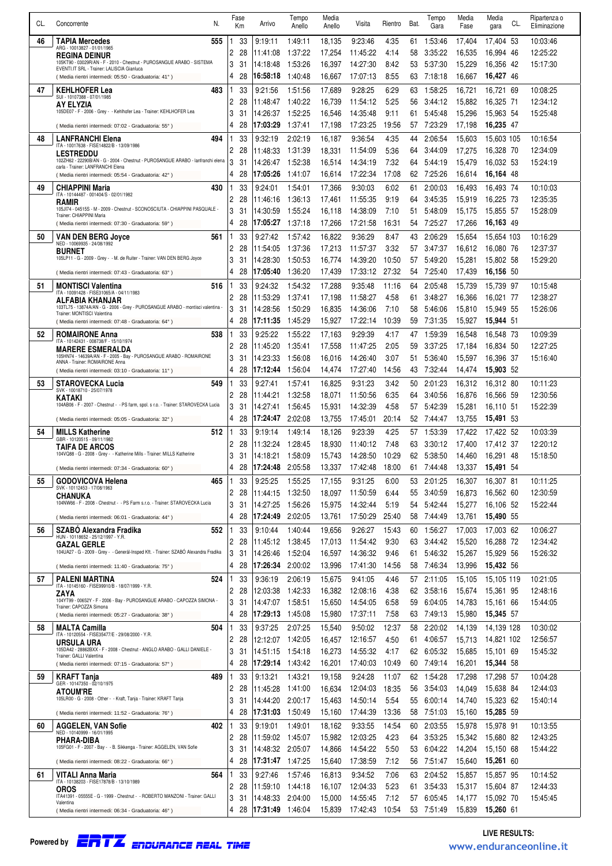| CL. | N.<br>Concorrente                                                                                                    |        | Fase       | Arrivo               | Tempo              | Media            | Visita               | Rientro       | Bat.     | Tempo                 | Media            | Media<br>CL.            | Ripartenza o         |
|-----|----------------------------------------------------------------------------------------------------------------------|--------|------------|----------------------|--------------------|------------------|----------------------|---------------|----------|-----------------------|------------------|-------------------------|----------------------|
|     |                                                                                                                      |        | Кm         |                      | Anello             | Anello           |                      |               |          | Gara                  | Fase             | gara                    | Eliminazione         |
| 46  | <b>TAPIA Mercedes</b><br>555<br>ARG - 10013827 - 01/01/1965                                                          | 2      | 33<br>28   | 9:19:11<br>11:41:08  | 1:49:11<br>1:37:22 | 18,135<br>17,254 | 9:23:46<br>11:45:22  | 4.35<br>4:14  | 61<br>58 | 1:53:46<br>3:35:22    | 17,404<br>16.535 | 17,404 53<br>16,994 46  | 10:03:46<br>12:25:22 |
|     | <b>REGINA DEINUR</b><br>105KT90 - 03029R/AN - F - 2010 - Chestnut - PUROSANGUE ARABO - SISTEMA                       | 3      | 31         | 14:18:48             | 1.53.26            | 16,397           | 14:27:30             | 8:42          | 53       | 5:37:30               | 15,229           | 16,356 42               | 15:17:30             |
|     | EVENTI.IT SRL - Trainer: LALISCIA Gianluca<br>(Media rientri intermedi: 05:50 - Graduatoria: 41°)                    | 4      | 28         | 16:58:18             | 1:40:48            | 16,667           | 17:07:13             | 8:55          | 63       | 7:18:18               | 16,667           | 16,427 46               |                      |
| 47  | <b>KEHLHOFER Lea</b><br>483                                                                                          |        | 33         | 9:21:56              | 1:51:56            | 17,689           | 9:28:25              | 6:29          | 63       | 1:58:25               | 16,721           | 16,721 69               | 10:08:25             |
|     | SUI - 10107388 - 07/01/1985<br>AY ELYZIA                                                                             | 2      | 28         | 11:48:47             | 1:40:22            | 16,739           | 11:54:12             | 5:25          | 56       | 3:44:12               | 15,882           | 16,325 71               | 12:34:12             |
|     | 105DE07 - F - 2006 - Grey - - Kehlhofer Lea - Trainer: KEHLHOFER Lea                                                 | 3      | 31         | 14:26:37             | 1.52.25            | 16,546           | 14:35:48             | 9:11          | 61       | 5:45:48               | 15,296           | 15,963 54               | 15:25:48             |
|     | (Media rientri intermedi: 07:02 - Graduatoria: 55°)                                                                  | 4      | 28         | 17:03:29             | 1:37:41            | 17,198           | 17:23:25             | 19:56         | 57       | 7:23:29               | 17,198           | 16,235 47               |                      |
| 48  | <b>LANFRANCHI Elena</b><br>494<br>ITA - 10017638 - FISE14822/B - 13/09/1986                                          |        | 33         | 9:32:19              | 2:02:19            | 16,187           | 9:36:54              | 4:35          | 44       | 2:06:54               | 15,603           | 15,603 105              | 10:16:54             |
|     | <b>LESTREDDU</b>                                                                                                     | 2      | 28         | 11:48:33             | 1:31:39            | 18,331           | 11:54:09             | 5:36          | 64       | 3:44:09               | 17,275           | 16,328 70               | 12:34:09             |
|     | 102ZH62 - 22290B/AN - G - 2004 - Chestnut - PUROSANGUE ARABO - lanfranchi elena<br>carla - Trainer: LANFRANCHI Elena | 3      | 31         | 14:26:47             | 1:52:38            | 16,514           | 14:34:19             | 7:32          | 64       | 5:44:19               | 15,479           | 16,032 53               | 15:24:19             |
|     | (Media rientri intermedi: 05:54 - Graduatoria: 42°)                                                                  | 4      | 28         | 17:05:26             | 1:41:07            | 16.614           | 17:22:34             | 17:08         | 62.      | 7:25:26               | 16,614           | 16,164 48               |                      |
| 49  | <b>CHIAPPINI Maria</b><br>430<br>ITA - 10144487 - 001404/S - 02/01/1982                                              |        | 33         | 9:24:01              | 1:54:01            | 17,366           | 9:30:03              | 6:02          | 61       | 2:00:03               | 16,493           | 16,493 74               | 10:10:03             |
|     | <b>RAMIR</b><br>105JI74 - 04515S - M - 2009 - Chestnut - SCONOSCIUTA - CHIAPPINI PASQUALE -                          | 2<br>3 | 28<br>31   | 11:46:16<br>14:30:59 | 1:36:13<br>1.55.24 | 17,461<br>16,118 | 11:55:35<br>14:38:09 | 9:19<br>7:10  | 64<br>51 | 3:45:35<br>5:48:09    | 15,919<br>15,175 | 16,225 73<br>15,855 57  | 12:35:35<br>15:28:09 |
|     | Trainer: CHIAPPINI Maria<br>(Media rientri intermedi: 07:30 - Graduatoria: 59°)                                      | 4      | 28         | 17:05:27             | 1:37:18            | 17,266           | 17:21:58             | 16:31         | 54       | 7:25:27               | 17,266           | 16,163 49               |                      |
| 50  | <b>VAN DEN BERG Joyce</b><br>561                                                                                     |        | 33         | 9:27:42              | 1.57.42            | 16,822           | 9:36:29              | 8:47          | 43       | 2:06:29               | 15,654           | 15,654 103              | 10:16:29             |
|     | NED - 10069935 - 24/08/1992<br><b>BURNET</b>                                                                         | 2      | 28         | 11:54:05             | 1:37:36            | 17,213           | 11:57:37             | 3:32          | 57       | 3:47:37               | 16,612           | 16,080 76               | 12:37:37             |
|     | 105LP11 - G - 2009 - Grey - - M. de Ruiter - Trainer: VAN DEN BERG Joyce                                             | 3      | 31         | 14:28:30             | 1.50.53            | 16,774           | 14:39:20             | 10:50         | 57       | 5:49:20               | 15,281           | 15,802 58               | 15:29:20             |
|     | (Media rientri intermedi: 07:43 - Graduatoria: 63°)                                                                  | 4      | 28         | 17:05:40             | 1:36:20            | 17,439           | 17:33:12             | 27:32         | 54       | 7:25:40               | 17,439           | 16,156 50               |                      |
| 51  | <b>MONTISCI Valentina</b><br>516                                                                                     |        | 33         | 9:24:32              | 1:54:32            | 17,288           | 9:35:48              | 11:16         | 64       | 2:05:48               | 15,739           | 15,739 97               | 10:15:48             |
|     | ITA - 10091428 - FISE31065/A - 04/11/1983<br>ALFABIA KHANJAR                                                         | 2      | 28         | 11:53:29             | 1:37:41            | 17,198           | 11:58:27             | 4:58          | 61       | 3:48:27               | 16,366           | 16,021 77               | 12:38:27             |
|     | 103TL75 - 13874A/AN - G - 2006 - Grey - PUROSANGUE ARABO - montisci valentina -<br>Trainer: MONTISCI Valentina       | 3      | 31         | 14:28:56             | 1.50.29            | 16,835           | 14:36:06             | 7:10          | 58       | 5:46:06               | 15,810           | 15,949 55               | 15:26:06             |
|     | (Media rientri intermedi: 07:48 - Graduatoria: 64°)                                                                  | 4      | 28         | 17:11:35             | 1:45:29            | 15,927           | 17:22:14             | 10:39         | 59       | 7:31:35               | 15,927           | 15,944 51               |                      |
| 52  | <b>ROMAIRONE Anna</b><br>538<br>ITA - 10142431 - 008738/F - 15/10/1974                                               |        | 33         | 9:25:22              | 1:55:22            | 17,163           | 9:29:39              | 4:17          | 47       | 1:59:39               | 16,548           | 16,548 73               | 10:09:39             |
|     | <b>MARERE ESMERALDA</b><br>105HN74 - 14639A/AN - F - 2005 - Bay - PUROSANGUE ARABO - ROMAIRONE                       | 2      | 28         | 11:45:20             | 1:35:41            | 17,558           | 11:47:25             | 2:05          | 59       | 3:37:25               | 17,184           | 16,834 50               | 12:27:25             |
|     | ANNA - Trainer: ROMAIRONE Anna                                                                                       | 3<br>4 | 31<br>28   | 14:23:33<br>17:12:44 | 1:56:08<br>1:56:04 | 16,016<br>14,474 | 14:26:40<br>17:27:40 | 3:07<br>14:56 | 51<br>43 | 5:36:40<br>7:32:44    | 15,597<br>14,474 | 16,396 37<br>15,903 52  | 15:16:40             |
| 53  | (Media rientri intermedi: 03:10 - Graduatoria: 11°)<br><b>STAROVECKA Lucia</b><br>549                                |        | 33         | 9:27:41              |                    |                  |                      |               |          |                       |                  |                         |                      |
|     | SVK - 10018710 - 25/07/1978                                                                                          | 2      | 28         | 11:44:21             | 1:57:41<br>1:32:58 | 16,825<br>18,071 | 9:31:23<br>11:50:56  | 3.42<br>6:35  | 50<br>64 | 2:01:23<br>3:40:56    | 16,312<br>16,876 | 16,312 80<br>16,566 59  | 10:11:23<br>12:30:56 |
|     | KATAKI<br>104AB06 - F - 2007 - Chestnut - - PS farm, spol. s r.o. - Trainer: STAROVECKA Lucia                        | 3      | 31         | 14:27:41             | 1.56.45            | 15,931           | 14:32:39             | 4:58          | 57       | 5:42:39               | 15,281           | 16,110 51               | 15:22:39             |
|     | (Media rientri intermedi: 05:05 - Graduatoria: 32°)                                                                  | 4      | 28         | 17:24:47             | 2:02:08            | 13,755           | 17:45:01             | 20:14         | 52       | 7:44:47               | 13,755           | 15,491 53               |                      |
| 54  | <b>MILLS Katherine</b><br>512                                                                                        |        | 33         | 9:19:14              | 1:49:14            | 18,126           | 9:23:39              | 4:25          | 57       | 1:53:39               | 17,422           | 17,422 52               | 10:03:39             |
|     | GBR - 10120515 - 09/11/1982<br><b>TAIFA DE ARCOS</b>                                                                 | 2      | 28         | 11:32:24             | 1:28:45            | 18,930           | 11:40:12             | 7:48          | 63       | 3:30:12               | 17,400           | 17.412 37               | 12:20:12             |
|     | 104VQ88 - G - 2008 - Grey - - Katherine Mills - Trainer: MILLS Katherine                                             | 3      | 31         | 14:18:21             | 1:58:09            | 15,743           | 14:28:50             | 10:29         | 62       | 5:38:50               | 14,460           | 16,291 48               | 15:18:50             |
|     | (Media rientri intermedi: 07:34 - Graduatoria: 60°)                                                                  |        | 28         | 17:24:48             | 2:05:58            | 13,337           | 17:42:48             | 18:00         |          | 61 7:44:48            |                  | 13,337 15,491 54        |                      |
| 55  | <b>GODOVICOVA Helena</b><br>465<br>SVK - 10112453 - 17/08/1963                                                       |        | 33         | 9:25:25              | 1:55:25            | 17,155           | 9:31:25              | 6:00          | 53       | 2:01:25               | 16,307           | 16,307 81               | 10:11:25             |
|     | CHANUKA<br>104NW66 - F - 2008 - Chestnut - - PS Farm s.r.o. - Trainer: STAROVECKA Lucia                              | 2<br>3 | 28         | 11:44:15             | 1:32:50            | 18,097           | 11:50:59             | 6:44          | 55       | 3:40:59               | 16,873           | 16,562 60               | 12:30:59             |
|     | (Media rientri intermedi: 06:01 - Graduatoria: 44°)                                                                  | 4      | 31<br>28   | 14:27:25<br>17:24:49 | 1.56:26<br>2:02:05 | 15,975<br>13,761 | 14:32:44<br>17:50:29 | 5:19<br>25:40 | 54<br>58 | 5:42:44<br>7:44:49    | 15,277<br>13,761 | 16,106 52<br>15,490 55  | 15:22:44             |
| 56  | SZABO Alexandra Fradika<br>552                                                                                       |        | 33         | 9:10:44              | 1:40:44            | 19,656           | 9:26:27              | 15:43         | 60       | 1:56:27               | 17,003           | 17.003 62               | 10:06:27             |
|     | HUN - 10118652 - 25/12/1997 - Y.R.<br>GAZAL GERLE                                                                    | 2      | 28         | 11:45:12             | 1:38:45            | 17,013           | 11:54:42             | 9:30          | 63       | 3:44:42               | 15,520           | 16,288 72               | 12:34:42             |
|     | 104UA27 - G - 2009 - Grey - - Generál-Insped Kft. - Trainer: SZABÓ Alexandra Fradika                                 | 3      | 31         | 14:26:46             | 1:52:04            | 16,597           | 14:36:32             | 9:46          | 61       | 5:46:32               | 15,267           | 15,929 56               | 15:26:32             |
|     | (Media rientri intermedi: 11:40 - Graduatoria: 75°)                                                                  | 4      | 28         | 17:26:34             | 2:00:02            | 13,996           | 17:41:30             | 14:56         | 58       | 7:46:34               | 13,996           | 15,432 56               |                      |
| 57  | 524<br><b>PALENI MARTINA</b>                                                                                         |        | 33         | 9:36:19              | 2:06:19            | 15,675           | 9:41:05              | 4:46          | 57       | 2:11:05               | 15,105           | 15.105 119              | 10:21:05             |
|     | ITA - 10145160 - FISE99910/B - 18/07/1999 - Y.R.<br>ZAYA                                                             | 2      | 28         | 12:03:38             | 1:42:33            | 16,382           | 12:08:16             | 4:38          | 62       | 3:58:16               | 15,674           | 15,361 95               | 12:48:16             |
|     | 104YT99 - 00652Y - F - 2006 - Bay - PUROSANGUE ARABO - CAPOZZA SIMONA -<br>Trainer: CAPOZZA Simona                   | 3      | 31         | 14:47:07             | 1:58:51            | 15,650           | 14:54:05             | 6:58          | 59       | 6:04:05               | 14,783           | 15,161 66               | 15:44:05             |
|     | (Media rientri intermedi: 05:27 - Graduatoria: 38°)                                                                  | 4      | 28         | 17:29:13             | 1:45:08            | 15,980           | 17:37:11             | 7.58          | 63       | 7:49:13               | 15,980           | 15,345 57               |                      |
| 58  | 504<br><b>MALTA Camilla</b><br>ITA - 10120554 - FISE35477/E - 29/08/2000 - Y.R.                                      | 1      | 33         | 9:37:25              | 2:07:25            | 15,540           | 9:50:02              | 12:37         | 58       | 2:20:02               | 14,139           | 14,139 128              | 10:30:02             |
|     | URSULA URA<br>105DA42 - 28862BXX - F - 2008 - Chestnut - ANGLO ARABO - GALLI DANIELE -                               | 2<br>3 | 28<br>31   | 12:12:07<br>14:51:15 | 1:42:05<br>1:54:18 | 16,457<br>16,273 | 12:16:57<br>14:55:32 | 4:50<br>4:17  | 61<br>62 | 4:06:57<br>6:05:32    | 15,713<br>15,685 | 14,821 102<br>15,101 69 | 12:56:57<br>15:45:32 |
|     | Trainer: GALLI Valentina<br>(Media rientri intermedi: 07:15 - Graduatoria: 57°)                                      | 4      | 28         | 17:29:14             | 1:43:42            | 16,201           | 17:40:03             | 10:49         | 60       | 7:49:14               | 16,201           | 15,344 58               |                      |
| 59  | 489<br><b>KRAFT Tanja</b>                                                                                            |        | 33         | 9:13:21              | 1:43:21            | 19,158           | 9:24:28              | 11:07         | 62       | 1:54:28               | 17,298           | 17,298 57               | 10:04:28             |
|     | GER - 10147350 - 02/10/1975<br><b>ATOUM'RE</b>                                                                       | 2      | 28         | 11:45:28             | 1:41:00            | 16,634           | 12:04:03             | 18:35         | 56       | 3:54:03               | 14,049           | 15,638 84               | 12:44:03             |
|     | 105LR00 - G - 2008 - Other - - Kraft, Tanja - Trainer: KRAFT Tanja                                                   | 3      | 31         | 14:44:20             | 2:00:17            | 15,463           | 14:50:14             | 5.54          | 55       | 6:00:14               | 14,740           | 15,323 62               | 15:40:14             |
|     | (Media rientri intermedi: 11:52 - Graduatoria: 76°)                                                                  | 4      | 28         | 17:31:03             | 1:50:49            | 15,160           | 17:44:39             | 13:36         | 58       | 7:51:03               | 15,160           | 15,285 59               |                      |
| 60  | <b>AGGELEN, VAN Sofie</b><br>402                                                                                     | 1      | 33         | 9:19:01              | 1:49:01            | 18,162           | 9:33:55              | 14:54         | 60       | 2:03:55               | 15,978           | 15,978 91               | 10:13:55             |
|     | NED - 10140999 - 16/01/1995<br>PHARA-DIBA                                                                            | 2      | 28         | 11:59:02             | 1:45:07            | 15,982           | 12:03:25             | 4:23          | 64       | 3:53:25               | 15,342           | 15,680 82               | 12:43:25             |
|     | 105FG01 - F - 2007 - Bay - - B. Sikkenga - Trainer: AGGELEN, VAN Sofie                                               | 3      | 31         | 14:48:32             | 2:05:07            | 14,866           | 14:54:22             | 5.50          | 53       | 6:04:22               | 14,204           | 15,150 68               | 15:44:22             |
|     | (Media rientri intermedi: 08:22 - Graduatoria: 66°)                                                                  | 4      | 28         | 17:31:47             | 1:47:25            | 15,640           | 17:38:59             | 7:12          | 56       | 7:51:47               | 15,640           | 15,261 60               |                      |
| 61  | 564<br>VITALI Anna Maria<br>ITA - 10138203 - FISE17878/B - 13/10/1989                                                |        | 33         | 9:27:46              | 1:57:46            | 16,813           | 9:34:52              | 7:06          | 63       | 2:04:52               | 15,857           | 15,857 95               | 10:14:52             |
|     | <b>OROS</b><br>ITA41391 - 05555E - G - 1999 - Chestnut - - ROBERTO MANZONI - Trainer: GALLI                          | 2      | 28         | 11:59:10             | 1:44:18            | 16,107           | 12:04:33             | 5.23          | 61       | 3:54:33               | 15,317           | 15,604 87               | 12:44:33             |
|     | Valentina                                                                                                            | 3<br>4 | 31<br>- 28 | 14:48:33<br>17:31:49 | 2:04:00<br>1:46:04 | 15,000           | 14:55:45             | 7:12<br>10:54 | 57       | 6:05:45<br>53 7:51:49 | 14,177           | 15.092 70               | 15:45:45             |
|     | (Media rientri intermedi: 06:34 - Graduatoria: 46°)                                                                  |        |            |                      |                    | 15,839           | 17:42:43             |               |          |                       | 15,839           | 15,260 61               |                      |

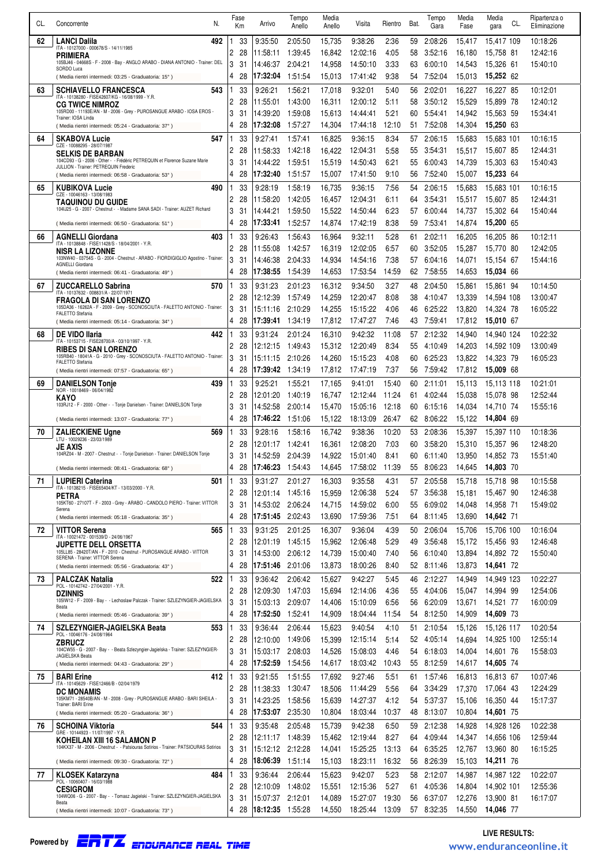| CL. | N.                                                                                                                                     |        | Fase     | Arrivo               | Tempo              | Media            | Visita                | Rientro        | Bat.     | Tempo              | Media            | Media                    | Ripartenza o         |
|-----|----------------------------------------------------------------------------------------------------------------------------------------|--------|----------|----------------------|--------------------|------------------|-----------------------|----------------|----------|--------------------|------------------|--------------------------|----------------------|
|     | Concorrente                                                                                                                            |        | Кm       |                      | Anello             | Anello           |                       |                |          | Gara               | Fase             | CL.<br>gara              | Eliminazione         |
| 62  | <b>LANCI Dalila</b><br>492<br>ITA - 10127000 - 000678/S - 14/11/1985                                                                   | 2      | 33<br>28 | 9:35:50<br>11:58:11  | 2:05:50<br>1:39:45 | 15,735<br>16,842 | 9:38:26<br>12:02:16   | 2:36<br>4:05   | 59<br>58 | 2:08:26<br>3:52:16 | 15,417<br>16.180 | 15,417 109<br>15,758 81  | 10:18:26<br>12:42:16 |
|     | PRIMIERA<br>105BJ46 - 04668S - F - 2008 - Bay - ANGLO ARABO - DIANA ANTONIO - Trainer: DEL                                             | 3      | 31       | 14:46:37             | 2:04:21            | 14,958           | 14:50:10              | 3:33           | 63       | 6:00:10            | 14,543           | 15,326 61                | 15:40:10             |
|     | SORDO Luca<br>(Media rientri intermedi: 03:25 - Graduatoria: 15°)                                                                      | 4      | 28       | 17:32:04             | 1:51:54            | 15,013           | 17:41:42              | 9:38           | 54       | 7:52:04            | 15,013           | 15,252 62                |                      |
| 63  | <b>SCHIAVELLO FRANCESCA</b><br>543                                                                                                     |        | 33       | 9:26:21              | 1:56:21            | 17,018           | 9:32:01               | 5:40           | 56       | 2:02:01            | 16,227           | 16,227 85                | 10:12:01             |
|     | ITA - 10138280 - FISE42607/KG - 16/08/1999 - Y.R.<br><b>CG TWICE NIMROZ</b>                                                            | 2      | 28       | 11:55:01             | 1:43:00            | 16,311           | 12:00:12              | 5:11           | 58       | 3:50:12            | 15,529           | 15,899 78                | 12:40:12             |
|     | 105RD00 - 11193E/AN - M - 2006 - Grey - PUROSANGUE ARABO - IOSA EROS -<br>Trainer: IOSA Linda                                          | 3      | 31       | 14:39:20             | 1.59:08            | 15,613           | 14:44:41              | 5:21           | 60       | 5:54:41            | 14,942           | 15,563 59                | 15:34:41             |
|     | (Media rientri intermedi: 05:24 - Graduatoria: 37°)                                                                                    | 4      | 28       | 17:32:08             | 1:57:27            | 14,304           | 17:44:18              | 12:10          | 51       | 7:52:08            | 14,304           | 15,250 63                |                      |
| 64  | <b>SKABOVA Lucie</b><br>547<br>CZE - 10088295 - 28/07/1987                                                                             | 2      | 33<br>28 | 9:27:41<br>11:58:33  | 1:57:41<br>1:42:18 | 16,825<br>16,422 | 9:36:15<br>12:04:31   | 8:34<br>5:58   | 57<br>55 | 2:06:15<br>3:54:31 | 15,683<br>15,517 | 15,683 101<br>15,607 85  | 10:16:15<br>12:44:31 |
|     | <b>SELKIS DE BARBAN</b><br>104CD93 - G - 2006 - Other - - Frédéric PETREQUIN et Florence Suzane Marie                                  | 3      | 31       | 14:44:22             | 1:59:51            | 15,519           | 14:50:43              | 6:21           | 55       | 6:00:43            | 14,739           | 15,303 63                | 15:40:43             |
|     | JULLION - Trainer: PETREQUIN Frederic<br>(Media rientri intermedi: 06:58 - Graduatoria: 53°)                                           | 4      | 28       | 17:32:40             | 1:51:57            | 15,007           | 17:41:50              | 9:10           | 56       | 7:52:40            | 15,007           | 15,233 64                |                      |
| 65  | <b>KUBIKOVA Lucie</b><br>490                                                                                                           |        | 33       | 9:28:19              | 1:58:19            | 16,735           | 9:36:15               | 7:56           | 54       | 2:06:15            | 15,683           | 15,683 101               | 10:16:15             |
|     | CZE - 10046163 - 13/08/1983<br><b>TAQUINOU DU GUIDE</b>                                                                                | 2      | 28       | 11:58:20             | 1:42:05            | 16,457           | 12:04:31              | 6:11           | 64       | 3:54:31            | 15,517           | 15,607 85                | 12:44:31             |
|     | 104IJ25 - G - 2007 - Chestnut - - Madame SANA SADI - Trainer: AUZET Richard                                                            | 3<br>4 | 31       | 14:44:21             | 1:59:50            | 15,522           | 14:50:44              | 6.23           | 57       | 6:00:44            | 14,737           | 15,302 64                | 15:40:44             |
|     | (Media rientri intermedi: 06:50 - Graduatoria: 51°)                                                                                    |        | 28       | 17:33:41             | 1:52:57            | 14,874           | 17:42:19              | 8:38           | 59       | 7:53:41            | 14,874           | 15,200 65                |                      |
| 66  | <b>AGNELLI Giordana</b><br>403<br>ITA - 10138848 - FISE11428/S - 18/04/2001 - Y.R.                                                     | 2      | 33<br>28 | 9:26:43<br>11:55:08  | 1:56:43<br>1:42:57 | 16,964<br>16,319 | 9:32:11<br>12:02:05   | 5:28<br>6:57   | 61<br>60 | 2:02:11<br>3:52:05 | 16,205<br>15,287 | 16,205 86<br>15,770 80   | 10:12:11<br>12:42:05 |
|     | <b>NISR LA LIZONNE</b><br>103NW40 - 03754S - G - 2004 - Chestnut - ARABO - FIORDIGIGLIO Agostino - Trainer:<br><b>AGNELLI Giordana</b> | 3      | 31       | 14:46:38             | 2:04:33            | 14,934           | 14:54:16              | 7:38           | 57       | 6:04:16            | 14,071           | 15.154 67                | 15:44:16             |
|     | (Media rientri intermedi: 06:41 - Graduatoria: 49°)                                                                                    | 4      | 28       | 17:38:55             | 1:54:39            | 14,653           | 17:53:54              | 14:59          | 62       | 7:58:55            | 14,653           | 15,034 66                |                      |
| 67  | <b>ZUCCARELLO Sabrina</b><br>570<br>ITA - 10137632 - 008831/A - 22/07/1971                                                             |        | 33       | 9:31:23              | 2:01:23            | 16,312           | 9:34:50               | 3:27           | 48       | 2:04:50            | 15,861           | 15,861 94                | 10:14:50             |
|     | <b>FRAGOLA DI SAN LORENZO</b>                                                                                                          | 2      | 28       | 12:12:39             | 1:57:49            | 14,259           | 12:20:47              | 8:08           | 38       | 4:10:47            | 13,339           | 14.594 108               | 13:00:47             |
|     | 105DA36 - 16262A - F - 2009 - Grey - SCONOSCIUTA - FALETTO ANTONIO - Trainer:<br><b>FALETTO Stefania</b>                               | 3<br>4 | 31<br>28 | 15:11:16<br>17:39:41 | 2:10:29            | 14,255           | 15:15:22              | 4:06<br>7:46   | 46       | 6:25:22            | 13,820           | 14,324 78                | 16:05:22             |
| 68  | (Media rientri intermedi: 05:14 - Graduatoria: 34°)<br>442<br><b>DE VIDO Ilaria</b>                                                    |        | 33       |                      | 1:34:19<br>2:01:24 | 17,812<br>16,310 | 17:47:27              | 11:08          | 43<br>57 | 7:59:41<br>2:12:32 | 17,812<br>14,940 | 15,010 67                | 10:22:32             |
|     | ITA - 10153715 - FISE28700/A - 03/10/1997 - Y.R.                                                                                       | 2      | 28       | 9:31:24<br>12:12:15  | 1:49:43            | 15,312           | 9:42:32<br>12:20:49   | 8:34           | 55       | 4:10:49            | 14,203           | 14,940 124<br>14,592 109 | 13:00:49             |
|     | <b>RIBES DI SAN LORENZO</b><br>105RB40 - 18041A - G - 2010 - Grey - SCONOSCIUTA - FALETTO ANTONIO - Trainer:                           | 3      | 31       | 15:11:15             | 2:10:26            | 14,260           | 15:15:23              | 4:08           | 60       | 6:25:23            | 13,822           | 14,323 79                | 16:05:23             |
|     | <b>FALETTO Stefania</b><br>(Media rientri intermedi: 07:57 - Graduatoria: 65°)                                                         | 4      | 28       | 17:39:42             | 1:34:19            | 17,812           | 17:47:19              | 7:37           | 56       | 7:59:42            | 17,812           | 15,009 68                |                      |
| 69  | <b>DANIELSON Tonie</b><br>439<br>NOR - 10018469 - 06/04/1982                                                                           |        | 33       | 9:25:21              | 1:55:21            | 17,165           | 9:41:01               | 15:40          | 60       | 2:11:01            | 15,113           | 15,113 118               | 10:21:01             |
|     | KAYO<br>103RJ12 - F - 2000 - Other - - Tonje Danielsen - Trainer: DANIELSON Tonje                                                      | 2      | 28       | 12:01:20             | 1:40:19            | 16,747           | 12:12:44              | 11:24          | 61       | 4:02:44            | 15.038           | 15,078 98                | 12:52:44             |
|     | (Media rientri intermedi: 13:07 - Graduatoria: 77°)                                                                                    | 3<br>4 | 31<br>28 | 14:52:58<br>17:46:22 | 2:00:14<br>1.51.06 | 15,470<br>15,122 | 15:05:16<br>18:13:09  | 12:18<br>26:47 | 60<br>62 | 6:15:16<br>8:06:22 | 14,034<br>15,122 | 14,710 74<br>14,804 69   | 15:55:16             |
| 70  | <b>ZALIECKIENE Ugne</b><br>569                                                                                                         |        | 33       | 9:28:16              | 1:58:16            | 16,742           | 9:38:36               | 10:20          | 53       | 2:08:36            | 15,397           | 15.397 110               | 10:18:36             |
|     | LTU - 10029236 - 23/03/1989<br>JE AXIS                                                                                                 | 2      | 28       | 12:01:17             | 1:42:41            | 16,361           | 12:08:20              | 7:03           | 60       | 3:58:20            | 15,310           | 15,357 96                | 12:48:20             |
|     | 104RZ04 - M - 2007 - Chestnut - - Tonje Danielson - Trainer: DANIELSON Tonje                                                           | 3      | 31       | 14:52:59             | 2:04:39            | 14,922           | 15:01:40              | 8:41           | 60       | 6:11:40            | 13,950           | 14,852 73                | 15:51:40             |
|     | (Media rientri intermedi: 08:41 - Graduatoria: 68°)                                                                                    |        | 28       | 17:46:23 1:54:43     |                    |                  | 14,645 17:58:02 11:39 |                |          | 55 8:06:23         |                  | 14,645 14,803 70         |                      |
| 71  | <b>LUPIERI Caterina</b><br>501<br>ITA - 10138215 - FISE65404/KT - 13/03/2000 - Y.R.                                                    | 1      | 33       | 9:31:27              | 2:01:27            | 16,303           | 9:35:58               | 4:31           | 57       | 2:05:58            | 15,718           | 15.718 98                | 10:15:58             |
|     | PETRA<br>105KT60 - 27107T - F - 2003 - Grey - ARABO - CANDOLO PIERO - Trainer: VITTOR                                                  | 2<br>3 | 28<br>31 | 12:01:14<br>14:53:02 | 1:45:16<br>2:06:24 | 15,959<br>14,715 | 12:06:38<br>14:59:02  | 5:24<br>6:00   | 57<br>55 | 3:56:38<br>6:09:02 | 15,181<br>14,048 | 15.467 90<br>14,958 71   | 12:46:38<br>15:49:02 |
|     | Serena<br>(Media rientri intermedi: 05:18 - Graduatoria: 35°)                                                                          | 4      | 28       | 17:51:45             | 2:02:43            | 13,690           | 17:59:36              | 7:51           | 64       | 8:11:45            | 13,690           | 14,642 71                |                      |
| 72  | 565<br>VITTOR Serena                                                                                                                   |        | 33       | 9:31:25              | 2:01:25            | 16,307           | 9:36:04               | 4:39           | 50       | 2:06:04            | 15,706           | 15,706 100               | 10:16:04             |
|     | ITA - 10021472 - 001539/D - 24/06/1967<br><b>JUPETTE DELL ORSETTA</b>                                                                  | 2      | 28       | 12:01:19             | 1:45:15            | 15,962           | 12:06:48              | 5:29           | 49       | 3:56:48            | 15,172           | 15,456 93                | 12:46:48             |
|     | 105LL85 - 28420T/AN - F - 2010 - Chestnut - PUROSANGUE ARABO - VITTOR<br>SERENA - Trainer: VITTOR Serena                               | 3      | 31       | 14:53:00             | 2:06:12            | 14,739           | 15:00:40              | 7:40           | 56       | 6:10:40            | 13,894           | 14,892 72                | 15:50:40             |
|     | (Media rientri intermedi: 05:56 - Graduatoria: 43°)                                                                                    | 4      | 28       | 17:51:46             | 2:01:06            | 13,873           | 18:00:26              | 8:40           | 52       | 8:11:46            | 13,873           | 14,641 72                |                      |
| 73  | 522<br><b>PALCZAK Natalia</b><br>POL - 10142742 - 27/04/2001 - Y.R.                                                                    | 2      | 33<br>28 | 9:36:42<br>12:09:30  | 2:06:42<br>1:47:03 | 15,627<br>15,694 | 9:42:27<br>12:14:06   | 5:45<br>4:36   | 46<br>55 | 2:12:27<br>4:04:06 | 14,949<br>15,047 | 14.949 123<br>14,994 99  | 10:22:27<br>12:54:06 |
|     | <b>DZINNIS</b><br>105IW12 - F - 2009 - Bay - - Lechoslaw Palczak - Trainer: SZLEZYNGIER-JAGIELSKA                                      | 3      | 31       | 15:03:13             | 2:09:07            | 14,406           | 15:10:09              | 6:56           | 56       | 6:20:09            | 13,671           | 14,521 77                | 16:00:09             |
|     | Beata<br>(Media rientri intermedi: 05:46 - Graduatoria: 39°)                                                                           | 4      | 28       | 17:52:50             | 1:52:41            | 14,909           | 18:04:44              | 11:54          | 54       | 8:12:50            | 14,909           | 14,609 73                |                      |
| 74  | 553<br>SZLEZYNGIER-JAGIELSKA Beata                                                                                                     | 1      | 33       | 9:36:44              | 2:06:44            | 15,623           | 9:40:54               | 4:10           | 51.      | 2:10:54            | 15,126           | 15,126 117               | 10:20:54             |
|     | POL - 10046176 - 24/08/1964<br><b>ZBRUCZ</b>                                                                                           | 2      | 28       | 12:10:00             | 1:49:06            | 15,399           | 12:15:14              | 5:14           | 52       | 4:05:14            | 14,694           | 14,925 100               | 12:55:14             |
|     | 104CW55 - G - 2007 - Bay - - Beata Szlezyngier-Jagielska - Trainer: SZLEZYNGIER-<br>JAGIELSKA Beata                                    | 3<br>4 | -31      | 15:03:17             | 2:08:03            | 14,526           | 15:08:03              | 4:46           | 54       | 6:18:03            | 14,004           | 14,601 76                | 15:58:03             |
| 75  | (Media rientri intermedi: 04:43 - Graduatoria: 29°)<br><b>BARI Erine</b><br>412                                                        | 1      | 28<br>33 | 17:52:59<br>9:21:55  | 1.54.56<br>1.51.55 | 14,617<br>17,692 | 18:03:42<br>9:27:46   | 10:43<br>5.51  | 55<br>61 | 8:12:59<br>1:57:46 | 14,617<br>16,813 | 14,605 74<br>16,813 67   | 10:07:46             |
|     | ITA - 10145629 - FISE12466/B - 02/04/1979<br><b>DC MONAMIS</b>                                                                         | 2      | 28       | 11:38:33             | 1:30:47            | 18,506           | 11:44:29              | 5:56           | 64       | 3:34:29            | 17,370           | 17,064 43                | 12:24:29             |
|     | 105KM71 - 28540B/AN - M - 2008 - Grey - PUROSANGUE ARABO - BARI SHEILA -<br>Trainer: BARI Erine                                        | 3      | -31      | 14:23:25             | 1.58.56            | 15,639           | 14:27:37              | 4:12           | 54       | 5:37:37            | 15,106           | 16,350 44                | 15:17:37             |
|     | (Media rientri intermedi: 05:20 - Graduatoria: 36°)                                                                                    | 4      | 28       | 17:53:07             | 2:35:30            | 10,804           | 18:03:44              | 10:37          | 48       | 8:13:07            | 10,804           | 14,601 75                |                      |
| 76  | <b>SCHOINA Viktoria</b><br>544<br>GRE - 10144923 - 11/07/1997 - Y.R.                                                                   |        | 33       | 9:35:48              | 2:05:48            | 15,739           | 9:42:38               | 6.50           | 59       | 2:12:38            | 14,928           | 14,928 126               | 10:22:38             |
|     | KOHEILAN XIII 16 SALAMON P<br>104KX37 - M - 2006 - Chestnut - - Patsiouras Sotirios - Trainer: PATSIOURAS Sotirios                     | 2      | 28       | 12:11:17             | 1:48:39            | 15,462           | 12:19:44              | 8:27           | 64       | 4:09:44            | 14,347           | 14,656 106               | 12:59:44             |
|     |                                                                                                                                        | 3<br>4 | 31<br>28 | 15:12:12<br>18:06:39 | 2:12:28<br>1:51:14 | 14,041<br>15,103 | 15:25:25<br>18:23:11  | 13:13<br>16:32 | 64<br>56 | 6:35:25<br>8:26:39 | 12,767<br>15,103 | 13,960 80<br>14,211 76   | 16:15:25             |
| 77  | (Media rientri intermedi: 09:30 - Graduatoria: 72°)<br><b>KLOSEK Katarzyna</b><br>484                                                  |        | 33       | 9:36:44              | 2:06:44            | 15,623           | 9:42:07               | 5:23           | 58       | 2:12:07            | 14,987           | 14.987 122               | 10:22:07             |
|     | POL - 10060407 - 16/03/1988<br><b>CESIGROM</b>                                                                                         | 2      | 28       | 12:10:09             | 1:48:02            | 15,551           | 12:15:36              | 5:27           | 61       | 4:05:36            | 14,804           | 14,902 101               | 12:55:36             |
|     | 104WQ06 - G - 2007 - Bay - - Tomasz Jagielski - Trainer: SZLEZYNGIER-JAGIELSKA<br>Beata                                                | 3      | 31       | 15:07:37             | 2:12:01            | 14,089           | 15:27:07              | 19:30          | 56       | 6:37:07            | 12,276           | 13,900 81                | 16:17:07             |
|     | (Media rientri intermedi: 10:07 - Graduatoria: 73°)                                                                                    | 4      | 28       | 18:12:35 1:55:28     |                    | 14,550           | 18:25:44 13:09        |                | 57       | 8:32:35            | 14,550           | 14,046 77                |                      |

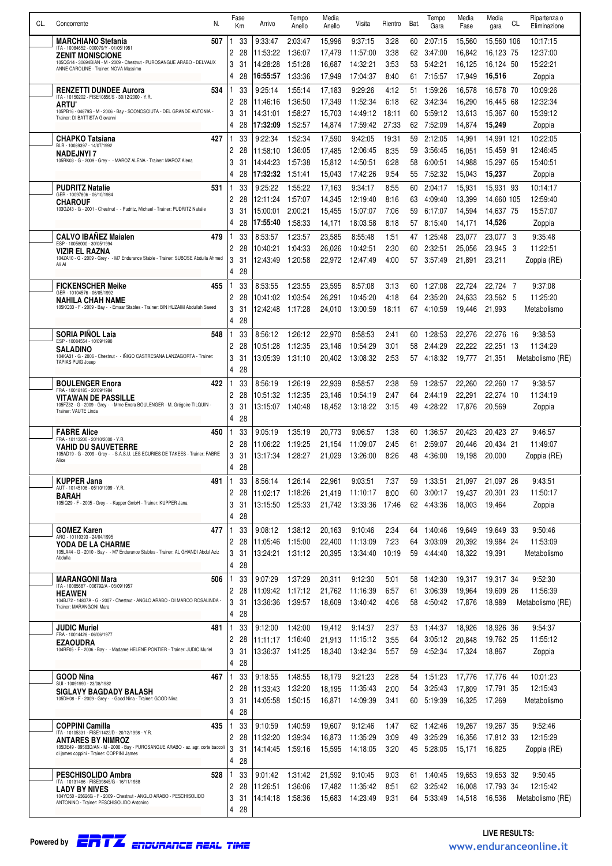| CL. | N.<br>Concorrente                                                                                                    |     | Fase           | Km       | Arrivo               | Tempo<br>Anello    | Media<br>Anello  | Visita               | Rientro      | Bat.     | Tempo<br>Gara      | Media<br>Fase    | Media<br>gara           | CL. | Ripartenza o<br>Eliminazione |
|-----|----------------------------------------------------------------------------------------------------------------------|-----|----------------|----------|----------------------|--------------------|------------------|----------------------|--------------|----------|--------------------|------------------|-------------------------|-----|------------------------------|
|     | 507<br><b>MARCHIANO Stefania</b>                                                                                     |     |                | 33       | 9:33:47              | 2:03:47            | 15,996           | 9:37:15              | 3:28         | 60       | 2:07:15            | 15,560           | 15,560 106              |     | 10:17:15                     |
|     | ITA - 10084652 - 000079/Y - 01/05/1981<br><b>ZENIT MONISCIONE</b>                                                    |     | 2              | 28       | 11:53:22             | 1:36:07            | 17,479           | 11:57:00             | 3:38         | 62       | 3:47:00            | 16,842           | 16,123 75               |     | 12:37:00                     |
|     | 105QG14 - 30694B/AN - M - 2009 - Chestnut - PUROSANGUE ARABO - DELVAUX<br>ANNE CAROLINE - Trainer: NOVA Massimo      |     | 3              | 31       | 14:28:28             | 1:51:28            | 16,687           | 14:32:21             | 3:53         | 53       | 5:42:21            | 16,125           | 16,124 50               |     | 15:22:21                     |
|     |                                                                                                                      |     | 4              | 28       | 16:55:57             | 1:33:36            | 17,949           | 17:04:37             | 8:40         | 61       | 7:15:57            | 17,949           | 16,516                  |     | Zoppia                       |
|     | <b>RENZETTI DUNDEE Aurora</b><br>534<br>ITA - 10150202 - FISE10856/S - 30/12/2000 - Y.R.                             |     |                | 33       | 9:25:14              | 1:55:14            | 17,183           | 9:29:26              | 4:12         | 51.      | 1:59:26            | 16,578           | 16,578 70               |     | 10:09:26                     |
|     | <b>ARTU'</b>                                                                                                         |     | 2              | 28       | 11:46:16             | 1:36:50            | 17,349           | 11:52:34             | 6:18         | 62       | 3:42:34            | 16,290           | 16,445 68               |     | 12:32:34                     |
|     | 105PB16 - 04879S - M - 2006 - Bay - SCONOSCIUTA - DEL GRANDE ANTONIA<br>Trainer: DI BATTISTA Giovanni                |     | 3              | 31       | 14:31:01             | 1:58:27            | 15.703           | 14:49:12             | 18:11        | 60       | 5:59:12            | 13,613           | 15.367 60               |     | 15:39:12                     |
|     |                                                                                                                      |     | 4              | 28       | 17:32:09             | 1:52:57            | 14,874           | 17:59:42             | 27:33        | 62       | 7:52:09            | 14,874           | 15,249                  |     | Zoppia                       |
|     | <b>CHAPKO Tatsiana</b><br>427<br>BLR - 10089397 - 14/07/1992                                                         |     |                | 33       | 9:22:34              | 1:52:34            | 17,590           | 9:42:05              | 19:31        | 59       | 2:12:05            | 14,991           | 14,991 121              |     | 10:22:05                     |
|     | <b>NADEJNYI 7</b><br>105RK03 - G - 2009 - Grey - - MAROZ ALENA - Trainer: MAROZ Alena                                |     | 2              | 28       | 11:58:10             | 1:36:05            | 17.485           | 12:06:45             | 8:35         | 59       | 3:56:45            | 16.051           | 15.459 91               |     | 12:46:45                     |
|     |                                                                                                                      |     | 3<br>4         | 31<br>28 | 14:44:23<br>17:32:32 | 1.57:38<br>1:51:41 | 15,812<br>15,043 | 14:50:51<br>17:42:26 | 6:28<br>9:54 | 58       | 6:00:51<br>7:52:32 | 14,988<br>15,043 | 15,297 65<br>15,237     |     | 15:40:51                     |
|     |                                                                                                                      |     |                |          |                      |                    |                  |                      |              | 55       |                    |                  |                         |     | Zoppia                       |
|     | <b>PUDRITZ Natalie</b><br>531<br>GER - 10097806 - 06/10/1984                                                         |     |                | 33       | 9:25:22              | 1:55:22            | 17,163           | 9:34:17              | 8:55         | 60       | 2:04:17            | 15,931           | 15.931 93               |     | 10:14:17                     |
|     | <b>CHAROUF</b><br>103GZ43 - G - 2001 - Chestnut - - Pudritz, Michael - Trainer: PUDRITZ Natalie                      |     | 2<br>3         | 28<br>31 | 12:11:24<br>15:00:01 | 1.57:07<br>2:00:21 | 14,345<br>15,455 | 12:19:40<br>15:07:07 | 8:16<br>7:06 | 63<br>59 | 4:09:40<br>6:17:07 | 13,399<br>14,594 | 14,660 105<br>14,637 75 |     | 12:59:40<br>15:57:07         |
|     |                                                                                                                      |     | 4              | 28       | 17:55:40             | 1.58:33            | 14,171           | 18:03:58             | 8:18         | 57       | 8:15:40            | 14,171           | 14,526                  |     | Zoppia                       |
|     | <b>CALVO IBANEZ Majalen</b><br>479                                                                                   |     |                | 33       | 8:53:57              | 1:23:57            | 23,585           | 8:55:48              | 1:51         | 47       | 1:25:48            | 23.077           | 23.077 3                |     | 9:35:48                      |
|     | ESP - 10058000 - 30/05/1994                                                                                          |     | 2              | 28       | 10:40:21             | 1:04:33            | 26,026           | 10:42:51             | 2:30         | 60       | 2:32:51            | 25,056           | 23,945 3                |     | 11:22:51                     |
|     | VIZIR EL RAZNA<br>104ZA10 - G - 2009 - Grey - - M7 Endurance Stable - Trainer: SUBOSE Abdulla Ahmed<br>Ali Al        |     | 3              | 31       | 12:43:49             | 1:20:58            | 22,972           | 12:47:49             | 4:00         | 57       | 3:57:49            | 21,891           | 23,211                  |     | Zoppia (RE)                  |
|     |                                                                                                                      |     | 4              | 28       |                      |                    |                  |                      |              |          |                    |                  |                         |     |                              |
|     | <b>FICKENSCHER Meike</b><br>455                                                                                      |     |                | 33       | 8:53:55              | 1:23:55            | 23,595           | 8:57:08              | 3:13         | 60       | 1:27:08            | 22,724           | 22.724 7                |     | 9:37:08                      |
|     | GER - 10104576 - 06/05/1992<br><b>NAHILA CHAH NAME</b>                                                               |     | 2              | 28       | 10:41:02             | 1:03:54            | 26,291           | 10:45:20             | 4:18         | 64       | 2:35:20            | 24,633           | 23,562 5                |     | 11:25:20                     |
|     | 105KQ33 - F - 2009 - Bay - - Emaar Stables - Trainer: BIN HUZAIM Abdullah Saeed                                      |     | 3              | 31       | 12:42:48             | 1:17:28            | 24.010           | 13:00:59             | 18:11        | 67       | 4:10:59            | 19.446           | 21,993                  |     | Metabolismo                  |
|     |                                                                                                                      |     | 4              | 28       |                      |                    |                  |                      |              |          |                    |                  |                         |     |                              |
|     | <b>SORIA PINOL Laia</b><br>548<br>ESP - 10084554 - 10/09/1990                                                        |     |                | 33       | 8:56:12              | 1:26:12            | 22,970           | 8:58:53              | 2:41         | 60       | 1:28:53            | 22,276           | 22,276 16               |     | 9:38:53                      |
|     | <b>SALADINO</b>                                                                                                      |     | 2              | 28       | 10:51:28             | 1:12:35            | 23,146           | 10:54:29             | 3:01         | 58       | 2:44:29            | 22.222           | 22.251 13               |     | 11:34:29                     |
|     | 104KA31 - G - 2006 - Chestnut - - IÑIGO CASTRESANA LANZAGORTA - Trainer:<br><b>TAPIAS PUIG Josep</b>                 |     | 3              | 31       | 13:05:39             | 1:31:10            | 20,402           | 13:08:32             | 2.53         | 57       | 4:18:32            | 19,777           | 21,351                  |     | Metabolismo (RE)             |
|     |                                                                                                                      |     | 4              | 28       |                      |                    |                  |                      |              |          |                    |                  |                         |     |                              |
|     | <b>BOULENGER Enora</b><br>FRA - 10018185 - 20/09/1984                                                                | 422 |                | 33       | 8:56:19              | 1:26:19            | 22.939           | 8:58:57              | 2:38         | 59       | 1:28:57            | 22,260           | 22.260 17               |     | 9:38:57                      |
|     | <b>VITAWAN DE PASSILLE</b><br>105FZ32 - G - 2009 - Grey - - Mme Enora BOULENGER - M. Grégoire TILQUIN -              |     | 2<br>3         | 28<br>31 | 10:51:32<br>13:15:07 | 1:12:35<br>1:40:48 | 23,146<br>18,452 | 10:54:19<br>13:18:22 | 2:47<br>3:15 | 64<br>49 | 2:44:19<br>4:28:22 | 22.291           | 22,274 10<br>20.569     |     | 11:34:19                     |
|     | Trainer: VAUTE Linda                                                                                                 |     | 4              | 28       |                      |                    |                  |                      |              |          |                    | 17,876           |                         |     | Zoppia                       |
|     | <b>FABRE Alice</b><br>450                                                                                            |     |                | 33       | 9:05:19              | 1:35:19            | 20,773           | 9:06:57              | 1:38         | 60       | 1:36:57            | 20,423           | 20,423 27               |     | 9:46:57                      |
|     | FRA - 10113200 - 20/10/2000 - Y.R.                                                                                   |     | 2              | 28       | 11:06:22             | 1:19:25            | 21,154           | 11:09:07             | 2:45         | 61       | 2:59:07            | 20.446           | 20.434 21               |     | 11:49:07                     |
|     | <b>VAHID DU SAUVETERRE</b><br>105AD19 - G - 2009 - Grey - - S.A.S.U. LES ECURIES DE TAKEES - Trainer: FABRE<br>Alice |     | 3              | 31       | 13:17:34             | 1:28:27            | 21,029           | 13:26:00             | 8:26         | 48       | 4:36:00            | 19,198           | 20,000                  |     | Zoppia (RE)                  |
|     |                                                                                                                      |     | 4              | 28       |                      |                    |                  |                      |              |          |                    |                  |                         |     |                              |
|     | <b>KUPPER Jana</b>                                                                                                   | 491 | -1             | 33       | 8:56:14              | 1:26:14            | 22,961           | 9:03:51              | 7:37         | 59       | 1:33:51            | 21,097           | 21,097 26               |     | 9:43:51                      |
|     | AUT - 10145106 - 05/10/1999 - Y.R.<br><b>BARAH</b>                                                                   |     | 2              | 28       | 11:02:17             | 1:18:26            | 21,419           | 11:10:17             | 8:00         | 60       | 3:00:17            | 19,437           | 20,301 23               |     | 11:50:17                     |
|     | 105IQ29 - F - 2005 - Grey - - Kupper GmbH - Trainer: KUPPER Jana                                                     |     | 3              | 31       | 13:15:50             | 1:25:33            | 21,742           | 13:33:36             | 17:46        |          | 62 4:43:36         | 18,003           | 19,464                  |     | Zoppia                       |
|     |                                                                                                                      |     | 4              | 28       |                      |                    |                  |                      |              |          |                    |                  |                         |     |                              |
|     | <b>GOMEZ Karen</b><br>477<br>ARG - 10110393 - 24/04/1995                                                             |     |                | 33       | 9:08:12              | 1:38:12            | 20,163           | 9:10:46              | 2:34         | 64       | 1:40:46            | 19,649           | 19,649 33               |     | 9:50:46                      |
|     | <b>YODA DE LA CHARME</b><br>105LA44 - G - 2010 - Bay - - M7 Endurance Stables - Trainer: AL GHANDI Abdul Aziz        |     | $\mathbf{2}$   | 28       | 11:05:46             | 1:15:00            | 22,400           | 11:13:09             | 7:23         | 64       | 3:03:09            | 20,392           | 19,984 24               |     | 11:53:09                     |
|     | Abdulla                                                                                                              |     | 3<br>4         | 31<br>28 | 13:24:21             | 1:31:12            | 20,395           | 13:34:40             | 10:19        | 59       | 4:44:40            | 18,322           | 19,391                  |     | Metabolismo                  |
|     |                                                                                                                      |     |                | 33       | 9:07:29              |                    |                  |                      | 5:01         |          |                    |                  |                         |     |                              |
|     | <b>MARANGONI Mara</b><br>506<br>ITA - 10085687 - 006792/A - 05/09/1957                                               |     | $\mathbf{2}$   | -28      | 11:09:42             | 1:37:29<br>1:17:12 | 20,311<br>21,762 | 9:12:30<br>11:16:39  | 6.57         | 58<br>61 | 1:42:30<br>3:06:39 | 19,317<br>19,964 | 19,317 34<br>19,609 26  |     | 9:52:30<br>11:56:39          |
|     | <b>HEAWEN</b><br>104BJ72 - 14807A - G - 2007 - Chestnut - ANGLO ARABO - DI MARCO ROSALINDA -                         |     | 3              | 31       | 13:36:36             | 1:39:57            | 18,609           | 13:40:42             | 4:06         | 58       | 4:50:42            | 17,876           | 18,989                  |     | Metabolismo (RE)             |
|     | Trainer: MARANGONI Mara                                                                                              |     | 4              | 28       |                      |                    |                  |                      |              |          |                    |                  |                         |     |                              |
|     | <b>JUDIC Muriel</b><br>481                                                                                           |     |                | 33       | 9:12:00              | 1:42:00            | 19,412           | 9:14:37              | 2:37         |          | 53 1:44:37         | 18,926           | 18,926 36               |     | 9:54:37                      |
|     | FRA - 10014428 - 06/06/1977<br><b>EZAOUDRA</b>                                                                       |     | 2              | 28       | 11:11:17             | 1:16:40            | 21,913           | 11:15:12             | 3:55         | 64       | 3:05:12            | 20,848           | 19,762 25               |     | 11:55:12                     |
|     | 104RF05 - F - 2006 - Bay - - Madame HELENE PONTIER - Trainer: JUDIC Muriel                                           |     | 3              | 31       |                      |                    | 18,340           | 13:42:34             | 5.57         | 59       | 4:52:34            | 17,324           | 18,867                  |     | Zoppia                       |
|     |                                                                                                                      |     | 4              | 28       |                      |                    |                  |                      |              |          |                    |                  |                         |     |                              |
|     | <b>GOOD Nina</b><br>467<br>SUI - 10091990 - 23/08/1982                                                               |     |                | 33       | 9:18:55              | 1:48:55            | 18,179           | 9:21:23              | 2:28         |          | 54 1:51:23         | 17,776           | 17,776 44               |     | 10:01:23                     |
|     | <b>SIGLAVY BAGDADY BALASH</b>                                                                                        |     | 2              | 28       | 11:33:43             | 1:32:20            | 18,195           | 11:35:43             | 2:00         | 54       | 3:25:43            | 17,809           | 17,791 35               |     | 12:15:43                     |
|     | 105DH08 - F - 2009 - Grey - - Good Nina - Trainer: GOOD Nina                                                         |     | 3              | 31       | 14:05:58             | 1:50:15            | 16,871           | 14:09:39             | 3:41         | 60       | 5:19:39            | 16,325           | 17,269                  |     | Metabolismo                  |
|     |                                                                                                                      |     | 4              | 28       |                      |                    |                  |                      |              |          |                    |                  |                         |     |                              |
|     | <b>COPPINI Camilla</b><br>435<br>ITA - 10105331 - FISE11422/D - 20/12/1998 - Y.R.                                    |     |                | 33       | 9:10:59              | 1:40:59            | 19,607           | 9:12:46              | 1:47         |          | 62 1:42:46         | 19,267           | 19,267 35               |     | 9:52:46                      |
|     | <b>ANTARES BY NIMROZ</b><br>105DE49 - 09563D/AN - M - 2006 - Bay - PUROSANGUE ARABO - az. agr. corte baccoli         |     | 2<br>3         | 28<br>31 | 11:32:20             | 1:39:34            | 16,873           | 11:35:29             | 3:09         | 49       | 3:25:29            | 16,356           | 17,812 33               |     | 12:15:29                     |
|     | di james coppini - Trainer: COPPINI James                                                                            |     | 4 28           |          | 14:14:45             | 1:59:16            | 15,595           | 14:18:05             | 3:20         | 45       | 5:28:05            | 15,171           | 16,825                  |     | Zoppia (RE)                  |
|     | <b>PESCHISOLIDO Ambra</b><br>528                                                                                     |     |                | 33       | 9:01:42              | 1:31:42            | 21,592           | 9:10:45              | 9:03         | 61 -     | 1:40:45            | 19,653           | 19,653 32               |     | 9:50:45                      |
|     | ITA - 10131486 - FISE39845/G - 16/11/1988                                                                            |     | $\overline{2}$ | -28      | 11:26:51             | 1:36:06            | 17,482           | 11:35:42             | 8:51         | 62       | 3:25:42            | 16,008           | 17,793 34               |     | 12:15:42                     |
|     | <b>LADY BY NIVES</b><br>104YO50 - 23626G - F - 2009 - Chestnut - ANGLO ARABO - PESCHISOLIDO                          |     | 3              | 31       | 14:14:18             | 1:58:36            | 15,683           | 14:23:49             | 9:31         | 64       | 5:33:49            | 14,518           | 16,536                  |     | Metabolismo (RE)             |
|     | ANTONINO - Trainer: PESCHISOLIDO Antonino                                                                            |     | 4              | 28       |                      |                    |                  |                      |              |          |                    |                  |                         |     |                              |
|     |                                                                                                                      |     |                |          |                      |                    |                  |                      |              |          |                    |                  |                         |     |                              |

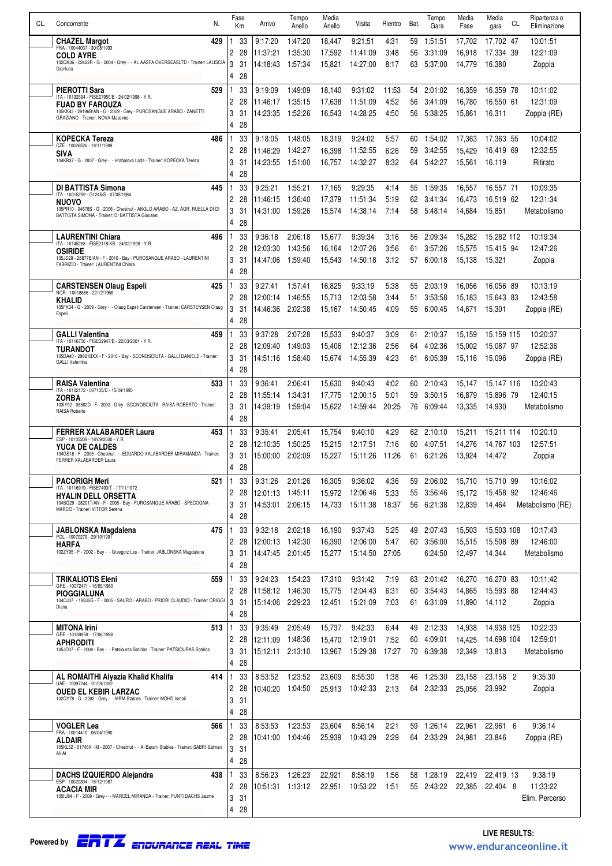| CL. | N.<br>Concorrente                                                                                             | Fase<br>Km     |          | Arrivo               | Tempo<br>Anello    | Media<br>Anello  | Visita               | Rientro      | Bat.     | Tempo<br>Gara      | Media<br>Fase    | Media<br>gara          | Ripartenza o<br>CL.<br>Eliminazione |
|-----|---------------------------------------------------------------------------------------------------------------|----------------|----------|----------------------|--------------------|------------------|----------------------|--------------|----------|--------------------|------------------|------------------------|-------------------------------------|
|     |                                                                                                               |                |          | 9:17:20              |                    |                  |                      |              |          |                    |                  |                        | 10:01:51                            |
|     | 429<br><b>CHAZEL Margot</b><br>FRA - 10044037 - 30/08/1993                                                    | 2              | 33<br>28 | 11:37:21             | 1:47:20<br>1:35:30 | 18.447<br>17,592 | 9:21:51<br>11:41:09  | 4:31<br>3:48 | 59<br>56 | 1:51:51<br>3:31:09 | 17,702<br>16,918 | 17,702 47<br>17,334 39 | 12:21:09                            |
|     | <b>COLD AYRE</b><br>102QK36 - 02422R - G - 2004 - Grey - - AL AASFA OVERSEASLTD - Trainer: LALISCIA           | 3              | 31       | 14:18:43             | 1:57:34            | 15,821           | 14:27:00             | 8:17         | 63.      | 5:37:00            | 14.779           | 16,380                 | Zoppia                              |
|     | Gianluca                                                                                                      | 4              | 28       |                      |                    |                  |                      |              |          |                    |                  |                        |                                     |
|     | <b>PIEROTTI Sara</b><br>529                                                                                   |                | 33       | 9:19:09              | 1:49:09            | 18,140           | 9:31:02              | 11:53        | 54       | 2:01:02            | 16,359           | 16,359 78              | 10:11:02                            |
|     | ITA - 10132594 - FISE27950/B - 24/02/1998 - Y.R.<br><b>FUAD BY FAROUZA</b>                                    | 2              | 28       | 11:46:17             | 1:35:15            | 17,638           | 11:51:09             | 4:52         | 56       | 3:41:09            | 16.780           | 16,550 61              | 12:31:09                            |
|     | 105KK43 - 29196B/AN - G - 2009 - Grey - PUROSANGUE ARABO - ZANETTI<br>GRAZIANO - Trainer: NOVA Massimo        | 3              | 31       | 14:23:35             | 1:52:26            | 16,543           | 14:28:25             | 4:50         | 56       | 5:38:25            | 15,861           | 16,311                 | Zoppia (RE)                         |
|     |                                                                                                               | $\overline{4}$ | 28       |                      |                    |                  |                      |              |          |                    |                  |                        |                                     |
|     | <b>KOPECKA Tereza</b><br>486<br>CZE - 10026526 - 18/11/1989                                                   |                | 33       | 9:18:05              | 1:48:05            | 18,319           | 9:24:02              | 5:57         | 60       | 1:54:02            | 17,363           | 17,363 55              | 10:04:02                            |
|     | SIVA<br>104KB37 - G - 2007 - Grey - - Hrabalova Lada - Trainer: KOPECKA Tereza                                | 2              | 28       | 11:46:29             | 1:42:27            | 16.398           | 11:52:55             | 6:26         | 59       | 3:42:55            | 15.429           | 16,419 69              | 12:32:55                            |
|     |                                                                                                               | 3<br>4         | 31<br>28 | 14:23:55             | 1:51:00            | 16,757           | 14:32:27             | 8:32         | 64       | 5:42:27            | 15,561           | 16,119                 | Ritirato                            |
|     |                                                                                                               |                |          |                      |                    |                  |                      |              |          |                    |                  |                        |                                     |
|     | <b>DI BATTISTA Simona</b><br>445<br>ITA - 10015259 - G1245/S - 07/05/1984                                     | 2              | 33<br>28 | 9:25:21<br>11:46:15  | 1:55:21<br>1:36:40 | 17.165<br>17,379 | 9:29:35<br>11:51:34  | 4:14<br>5:19 | 55<br>62 | 1:59:35<br>3:41:34 | 16,557<br>16,473 | 16,557 71<br>16,519 62 | 10:09:35<br>12:31:34                |
|     | <b>NUOVO</b><br>105PR10 - 04678S - G - 2006 - Chestnut - ANGLO ARABO - AZ. AGR. RUELLA DI DI                  | 3              | 31       | 14:31:00             | 1:59:26            | 15,574           | 14:38:14             | 7:14         | 58       | 5:48:14            | 14.684           | 15.851                 | Metabolismo                         |
|     | BATTISTA SIMONA - Trainer: DI BATTISTA Giovanni                                                               | $\overline{4}$ | 28       |                      |                    |                  |                      |              |          |                    |                  |                        |                                     |
|     | <b>LAURENTINI Chiara</b><br>496                                                                               |                | 33       | 9:36:18              | 2:06:18            | 15.677           | 9:39:34              | 3:16         | 56       | 2:09:34            | 15,282           | 15.282 112             | 10:19:34                            |
|     | ITA - 10145268 - FISE2118/KB - 24/02/1998 - Y.R.<br><b>OSIRIDE</b>                                            | 2              | 28       | 12:03:30             | 1:43:56            | 16,164           | 12:07:26             | 3:56         | 61       | 3:57:26            | 15,575           | 15,415 94              | 12:47:26                            |
|     | 105JD29 - 28877B/AN - F - 2010 - Bay - PUROSANGUE ARABO - LAURENTINI<br>FABRIZIO - Trainer: LAURENTINI Chiara | 3              | 31       | 14:47:06             | 1:59:40            | 15.543           | 14:50:18             | 3:12         | 57       | 6:00:18            | 15.138           | 15.321                 | Zoppia                              |
|     |                                                                                                               | 4              | 28       |                      |                    |                  |                      |              |          |                    |                  |                        |                                     |
|     | <b>CARSTENSEN Olaug Espeli</b><br>425<br>NOR - 10018866 - 22/12/1966                                          |                | 33       | 9:27:41              | 1:57:41            | 16,825           | 9:33:19              | 5:38         | 55       | 2:03:19            | 16,056           | 16,056 89              | 10:13:19                            |
|     | <b>KHALID</b><br>105FK04 - G - 2009 - Grey - - Olaug Espeli Carstensen - Trainer: CARSTENSEN Olaug            | 2<br>3         | 28<br>31 | 12:00:14<br>14:46:36 | 1:46:55<br>2:02:38 | 15.713<br>15,167 | 12:03:58<br>14:50:45 | 3:44<br>4:09 | 51<br>55 | 3:53:58<br>6:00:45 | 15.183<br>14,671 | 15.643 83<br>15,301    | 12:43:58<br>Zoppia (RE)             |
|     | Espeli                                                                                                        | 4              | 28       |                      |                    |                  |                      |              |          |                    |                  |                        |                                     |
|     | <b>GALLI Valentina</b><br>459                                                                                 | 1              | 33       | 9:37:28              | 2:07:28            | 15,533           | 9:40:37              | 3:09         | 61       | 2:10:37            | 15,159           | 15,159 115             | 10:20:37                            |
|     | ITA - 10116756 - FISE32947/B - 22/03/2001 - Y.R.<br>TURANDOT                                                  | 2              | 28       | 12:09:40             | 1:49:03            | 15.406           | 12:12:36             | 2:56         | 64       | 4:02:36            | 15.002           | 15.087 97              | 12:52:36                            |
|     | 105DA40 - 29821BXX - F - 2010 - Bay - SCONOSCIUTA - GALLI DANIELE - Trainer:<br><b>GALLI Valentina</b>        | 3              | 31       | 14:51:16             | 1:58:40            | 15,674           | 14:55:39             | 4:23         | 61       | 6:05:39            | 15,116           | 15.096                 | Zoppia (RE)                         |
|     |                                                                                                               | 4              | 28       |                      |                    |                  |                      |              |          |                    |                  |                        |                                     |
|     | 533<br><b>RAISA Valentina</b><br>ITA - 10102172 - 007105/D - 15/04/1995                                       | 1              | 33       | 9:36:41              | 2:06:41            | 15,630           | 9:40:43              | 4:02         | 60       | 2:10:43            | 15,147           | 15,147 116             | 10:20:43                            |
|     | ZORBA<br>103IY92 - 06502D - F - 2003 - Grey - SCONOSCIUTA - RAISA ROBERTO - Trainer:                          | 2              | 28       | 11:55:14             | 1:34:31            | 17,775           | 12:00:15             | 5:01         | 59       | 3:50:15            | 16.879           | 15,896 79              | 12:40:15                            |
|     | RAISA Roberto                                                                                                 | 3<br>4         | 31<br>28 | 14:39:19             | 1:59:04            | 15,622           | 14:59:44             | 20:25        | 76       | 6:09:44            | 13,335           | 14,930                 | Metabolismo                         |
|     | FERRER XALABARDER Laura<br>453                                                                                | 1              | 33       | 9:35:41              | 2:05:41            | 15,754           | 9:40:10              | 4:29         | 62       | 2:10:10            | 15,211           | 15,211 114             | 10:20:10                            |
|     | ESP - 10105209 - 18/09/2000 - Y.R.<br>YUCA DE CALDES                                                          | 2              | 28       | 12:10:35             | 1:50:25            | 15,215           | 12:17:51             | 7:16         | 60       | 4:07:51            | 14,276           | 14,767 103             | 12:57:51                            |
|     | 104GS18 - F - 2005 - Chestnut - - EDUARDO XALABARDER MIRAMANDA - Trainer:<br>FERRER XALABARDER Laura          | 3              | 31       | 15:00:00             | 2:02:09            | 15,227           | 15:11:26             | 11:26        | 61       | 6:21:26            | 13,924           | 14,472                 | Zoppia                              |
|     |                                                                                                               | 4              | ንՋ<br>ΔU |                      |                    |                  |                      |              |          |                    |                  |                        |                                     |
|     | <b>PACORIGH Meri</b><br>521<br>ITA - 10116919 - FISE7493/T - 17/11/1972                                       | 1              | 33       | 9:31:26              | 2:01:26            | 16,305           | 9:36:02              | 4.36         | 59       | 2:06:02            | 15,710           | 15,710 99              | 10:16:02                            |
|     | HYALIN DELL ORSETTA                                                                                           | 2              | 28       | 12:01:13             | 1:45:11            | 15.972           | 12:06:46             | 5:33         | 55       | 3:56:46            | 15,172           | 15,458 92              | 12:46:46                            |
|     | 104SG29 - 28201T/AN - F - 2008 - Bay - PUROSANGUE ARABO - SPECOGNA<br>MARCO - Trainer: VITTOR Serena          | 3<br>4         | 31<br>28 | 14:53:01             | 2:06:15            | 14,733           | 15:11:38             | 18:37        |          | 56 6:21:38         | 12.839           | 14.464                 | Metabolismo (RE)                    |
|     | 475<br>JABLONSKA Magdalena                                                                                    | 1              | 33       | 9:32:18              | 2:02:18            | 16,190           | 9:37:43              | 5:25         | 49       | 2:07:43            | 15,503           | 15,503 108             | 10:17:43                            |
|     | POL - 10070279 - 29/10/1991<br><b>HARFA</b>                                                                   | $\overline{c}$ | 28       | 12:00:13             | 1:42:30            | 16,390           | 12:06:00             | 5:47         | 60       | 3:56:00            | 15,515           | 15,508 89              | 12:46:00                            |
|     | 102ZY95 - F - 2002 - Bay - - Grzegorz Les - Trainer: JABLONSKA Magdalena                                      | 3              | 31       | 14:47:45             | 2:01:45            | 15,277           | 15:14:50             | 27:05        |          | 6:24:50            | 12,497           | 14,344                 | Metabolismo                         |
|     |                                                                                                               | 4              | 28       |                      |                    |                  |                      |              |          |                    |                  |                        |                                     |
|     | <b>TRIKALIOTIS Eleni</b><br>559<br>GRE - 10072471 - 16/05/1980                                                | 1              | 33       | 9:24:23              | 1.54.23            | 17,310           | 9:31:42              | 7:19         | 63       | 2:01:42            | 16,270           | 16,270 83              | 10:11:42                            |
|     | PIOGGIALUNA<br>104OJ37 - 19535G - F - 2005 - SAURO - ARABO - PRIORI CLAUDIO - Trainer: ORIGGI                 | 2              | 28       | 11:58:12             | 1:46:30            | 15,775           | 12:04:43             | 6.31         | 60       | 3:54:43            | 14,865           | 15,593 88              | 12:44:43                            |
|     | Diana                                                                                                         | 3<br>4         | 31<br>28 | 15:14:06             | 2:29:23            | 12,451           | 15:21:09             | 7:03         | 61       | 6:31:09            | 11,890           | 14,112                 | Zoppia                              |
|     | <b>MITONA Irini</b><br>513                                                                                    |                | 33       | 9:35:49              | 2:05:49            | 15,737           | 9:42:33              | 6:44         | 49       | 2:12:33            | 14,938           | 14,938 125             | 10:22:33                            |
|     | GRE - 10139959 - 17/06/1988<br><b>APHRODITI</b>                                                               | 2              | 28       | 12:11:09             | 1:48:36            | 15,470           | 12:19:01             | 7:52         | 60       | 4:09:01            | 14,425           | 14,698 104             | 12:59:01                            |
|     | 105JO37 - F - 2008 - Bay - - Patsiouras Sotirios - Trainer: PATSIOURAS Sotirios                               | 3              | 31       | 15:12:11             | 2:13:10            | 13,967           | 15:29:38             | 17:27        |          | 70 6:39:38         | 12,349           | 13,813                 | Metabolismo                         |
|     |                                                                                                               | 4              | 28       |                      |                    |                  |                      |              |          |                    |                  |                        |                                     |
|     | AL ROMAITHI Alyazia Khalid Khalifa<br>414<br>UAE - 10097244 - 01/09/1992                                      | 1              | 33       | 8:53:52              | 1:23:52            | 23,609           | 8:55:30              | 1:38         | 46       | 1:25:30            | 23,158           | 23,158 2               | 9:35:30                             |
|     | <b>OUED EL KEBIR LARZAC</b>                                                                                   | 2              | 28       | 10:40:20             | 1:04:50            | 25,913           | 10:42:33             | 2:13         |          | 64 2:32:33         | 25,056           | 23,992                 | Zoppia                              |
|     | 102QY78 - G - 2002 - Grey - - MRM Stables - Trainer: MOHD Ismail                                              | 3<br>4         | 31<br>28 |                      |                    |                  |                      |              |          |                    |                  |                        |                                     |
|     | VOGLER Lea<br>566                                                                                             |                | 33       | 8:53:53              | 1:23:53            | 23,604           | 8:56:14              | 2:21         | 59       | 1:26:14            | 22,961           | 22,961 6               | 9:36:14                             |
|     | FRA - 10014410 - 06/04/1990<br>ALDAIR                                                                         | 2              | 28       | 10:41:00             | 1:04:46            | 25,939           | 10:43:29             | 2:29         |          | 64 2:33:29         | 24,981           | 23,846                 | Zoppia (RE)                         |
|     | 105KL52 - 01745X - M - 2007 - Chestnut - - Al Bararri Stables - Trainer: SABRI Salman<br>Ali Al               | 3              | 31       |                      |                    |                  |                      |              |          |                    |                  |                        |                                     |
|     |                                                                                                               | 4              | 28       |                      |                    |                  |                      |              |          |                    |                  |                        |                                     |
|     | <b>DACHS IZQUIERDO Alejandra</b><br>438                                                                       | 1              | 33       | 8:56:23              | 1:26:23            | 22,921           | 8:58:19              | 1.56         | 58       | 1:28:19            | 22,419           | 22,419 13              | 9:38:19                             |
|     | ESP - 10020304 - 16/12/1987<br>ACACIA MIR                                                                     | 2              | 28       | 10:51:31             | 1:13:12            | 22,951           | 10:53:22             | 1:51         | 55       | 2:43:22            | 22,385           | 22,404 8               | 11:33:22                            |
|     | 105IU84 - F - 2009 - Grey - - MARCEL MIRANDA - Trainer: PUNTI DACHS Jaume                                     | 3              | 31       |                      |                    |                  |                      |              |          |                    |                  |                        | Elim. Percorso                      |
|     |                                                                                                               | 4              | 28       |                      |                    |                  |                      |              |          |                    |                  |                        |                                     |

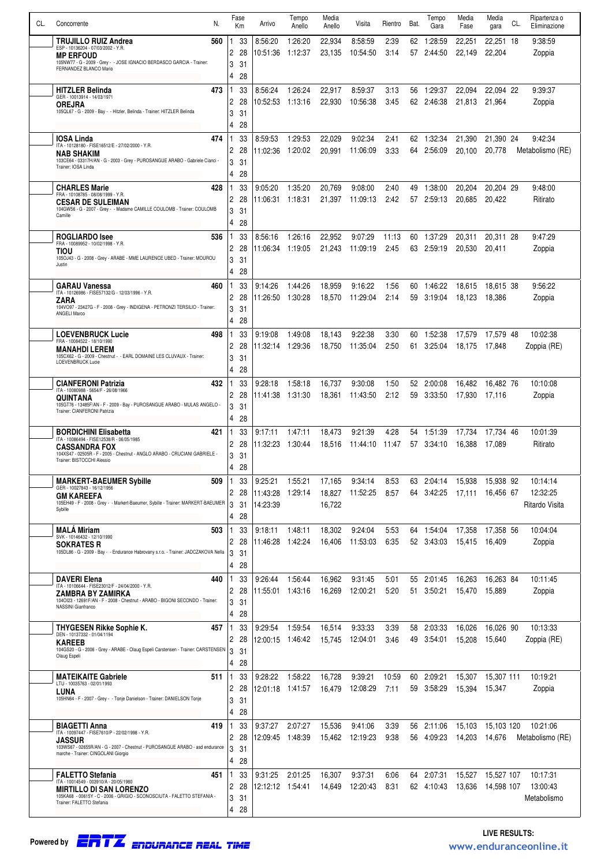| CL. | Concorrente                                                                                                              | N.  | Fase<br>Km           | Arrivo              | Tempo<br>Anello    | Media<br>Anello  | Visita              | Rientro       | Bat.     | Tempo<br>Gara      | Media<br>Fase    | Media<br>gara       | CL. | Ripartenza o<br>Eliminazione |
|-----|--------------------------------------------------------------------------------------------------------------------------|-----|----------------------|---------------------|--------------------|------------------|---------------------|---------------|----------|--------------------|------------------|---------------------|-----|------------------------------|
|     | <b>TRUJILLO RUIZ Andrea</b><br>ESP - 10136204 - 07/03/2002 - Y.R.                                                        | 560 | 33                   | 8:56:20             | 1:26:20            | 22,934           | 8:58:59             | 2:39          | 62.      | 1:28:59            | 22,251           | 22,251 18           |     | 9:38:59                      |
|     | <b>MP ERFOUD</b><br>105NW77 - G - 2009 - Grey - - JOSE IGNACIO BERDASCO GARCIA - Trainer:                                |     | 2<br>28<br>3<br>31   | 10:51:36            | 1:12:37            | 23.135           | 10:54:50            | 3:14          | 57       | 2:44:50            | 22,149           | 22,204              |     | Zoppia                       |
|     | FERNANDEZ BLANCO Mario                                                                                                   |     | 28<br>4              |                     |                    |                  |                     |               |          |                    |                  |                     |     |                              |
|     | <b>HITZLER Belinda</b>                                                                                                   | 473 | 33                   | 8:56:24             | 1:26:24            | 22,917           | 8:59:37             | 3:13          | 56       | 1:29:37            | 22,094           | 22,094 22           |     | 9:39:37                      |
|     | GER - 10013914 - 14/03/1971<br><b>OREJRA</b>                                                                             |     | 28<br>2              | 10:52:53            | 1:13:16            | 22,930           | 10:56:38            | 3:45          | 62       | 2:46:38            | 21,813           | 21,964              |     | Zoppia                       |
|     | 105QL67 - G - 2009 - Bay - - Hitzler, Belinda - Trainer: HITZLER Belinda                                                 |     | 3<br>31<br>4<br>28   |                     |                    |                  |                     |               |          |                    |                  |                     |     |                              |
|     | <b>IOSA Linda</b>                                                                                                        | 474 | 33                   | 8:59:53             | 1:29:53            | 22,029           | 9:02:34             | 2:41          | 62       | 1:32:34            | 21,390           | 21.390 24           |     | 9:42:34                      |
|     | ITA - 10128180 - FISE16512/E - 27/02/2000 - Y.R.<br>NAB SHAKIM                                                           |     | 28<br>2              | 11:02:36            | 1:20:02            | 20,991           | 11:06:09            | 3:33          | 64       | 2:56:09            | 20,100           | 20,778              |     | Metabolismo (RE)             |
|     | 103CE64 - 03317H/AN - G - 2003 - Grey - PUROSANGUE ARABO - Gabriele Cianci -<br>Trainer: IOSA Linda                      |     | 3<br>31              |                     |                    |                  |                     |               |          |                    |                  |                     |     |                              |
|     | <b>CHARLES Marie</b>                                                                                                     | 428 | 28<br>4<br>33        | 9:05:20             | 1:35:20            | 20,769           | 9:08:00             | 2:40          |          | 1:38:00            | 20,204           | 20,204 29           |     | 9:48:00                      |
|     | FRA - 10108785 - 08/08/1999 - Y.R.<br><b>CESAR DE SULEIMAN</b>                                                           |     | 2<br>28              | 11:06:31            | 1:18:31            | 21,397           | 11:09:13            | 2:42          | 49<br>57 | 2:59:13            | 20,685           | 20.422              |     | Ritirato                     |
|     | 104GW56 - G - 2007 - Grey - - Madame CAMILLE COULOMB - Trainer: COULOMB<br>Camille                                       |     | 3<br>31              |                     |                    |                  |                     |               |          |                    |                  |                     |     |                              |
|     |                                                                                                                          |     | 4<br>28              |                     |                    |                  |                     |               |          |                    |                  |                     |     |                              |
|     | <b>ROGLIARDO Isee</b><br>FRA - 10089952 - 10/02/1998 - Y.R.                                                              | 536 | 33<br>2<br>28        | 8:56:16<br>11:06:34 | 1:26:16<br>1:19:05 | 22,952<br>21.243 | 9:07:29<br>11:09:19 | 11:13<br>2:45 | 60<br>63 | 1:37:29<br>2:59:19 | 20,311<br>20,530 | 20,311 28<br>20,411 |     | 9:47:29<br>Zoppia            |
|     | TIOU<br>105OJ43 - G - 2008 - Grey - ARABE - MME LAURENCE UBED - Trainer: MOUROU<br>Justin                                |     | 3<br>31              |                     |                    |                  |                     |               |          |                    |                  |                     |     |                              |
|     |                                                                                                                          |     | 4<br>28              |                     |                    |                  |                     |               |          |                    |                  |                     |     |                              |
|     | <b>GARAU Vanessa</b><br>ITA - 10126986 - FISE57132/G - 12/03/1996 - Y.R.                                                 | 460 | 33                   | 9:14:26             | 1:44:26            | 18,959           | 9:16:22             | 1:56          |          | 60 1:46:22         | 18,615           | 18.615 38           |     | 9:56:22                      |
|     | ZARA<br>104VO97 - 23427G - F - 2008 - Grey - INDIGENA - PETRONZI TERSILIO - Trainer:                                     |     | 2<br>28<br>3<br>31   | 11:26:50 1:30:28    |                    | 18,570           | 11:29:04            | 2:14          |          | 59 3:19:04         | 18,123           | 18.386              |     | Zoppia                       |
|     | ANGELI Marco                                                                                                             |     | 4<br>28              |                     |                    |                  |                     |               |          |                    |                  |                     |     |                              |
|     | <b>LOEVENBRUCK Lucie</b><br>FRA - 10084522 - 18/10/1990                                                                  | 498 | 33                   | 9:19:08             | 1:49:08            | 18,143           | 9:22:38             | 3:30          | 60       | 1:52:38            | 17,579           | 17,579 48           |     | 10:02:38                     |
|     | <b>MANAHDI LEREM</b><br>105CX62 - G - 2009 - Chestnut - - EARL DOMAINE LES CLUVAUX - Trainer:                            |     | 2<br>28<br>3         | 11:32:14            | 1:29:36            | 18,750           | 11:35:04            | 2:50          | 61       | 3:25:04            | 18,175           | 17.848              |     | Zoppia (RE)                  |
|     | LOEVENBRUCK Lucie                                                                                                        |     | 31<br>28<br>4        |                     |                    |                  |                     |               |          |                    |                  |                     |     |                              |
|     | <b>CIANFERONI Patrizia</b>                                                                                               | 432 | 33                   | 9:28:18             | 1:58:18            | 16,737           | 9:30:08             | 1.50          | 52       | 2:00:08            | 16,482           | 16.482 76           |     | 10:10:08                     |
|     | ITA - 10080988 - 5654/F - 26/08/1966<br>QUINTANA                                                                         |     | 2<br>28              | 11:41:38            | 1:31:30            | 18,361           | 11:43:50            | 2:12          | 59       | 3:33:50            | 17.930           | 17,116              |     | Zoppia                       |
|     | 105GT76 - 13485F/AN - F - 2009 - Bay - PUROSANGUE ARABO - MULAS ANGELO -<br>Trainer: CIANFERONI Patrizia                 |     | 3<br>31<br>4<br>28   |                     |                    |                  |                     |               |          |                    |                  |                     |     |                              |
|     | <b>BORDICHINI Elisabetta</b>                                                                                             | 421 | 33                   | 9:17:11             | 1:47:11            | 18,473           | 9:21:39             | 4:28          | 54       | 1:51:39            | 17,734           | 17,734 46           |     | 10:01:39                     |
|     | ITA - 10086494 - FISE12538/R - 06/05/1985<br><b>CASSANDRA FOX</b>                                                        |     | 28<br>2              | 11:32:23            | 1:30:44            | 18,516           | 11:44:10            | 11:47         | 57       | 3:34:10            | 16,388           | 17,089              |     | Ritirato                     |
|     | 104XS47 - 02505R - F - 2005 - Chestnut - ANGLO ARABO - CRUCIANI GABRIELE -<br>Trainer: BISTOCCHI Alessio                 |     | 3<br>31              |                     |                    |                  |                     |               |          |                    |                  |                     |     |                              |
|     | <b>MARKERT-BAEUMER Sybille</b>                                                                                           | 509 | 28<br>4<br>33<br>  1 | 9:25:21             | 1:55:21            | 17,165           | 9:34:14             | 8:53          | 63       | 2:04:14            | 15,938           | 15,938 92           |     | 10:14:14                     |
|     | GER - 10027843 - 16/12/1956<br><b>GM KAREEFA</b>                                                                         |     | 28<br>2              | 11:43:28            | 1:29:14            | 18,827           | 11:52:25            | 8:57          | 64       | 3:42:25            | 17,111           | 16.456 67           |     | 12:32:25                     |
|     | 105EH49 - F - 2008 - Grey - - Markert-Baeumer, Sybille - Trainer: MARKERT-BAEUMER<br>Sybille                             |     | 3<br>31              | 14:23:39            |                    | 16,722           |                     |               |          |                    |                  |                     |     | Ritardo Visita               |
|     |                                                                                                                          |     | 28<br>4              |                     |                    |                  |                     |               |          |                    |                  |                     |     |                              |
|     | <b>MALA Miriam</b><br>SVK - 10146432 - 12/10/1990<br><b>SOKRATES R</b>                                                   | 503 | 33<br>ı<br>2<br>28   | 9:18:11<br>11:46:28 | 1:48:11<br>1:42:24 | 18,302<br>16,406 | 9:24:04<br>11:53:03 | 5.53<br>6:35  | 64<br>52 | 1:54:04<br>3:43:03 | 17,358<br>15,415 | 17,358 56<br>16.409 |     | 10:04:04<br>Zoppia           |
|     | 105DL86 - G - 2009 - Bay - - Endurance Habrovany s.r.o. - Trainer: JADCZAKOVA Nella                                      |     | 3<br>31              |                     |                    |                  |                     |               |          |                    |                  |                     |     |                              |
|     |                                                                                                                          |     | 4<br>28              |                     |                    |                  |                     |               |          |                    |                  |                     |     |                              |
|     | <b>DAVERI Elena</b><br>ITA - 10106644 - FISE23012/F - 24/04/2000 - Y.R.                                                  | 440 | 33<br>2<br>28        | 9:26:44<br>11:55:01 | 1:56:44<br>1:43:16 | 16,962<br>16,269 | 9:31:45<br>12:00:21 | 5:01<br>5:20  | 55<br>51 | 2:01:45<br>3:50:21 | 16,263<br>15,470 | 16,263 84<br>15,889 |     | 10:11:45<br>Zoppia           |
|     | ZAMBRA BY ZAMIRKA<br>1040123 - 12691F/AN - F - 2008 - Chestnut - ARABO - BIGONI SECONDO - Trainer:<br>NASSINI Gianfranco |     | 3<br>31              |                     |                    |                  |                     |               |          |                    |                  |                     |     |                              |
|     |                                                                                                                          |     | 4<br>28              |                     |                    |                  |                     |               |          |                    |                  |                     |     |                              |
|     | THYGESEN Rikke Sophie K.<br>DEN - 10137332 - 01/04/1194                                                                  | 457 | 33<br>2<br>28        | 9:29:54             | 1.59.54            | 16,514           | 9:33:33<br>12:04:01 | 3:39          | 58<br>49 | 2:03:33<br>3:54:01 | 16,026           | 16,026 90<br>15,640 |     | 10:13:33<br>Zoppia (RE)      |
|     | <b>KAREEB</b><br>104GS20 - G - 2006 - Grey - ARABE - Olaug Espeli Carstensen - Trainer: CARSTENSEN                       |     | 3<br>31              | 12:00:15            | 1:46:42            | 15,745           |                     | 3:46          |          |                    | 15,208           |                     |     |                              |
|     | Olaug Espeli                                                                                                             |     | 28<br>4              |                     |                    |                  |                     |               |          |                    |                  |                     |     |                              |
|     | <b>MATEIKAITE Gabriele</b><br>LTU - 10035763 - 02/01/1993                                                                | 511 | 33                   | 9:28:22             | 1:58:22            | 16,728           | 9:39:21             | 10:59         | 60       | 2:09:21            | 15,307           | 15,307 111          |     | 10:19:21                     |
|     | LUNA<br>105HN64 - F - 2007 - Grey - - Tonje Danielson - Trainer: DANIELSON Tonje                                         |     | 2<br>28<br>3<br>31   | 12:01:18            | 1:41:57            | 16,479           | 12:08:29            | 7:11          | 59       | 3:58:29            | 15,394           | 15,347              |     | Zoppia                       |
|     |                                                                                                                          |     | 28<br>4              |                     |                    |                  |                     |               |          |                    |                  |                     |     |                              |
|     | <b>BIAGETTI Anna</b><br>ITA - 10097447 - FISE7610/P - 22/02/1998 - Y.R.                                                  | 419 | 33                   | 9:37:27             | 2:07:27            | 15,536           | 9:41:06             | 3:39          | 56       | 2:11:06            | 15,103           | 15,103 120          |     | 10:21:06                     |
|     | <b>JASSUR</b><br>103WS67 - 02655R/AN - G - 2007 - Chestnut - PUROSANGUE ARABO - asd endurance                            |     | 2<br>28              | 12:09:45            | 1:48:39            | 15,462           | 12:19:23            | 9:38          | 56       | 4:09:23            | 14,203           | 14,676              |     | Metabolismo (RE)             |
|     | marche - Trainer: CINGOLANI Giorgio                                                                                      |     | 3<br>31<br>4<br>28   |                     |                    |                  |                     |               |          |                    |                  |                     |     |                              |
|     | <b>FALETTO Stefania</b>                                                                                                  | 451 | 33                   | 9:31:25             | 2:01:25            | 16,307           | 9:37:31             | 6:06          | 64       | 2:07:31            | 15,527           | 15,527 107          |     | 10:17:31                     |
|     | ITA - 10014549 - 003910/A - 20/05/1980<br><b>MIRTILLO DI SAN LORENZO</b>                                                 |     | 2<br>28              | 12:12:12  1:54:41   |                    | 14,649           | 12:20:43            | 8:31          |          | 62 4:10:43         | 13,636           | 14,598 107          |     | 13:00:43                     |
|     | 105KA68 - 00615Y - C - 2006 - GRIGIO - SCONOSCIUTA - FALETTO STEFANIA -<br>Trainer: FALETTO Stefania                     |     | 3<br>31<br>4<br>28   |                     |                    |                  |                     |               |          |                    |                  |                     |     | Metabolismo                  |
|     |                                                                                                                          |     |                      |                     |                    |                  |                     |               |          |                    |                  |                     |     |                              |

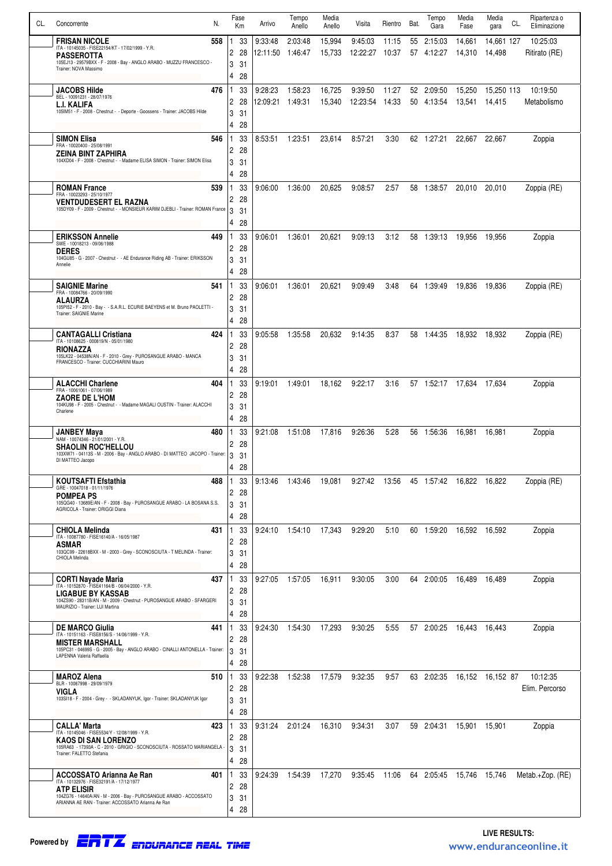| CL. | Concorrente                                                                                                                                    | N.  |        | Fase<br>Кm | Arrivo              | Tempo<br>Anello    | Media<br>Anello  | Visita                    | Rientro | Bat. | Tempo<br>Gara                    | Media<br>Fase    | Media<br>gara        | CL. | Ripartenza o<br>Eliminazione |
|-----|------------------------------------------------------------------------------------------------------------------------------------------------|-----|--------|------------|---------------------|--------------------|------------------|---------------------------|---------|------|----------------------------------|------------------|----------------------|-----|------------------------------|
|     | <b>FRISAN NICOLE</b>                                                                                                                           | 558 |        | 33         | 9:33:48             | 2:03:48            | 15,994           | 9:45:03                   | 11:15   | 55   | 2:15:03                          | 14,661           | 14,661 127           |     | 10:25:03                     |
|     | ITA - 10145035 - FISE22154/KT - 17/02/1999 - Y.R.<br><b>PASSEROTTA</b>                                                                         |     | 2      | 28         |                     |                    | 15,733           | 12:22:27 10:37            |         |      | 57 4:12:27                       | 14,310           | 14,498               |     | Ritirato (RE)                |
|     | 105EJ13 - 29579BXX - F - 2008 - Bay - ANGLO ARABO - MUZZU FRANCESCO -<br>Trainer: NOVA Massimo                                                 |     | 3      | 31         |                     |                    |                  |                           |         |      |                                  |                  |                      |     |                              |
|     |                                                                                                                                                |     | 4      | 28         |                     |                    |                  |                           |         |      |                                  |                  |                      |     |                              |
|     | JACOBS Hilde<br>BEL - 10091231 - 28/07/1976                                                                                                    | 476 | 2      | 33<br>28   | 9:28:23<br>12:09:21 | 1:58:23<br>1:49:31 | 16,725<br>15,340 | 9:39:50<br>12:23:54 14:33 | 11:27   |      | 52 2:09:50<br>50 4:13:54         | 15,250<br>13,541 | 15,250 113<br>14,415 |     | 10:19:50<br>Metabolismo      |
|     | L.I. KALIFA<br>105IM51 - F - 2008 - Chestnut - - Deporte - Goossens - Trainer: JACOBS Hilde                                                    |     | 3      | 31         |                     |                    |                  |                           |         |      |                                  |                  |                      |     |                              |
|     |                                                                                                                                                |     | 4      | 28         |                     |                    |                  |                           |         |      |                                  |                  |                      |     |                              |
|     | <b>SIMON Elisa</b><br>FRA - 10020400 - 25/08/1991                                                                                              | 546 |        | 33         | 8:53:51             | 1:23:51            | 23,614           | 8:57:21                   | 3:30    |      | 62 1:27:21                       | 22,667           | 22,667               |     | Zoppia                       |
|     | ZEINA BINT ZAPHIRA                                                                                                                             |     | 2      | 28         |                     |                    |                  |                           |         |      |                                  |                  |                      |     |                              |
|     | 104XD04 - F - 2008 - Chestnut - - Madame ELISA SIMON - Trainer: SIMON Elisa                                                                    |     | 3<br>4 | 31<br>28   |                     |                    |                  |                           |         |      |                                  |                  |                      |     |                              |
|     | <b>ROMAN France</b>                                                                                                                            | 539 |        | 33         | 9:06:00             | 1:36:00            | 20,625           | 9:08:57                   | 2.57    | 58   | 1:38:57                          | 20,010           | 20,010               |     | Zoppia (RE)                  |
|     | FRA - 10023293 - 25/10/1977<br><b>VENTDUDESERT EL RAZNA</b>                                                                                    |     | 2      | 28         |                     |                    |                  |                           |         |      |                                  |                  |                      |     |                              |
|     | 105DY09 - F - 2009 - Chestnut - - MONSIEUR KARIM DJEBLI - Trainer: ROMAN France                                                                |     | 3      | 31         |                     |                    |                  |                           |         |      |                                  |                  |                      |     |                              |
|     |                                                                                                                                                |     | 4      | 28         |                     |                    |                  |                           |         |      |                                  |                  |                      |     |                              |
|     | <b>ERIKSSON Annelie</b><br>SWE - 10018213 - 09/06/1988                                                                                         | 449 | 2      | 33<br>28   | 9:06:01             | 1:36:01            | 20,621           | 9:09:13                   | 3:12    |      | 58 1:39:13                       | 19,956           | 19.956               |     | Zoppia                       |
|     | <b>DERES</b><br>104GU85 - G - 2007 - Chestnut - - AE Endurance Riding AB - Trainer: ERIKSSON                                                   |     | 3      | 31         |                     |                    |                  |                           |         |      |                                  |                  |                      |     |                              |
|     | Annelie                                                                                                                                        |     | 4      | 28         |                     |                    |                  |                           |         |      |                                  |                  |                      |     |                              |
|     | <b>SAIGNIE Marine</b><br>FRA - 10084766 - 20/09/1990                                                                                           | 541 |        | 33         | 9:06:01             | 1:36:01            | 20,621           | 9:09:49                   | 3:48    |      | 64 1:39:49                       | 19,836           | 19.836               |     | Zoppia (RE)                  |
|     | ALAURZA                                                                                                                                        |     | 2      | 28         |                     |                    |                  |                           |         |      |                                  |                  |                      |     |                              |
|     | 105PI52 - F - 2010 - Bay - - S.A.R.L. ECURIE BAEYENS et M. Bruno PAOLETTI -<br>Trainer: SAIGNIE Marine                                         |     | 3<br>4 | 31<br>28   |                     |                    |                  |                           |         |      |                                  |                  |                      |     |                              |
|     | <b>CANTAGALLI Cristiana</b>                                                                                                                    | 424 |        | 33         | 9:05:58             | 1:35:58            | 20,632           | 9:14:35                   | 8:37    |      | 58 1:44:35                       | 18,932           | 18,932               |     | Zoppia (RE)                  |
|     | ITA - 10108625 - 000819/N - 05/01/1980<br>RIONAZZA                                                                                             |     | 2      | 28         |                     |                    |                  |                           |         |      |                                  |                  |                      |     |                              |
|     | 105LK22 - 04538N/AN - F - 2010 - Grey - PUROSANGUE ARABO - MANCA<br>FRANCESCO - Trainer: CUCCHIARINI Mauro                                     |     | 3      | 31         |                     |                    |                  |                           |         |      |                                  |                  |                      |     |                              |
|     |                                                                                                                                                |     | 4      | 28         |                     |                    |                  |                           |         |      |                                  |                  |                      |     |                              |
|     | <b>ALACCHI Charlene</b><br>FRA - 10061061 - 07/06/1989                                                                                         | 404 |        | 33         | 9:19:01             | 1:49:01            | 18,162           | 9:22:17                   | 3:16    |      | 57 1:52:17                       | 17,634 17,634    |                      |     | Zoppia                       |
|     | <b>ZAORE DE L'HOM</b><br>104KU98 - F - 2005 - Chestnut - - Madame MAGALI OUSTIN - Trainer: ALACCHI                                             |     | 2<br>3 | 28<br>31   |                     |                    |                  |                           |         |      |                                  |                  |                      |     |                              |
|     | Charlene                                                                                                                                       |     | 4      | 28         |                     |                    |                  |                           |         |      |                                  |                  |                      |     |                              |
|     | JANBEY Maya                                                                                                                                    | 480 |        | 33         | 9:21:08             | 1.51.08            | 17,816           | 9:26:36                   | 5.28    |      | 56 1:56:36                       | 16,981           | 16,981               |     | Zoppia                       |
|     | NAM - 10074346 - 21/01/2001 - Y.R.<br><b>SHAOLIN ROC'HELLOU</b>                                                                                |     | 2      | 28         |                     |                    |                  |                           |         |      |                                  |                  |                      |     |                              |
|     | 103XW71 - 04113S - M - 2006 - Bay - ANGLO ARABO - DI MATTEO JACOPO - Trainer:<br>DI MATTEO Jacopo                                              |     | 3<br>4 | -31<br>28  |                     |                    |                  |                           |         |      |                                  |                  |                      |     |                              |
|     | <b>KOUTSAFTI Efstathia</b>                                                                                                                     | 488 |        | 33         | 9:13:46             | 1:43:46            | 19,081           | 9:27:42                   |         |      | 13:56    45    1:57:42    16,822 |                  | 16,822               |     | Zoppia (RE)                  |
|     | GRE - 10047018 - 01/11/1976<br><b>POMPEA PS</b>                                                                                                |     | 2      | 28         |                     |                    |                  |                           |         |      |                                  |                  |                      |     |                              |
|     | 105QG40 - 13689E/AN - F - 2008 - Bay - PUROSANGUE ARABO - LA BOSANA S.S.<br>AGRICOLA - Trainer: ORIGGI Diana                                   |     | 3      | 31         |                     |                    |                  |                           |         |      |                                  |                  |                      |     |                              |
|     |                                                                                                                                                |     | 4      | 28         |                     |                    |                  |                           |         |      |                                  |                  |                      |     |                              |
|     | <b>CHIOLA Melinda</b><br>ITA - 10087780 - FISE16140/A - 16/05/1987                                                                             | 431 |        | 33         | 9:24:10             | 1:54:10            | 17,343           | 9:29:20                   | 5:10    |      | 60 1:59:20                       | 16,592           | 16,592               |     | Zoppia                       |
|     | <b>ASMAR</b><br>103QC99 - 22618BXX - M - 2003 - Grey - SCONOSCIUTA - T MELINDA - Trainer:                                                      |     | 2<br>3 | 28<br>31   |                     |                    |                  |                           |         |      |                                  |                  |                      |     |                              |
|     | CHIOLA Melinda                                                                                                                                 |     | 4      | 28         |                     |                    |                  |                           |         |      |                                  |                  |                      |     |                              |
|     | <b>CORTI Nayade Maria</b>                                                                                                                      | 437 |        | 33         | 9:27:05             | 1:57:05            | 16,911           | 9:30:05                   | 3:00    |      | 64 2:00:05                       | 16,489           | 16,489               |     | Zoppia                       |
|     | ITA - 10152870 - FISE41164/B - 06/04/2000 - Y.R.<br><b>LIGABUE BY KASSAB</b>                                                                   |     | 2      | 28         |                     |                    |                  |                           |         |      |                                  |                  |                      |     |                              |
|     | 104ZS90 - 28311B/AN - M - 2009 - Chestnut - PUROSANGUE ARABO - SFARGERI<br>MAURIZIO - Trainer: LUI Martina                                     |     | 3      | 31         |                     |                    |                  |                           |         |      |                                  |                  |                      |     |                              |
|     | <b>DE MARCO Giulia</b>                                                                                                                         | 441 | 4      | 28<br>33   | 9:24:30             | 1.54:30            | 17,293           | 9:30:25                   | 5:55    |      | 57 2:00:25                       | 16,443           | 16,443               |     | Zoppia                       |
|     | ITA - 10151163 - FISE8156/S - 14/06/1999 - Y.R.<br><b>MISTER MARSHALL</b>                                                                      |     | 2      | 28         |                     |                    |                  |                           |         |      |                                  |                  |                      |     |                              |
|     | 105PC31 - 04699S - G - 2005 - Bay - ANGLO ARABO - CINALLI ANTONELLA - Trainer:<br>LAPENNA Valeria Raffaella                                    |     | 3      | 31         |                     |                    |                  |                           |         |      |                                  |                  |                      |     |                              |
|     |                                                                                                                                                |     | 4      | 28         |                     |                    |                  |                           |         |      |                                  |                  |                      |     |                              |
|     | <b>MAROZ Alena</b><br>BLR - 10067998 - 29/09/1979                                                                                              | 510 |        | 33         | 9:22:38             | 1.52:38            | 17,579           | 9:32:35                   | 9:57    |      | 63 2:02:35                       |                  | 16,152 16,152 87     |     | 10:12:35                     |
|     | VIGLA<br>103SI18 - F - 2004 - Grey - - SKLADANYUK, Igor - Trainer: SKLADANYUK Igor                                                             |     | 2<br>3 | 28<br>31   |                     |                    |                  |                           |         |      |                                  |                  |                      |     | Elim. Percorso               |
|     |                                                                                                                                                |     | 4      | 28         |                     |                    |                  |                           |         |      |                                  |                  |                      |     |                              |
|     | <b>CALLA' Marta</b>                                                                                                                            | 423 |        | 33         | 9:31:24             | 2:01:24            | 16,310           | 9:34:31                   | 3:07    |      | 59 2:04:31                       | 15,901           | 15,901               |     | Zoppia                       |
|     | ITA - 10145046 - FISE5534/Y - 12/08/1999 - Y.R.<br>KAOS DI SAN LORENZO                                                                         |     | 2      | 28         |                     |                    |                  |                           |         |      |                                  |                  |                      |     |                              |
|     | 105RA63 - 17393A - C - 2010 - GRIGIO - SCONOSCIUTA - ROSSATO MARIANGELA<br>Trainer: FALETTO Stefania                                           |     | 3      | 31         |                     |                    |                  |                           |         |      |                                  |                  |                      |     |                              |
|     |                                                                                                                                                |     | 4      | 28         |                     |                    |                  |                           |         |      |                                  |                  |                      |     |                              |
|     | <b>ACCOSSATO Arianna Ae Ran</b><br>ITA - 10132976 - FISE32191/A - 17/12/1977                                                                   | 401 | 2      | 33<br>28   | 9:24:39             | 1:54:39            | 17,270           | 9:35:45                   |         |      | 11:06 64 2:05:45 15,746          |                  | 15,746               |     | Metab.+Zop. (RE)             |
|     | <b>ATP ELISIR</b><br>104ZG76 - 14640A/AN - M - 2006 - Bay - PUROSANGUE ARABO - ACCOSSATO<br>ARIANNA AE RAN - Trainer: ACCOSSATO Arianna Ae Ran |     | 3      | 31         |                     |                    |                  |                           |         |      |                                  |                  |                      |     |                              |
|     |                                                                                                                                                |     | 4      | -28        |                     |                    |                  |                           |         |      |                                  |                  |                      |     |                              |

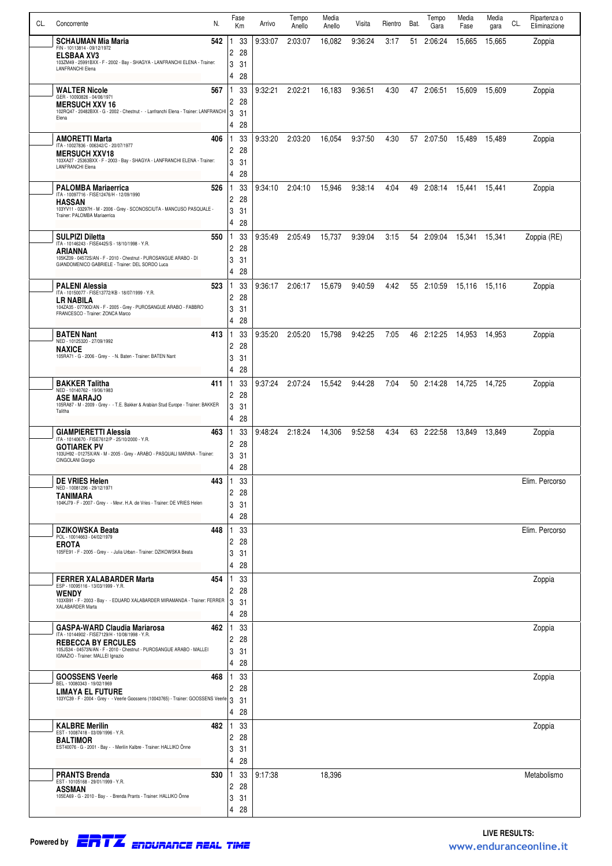| CL. | Concorrente                                                                                                                             | N.  |                | Fase<br>Km | Arrivo  | Tempo<br>Anello | Media<br>Anello | Visita  | Rientro | Bat. | Tempo<br>Gara | Media<br>Fase | Media<br>gara | CL. | Ripartenza o<br>Eliminazione |
|-----|-----------------------------------------------------------------------------------------------------------------------------------------|-----|----------------|------------|---------|-----------------|-----------------|---------|---------|------|---------------|---------------|---------------|-----|------------------------------|
|     | <b>SCHAUMAN Mia Maria</b>                                                                                                               | 542 |                | 33         | 9:33:07 | 2:03:07         | 16,082          | 9:36:24 | 3:17    | 51   | 2:06:24       | 15,665        | 15,665        |     | Zoppia                       |
|     | FIN - 10113814 - 09/12/1972<br><b>ELSBAA XV3</b><br>103ZM49 - 25991BXX - F - 2002 - Bay - SHAGYA - LANFRANCHI ELENA - Trainer:          |     | 2              | 28         |         |                 |                 |         |         |      |               |               |               |     |                              |
|     | <b>LANFRANCHI Elena</b>                                                                                                                 |     | 3<br>4         | 31<br>28   |         |                 |                 |         |         |      |               |               |               |     |                              |
|     | <b>WALTER Nicole</b>                                                                                                                    | 567 |                | 33         | 9:32:21 | 2:02:21         | 16,183          | 9:36:51 | 4:30    |      | 47 2:06:51    | 15,609        | 15,609        |     | Zoppia                       |
|     | GER - 10093826 - 04/06/1971<br><b>MERSUCH XXV 16</b>                                                                                    |     | 2              | 28         |         |                 |                 |         |         |      |               |               |               |     |                              |
|     | 102RQ47 - 20482BXX - G - 2002 - Chestnut - - Lanfranchi Elena - Trainer: LANFRANCHI<br>Elena                                            |     | 3<br>4         | 31<br>28   |         |                 |                 |         |         |      |               |               |               |     |                              |
|     | <b>AMORETTI Marta</b>                                                                                                                   | 406 |                | 33         | 9:33:20 | 2:03:20         | 16,054          | 9:37:50 | 4:30    |      | 57 2:07:50    | 15.489        | 15,489        |     | Zoppia                       |
|     | ITA - 10027836 - 006342/C - 20/07/1977<br><b>MERSUCH XXV18</b>                                                                          |     | 2              | 28         |         |                 |                 |         |         |      |               |               |               |     |                              |
|     | 103XA27 - 25363BXX - F - 2003 - Bay - SHAGYA - LANFRANCHI ELENA - Trainer:<br><b>LANFRANCHI Elena</b>                                   |     | 3<br>4         | 31<br>28   |         |                 |                 |         |         |      |               |               |               |     |                              |
|     | <b>PALOMBA Mariaerrica</b>                                                                                                              | 526 |                | 33         | 9:34:10 | 2:04:10         | 15,946          | 9:38:14 | 4:04    |      | 49 2:08:14    |               |               |     | Zoppia                       |
|     | ITA - 10097716 - FISE12476/H - 12/09/1990<br><b>HASSAN</b>                                                                              |     | 2              | 28         |         |                 |                 |         |         |      |               |               |               |     |                              |
|     | 103YV11 - 03297H - M - 2006 - Grey - SCONOSCIUTA - MANCUSO PASQUALE -<br>Trainer: PALOMBA Mariaerrica                                   |     | 3<br>4         | 31         |         |                 |                 |         |         |      |               |               |               |     |                              |
|     | <b>SULPIZI Diletta</b>                                                                                                                  | 550 |                | 28<br>33   | 9:35:49 | 2:05:49         | 15,737          | 9:39:04 | 3:15    |      | 54 2:09:04    | 15,341        | 15,341        |     | Zoppia (RE)                  |
|     | ITA - 10146243 - FISE4425/S - 18/10/1998 - Y.R.<br>ARIANNA                                                                              |     | 2              | 28         |         |                 |                 |         |         |      |               |               |               |     |                              |
|     | 105KZ09 - 04572S/AN - F - 2010 - Chestnut - PUROSANGUE ARABO - DI<br>GIANDOMENICO GABRIELE - Trainer: DEL SORDO Luca                    |     | 3              | 31         |         |                 |                 |         |         |      |               |               |               |     |                              |
|     | <b>PALENI Alessia</b>                                                                                                                   | 523 | 4              | 28<br>33   | 9:36:17 | 2:06:17         | 15,679          | 9:40:59 | 4:42    |      | 55 2:10:59    | 15,116 15,116 |               |     | Zoppia                       |
|     | ITA - 10150077 - FISE13772/KB - 18/07/1999 - Y.R.<br>LR NABILA                                                                          |     | 2              | 28         |         |                 |                 |         |         |      |               |               |               |     |                              |
|     | 104ZA35 - 07790D/AN - F - 2005 - Grey - PUROSANGUE ARABO - FABBRO<br>FRANCESCO - Trainer: ZONCA Marco                                   |     | 3              | 31         |         |                 |                 |         |         |      |               |               |               |     |                              |
|     |                                                                                                                                         | 413 | 4              | 28         |         |                 |                 |         |         |      |               |               |               |     |                              |
|     | <b>BATEN Nant</b><br>NED - 10125320 - 27/09/1992<br><b>NAXICE</b>                                                                       |     | 2              | 33<br>28   | 9:35:20 | 2:05:20         | 15,798          | 9:42:25 | 7:05    |      | 46 2:12:25    | 14,953        | 14,953        |     | Zoppia                       |
|     | 105RA71 - G - 2006 - Grey - - N. Baten - Trainer: BATEN Nant                                                                            |     | 3              | 31         |         |                 |                 |         |         |      |               |               |               |     |                              |
|     |                                                                                                                                         |     | 4              | 28         |         |                 |                 |         |         |      |               |               |               |     |                              |
|     | <b>BAKKER Talitha</b><br>NED - 10140762 - 19/06/1983<br><b>ASE MARAJO</b>                                                               | 411 | 2              | 33<br>28   | 9:37:24 | 2:07:24         | 15,542          | 9:44:28 | 7:04    |      | 50 2:14:28    | 14,725        | 14,725        |     | Zoppia                       |
|     | 105RA87 - M - 2009 - Grey - - T.E. Bakker & Arabian Stud Europe - Trainer: BAKKER<br>Talitha                                            |     | 3              | 31         |         |                 |                 |         |         |      |               |               |               |     |                              |
|     |                                                                                                                                         |     | 4              | 28         |         |                 |                 |         |         |      |               |               |               |     |                              |
|     | <b>GIAMPIERETTI Alessia</b><br>ITA - 10140670 - FISE7612/P - 25/10/2000 - Y.R.                                                          | 463 | 2              | 33<br>28   | 9:48:24 | 2:18:24         | 14,306          | 9:52:58 | 4:34    |      | 63 2:22:58    | 13,849        | 13,849        |     | Zoppia                       |
|     | <b>GOTIAREK PV</b><br>103UH92 - 01275X/AN - M - 2005 - Grey - ARABO - PASQUALI MARINA - Trainer:<br>CINGOLANI Giorgio                   |     | 3              | 31         |         |                 |                 |         |         |      |               |               |               |     |                              |
|     |                                                                                                                                         |     | 4              | 28         |         |                 |                 |         |         |      |               |               |               |     |                              |
|     | DE VRIES Helen<br>NED - 10081296 - 29/12/1971                                                                                           | 443 | 2              | 33<br>28   |         |                 |                 |         |         |      |               |               |               |     | Elim. Percorso               |
|     | TANIMARA<br>104KJ79 - F - 2007 - Grey - - Mevr. H.A. de Vries - Trainer: DE VRIES Helen                                                 |     | 3              | 31         |         |                 |                 |         |         |      |               |               |               |     |                              |
|     |                                                                                                                                         |     | 4              | 28         |         |                 |                 |         |         |      |               |               |               |     |                              |
|     | <b>DZIKOWSKA Beata</b><br>POL - 10014663 - 04/02/1979                                                                                   | 448 | 1<br>2         | 33<br>28   |         |                 |                 |         |         |      |               |               |               |     | Elim. Percorso               |
|     | <b>EROTA</b><br>105FE91 - F - 2005 - Grey - - Julia Urban - Trainer: DZIKOWSKA Beata                                                    |     | 3              | 31         |         |                 |                 |         |         |      |               |               |               |     |                              |
|     |                                                                                                                                         |     | 4              | 28         |         |                 |                 |         |         |      |               |               |               |     |                              |
|     | <b>FERRER XALABARDER Marta</b><br>ESP - 10095116 - 13/03/1999 - Y.R.                                                                    | 454 | 2              | 33<br>-28  |         |                 |                 |         |         |      |               |               |               |     | Zoppia                       |
|     | <b>WENDY</b><br>103XB91 - F - 2003 - Bay - - EDUARD XALABARDER MIRAMANDA - Trainer: FERRER<br>XALABARDER Marta                          |     | 3              | 31         |         |                 |                 |         |         |      |               |               |               |     |                              |
|     |                                                                                                                                         |     | 4              | 28         |         |                 |                 |         |         |      |               |               |               |     |                              |
|     | <b>GASPA-WARD Claudia Mariarosa</b><br>ITA - 10144902 - FISE7129/H - 10/08/1998 - Y.R.                                                  | 462 | $\mathbf{2}$   | 33<br>28   |         |                 |                 |         |         |      |               |               |               |     | Zoppia                       |
|     | <b>REBECCA BY ERCULES</b><br>105JS34 - 04573N/AN - F - 2010 - Chestnut - PUROSANGUE ARABO - MALLEI<br>IGNAZIO - Trainer: MALLEI Ignazio |     | 3              | 31         |         |                 |                 |         |         |      |               |               |               |     |                              |
|     |                                                                                                                                         |     | 4              | 28         |         |                 |                 |         |         |      |               |               |               |     |                              |
|     | <b>GOOSSENS Veerle</b><br>BEL - 10080343 - 19/02/1969                                                                                   | 468 |                | 33         |         |                 |                 |         |         |      |               |               |               |     | Zoppia                       |
|     | LIMAYA EL FUTURE<br>103YC39 - F - 2004 - Grey - - Veerle Goossens (10043765) - Trainer: GOOSSENS Veerle 3                               |     | $\overline{2}$ | 28<br>31   |         |                 |                 |         |         |      |               |               |               |     |                              |
|     |                                                                                                                                         |     | 4              | 28         |         |                 |                 |         |         |      |               |               |               |     |                              |
|     | <b>KALBRE Merilin</b><br>EST - 10087418 - 03/09/1996 - Y.R.                                                                             | 482 |                | 33         |         |                 |                 |         |         |      |               |               |               |     | Zoppia                       |
|     | <b>BALTIMOR</b><br>EST40076 - G - 2001 - Bay - - Merilin Kalbre - Trainer: HALLIKO Onne                                                 |     | 2<br>3         | 28<br>31   |         |                 |                 |         |         |      |               |               |               |     |                              |
|     |                                                                                                                                         |     | 4              | 28         |         |                 |                 |         |         |      |               |               |               |     |                              |
|     | <b>PRANTS Brenda</b><br>EST - 10105168 - 29/01/1999 - Y.R.                                                                              | 530 |                | 33         | 9:17:38 |                 | 18,396          |         |         |      |               |               |               |     | Metabolismo                  |
|     | ASSMAN<br>105EA69 - G - 2010 - Bay - - Brenda Prants - Trainer: HALLIKO Onne                                                            |     | 2<br>3         | 28<br>31   |         |                 |                 |         |         |      |               |               |               |     |                              |
|     |                                                                                                                                         |     | 4              | -28        |         |                 |                 |         |         |      |               |               |               |     |                              |

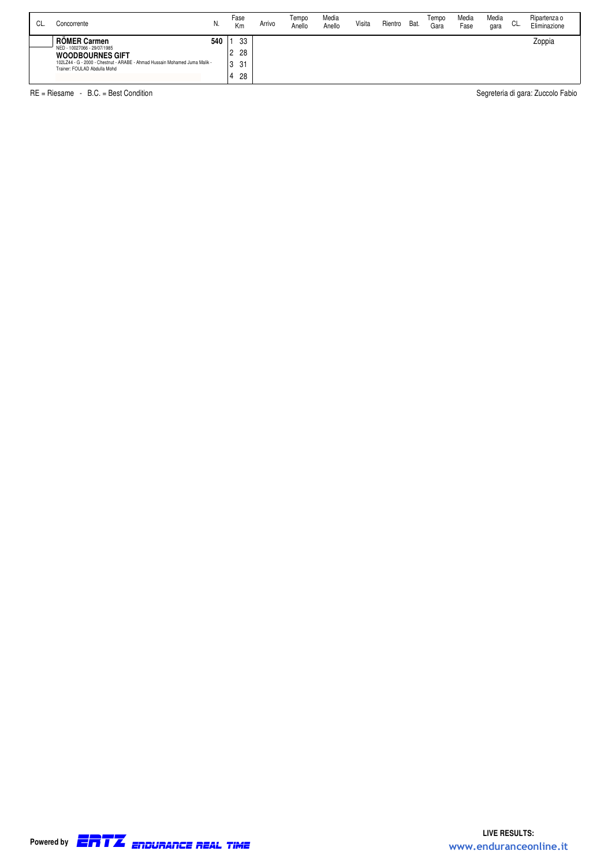| CL. | Concorrente                                                                                                                                                                                 | N.  | Fase<br>Km                | Arrivo | Tempo<br>Anello | Media<br>Anello | Visita | Rientro | Bat. | Tempo<br>Gara | Media<br>Fase | Media<br>gara | CL. | Ripartenza o<br>Eliminazione |
|-----|---------------------------------------------------------------------------------------------------------------------------------------------------------------------------------------------|-----|---------------------------|--------|-----------------|-----------------|--------|---------|------|---------------|---------------|---------------|-----|------------------------------|
|     | <b>RÖMER Carmen</b><br>NED - 10027066 - 29/07/1985<br><b>WOODBOURNES GIFT</b><br>102LZ44 - G - 2000 - Chestnut - ARABE - Ahmad Hussain Mohamed Juma Malik -<br>Trainer: FOULAD Abdulla Mohd | 540 | 33<br>28<br>31<br>3<br>28 |        |                 |                 |        |         |      |               |               |               |     | Zoppia                       |

RE = Riesame - B.C. = Best Condition Segreteria di gara: Zuccolo Fabio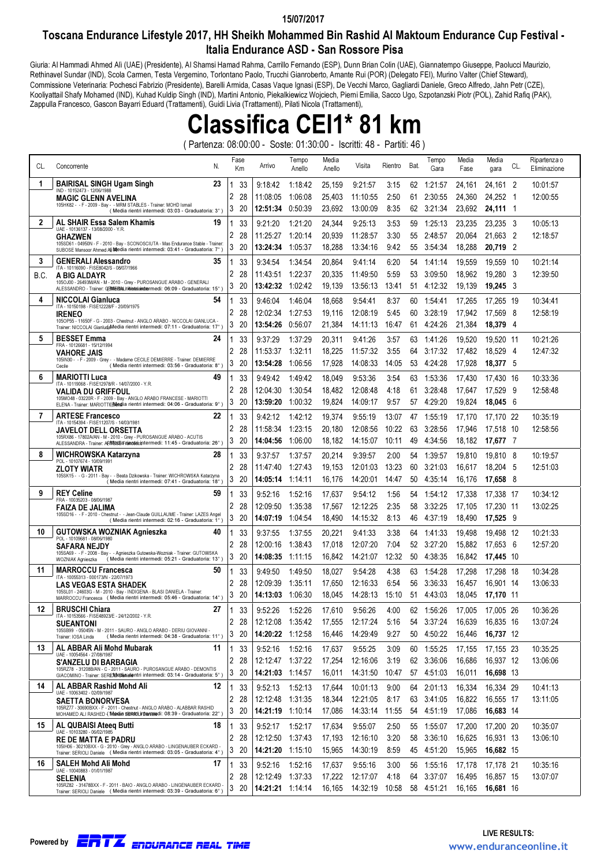### 15/07/2017

## Toscana Endurance Lifestyle 2017, HH Sheikh Mohammed Bin Rashid Al Maktoum Endurance Cup Festival - Italia Endurance ASD - San Rossore Pisa

Giuria: Al Hammadi Ahmed Alì (UAE) (Presidente), Al Shamsi Hamad Rahma, Carrillo Fernando (ESP), Dunn Brian Colin (UAE), Giannatempo Giuseppe, Paolucci Maurizio, Rethinavel Sundar (IND), Scola Carmen, Testa Vergemino, Torlontano Paolo, Trucchi Gianroberto, Amante Rui (POR) (Delegato FEI), Murino Valter (Chief Steward), Commissione Veterinaria: Pochesci Fabrizio (Presidente), Barelli Armida, Casas Vaque Ignasi (ESP), De Vecchi Marco, Gagliardi Daniele, Greco Alfredo, Jahn Petr (CZE), Kooliyattail Shafy Mohamed (IND), Kuhad Kuldip Singh (IND), Martini Antonio, Piekalkiewicz Wojciech, Pierni Emilia, Sacco Ugo, Szpotanzski Piotr (POL), Zahid Rafiq (PAK), Zappulla Francesco, Gascon Bayarri Eduard (Trattamenti), Guidi Livia (Trattamenti), Pilati Nicola (Trattamenti),

# Classifica CEI1\* 81 km

( Partenza: 08:00:00 - Soste: 01:30:00 - Iscritti: 48 - Partiti: 46 )

| CL.  | N.<br>Concorrente                                                                                                                                               |              | Fase<br>Km | Arrivo               | Tempo<br>Anello    | Media<br>Anello  | Visita               | Rientro       | Bat.     | Tempo<br>Gara      | Media<br>Fase    | Media<br>gara         | CL.            | Ripartenza o<br>Eliminazione |
|------|-----------------------------------------------------------------------------------------------------------------------------------------------------------------|--------------|------------|----------------------|--------------------|------------------|----------------------|---------------|----------|--------------------|------------------|-----------------------|----------------|------------------------------|
| 1    | <b>BAIRISAL SINGH Ugam Singh</b><br>23<br>IND - 10152473 - 12/06/1988                                                                                           |              | 33         | 9:18:42              | 1:18:42            | 25,159           | 9:21:57              | 3:15          | 62       | 1:21:57            | 24,161           | 24,161 2              |                | 10:01:57                     |
|      | <b>MAGIC GLENN AVELINA</b>                                                                                                                                      | 2            | 28         | 11:08:05             | 1:06:08            | 25,403           | 11:10:55             | 2:50          | 61       | 2:30:55            | 24,360           | 24,252 1              |                | 12:00:55                     |
|      | 105HK82 - - F - 2009 - Bay - - MRM STABLES - Trainer: MOHD Ismail<br>(Media rientri intermedi: 03:03 - Graduatoria: 3°)                                         | 3            | 20         | 12:51:34             | 0:50:39            | 23,692           | 13:00:09             | 8:35          | 62       | 3:21:34            | 23,692           | 24,111 1              |                |                              |
| 2    | AL SHAIR Essa Salem Khamis<br>19<br>UAE - 10136137 - 13/08/2000 - Y.R.                                                                                          | 1            | 33         | 9:21:20              | 1:21:20            | 24,344           | 9:25:13              | 3:53          | 59       | 1:25:13            | 23,235           | 23,235 3              |                | 10:05:13                     |
|      | <b>GHAZWEN</b>                                                                                                                                                  | 2            | 28         | 11:25:27             | 1:20:14            | 20,939           | 11:28:57             | 3:30          | 55       | 2:48:57            | 20,064           | 21,663 2              |                | 12:18:57                     |
|      | 105SD61 - 04950N - F - 2010 - Bay - SCONOSCIUTA - Mas Endurance Stable - Trainer:<br>SUBOSE Mansoor Ahmed Ali Media rientri intermedi: 03:41 - Graduatoria: 7°) | 3            | 20         | 13:24:34             | 1:05:37            | 18,288           | 13:34:16             | 9:42          | 55       | 3:54:34            | 18,288           | 20,719                | $\overline{2}$ |                              |
| 3    | <b>GENERALI Alessandro</b><br>35                                                                                                                                | 1            | 33         | 9:34:54              | 1:34:54            | 20,864           | 9:41:14              | 6:20          | 54       | 1:41:14            | 19,559           | 19.559 10             |                | 10:21:14                     |
| B.C. | ITA - 10116090 - FISE8042/S - 08/07/1966<br>A BIG ALDAYR                                                                                                        | 2            | 28         | 11:43:51             | 1:22:37            | 20,335           | 11:49:50             | 5:59          | 53       | 3:09:50            | 18,962           | 19,280                | - 3            | 12:39:50                     |
|      | 105OJ00 - 26493M/AN - M - 2010 - Grey - PUROSANGUE ARABO - GENERALI<br>ALESSANDRO - Trainer: GEMERIAL rigetsiandermedi: 06:09 - Graduatoria: 15°)               | 3            | 20         | 13:42:32             | 1:02:42            | 19,139           | 13:56:13             | 13:41         | 51       | 4:12:32            | 19,139           | $19.245 \quad 3$      |                |                              |
| 4    | NICCOLAI Gianluca<br>54                                                                                                                                         |              | 33         | 9:46:04              | 1:46:04            | 18,668           | 9:54:41              | 8:37          | 60       | 1:54:41            | 17,265           | 17.265 19             |                | 10:34:41                     |
|      | ITA - 10150198 - FISE12228/F - 20/09/1975<br><b>IRENEO</b>                                                                                                      | 2            | 28         | 12:02:34             | 1:27:53            | 19,116           | 12:08:19             | 5:45          | 60       | 3:28:19            | 17,942           | 17,569 8              |                | 12:58:19                     |
|      | 105OP55 - 11650F - G - 2003 - Chestnut - ANGLO ARABO - NICCOLAI GIANLUCA -<br>Trainer: NICCOLAI GianludaMedia rientri intermedi: 07:11 - Graduatoria: 17°)      | 3            | 20         | 13:54:26             | 0:56:07            | 21,384           | 14:11:13             | 16:47         | 61       | 4.24.26            | 21,384           | 18,379 4              |                |                              |
| 5    | <b>BESSET Emma</b><br>24                                                                                                                                        | 1            | 33         | 9.37:29              | 1:37:29            | 20,311           | 9:41:26              | 3:57          | 63       | 1:41:26            | 19,520           | 19,520 11             |                | 10:21:26                     |
|      | FRA - 10126681 - 15/12/1994<br>VAHORE JAIS                                                                                                                      | 2            | 28         | 11:53:37             | 1:32:11            | 18,225           | 11:57:32             | 3:55          | 64       | 3:17:32            | 17,482           | 18,529                | -4             | 12:47:32                     |
|      | 105IN30 - - F - 2009 - Grey - - Madame CECILE DEMIERRE - Trainer: DEMIERRE<br>(Media rientri intermedi: 03:56 - Graduatoria: 8°)<br>Cecile                      | 3            | 20         | 13:54:28             | 1:06:56            | 17,928           | 14:08:33             | 14:05         | 53       | 4:24:28            | 17,928           | 18,377 5              |                |                              |
| 6    | <b>MARIOTTI Luca</b><br>49                                                                                                                                      | 1            | 33         | 9:49:42              | 1:49:42            | 18,049           | 9:53:36              | 3:54          | 63       | 1:53:36            | 17,430           | 17,430 16             |                | 10:33:36                     |
|      | ITA - 10119068 - FISE12978/R - 14/07/2000 - Y.R.<br><b>VALIDA DU GRIFFOUL</b>                                                                                   | 2            | 28         | 12:04:30             | 1:30:54            | 18,482           | 12:08:48             | 4:18          | 61       | 3:28:48            | 17,647           | 17,529                | - 9            | 12:58:48                     |
|      | 105MO48 - 03220R - F - 2009 - Bay - ANGLO ARABO FRANCESE - MARIOTTI<br>ELENA - Trainer: MARIOTTI(Bleglia rientri intermedi: 04:06 - Graduatoria: 9°)            | 3            | 20         | 13:59:20             | 1:00:32            | 19,824           | 14:09:17             | 9:57          | 57       | 4:29:20            | 19,824           | 18,045 6              |                |                              |
| 7    | <b>ARTESE Francesco</b><br>22                                                                                                                                   | 1            | 33         | 9:42:12              | 1:42:12            | 19,374           | 9:55:19              | 13:07         | 47       | 1:55:19            | 17,170           | 17.170 22             |                | 10:35:19                     |
|      | ITA - 10154394 - FISE11207/S - 14/03/1981                                                                                                                       | 2            | 28         | 11:58:34             | 1:23:15            | 20,180           | 12:08:56             | 10:22         | 63       | 3:28:56            | 17,946           | 17,518 10             |                | 12:58:56                     |
|      | JAVELOT DELL ORSETTA<br>105RX86 - 17802A/AN - M - 2010 - Grey - PUROSANGUE ARABO - ACUTIS                                                                       | 3            | 20         | 14:04:56             | 1:06:00            | 18,182           | 14:15:07             | 10:11         | 49       | 4:34:56            | 18,182           | 17,677 7              |                |                              |
| 8    | ALESSANDRA - Trainer: ARWESLEF ranoasic intermedi: 11:45 - Graduatoria: 26°)<br>WICHROWSKA Katarzyna<br>28                                                      |              |            |                      |                    |                  |                      |               |          |                    |                  |                       |                |                              |
|      | POL - 10107674 - 10/09/1991                                                                                                                                     | 1<br>2       | 33<br>28   | 9:37:57<br>11:47:40  | 1:37:57            | 20,214           | 9:39:57              | 2:00<br>13:23 | 54<br>60 | 1:39:57            | 19,810           | 19,810 8              | - 5            | 10:19:57<br>12:51:03         |
|      | <b>ZLOTY WIATR</b><br>105SK15 - - G - 2011 - Bay - - Beata Dzikowska - Trainer: WICHROWSKA Katarzyna                                                            | 3            | 20         | 14:05:14             | 1:27:43<br>1:14:11 | 19,153<br>16,176 | 12:01:03<br>14:20:01 | 14:47         | 50       | 3:21:03<br>4:35:14 | 16,617<br>16,176 | 18,204<br>17,658 8    |                |                              |
| 9    | (Media rientri intermedi: 07:41 - Graduatoria: 18°)<br><b>REY Celine</b><br>59                                                                                  |              |            |                      |                    |                  |                      |               |          |                    |                  |                       |                |                              |
|      | FRA - 10035203 - 08/06/1987                                                                                                                                     | 1<br>2       | 33         | 9:52:16              | 1:52:16            | 17,637           | 9:54:12              | 1:56          | 54       | 1:54:12            | 17,338           | 17,338 17             |                | 10:34:12                     |
|      | <b>FAIZA DE JALIMA</b><br>105SD16 - - F - 2010 - Chestnut - - Jean-Claude GUILLAUME - Trainer: LAZES Angel                                                      | 3            | 28<br>20   | 12:09:50<br>14:07:19 | 1:35:38<br>1:04:54 | 17,567<br>18,490 | 12:12:25<br>14:15:32 | 2:35<br>8:13  | 58<br>46 | 3:32:25<br>4:37:19 | 17,105<br>18,490 | 17,230 11<br>17,525 9 |                | 13:02:25                     |
|      | (Media rientri intermedi: 02:16 - Graduatoria: 1°)                                                                                                              |              |            |                      |                    |                  |                      |               |          |                    |                  |                       |                |                              |
| 10   | <b>GUTOWSKA WOZNIAK Agnieszka</b><br>40<br>POL - 10109681 - 08/06/1980                                                                                          | 1            | 33         | 9:37:55              | 1:37:55            | 20,221           | 9:41:33              | 3:38          | 64       | 1:41:33            | 19,498           | 19,498 12             |                | 10:21:33                     |
|      | SAFARA NEJDY<br>105SA69 - - F - 2008 - Bay - - Agnieszka Gutowska-Wozniak - Trainer: GUTOWSKA                                                                   | 2<br>3       | 28<br>20   | 12:00:16<br>14:08:35 | 1:38:43<br>1:11:15 | 17,018           | 12:07:20<br>14:21:07 | 7:04<br>12:32 | 52<br>50 | 3:27:20<br>4:38:35 | 15,882<br>16,842 | 17,653                | - 6            | 12:57:20                     |
|      | (Media rientri intermedi: 05:21 - Graduatoria: 13°)<br>WOZNIAK Agnieszka                                                                                        |              |            |                      |                    | 16,842           |                      |               |          |                    |                  | 17,445 10             |                |                              |
| 11   | <b>MARROCCU Francesca</b><br>50<br>ITA - 10055313 - 000173/N - 22/07/1973                                                                                       |              | 33         | 9:49:50              | 1:49:50            | 18,027           | 9:54:28              | 4:38          | 63       | 1:54:28            | 17,298           | 17,298 18             |                | 10:34:28                     |
|      | <b>LAS VEGAS ESTA SHADEK</b><br>105SL01 - 24603G - M - 2010 - Bay - INDIGENA - BLASI DANIELA - Trainer:                                                         | 2            | 28         | 12:09:39             | 1:35:11            | 17,650           | 12:16:33             | 6:54          | 56       | 3:36:33            | 16,457           | 16.901 14             |                | 13:06:33                     |
|      | MARROCCU Francesca ( Media rientri intermedi: 05:46 - Graduatoria: 14°)                                                                                         | 3            | 20         | 14:13:03             | 1:06:30            | 18,045           | 14:28:13             | 15:10         | 51       | 4:43:03            | 18,045           | 17,170 11             |                |                              |
| 12   | <b>BRUSCHI Chiara</b><br>27<br>ITA - 10153566 - FISE48923/E - 24/12/2002 - Y.R.                                                                                 |              | 33         | 9:52:26              | 1:52:26            | 17,610           | 9:56:26              | 4:00          |          | 62 1:56:26         | 17,005           | 17.005 26             |                | 10:36:26                     |
|      | <b>SUEANTONI</b><br>105SB99 - 05045N - M - 2011 - SAURO - ANGLO ARABO - DERIU GIOVANNI -                                                                        | 2            | -28        | 12:12:08 1:35:42     |                    | 17,555           | 12:17:24             | 5:16          | 54       | 3:37:24            | 16,639           | 16,835 16             |                | 13:07:24                     |
|      | (Media rientri intermedi: 04:38 - Graduatoria: 11°)<br>Trainer: IOSA Linda                                                                                      |              | 320        | 14:20:22 1:12:58     |                    | 16,446           | 14:29:49             | 9:27          |          | 50 4:50:22         | 16,446           | 16,737 12             |                |                              |
| 13   | AL ABBAR Ali Mohd Mubarak<br>11<br>UAE - 10054564 - 27/08/1987                                                                                                  | $\mathbf{1}$ | 33         | 9:52:16              | 1:52:16            | 17,637           | 9:55:25              | 3:09          |          | 60 1:55:25         | 17,155           | 17,155 23             |                | 10:35:25                     |
|      | S'ANZELU DI BARBAGIA<br>105RZ78 - 31208B/AN - C - 2011 - SAURO - PUROSANGUE ARABO - DEMONTIS                                                                    | 2            | -28        | 12:12:47 1:37:22     |                    | 17,254           | 12:16:06             | 3:19          |          | 62 3:36:06         | 16,686           | 16,937 12             |                | 13:06:06                     |
|      | GIACOMINO - Trainer: SERIOVIEDiaielentri intermedi: 03:14 - Graduatoria: 5°)                                                                                    | 3            | 20         | 14:21:03 1:14:57     |                    | 16,011           | 14:31:50             | 10:47         |          | 57 4:51:03         | 16,011           | 16,698 13             |                |                              |
| 14   | AL ABBAR Rashid Mohd Ali<br>12<br>UAE - 10063402 - 02/09/1987                                                                                                   | 1            | 33         | 9.52:13              | 1:52:13            | 17,644           | 10:01:13             | 9:00          |          | 64 2:01:13         | 16,334           | 16,334 29             |                | 10:41:13                     |
|      | <b>SAETTA BONORVESA</b><br>105RZ77 - 30690BXX - F - 2011 - Chestnut - ANGLO ARABO - ALABBAR RASHID                                                              | 2            | 28         | 12:12:48             | 1:31:35            | 18,344           | 12:21:05             | 8:17          |          | 63 3:41:05         | 16,822           | 16,555 17             |                | 13:11:05                     |
|      | MOHAMED ALI RASHED (Wandia Serviculi Danieledi: 08:39 - Graduatoria: 22°)                                                                                       | 3            | -20        | 14:21:19 1:10:14     |                    | 17,086           | 14:33:14 11:55       |               |          | 54 4:51:19         | 17,086           | 16,683 14             |                |                              |
| 15   | AL QUBAISI Ateea Butti<br>18<br>UAE - 10103280 - 06/02/1985                                                                                                     | 1            | 33         | 9.52:17              | 1:52:17            | 17,634           | 9:55:07              | 2:50          | 55       | 1:55:07            | 17,200           | 17,200 20             |                | 10:35:07                     |
|      | <b>RE DE MATTA E PADRU</b><br>105IH06 - 30210BXX - G - 2010 - Grey - ANGLO ARABO - LINGENAUBER ECKARD -                                                         | 2            | -28        | 12:12:50 1:37:43     |                    | 17,193           | 12:16:10             | 3:20          | 58       | 3:36:10            | 16,625           | 16,931 13             |                | 13:06:10                     |
|      | Trainer: SERIOLI Daniele ( Media rientri intermedi: 03:05 - Graduatoria: 4°)                                                                                    | 3            | -20        | 14:21:20 1:15:10     |                    | 15,965           | 14:30:19             | 8:59          |          | 45 4:51:20         | 15,965           | 16,682 15             |                |                              |
| 16   | SALEH Mohd Ali Mohd<br>17<br>UAE - 10040883 - 01/01/1987                                                                                                        |              | 33         | 9:52:16              | 1:52:16            | 17,637           | 9:55:16              | 3:00          | 56       | 1:55:16            | 17,178           | 17,178 21             |                | 10:35:16                     |
|      | SELENIA                                                                                                                                                         | 2            | 28         | 12:12:49             | 1:37:33            | 17,222           | 12:17:07             | 4:18          | 64       | 3:37:07            | 16,495           | 16,857 15             |                | 13:07:07                     |
|      | 105RZ82 - 31478BXX - F - 2011 - BAIO - ANGLO ARABO - LINGENAUBER ECKARD -<br>Trainer: SERIOLI Daniele ( Media rientri intermedi: 03:39 - Graduatoria: 6°)       | 3            | 20         | 14:21:21 1:14:14     |                    | 16,165           | 14:32:19 10:58       |               |          | 58 4:51:21         | 16,165           | 16,681 16             |                |                              |

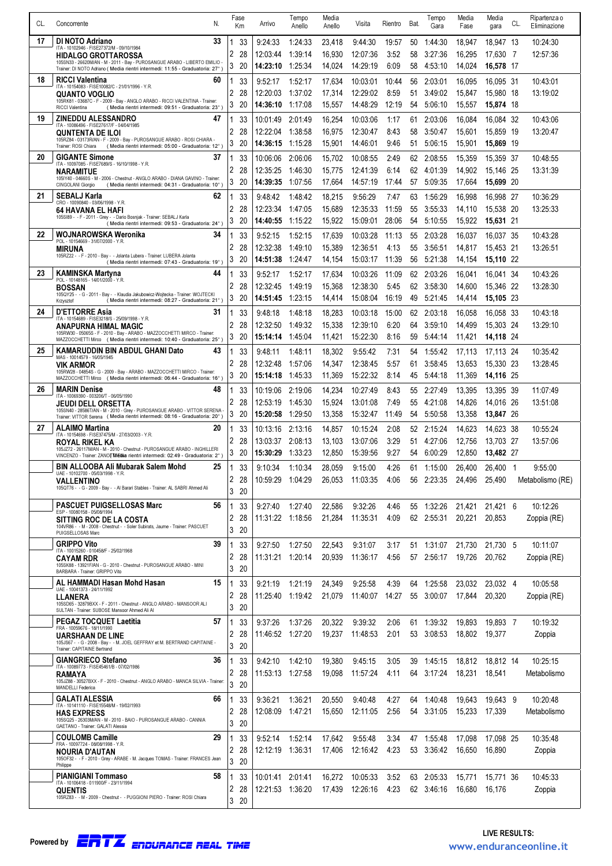| CL. | Concorrente                                                                                                                                               | N. | Fase<br>Кm          | Arrivo                      | Tempo<br>Anello    | Media<br>Anello  | Visita               | Rientro       | Bat.     | Tempo<br>Gara                   | Media<br>Fase    | Media<br>gara          | CL. | Ripartenza o<br>Eliminazione |
|-----|-----------------------------------------------------------------------------------------------------------------------------------------------------------|----|---------------------|-----------------------------|--------------------|------------------|----------------------|---------------|----------|---------------------------------|------------------|------------------------|-----|------------------------------|
| 17  | DI NOTO Adriano                                                                                                                                           | 33 |                     |                             |                    |                  |                      |               |          |                                 |                  |                        |     |                              |
|     | ITA - 10102946 - FISE27372/M - 09/10/1984<br><b>HIDALGO GROTTAROSSA</b>                                                                                   |    | 33<br>1<br>2<br>28  | 9:24:33<br>12:03:44         | 1:24:33<br>1:39:14 | 23,418<br>16,930 | 9:44:30<br>12:07:36  | 19:57<br>3:52 | 50<br>58 | 1:44:30<br>3:27:36              | 18,947<br>16,295 | 18.947 13<br>17,630 7  |     | 10:24:30<br>12:57:36         |
|     | 105SN33 - 26620M/AN - M - 2011 - Bay - PUROSANGUE ARABO - LIBERTO EMILIO<br>Trainer: DI NOTO Adriano ( Media rientri intermedi: 11:55 - Graduatoria: 27°) |    | 3<br>20             | 14:23:10                    | 1:25:34            | 14,024           | 14:29:19             | 6:09          | 58       | 4:53:10                         | 14,024           | 16,578 17              |     |                              |
| 18  | <b>RICCI Valentina</b>                                                                                                                                    | 60 | 1<br>33             | 9:52:17                     | 1:52:17            | 17,634           | 10:03:01             | 10:44         | 56       | 2:03:01                         | 16,095           | 16,095 31              |     | 10:43:01                     |
|     | ITA - 10154083 - FISE10082/C - 21/01/1996 - Y.R<br><b>QUANTO VOGLIO</b>                                                                                   |    | 2<br>28             | 12:20:03                    | 1:37:02            | 17,314           | 12:29:02             | 8:59          | 51       | 3:49:02                         | 15,847           | 15,980 18              |     | 13:19:02                     |
|     | 105RK81 - 03687C - F - 2009 - Bay - ANGLO ARABO - RICCI VALENTINA - Trainer:<br>(Media rientri intermedi: 09:51 - Graduatoria: 23°<br>RICCI Valentina     |    | 3<br>20             | 14:36:10                    | 1:17:08            | 15,557           | 14:48:29             | 12:19         | 54       | 5:06:10                         | 15,557           | 15,874 18              |     |                              |
| 19  | ZINEDDU ALESSANDRO                                                                                                                                        | 47 | 33                  | 10:01:49                    | 2:01:49            | 16,254           | 10:03:06             | 1:17          | 61       | 2:03:06                         | 16,084           | 16,084 32              |     | 10:43:06                     |
|     | ITA - 10086496 - FISE27617/F - 04/04/1985<br>QUNTENTA DE ILOI                                                                                             |    | 2<br>28             | 12:22:04                    | 1:38:58            | 16,975           | 12:30:47             | 8:43          | 58       | 3:50:47                         | 15,601           | 15,859 19              |     | 13:20:47                     |
|     | 105RZ84 - 03173R/AN - F - 2009 - Bay - PUROSANGUE ARABO - ROSI CHIARA -<br>(Media rientri intermedi: 05:00 - Graduatoria: 12°)<br>Trainer: ROSI Chiara    |    | 3<br>20             | 14:36:15                    | 1:15:28            | 15,901           | 14:46:01             | 9:46          | 51       | 5:06:15                         | 15,901           | 15,869 19              |     |                              |
| 20  | <b>GIGANTE Simone</b><br>ITA - 10097085 - FISE7689/S - 16/10/1998 - Y.R.                                                                                  | 37 | 33                  | 10:06:06                    | 2:06:06            | 15,702           | 10:08:55             | 2:49          | 62       | 2:08:55                         | 15,359           | 15,359 37              |     | 10:48:55                     |
|     | NARAMITUE<br>105IY40 - 04660S - M - 2006 - Chestnut - ANGLO ARABO - DIANA GAVINO - Trainer:                                                               |    | 2<br>28             | 12:35:25                    | 1:46:30            | 15,775           | 12:41:39             | 6:14          | 62       | 4:01:39                         | 14,902           | 15.146 25              |     | 13:31:39                     |
|     | CINGOLANI Giorgio<br>(Media rientri intermedi: 04:31 - Graduatoria: 10°)                                                                                  |    | 3<br>-20            | 14:39:35                    | 1:07:56            | 17.664           | 14:57:19             | 17:44         | 57       | 5:09:35                         | 17,664           | 15,699 20              |     |                              |
| 21  | <b>SEBALJ Karla</b><br>CRO - 10090840 - 03/06/1998 - Y.R.                                                                                                 | 62 | 33<br>2<br>28       | 9:48:42<br>12:23:34         | 1:48:42<br>1:47:05 | 18,215<br>15,689 | 9:56:29<br>12:35:33  | 7:47<br>11:59 | 63<br>55 | 1:56:29<br>3:55:33              | 16,998<br>14,110 | 16,998 27<br>15,538 20 |     | 10:36:29<br>13:25:33         |
|     | <b>64 HAVANA EL HAFI</b><br>105SI89 - - F - 2011 - Grey - - Dario Bosnjak - Trainer: SEBALJ Karla<br>(Media rientri intermedi: 09:53 - Graduatoria: 24°)  |    | 3<br>20             | 14:40:55                    | 1:15:22            | 15,922           | 15:09:01             | 28:06         | 54       | 5:10:55                         | 15,922           | 15,631 21              |     |                              |
| 22  | WOJNAROWSKA Weronika                                                                                                                                      | 34 | 33                  | 9:52:15                     | 1:52:15            | 17,639           | 10:03:28             | 11:13         | 55       | 2:03:28                         | 16,037           | 16.037 35              |     | 10:43:28                     |
|     | POL - 10154669 - 31/07/2000 - Y.R.<br>MIRUNA                                                                                                              |    | 2<br>28             | 12:32:38                    | 1:49:10            | 15,389           | 12:36:51             | 4:13          | 55       | 3:56:51                         | 14,817           | 15,453 21              |     | 13:26:51                     |
|     | 105RZ22 - - F - 2010 - Bay - - Jolanta Lubera - Trainer: LUBERA Jolanta<br>(Media rientri intermedi: 07:43 - Graduatoria: 19°)                            |    | 3<br>20             | 14:51:38                    | 1:24:47            | 14,154           | 15:03:17             | 11:39         | 56       | 5:21:38                         | 14,154           | 15,110 22              |     |                              |
| 23  | <b>KAMINSKA Martyna</b><br>POL - 10148165 - 14/01/2000 - Y.R.                                                                                             | 44 | 33                  | 9:52:17                     | 1:52:17            | 17,634           | 10:03:26             | 11:09         | 62       | 2:03:26                         | 16.041           | 16.041 34              |     | 10:43:26                     |
|     | <b>BOSSAN</b><br>105QY25 - - G - 2011 - Bay - - Klaudia Jakubowicz-Wojtecka - Trainer: WOJTECKI                                                           |    | 2<br>28             | 12:32:45                    | 1:49:19            | 15,368           | 12:38:30             | 5:45          | 62       | 3:58:30                         | 14,600           | 15,346 22              |     | 13:28:30                     |
|     | (Media rientri intermedi: 08:27 - Graduatoria: 21°)<br>Krzysztof                                                                                          |    | 3<br>-20            | 14:51:45 1:23:15            |                    | 14,414           | 15:08:04             | 16:19         | 49       | 5:21:45                         | 14,414           | 15,105 23              |     |                              |
| 24  | <b>D'ETTORRE Asia</b><br>ITA - 10154689 - FISE3218/S - 25/09/1998 - Y.R.                                                                                  | 31 | 33<br>1             | 9:48:18                     | 1:48:18            | 18,283           | 10:03:18             | 15:00         | 62       | 2:03:18                         | 16.058           | 16,058 33              |     | 10:43:18                     |
|     | ANAPURNA HIMAL MAGIC<br>105RW30 - 05065S - F - 2010 - Bay - ARABO - MAZZOCCHETTI MIRCO - Trainer:                                                         |    | 2<br>28<br>3<br>-20 | 12:32:50<br>15:14:14        | 1:49:32<br>1:45:04 | 15,338<br>11,421 | 12:39:10<br>15:22:30 | 6:20<br>8:16  | 64<br>59 | 3:59:10<br>5:44:14              | 14,499<br>11,421 | 15,303 24<br>14,118 24 |     | 13:29:10                     |
| 25  | MAZZOCCHETTI Mirco ( Media rientri intermedi: 10:40 - Graduatoria: 25°)<br>KAMARUDDIN BIN ABDUL GHANI Dato                                                | 43 | 1<br>33             | 9:48:11                     | 1:48:11            | 18,302           |                      |               | 54       | 1.55:42                         |                  |                        |     | 10:35:42                     |
|     | MAS - 10014579 - 16/05/1945<br><b>VIK ARMOR</b>                                                                                                           |    | 2<br>28             | 12:32:48                    | 1:57:06            | 14,347           | 9:55:42<br>12:38:45  | 7:31<br>5:57  | 61       | 3:58:45                         | 17,113<br>13,653 | 17,113 24<br>15,330 23 |     | 13:28:45                     |
|     | 105RW28 - 04854S - G - 2009 - Bay - ARABO - MAZZOCCHETTI MIRCO - Trainer:<br>MAZZOCCHETTI Mirco ( Media rientri intermedi: 06:44 - Graduatoria: 16°)      |    | 3<br>20             | 15:14:18                    | 1:45:33            | 11,369           | 15:22:32             | 8:14          | 45       | 5:44:18                         | 11,369           | 14,116 25              |     |                              |
| 26  | <b>MARIN Denise</b>                                                                                                                                       | 48 | 33<br>1             | 10:19:06                    | 2:19:06            | 14,234           | 10:27:49             | 8:43          | 55       | 2:27:49                         | 13,395           | 13,395 39              |     | 11:07:49                     |
|     | ITA - 10069390 - 003206/T - 06/05/1990<br>JEUDI DELL ORSETTA                                                                                              |    | 2<br>28             | 12:53:19                    | 1:45:30            | 15,924           | 13:01:08             | 7:49          | 55       | 4:21:08                         | 14,826           | 14,016 26              |     | 13:51:08                     |
|     | 105SN40 - 28586T/AN - M - 2010 - Grey - PUROSANGUE ARABO - VITTOR SERENA<br>Trainer: VITTOR Serena ( Media rientri intermedi: 08:16 - Graduatoria: 20°)   |    | 3<br>20             | 15:20:58                    | 1:29:50            | 13,358           | 15:32:47             | 11:49         | 54       | 5:50:58                         | 13,358           | 13,847 26              |     |                              |
| 27  | <b>ALAIMO Martina</b><br>ITA - 10154698 - FISE37475/M - 27/03/2003 - Y.R.                                                                                 | 20 | 33                  | 10:13:16                    | 2:13:16            | 14,857           | 10:15:24             | 2:08          | 52.      | 2:15:24                         | 14,623           | 14,623 38              |     | 10:55:24                     |
|     | ROYAL RIKEL KA<br>105JZ72 - 26117M/AN - M - 2010 - Chestnut - PUROSANGUE ARABO - INGHILLERI                                                               |    | 2<br>28<br>3        | 13:03:37                    | 2:08:13            | 13,103           | 13:07:06             | 3:29<br>9:27  | 51       | 4:27:06                         | 12,756           | 13.703 27<br>13.482 27 |     | 13:57:06                     |
|     | VINCENZO - Trainer: ZANO TMEdia rientri intermedi: 02:49 - Graduatoria: 2°)<br>BIN ALLOOBA Ali Mubarak Salem Mohd                                         | 25 | 20<br>$\mathbf{1}$  | 15:30:29 1:33:23            |                    | 12,850           | 15:39:56<br>9:15:00  |               |          | 54 6:00:29                      | 12,850<br>26,400 | 26,400 1               |     |                              |
|     | UAE - 10102700 - 05/03/1998 - Y.R.<br><b>VALLENTINO</b>                                                                                                   |    | 33<br>2<br>28       | 9:10:34<br>10:59:29 1:04:29 | 1:10:34            | 28,059<br>26,053 | 11:03:35             | 4:26<br>4:06  |          | 61 1:15:00<br>56 2:23:35 24.496 |                  | 25,490                 |     | 9:55:00<br>Metabolismo (RE)  |
|     | 105QT76 - - G - 2009 - Bay - - Al Barari Stables - Trainer: AL SABRI Ahmed Ali                                                                            |    | 3 20                |                             |                    |                  |                      |               |          |                                 |                  |                        |     |                              |
|     | <b>PASCUET PUIGSELLOSAS Marc</b>                                                                                                                          | 56 | 1<br>33             | 9:27:40                     | 1:27:40            | 22,586           | 9:32:26              | 4:46          |          | 55 1:32:26                      | 21,421           | 21,421 6               |     | 10:12:26                     |
|     | ESP - 10080158 - 05/08/1994<br><b>SITTING ROC DE LA COSTA</b>                                                                                             |    | 2<br>28             | 11:31:22 1:18:56            |                    | 21,284           | 11:35:31             | 4:09          |          | 62 2:55:31                      | 20,221           | 20.853                 |     | Zoppia (RE)                  |
|     | 104VR86 - - M - 2008 - Chestnut - - Soler Subirats, Jaume - Trainer: PASCUET<br>PUIGSELLOSAS Marc                                                         |    | 3<br>20             |                             |                    |                  |                      |               |          |                                 |                  |                        |     |                              |
|     | <b>GRIPPO Vito</b><br>ITA - 10015260 - 010458/F - 25/02/1968                                                                                              | 39 | 1<br>33             | 9:27:50                     | 1:27:50            | 22,543           | 9:31:07              | 3:17          |          | 51 1:31:07                      | 21.730           | 21,730 5               |     | 10:11:07                     |
|     | <b>CAYAM RDR</b><br>105SK88 - 13921F/AN - G - 2010 - Chestnut - PUROSANGUE ARABO - MINI                                                                   |    | 2<br>28             | 11:31:21 1:20:14            |                    | 20,939           | 11:36:17             | 4:56          |          | 57 2:56:17                      | 19,726           | 20.762                 |     | Zoppia (RE)                  |
|     | BARBARA - Trainer: GRIPPO Vito                                                                                                                            |    | 3<br>20             |                             |                    |                  |                      |               |          |                                 |                  |                        |     |                              |
|     | AL HAMMADI Hasan Mohd Hasan<br>UAE - 10041373 - 24/11/1992                                                                                                | 15 | 33<br>1<br>2<br>-28 | 9:21:19<br>11:25:40 1:19:42 | 1:21:19            | 24,349<br>21,079 | 9:25:58<br>11:40:07  | 4:39<br>14:27 |          | 64 1:25:58<br>55 3:00:07        | 23,032<br>17.844 | 23,032 4<br>20,320     |     | 10:05:58<br>Zoppia (RE)      |
|     | <b>LLANERA</b><br>105SD65 - 32879BXX - F - 2011 - Chestnut - ANGLO ARABO - MANSOOR ALI<br>SULTAN - Trainer: SUBOSE Mansoor Ahmed Ali Al                   |    | 3 20                |                             |                    |                  |                      |               |          |                                 |                  |                        |     |                              |
|     | <b>PEGAZ TOCQUET Laetitia</b>                                                                                                                             | 57 | 1<br>33             | 9:37:26                     | 1:37:26            | 20,322           | 9:39:32              | 2:06          |          | 61 1:39:32                      | 19,893           | 19,893 7               |     | 10:19:32                     |
|     | FRA - 10059676 - 18/11/1990<br>UARSHAAN DE LINE                                                                                                           |    | 2<br>28             | 11:46:52 1:27:20            |                    | 19,237           | 11:48:53             | 2:01          |          | 53 3:08:53                      | 18.802           | 19.377                 |     | Zoppia                       |
|     | 105JS67 - - G - 2008 - Bay - - MJOEL GEFFRAY et M. BERTRAND CAPITAINE -<br>Trainer: CAPITAINE Bertrand                                                    |    | 3<br>20             |                             |                    |                  |                      |               |          |                                 |                  |                        |     |                              |
|     | <b>GIANGRIECO Stefano</b><br>ITA - 10089773 - FISE45461/B - 07/02/1986                                                                                    | 36 | 1<br>33             | 9:42:10                     | 1:42:10            | 19,380           | 9:45:15              | 3:05          |          | 39 1:45:15                      |                  | 18,812 18,812 14       |     | 10:25:15                     |
|     | <b>RAMAYA</b><br>105JZ88 - 30527BXX - F - 2010 - Chestnut - ANGLO ARABO - MANCA SILVIA - Trainer:                                                         |    | 2<br>28             | 11:53:13 1:27:58            |                    | 19,098           | 11:57:24             | 4:11          |          | 64 3:17:24                      | 18,231           | 18.541                 |     | Metabolismo                  |
|     | MANDELLI Federica<br><b>GALATI ALESSIA</b>                                                                                                                | 66 | 3<br>20             |                             |                    |                  |                      |               |          |                                 |                  |                        |     |                              |
|     | ITA - 10141110 - FISE15548/M - 19/02/1993                                                                                                                 |    | 1<br>33<br>2<br>28  | 9:36:21<br>12:08:09 1:47:21 | 1:36:21            | 20,550<br>15,650 | 9:40:48<br>12:11:05  | 4:27<br>2:56  |          | 64 1:40:48<br>54 3:31:05        | 19,643<br>15,233 | 19,643 9<br>17,339     |     | 10:20:48<br>Metabolismo      |
|     | <b>HAS EXPRESS</b><br>105SQ25 - 26303M/AN - M - 2010 - BAIO - PUROSANGUE ARABO - CANNIA<br>GAETANO - Trainer: GALATI Alessia                              |    | 3<br>20             |                             |                    |                  |                      |               |          |                                 |                  |                        |     |                              |
|     | <b>COULOMB Camille</b>                                                                                                                                    | 29 | 33<br>1             | 9:52:14                     | 1:52:14            | 17,642           | 9:55:48              | 3:34          |          | 47 1:55:48                      | 17,098           | 17,098 25              |     | 10:35:48                     |
|     | FRA - 10097724 - 08/08/1998 - Y.R.<br>NOURIA D'AUTAN                                                                                                      |    | 2<br>28             | 12:12:19                    | 1:36:31            | 17,406           | 12:16:42             | 4:23          |          | 53 3:36:42                      | 16,650           | 16,890                 |     | Zoppia                       |
|     | 105OF32 - - F - 2010 - Grey - ARABE - M. Jacques TOMAS - Trainer: FRANCES Jean<br>Philippe                                                                |    | 3<br>-20            |                             |                    |                  |                      |               |          |                                 |                  |                        |     |                              |
|     | <b>PIANIGIANI Tommaso</b><br>ITA - 10106418 - 011900/F - 23/11/1994                                                                                       | 58 | 1<br>33             | 10:01:41                    | 2:01:41            | 16,272           | 10:05:33             | 3:52          |          | 63 2:05:33                      | 15,771           | 15.771 36              |     | 10:45:33                     |
|     | <b>QUENTIS</b><br>105RZ83 - - M - 2009 - Chestnut - - PUGGIONI PIERO - Trainer: ROSI Chiara                                                               |    | 2<br>28             | 12:21:53 1:36:20            |                    | 17,439           | 12:26:16             | 4:23          |          | 62 3:46:16                      | 16,680           | 16.176                 |     | Zoppia                       |
|     |                                                                                                                                                           |    | 320                 |                             |                    |                  |                      |               |          |                                 |                  |                        |     |                              |